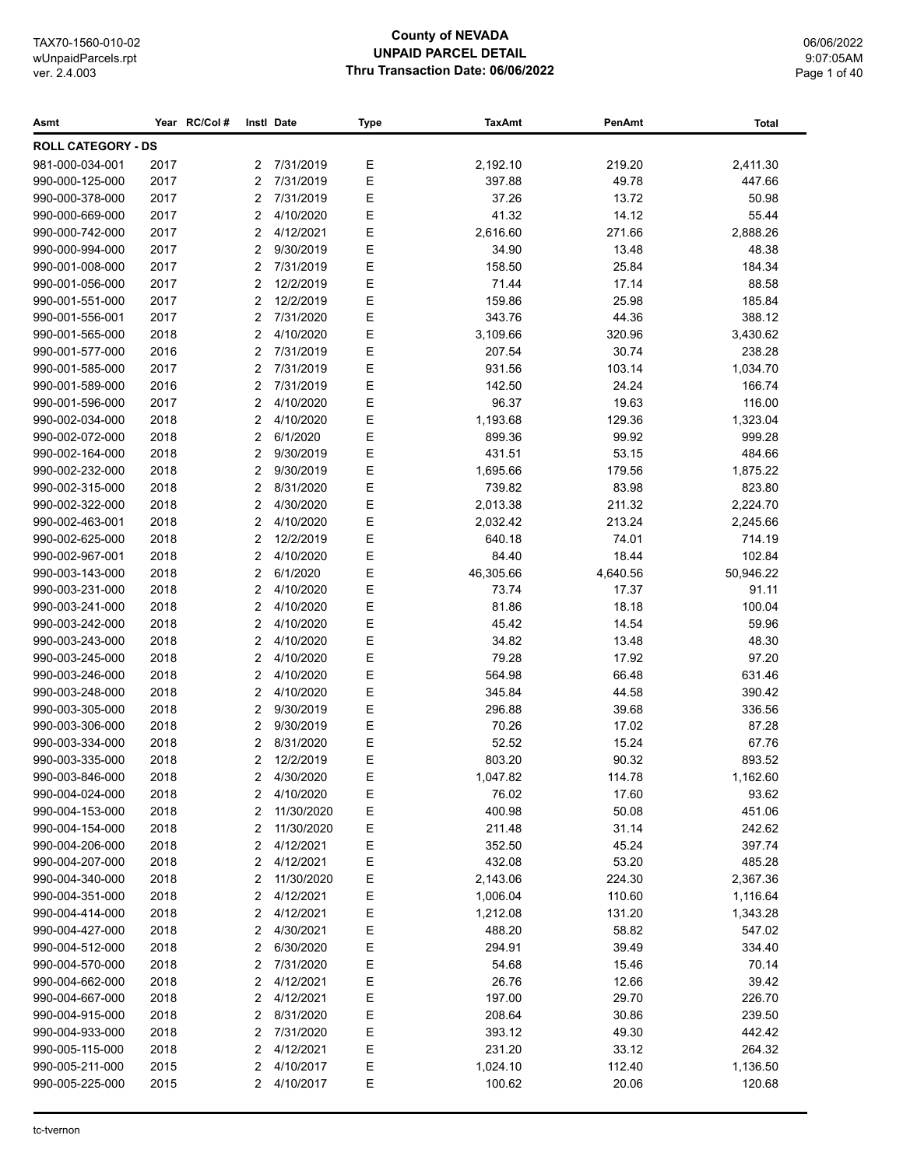# **County of NEVADA UNPAID PARCEL DETAIL Thru Transaction Date: 06/06/2022**

06/06/2022 9:07:05AM Page 1 of 40

| <b>ROLL CATEGORY - DS</b><br>981-000-034-001<br>2017<br>7/31/2019<br>Ε<br>219.20<br>2<br>2,192.10<br>2,411.30<br>Ε<br>990-000-125-000<br>2017<br>2<br>7/31/2019<br>397.88<br>49.78<br>447.66<br>Ε<br>2017<br>7/31/2019<br>37.26<br>13.72<br>50.98<br>990-000-378-000<br>2<br>Ε<br>2017<br>4/10/2020<br>41.32<br>14.12<br>55.44<br>990-000-669-000<br>2<br>E<br>2017<br>2<br>4/12/2021<br>2,616.60<br>271.66<br>2,888.26<br>990-000-742-000<br>E<br>2017<br>990-000-994-000<br>2<br>9/30/2019<br>34.90<br>13.48<br>48.38<br>E<br>2017<br>2<br>7/31/2019<br>25.84<br>184.34<br>990-001-008-000<br>158.50<br>E<br>990-001-056-000<br>2017<br>2<br>12/2/2019<br>71.44<br>17.14<br>88.58<br>E<br>185.84<br>990-001-551-000<br>2017<br>2<br>12/2/2019<br>159.86<br>25.98<br>E<br>388.12<br>990-001-556-001<br>2017<br>2<br>7/31/2020<br>343.76<br>44.36<br>Ε<br>990-001-565-000<br>2018<br>2<br>4/10/2020<br>3,109.66<br>320.96<br>3,430.62<br>Ε<br>238.28<br>2016<br>2<br>7/31/2019<br>207.54<br>30.74<br>990-001-577-000<br>Ε<br>2017<br>$\overline{2}$<br>7/31/2019<br>931.56<br>103.14<br>1,034.70<br>990-001-585-000<br>Ε<br>166.74<br>2016<br>7/31/2019<br>142.50<br>24.24<br>990-001-589-000<br>2<br>Ε<br>116.00<br>2017<br>2<br>4/10/2020<br>96.37<br>19.63<br>990-001-596-000<br>Ε<br>2018<br>2<br>4/10/2020<br>1,193.68<br>129.36<br>1,323.04<br>990-002-034-000<br>Ε<br>2<br>6/1/2020<br>999.28<br>990-002-072-000<br>2018<br>899.36<br>99.92<br>E<br>2<br>9/30/2019<br>431.51<br>53.15<br>484.66<br>990-002-164-000<br>2018<br>Ε<br>990-002-232-000<br>2018<br>2<br>9/30/2019<br>1,695.66<br>179.56<br>1,875.22<br>E<br>990-002-315-000<br>2018<br>2<br>8/31/2020<br>739.82<br>83.98<br>823.80<br>E<br>990-002-322-000<br>2018<br>2<br>4/30/2020<br>2,013.38<br>211.32<br>2,224.70<br>E<br>990-002-463-001<br>2018<br>2<br>4/10/2020<br>2,032.42<br>213.24<br>2,245.66<br>E<br>2018<br>2<br>12/2/2019<br>640.18<br>714.19<br>990-002-625-000<br>74.01<br>Ε<br>2<br>4/10/2020<br>84.40<br>18.44<br>102.84<br>990-002-967-001<br>2018<br>E<br>50,946.22<br>2018<br>2<br>6/1/2020<br>46,305.66<br>4,640.56<br>990-003-143-000<br>Ε<br>91.11<br>990-003-231-000<br>2018<br>2<br>4/10/2020<br>73.74<br>17.37<br>Ε<br>4/10/2020<br>81.86<br>100.04<br>990-003-241-000<br>2018<br>2<br>18.18<br>Е<br>2018<br>2<br>4/10/2020<br>45.42<br>14.54<br>59.96<br>990-003-242-000<br>Ε<br>2018<br>2<br>4/10/2020<br>34.82<br>13.48<br>48.30<br>990-003-243-000<br>Ε<br>990-003-245-000<br>2018<br>4/10/2020<br>79.28<br>17.92<br>97.20<br>2<br>Ε<br>2018<br>4/10/2020<br>564.98<br>66.48<br>631.46<br>990-003-246-000<br>2<br>E<br>2018<br>2<br>4/10/2020<br>345.84<br>44.58<br>390.42<br>990-003-248-000<br>E<br>990-003-305-000<br>2018<br>2<br>9/30/2019<br>296.88<br>336.56<br>39.68<br>E<br>990-003-306-000<br>2018<br>9/30/2019<br>70.26<br>87.28<br>2<br>17.02<br>E<br>990-003-334-000<br>2018<br>2<br>8/31/2020<br>52.52<br>15.24<br>67.76<br>E<br>2018<br>2<br>12/2/2019<br>803.20<br>90.32<br>893.52<br>990-003-335-000<br>Е<br>2018<br>2<br>1,047.82<br>114.78<br>1,162.60<br>990-003-846-000<br>4/30/2020<br>990-004-024-000<br>Е<br>76.02<br>93.62<br>2018<br>2<br>4/10/2020<br>17.60<br>990-004-153-000<br>Ε<br>400.98<br>50.08<br>451.06<br>2018<br>2<br>11/30/2020<br>Ε<br>242.62<br>990-004-154-000<br>2018<br>2<br>11/30/2020<br>211.48<br>31.14<br>397.74<br>990-004-206-000<br>2018<br>2<br>4/12/2021<br>Е<br>352.50<br>45.24<br>4/12/2021<br>Ε<br>485.28<br>990-004-207-000<br>2018<br>2<br>432.08<br>53.20<br>Ε<br>990-004-340-000<br>2018<br>11/30/2020<br>2,143.06<br>224.30<br>2,367.36<br>2<br>Ε<br>990-004-351-000<br>2018<br>2<br>4/12/2021<br>1,006.04<br>110.60<br>1,116.64<br>Ε<br>990-004-414-000<br>2018<br>2<br>4/12/2021<br>131.20<br>1,212.08<br>1,343.28<br>Ε<br>4/30/2021<br>58.82<br>547.02<br>990-004-427-000<br>2018<br>2<br>488.20<br>Ε<br>990-004-512-000<br>2018<br>2<br>6/30/2020<br>294.91<br>39.49<br>334.40<br>Ε<br>70.14<br>990-004-570-000<br>2018<br>2<br>7/31/2020<br>54.68<br>15.46<br>Ε<br>4/12/2021<br>26.76<br>12.66<br>39.42<br>990-004-662-000<br>2018<br>2<br>Ε<br>226.70<br>990-004-667-000<br>2018<br>2<br>4/12/2021<br>197.00<br>29.70<br>Ε<br>30.86<br>990-004-915-000<br>2018<br>2<br>8/31/2020<br>208.64<br>239.50<br>Ε<br>990-004-933-000<br>2018<br>2<br>7/31/2020<br>393.12<br>49.30<br>442.42<br>Ε<br>990-005-115-000<br>2018<br>2<br>4/12/2021<br>231.20<br>33.12<br>264.32<br>990-005-211-000<br>2015<br>2<br>4/10/2017<br>Е<br>1,024.10<br>112.40<br>1,136.50<br>990-005-225-000<br>2015<br>2<br>4/10/2017<br>Е<br>100.62<br>20.06<br>120.68 | Asmt | Year RC/Col# | Instl Date | Type | <b>TaxAmt</b> | PenAmt | <b>Total</b> |
|-------------------------------------------------------------------------------------------------------------------------------------------------------------------------------------------------------------------------------------------------------------------------------------------------------------------------------------------------------------------------------------------------------------------------------------------------------------------------------------------------------------------------------------------------------------------------------------------------------------------------------------------------------------------------------------------------------------------------------------------------------------------------------------------------------------------------------------------------------------------------------------------------------------------------------------------------------------------------------------------------------------------------------------------------------------------------------------------------------------------------------------------------------------------------------------------------------------------------------------------------------------------------------------------------------------------------------------------------------------------------------------------------------------------------------------------------------------------------------------------------------------------------------------------------------------------------------------------------------------------------------------------------------------------------------------------------------------------------------------------------------------------------------------------------------------------------------------------------------------------------------------------------------------------------------------------------------------------------------------------------------------------------------------------------------------------------------------------------------------------------------------------------------------------------------------------------------------------------------------------------------------------------------------------------------------------------------------------------------------------------------------------------------------------------------------------------------------------------------------------------------------------------------------------------------------------------------------------------------------------------------------------------------------------------------------------------------------------------------------------------------------------------------------------------------------------------------------------------------------------------------------------------------------------------------------------------------------------------------------------------------------------------------------------------------------------------------------------------------------------------------------------------------------------------------------------------------------------------------------------------------------------------------------------------------------------------------------------------------------------------------------------------------------------------------------------------------------------------------------------------------------------------------------------------------------------------------------------------------------------------------------------------------------------------------------------------------------------------------------------------------------------------------------------------------------------------------------------------------------------------------------------------------------------------------------------------------------------------------------------------------------------------------------------------------------------------------------------------------------------------------------------------------------------------------------------------------------------------------------------------------------------------------------------------------------------------------------------------------------------------------------------------------------------------------------------------------------------------------------------------------------------------------------------------------------------------------------------------------------|------|--------------|------------|------|---------------|--------|--------------|
|                                                                                                                                                                                                                                                                                                                                                                                                                                                                                                                                                                                                                                                                                                                                                                                                                                                                                                                                                                                                                                                                                                                                                                                                                                                                                                                                                                                                                                                                                                                                                                                                                                                                                                                                                                                                                                                                                                                                                                                                                                                                                                                                                                                                                                                                                                                                                                                                                                                                                                                                                                                                                                                                                                                                                                                                                                                                                                                                                                                                                                                                                                                                                                                                                                                                                                                                                                                                                                                                                                                                                                                                                                                                                                                                                                                                                                                                                                                                                                                                                                                                                                                                                                                                                                                                                                                                                                                                                                                                                                                                                                                                             |      |              |            |      |               |        |              |
|                                                                                                                                                                                                                                                                                                                                                                                                                                                                                                                                                                                                                                                                                                                                                                                                                                                                                                                                                                                                                                                                                                                                                                                                                                                                                                                                                                                                                                                                                                                                                                                                                                                                                                                                                                                                                                                                                                                                                                                                                                                                                                                                                                                                                                                                                                                                                                                                                                                                                                                                                                                                                                                                                                                                                                                                                                                                                                                                                                                                                                                                                                                                                                                                                                                                                                                                                                                                                                                                                                                                                                                                                                                                                                                                                                                                                                                                                                                                                                                                                                                                                                                                                                                                                                                                                                                                                                                                                                                                                                                                                                                                             |      |              |            |      |               |        |              |
|                                                                                                                                                                                                                                                                                                                                                                                                                                                                                                                                                                                                                                                                                                                                                                                                                                                                                                                                                                                                                                                                                                                                                                                                                                                                                                                                                                                                                                                                                                                                                                                                                                                                                                                                                                                                                                                                                                                                                                                                                                                                                                                                                                                                                                                                                                                                                                                                                                                                                                                                                                                                                                                                                                                                                                                                                                                                                                                                                                                                                                                                                                                                                                                                                                                                                                                                                                                                                                                                                                                                                                                                                                                                                                                                                                                                                                                                                                                                                                                                                                                                                                                                                                                                                                                                                                                                                                                                                                                                                                                                                                                                             |      |              |            |      |               |        |              |
|                                                                                                                                                                                                                                                                                                                                                                                                                                                                                                                                                                                                                                                                                                                                                                                                                                                                                                                                                                                                                                                                                                                                                                                                                                                                                                                                                                                                                                                                                                                                                                                                                                                                                                                                                                                                                                                                                                                                                                                                                                                                                                                                                                                                                                                                                                                                                                                                                                                                                                                                                                                                                                                                                                                                                                                                                                                                                                                                                                                                                                                                                                                                                                                                                                                                                                                                                                                                                                                                                                                                                                                                                                                                                                                                                                                                                                                                                                                                                                                                                                                                                                                                                                                                                                                                                                                                                                                                                                                                                                                                                                                                             |      |              |            |      |               |        |              |
|                                                                                                                                                                                                                                                                                                                                                                                                                                                                                                                                                                                                                                                                                                                                                                                                                                                                                                                                                                                                                                                                                                                                                                                                                                                                                                                                                                                                                                                                                                                                                                                                                                                                                                                                                                                                                                                                                                                                                                                                                                                                                                                                                                                                                                                                                                                                                                                                                                                                                                                                                                                                                                                                                                                                                                                                                                                                                                                                                                                                                                                                                                                                                                                                                                                                                                                                                                                                                                                                                                                                                                                                                                                                                                                                                                                                                                                                                                                                                                                                                                                                                                                                                                                                                                                                                                                                                                                                                                                                                                                                                                                                             |      |              |            |      |               |        |              |
|                                                                                                                                                                                                                                                                                                                                                                                                                                                                                                                                                                                                                                                                                                                                                                                                                                                                                                                                                                                                                                                                                                                                                                                                                                                                                                                                                                                                                                                                                                                                                                                                                                                                                                                                                                                                                                                                                                                                                                                                                                                                                                                                                                                                                                                                                                                                                                                                                                                                                                                                                                                                                                                                                                                                                                                                                                                                                                                                                                                                                                                                                                                                                                                                                                                                                                                                                                                                                                                                                                                                                                                                                                                                                                                                                                                                                                                                                                                                                                                                                                                                                                                                                                                                                                                                                                                                                                                                                                                                                                                                                                                                             |      |              |            |      |               |        |              |
|                                                                                                                                                                                                                                                                                                                                                                                                                                                                                                                                                                                                                                                                                                                                                                                                                                                                                                                                                                                                                                                                                                                                                                                                                                                                                                                                                                                                                                                                                                                                                                                                                                                                                                                                                                                                                                                                                                                                                                                                                                                                                                                                                                                                                                                                                                                                                                                                                                                                                                                                                                                                                                                                                                                                                                                                                                                                                                                                                                                                                                                                                                                                                                                                                                                                                                                                                                                                                                                                                                                                                                                                                                                                                                                                                                                                                                                                                                                                                                                                                                                                                                                                                                                                                                                                                                                                                                                                                                                                                                                                                                                                             |      |              |            |      |               |        |              |
|                                                                                                                                                                                                                                                                                                                                                                                                                                                                                                                                                                                                                                                                                                                                                                                                                                                                                                                                                                                                                                                                                                                                                                                                                                                                                                                                                                                                                                                                                                                                                                                                                                                                                                                                                                                                                                                                                                                                                                                                                                                                                                                                                                                                                                                                                                                                                                                                                                                                                                                                                                                                                                                                                                                                                                                                                                                                                                                                                                                                                                                                                                                                                                                                                                                                                                                                                                                                                                                                                                                                                                                                                                                                                                                                                                                                                                                                                                                                                                                                                                                                                                                                                                                                                                                                                                                                                                                                                                                                                                                                                                                                             |      |              |            |      |               |        |              |
|                                                                                                                                                                                                                                                                                                                                                                                                                                                                                                                                                                                                                                                                                                                                                                                                                                                                                                                                                                                                                                                                                                                                                                                                                                                                                                                                                                                                                                                                                                                                                                                                                                                                                                                                                                                                                                                                                                                                                                                                                                                                                                                                                                                                                                                                                                                                                                                                                                                                                                                                                                                                                                                                                                                                                                                                                                                                                                                                                                                                                                                                                                                                                                                                                                                                                                                                                                                                                                                                                                                                                                                                                                                                                                                                                                                                                                                                                                                                                                                                                                                                                                                                                                                                                                                                                                                                                                                                                                                                                                                                                                                                             |      |              |            |      |               |        |              |
|                                                                                                                                                                                                                                                                                                                                                                                                                                                                                                                                                                                                                                                                                                                                                                                                                                                                                                                                                                                                                                                                                                                                                                                                                                                                                                                                                                                                                                                                                                                                                                                                                                                                                                                                                                                                                                                                                                                                                                                                                                                                                                                                                                                                                                                                                                                                                                                                                                                                                                                                                                                                                                                                                                                                                                                                                                                                                                                                                                                                                                                                                                                                                                                                                                                                                                                                                                                                                                                                                                                                                                                                                                                                                                                                                                                                                                                                                                                                                                                                                                                                                                                                                                                                                                                                                                                                                                                                                                                                                                                                                                                                             |      |              |            |      |               |        |              |
|                                                                                                                                                                                                                                                                                                                                                                                                                                                                                                                                                                                                                                                                                                                                                                                                                                                                                                                                                                                                                                                                                                                                                                                                                                                                                                                                                                                                                                                                                                                                                                                                                                                                                                                                                                                                                                                                                                                                                                                                                                                                                                                                                                                                                                                                                                                                                                                                                                                                                                                                                                                                                                                                                                                                                                                                                                                                                                                                                                                                                                                                                                                                                                                                                                                                                                                                                                                                                                                                                                                                                                                                                                                                                                                                                                                                                                                                                                                                                                                                                                                                                                                                                                                                                                                                                                                                                                                                                                                                                                                                                                                                             |      |              |            |      |               |        |              |
|                                                                                                                                                                                                                                                                                                                                                                                                                                                                                                                                                                                                                                                                                                                                                                                                                                                                                                                                                                                                                                                                                                                                                                                                                                                                                                                                                                                                                                                                                                                                                                                                                                                                                                                                                                                                                                                                                                                                                                                                                                                                                                                                                                                                                                                                                                                                                                                                                                                                                                                                                                                                                                                                                                                                                                                                                                                                                                                                                                                                                                                                                                                                                                                                                                                                                                                                                                                                                                                                                                                                                                                                                                                                                                                                                                                                                                                                                                                                                                                                                                                                                                                                                                                                                                                                                                                                                                                                                                                                                                                                                                                                             |      |              |            |      |               |        |              |
|                                                                                                                                                                                                                                                                                                                                                                                                                                                                                                                                                                                                                                                                                                                                                                                                                                                                                                                                                                                                                                                                                                                                                                                                                                                                                                                                                                                                                                                                                                                                                                                                                                                                                                                                                                                                                                                                                                                                                                                                                                                                                                                                                                                                                                                                                                                                                                                                                                                                                                                                                                                                                                                                                                                                                                                                                                                                                                                                                                                                                                                                                                                                                                                                                                                                                                                                                                                                                                                                                                                                                                                                                                                                                                                                                                                                                                                                                                                                                                                                                                                                                                                                                                                                                                                                                                                                                                                                                                                                                                                                                                                                             |      |              |            |      |               |        |              |
|                                                                                                                                                                                                                                                                                                                                                                                                                                                                                                                                                                                                                                                                                                                                                                                                                                                                                                                                                                                                                                                                                                                                                                                                                                                                                                                                                                                                                                                                                                                                                                                                                                                                                                                                                                                                                                                                                                                                                                                                                                                                                                                                                                                                                                                                                                                                                                                                                                                                                                                                                                                                                                                                                                                                                                                                                                                                                                                                                                                                                                                                                                                                                                                                                                                                                                                                                                                                                                                                                                                                                                                                                                                                                                                                                                                                                                                                                                                                                                                                                                                                                                                                                                                                                                                                                                                                                                                                                                                                                                                                                                                                             |      |              |            |      |               |        |              |
|                                                                                                                                                                                                                                                                                                                                                                                                                                                                                                                                                                                                                                                                                                                                                                                                                                                                                                                                                                                                                                                                                                                                                                                                                                                                                                                                                                                                                                                                                                                                                                                                                                                                                                                                                                                                                                                                                                                                                                                                                                                                                                                                                                                                                                                                                                                                                                                                                                                                                                                                                                                                                                                                                                                                                                                                                                                                                                                                                                                                                                                                                                                                                                                                                                                                                                                                                                                                                                                                                                                                                                                                                                                                                                                                                                                                                                                                                                                                                                                                                                                                                                                                                                                                                                                                                                                                                                                                                                                                                                                                                                                                             |      |              |            |      |               |        |              |
|                                                                                                                                                                                                                                                                                                                                                                                                                                                                                                                                                                                                                                                                                                                                                                                                                                                                                                                                                                                                                                                                                                                                                                                                                                                                                                                                                                                                                                                                                                                                                                                                                                                                                                                                                                                                                                                                                                                                                                                                                                                                                                                                                                                                                                                                                                                                                                                                                                                                                                                                                                                                                                                                                                                                                                                                                                                                                                                                                                                                                                                                                                                                                                                                                                                                                                                                                                                                                                                                                                                                                                                                                                                                                                                                                                                                                                                                                                                                                                                                                                                                                                                                                                                                                                                                                                                                                                                                                                                                                                                                                                                                             |      |              |            |      |               |        |              |
|                                                                                                                                                                                                                                                                                                                                                                                                                                                                                                                                                                                                                                                                                                                                                                                                                                                                                                                                                                                                                                                                                                                                                                                                                                                                                                                                                                                                                                                                                                                                                                                                                                                                                                                                                                                                                                                                                                                                                                                                                                                                                                                                                                                                                                                                                                                                                                                                                                                                                                                                                                                                                                                                                                                                                                                                                                                                                                                                                                                                                                                                                                                                                                                                                                                                                                                                                                                                                                                                                                                                                                                                                                                                                                                                                                                                                                                                                                                                                                                                                                                                                                                                                                                                                                                                                                                                                                                                                                                                                                                                                                                                             |      |              |            |      |               |        |              |
|                                                                                                                                                                                                                                                                                                                                                                                                                                                                                                                                                                                                                                                                                                                                                                                                                                                                                                                                                                                                                                                                                                                                                                                                                                                                                                                                                                                                                                                                                                                                                                                                                                                                                                                                                                                                                                                                                                                                                                                                                                                                                                                                                                                                                                                                                                                                                                                                                                                                                                                                                                                                                                                                                                                                                                                                                                                                                                                                                                                                                                                                                                                                                                                                                                                                                                                                                                                                                                                                                                                                                                                                                                                                                                                                                                                                                                                                                                                                                                                                                                                                                                                                                                                                                                                                                                                                                                                                                                                                                                                                                                                                             |      |              |            |      |               |        |              |
|                                                                                                                                                                                                                                                                                                                                                                                                                                                                                                                                                                                                                                                                                                                                                                                                                                                                                                                                                                                                                                                                                                                                                                                                                                                                                                                                                                                                                                                                                                                                                                                                                                                                                                                                                                                                                                                                                                                                                                                                                                                                                                                                                                                                                                                                                                                                                                                                                                                                                                                                                                                                                                                                                                                                                                                                                                                                                                                                                                                                                                                                                                                                                                                                                                                                                                                                                                                                                                                                                                                                                                                                                                                                                                                                                                                                                                                                                                                                                                                                                                                                                                                                                                                                                                                                                                                                                                                                                                                                                                                                                                                                             |      |              |            |      |               |        |              |
|                                                                                                                                                                                                                                                                                                                                                                                                                                                                                                                                                                                                                                                                                                                                                                                                                                                                                                                                                                                                                                                                                                                                                                                                                                                                                                                                                                                                                                                                                                                                                                                                                                                                                                                                                                                                                                                                                                                                                                                                                                                                                                                                                                                                                                                                                                                                                                                                                                                                                                                                                                                                                                                                                                                                                                                                                                                                                                                                                                                                                                                                                                                                                                                                                                                                                                                                                                                                                                                                                                                                                                                                                                                                                                                                                                                                                                                                                                                                                                                                                                                                                                                                                                                                                                                                                                                                                                                                                                                                                                                                                                                                             |      |              |            |      |               |        |              |
|                                                                                                                                                                                                                                                                                                                                                                                                                                                                                                                                                                                                                                                                                                                                                                                                                                                                                                                                                                                                                                                                                                                                                                                                                                                                                                                                                                                                                                                                                                                                                                                                                                                                                                                                                                                                                                                                                                                                                                                                                                                                                                                                                                                                                                                                                                                                                                                                                                                                                                                                                                                                                                                                                                                                                                                                                                                                                                                                                                                                                                                                                                                                                                                                                                                                                                                                                                                                                                                                                                                                                                                                                                                                                                                                                                                                                                                                                                                                                                                                                                                                                                                                                                                                                                                                                                                                                                                                                                                                                                                                                                                                             |      |              |            |      |               |        |              |
|                                                                                                                                                                                                                                                                                                                                                                                                                                                                                                                                                                                                                                                                                                                                                                                                                                                                                                                                                                                                                                                                                                                                                                                                                                                                                                                                                                                                                                                                                                                                                                                                                                                                                                                                                                                                                                                                                                                                                                                                                                                                                                                                                                                                                                                                                                                                                                                                                                                                                                                                                                                                                                                                                                                                                                                                                                                                                                                                                                                                                                                                                                                                                                                                                                                                                                                                                                                                                                                                                                                                                                                                                                                                                                                                                                                                                                                                                                                                                                                                                                                                                                                                                                                                                                                                                                                                                                                                                                                                                                                                                                                                             |      |              |            |      |               |        |              |
|                                                                                                                                                                                                                                                                                                                                                                                                                                                                                                                                                                                                                                                                                                                                                                                                                                                                                                                                                                                                                                                                                                                                                                                                                                                                                                                                                                                                                                                                                                                                                                                                                                                                                                                                                                                                                                                                                                                                                                                                                                                                                                                                                                                                                                                                                                                                                                                                                                                                                                                                                                                                                                                                                                                                                                                                                                                                                                                                                                                                                                                                                                                                                                                                                                                                                                                                                                                                                                                                                                                                                                                                                                                                                                                                                                                                                                                                                                                                                                                                                                                                                                                                                                                                                                                                                                                                                                                                                                                                                                                                                                                                             |      |              |            |      |               |        |              |
|                                                                                                                                                                                                                                                                                                                                                                                                                                                                                                                                                                                                                                                                                                                                                                                                                                                                                                                                                                                                                                                                                                                                                                                                                                                                                                                                                                                                                                                                                                                                                                                                                                                                                                                                                                                                                                                                                                                                                                                                                                                                                                                                                                                                                                                                                                                                                                                                                                                                                                                                                                                                                                                                                                                                                                                                                                                                                                                                                                                                                                                                                                                                                                                                                                                                                                                                                                                                                                                                                                                                                                                                                                                                                                                                                                                                                                                                                                                                                                                                                                                                                                                                                                                                                                                                                                                                                                                                                                                                                                                                                                                                             |      |              |            |      |               |        |              |
|                                                                                                                                                                                                                                                                                                                                                                                                                                                                                                                                                                                                                                                                                                                                                                                                                                                                                                                                                                                                                                                                                                                                                                                                                                                                                                                                                                                                                                                                                                                                                                                                                                                                                                                                                                                                                                                                                                                                                                                                                                                                                                                                                                                                                                                                                                                                                                                                                                                                                                                                                                                                                                                                                                                                                                                                                                                                                                                                                                                                                                                                                                                                                                                                                                                                                                                                                                                                                                                                                                                                                                                                                                                                                                                                                                                                                                                                                                                                                                                                                                                                                                                                                                                                                                                                                                                                                                                                                                                                                                                                                                                                             |      |              |            |      |               |        |              |
|                                                                                                                                                                                                                                                                                                                                                                                                                                                                                                                                                                                                                                                                                                                                                                                                                                                                                                                                                                                                                                                                                                                                                                                                                                                                                                                                                                                                                                                                                                                                                                                                                                                                                                                                                                                                                                                                                                                                                                                                                                                                                                                                                                                                                                                                                                                                                                                                                                                                                                                                                                                                                                                                                                                                                                                                                                                                                                                                                                                                                                                                                                                                                                                                                                                                                                                                                                                                                                                                                                                                                                                                                                                                                                                                                                                                                                                                                                                                                                                                                                                                                                                                                                                                                                                                                                                                                                                                                                                                                                                                                                                                             |      |              |            |      |               |        |              |
|                                                                                                                                                                                                                                                                                                                                                                                                                                                                                                                                                                                                                                                                                                                                                                                                                                                                                                                                                                                                                                                                                                                                                                                                                                                                                                                                                                                                                                                                                                                                                                                                                                                                                                                                                                                                                                                                                                                                                                                                                                                                                                                                                                                                                                                                                                                                                                                                                                                                                                                                                                                                                                                                                                                                                                                                                                                                                                                                                                                                                                                                                                                                                                                                                                                                                                                                                                                                                                                                                                                                                                                                                                                                                                                                                                                                                                                                                                                                                                                                                                                                                                                                                                                                                                                                                                                                                                                                                                                                                                                                                                                                             |      |              |            |      |               |        |              |
|                                                                                                                                                                                                                                                                                                                                                                                                                                                                                                                                                                                                                                                                                                                                                                                                                                                                                                                                                                                                                                                                                                                                                                                                                                                                                                                                                                                                                                                                                                                                                                                                                                                                                                                                                                                                                                                                                                                                                                                                                                                                                                                                                                                                                                                                                                                                                                                                                                                                                                                                                                                                                                                                                                                                                                                                                                                                                                                                                                                                                                                                                                                                                                                                                                                                                                                                                                                                                                                                                                                                                                                                                                                                                                                                                                                                                                                                                                                                                                                                                                                                                                                                                                                                                                                                                                                                                                                                                                                                                                                                                                                                             |      |              |            |      |               |        |              |
|                                                                                                                                                                                                                                                                                                                                                                                                                                                                                                                                                                                                                                                                                                                                                                                                                                                                                                                                                                                                                                                                                                                                                                                                                                                                                                                                                                                                                                                                                                                                                                                                                                                                                                                                                                                                                                                                                                                                                                                                                                                                                                                                                                                                                                                                                                                                                                                                                                                                                                                                                                                                                                                                                                                                                                                                                                                                                                                                                                                                                                                                                                                                                                                                                                                                                                                                                                                                                                                                                                                                                                                                                                                                                                                                                                                                                                                                                                                                                                                                                                                                                                                                                                                                                                                                                                                                                                                                                                                                                                                                                                                                             |      |              |            |      |               |        |              |
|                                                                                                                                                                                                                                                                                                                                                                                                                                                                                                                                                                                                                                                                                                                                                                                                                                                                                                                                                                                                                                                                                                                                                                                                                                                                                                                                                                                                                                                                                                                                                                                                                                                                                                                                                                                                                                                                                                                                                                                                                                                                                                                                                                                                                                                                                                                                                                                                                                                                                                                                                                                                                                                                                                                                                                                                                                                                                                                                                                                                                                                                                                                                                                                                                                                                                                                                                                                                                                                                                                                                                                                                                                                                                                                                                                                                                                                                                                                                                                                                                                                                                                                                                                                                                                                                                                                                                                                                                                                                                                                                                                                                             |      |              |            |      |               |        |              |
|                                                                                                                                                                                                                                                                                                                                                                                                                                                                                                                                                                                                                                                                                                                                                                                                                                                                                                                                                                                                                                                                                                                                                                                                                                                                                                                                                                                                                                                                                                                                                                                                                                                                                                                                                                                                                                                                                                                                                                                                                                                                                                                                                                                                                                                                                                                                                                                                                                                                                                                                                                                                                                                                                                                                                                                                                                                                                                                                                                                                                                                                                                                                                                                                                                                                                                                                                                                                                                                                                                                                                                                                                                                                                                                                                                                                                                                                                                                                                                                                                                                                                                                                                                                                                                                                                                                                                                                                                                                                                                                                                                                                             |      |              |            |      |               |        |              |
|                                                                                                                                                                                                                                                                                                                                                                                                                                                                                                                                                                                                                                                                                                                                                                                                                                                                                                                                                                                                                                                                                                                                                                                                                                                                                                                                                                                                                                                                                                                                                                                                                                                                                                                                                                                                                                                                                                                                                                                                                                                                                                                                                                                                                                                                                                                                                                                                                                                                                                                                                                                                                                                                                                                                                                                                                                                                                                                                                                                                                                                                                                                                                                                                                                                                                                                                                                                                                                                                                                                                                                                                                                                                                                                                                                                                                                                                                                                                                                                                                                                                                                                                                                                                                                                                                                                                                                                                                                                                                                                                                                                                             |      |              |            |      |               |        |              |
|                                                                                                                                                                                                                                                                                                                                                                                                                                                                                                                                                                                                                                                                                                                                                                                                                                                                                                                                                                                                                                                                                                                                                                                                                                                                                                                                                                                                                                                                                                                                                                                                                                                                                                                                                                                                                                                                                                                                                                                                                                                                                                                                                                                                                                                                                                                                                                                                                                                                                                                                                                                                                                                                                                                                                                                                                                                                                                                                                                                                                                                                                                                                                                                                                                                                                                                                                                                                                                                                                                                                                                                                                                                                                                                                                                                                                                                                                                                                                                                                                                                                                                                                                                                                                                                                                                                                                                                                                                                                                                                                                                                                             |      |              |            |      |               |        |              |
|                                                                                                                                                                                                                                                                                                                                                                                                                                                                                                                                                                                                                                                                                                                                                                                                                                                                                                                                                                                                                                                                                                                                                                                                                                                                                                                                                                                                                                                                                                                                                                                                                                                                                                                                                                                                                                                                                                                                                                                                                                                                                                                                                                                                                                                                                                                                                                                                                                                                                                                                                                                                                                                                                                                                                                                                                                                                                                                                                                                                                                                                                                                                                                                                                                                                                                                                                                                                                                                                                                                                                                                                                                                                                                                                                                                                                                                                                                                                                                                                                                                                                                                                                                                                                                                                                                                                                                                                                                                                                                                                                                                                             |      |              |            |      |               |        |              |
|                                                                                                                                                                                                                                                                                                                                                                                                                                                                                                                                                                                                                                                                                                                                                                                                                                                                                                                                                                                                                                                                                                                                                                                                                                                                                                                                                                                                                                                                                                                                                                                                                                                                                                                                                                                                                                                                                                                                                                                                                                                                                                                                                                                                                                                                                                                                                                                                                                                                                                                                                                                                                                                                                                                                                                                                                                                                                                                                                                                                                                                                                                                                                                                                                                                                                                                                                                                                                                                                                                                                                                                                                                                                                                                                                                                                                                                                                                                                                                                                                                                                                                                                                                                                                                                                                                                                                                                                                                                                                                                                                                                                             |      |              |            |      |               |        |              |
|                                                                                                                                                                                                                                                                                                                                                                                                                                                                                                                                                                                                                                                                                                                                                                                                                                                                                                                                                                                                                                                                                                                                                                                                                                                                                                                                                                                                                                                                                                                                                                                                                                                                                                                                                                                                                                                                                                                                                                                                                                                                                                                                                                                                                                                                                                                                                                                                                                                                                                                                                                                                                                                                                                                                                                                                                                                                                                                                                                                                                                                                                                                                                                                                                                                                                                                                                                                                                                                                                                                                                                                                                                                                                                                                                                                                                                                                                                                                                                                                                                                                                                                                                                                                                                                                                                                                                                                                                                                                                                                                                                                                             |      |              |            |      |               |        |              |
|                                                                                                                                                                                                                                                                                                                                                                                                                                                                                                                                                                                                                                                                                                                                                                                                                                                                                                                                                                                                                                                                                                                                                                                                                                                                                                                                                                                                                                                                                                                                                                                                                                                                                                                                                                                                                                                                                                                                                                                                                                                                                                                                                                                                                                                                                                                                                                                                                                                                                                                                                                                                                                                                                                                                                                                                                                                                                                                                                                                                                                                                                                                                                                                                                                                                                                                                                                                                                                                                                                                                                                                                                                                                                                                                                                                                                                                                                                                                                                                                                                                                                                                                                                                                                                                                                                                                                                                                                                                                                                                                                                                                             |      |              |            |      |               |        |              |
|                                                                                                                                                                                                                                                                                                                                                                                                                                                                                                                                                                                                                                                                                                                                                                                                                                                                                                                                                                                                                                                                                                                                                                                                                                                                                                                                                                                                                                                                                                                                                                                                                                                                                                                                                                                                                                                                                                                                                                                                                                                                                                                                                                                                                                                                                                                                                                                                                                                                                                                                                                                                                                                                                                                                                                                                                                                                                                                                                                                                                                                                                                                                                                                                                                                                                                                                                                                                                                                                                                                                                                                                                                                                                                                                                                                                                                                                                                                                                                                                                                                                                                                                                                                                                                                                                                                                                                                                                                                                                                                                                                                                             |      |              |            |      |               |        |              |
|                                                                                                                                                                                                                                                                                                                                                                                                                                                                                                                                                                                                                                                                                                                                                                                                                                                                                                                                                                                                                                                                                                                                                                                                                                                                                                                                                                                                                                                                                                                                                                                                                                                                                                                                                                                                                                                                                                                                                                                                                                                                                                                                                                                                                                                                                                                                                                                                                                                                                                                                                                                                                                                                                                                                                                                                                                                                                                                                                                                                                                                                                                                                                                                                                                                                                                                                                                                                                                                                                                                                                                                                                                                                                                                                                                                                                                                                                                                                                                                                                                                                                                                                                                                                                                                                                                                                                                                                                                                                                                                                                                                                             |      |              |            |      |               |        |              |
|                                                                                                                                                                                                                                                                                                                                                                                                                                                                                                                                                                                                                                                                                                                                                                                                                                                                                                                                                                                                                                                                                                                                                                                                                                                                                                                                                                                                                                                                                                                                                                                                                                                                                                                                                                                                                                                                                                                                                                                                                                                                                                                                                                                                                                                                                                                                                                                                                                                                                                                                                                                                                                                                                                                                                                                                                                                                                                                                                                                                                                                                                                                                                                                                                                                                                                                                                                                                                                                                                                                                                                                                                                                                                                                                                                                                                                                                                                                                                                                                                                                                                                                                                                                                                                                                                                                                                                                                                                                                                                                                                                                                             |      |              |            |      |               |        |              |
|                                                                                                                                                                                                                                                                                                                                                                                                                                                                                                                                                                                                                                                                                                                                                                                                                                                                                                                                                                                                                                                                                                                                                                                                                                                                                                                                                                                                                                                                                                                                                                                                                                                                                                                                                                                                                                                                                                                                                                                                                                                                                                                                                                                                                                                                                                                                                                                                                                                                                                                                                                                                                                                                                                                                                                                                                                                                                                                                                                                                                                                                                                                                                                                                                                                                                                                                                                                                                                                                                                                                                                                                                                                                                                                                                                                                                                                                                                                                                                                                                                                                                                                                                                                                                                                                                                                                                                                                                                                                                                                                                                                                             |      |              |            |      |               |        |              |
|                                                                                                                                                                                                                                                                                                                                                                                                                                                                                                                                                                                                                                                                                                                                                                                                                                                                                                                                                                                                                                                                                                                                                                                                                                                                                                                                                                                                                                                                                                                                                                                                                                                                                                                                                                                                                                                                                                                                                                                                                                                                                                                                                                                                                                                                                                                                                                                                                                                                                                                                                                                                                                                                                                                                                                                                                                                                                                                                                                                                                                                                                                                                                                                                                                                                                                                                                                                                                                                                                                                                                                                                                                                                                                                                                                                                                                                                                                                                                                                                                                                                                                                                                                                                                                                                                                                                                                                                                                                                                                                                                                                                             |      |              |            |      |               |        |              |
|                                                                                                                                                                                                                                                                                                                                                                                                                                                                                                                                                                                                                                                                                                                                                                                                                                                                                                                                                                                                                                                                                                                                                                                                                                                                                                                                                                                                                                                                                                                                                                                                                                                                                                                                                                                                                                                                                                                                                                                                                                                                                                                                                                                                                                                                                                                                                                                                                                                                                                                                                                                                                                                                                                                                                                                                                                                                                                                                                                                                                                                                                                                                                                                                                                                                                                                                                                                                                                                                                                                                                                                                                                                                                                                                                                                                                                                                                                                                                                                                                                                                                                                                                                                                                                                                                                                                                                                                                                                                                                                                                                                                             |      |              |            |      |               |        |              |
|                                                                                                                                                                                                                                                                                                                                                                                                                                                                                                                                                                                                                                                                                                                                                                                                                                                                                                                                                                                                                                                                                                                                                                                                                                                                                                                                                                                                                                                                                                                                                                                                                                                                                                                                                                                                                                                                                                                                                                                                                                                                                                                                                                                                                                                                                                                                                                                                                                                                                                                                                                                                                                                                                                                                                                                                                                                                                                                                                                                                                                                                                                                                                                                                                                                                                                                                                                                                                                                                                                                                                                                                                                                                                                                                                                                                                                                                                                                                                                                                                                                                                                                                                                                                                                                                                                                                                                                                                                                                                                                                                                                                             |      |              |            |      |               |        |              |
|                                                                                                                                                                                                                                                                                                                                                                                                                                                                                                                                                                                                                                                                                                                                                                                                                                                                                                                                                                                                                                                                                                                                                                                                                                                                                                                                                                                                                                                                                                                                                                                                                                                                                                                                                                                                                                                                                                                                                                                                                                                                                                                                                                                                                                                                                                                                                                                                                                                                                                                                                                                                                                                                                                                                                                                                                                                                                                                                                                                                                                                                                                                                                                                                                                                                                                                                                                                                                                                                                                                                                                                                                                                                                                                                                                                                                                                                                                                                                                                                                                                                                                                                                                                                                                                                                                                                                                                                                                                                                                                                                                                                             |      |              |            |      |               |        |              |
|                                                                                                                                                                                                                                                                                                                                                                                                                                                                                                                                                                                                                                                                                                                                                                                                                                                                                                                                                                                                                                                                                                                                                                                                                                                                                                                                                                                                                                                                                                                                                                                                                                                                                                                                                                                                                                                                                                                                                                                                                                                                                                                                                                                                                                                                                                                                                                                                                                                                                                                                                                                                                                                                                                                                                                                                                                                                                                                                                                                                                                                                                                                                                                                                                                                                                                                                                                                                                                                                                                                                                                                                                                                                                                                                                                                                                                                                                                                                                                                                                                                                                                                                                                                                                                                                                                                                                                                                                                                                                                                                                                                                             |      |              |            |      |               |        |              |
|                                                                                                                                                                                                                                                                                                                                                                                                                                                                                                                                                                                                                                                                                                                                                                                                                                                                                                                                                                                                                                                                                                                                                                                                                                                                                                                                                                                                                                                                                                                                                                                                                                                                                                                                                                                                                                                                                                                                                                                                                                                                                                                                                                                                                                                                                                                                                                                                                                                                                                                                                                                                                                                                                                                                                                                                                                                                                                                                                                                                                                                                                                                                                                                                                                                                                                                                                                                                                                                                                                                                                                                                                                                                                                                                                                                                                                                                                                                                                                                                                                                                                                                                                                                                                                                                                                                                                                                                                                                                                                                                                                                                             |      |              |            |      |               |        |              |
|                                                                                                                                                                                                                                                                                                                                                                                                                                                                                                                                                                                                                                                                                                                                                                                                                                                                                                                                                                                                                                                                                                                                                                                                                                                                                                                                                                                                                                                                                                                                                                                                                                                                                                                                                                                                                                                                                                                                                                                                                                                                                                                                                                                                                                                                                                                                                                                                                                                                                                                                                                                                                                                                                                                                                                                                                                                                                                                                                                                                                                                                                                                                                                                                                                                                                                                                                                                                                                                                                                                                                                                                                                                                                                                                                                                                                                                                                                                                                                                                                                                                                                                                                                                                                                                                                                                                                                                                                                                                                                                                                                                                             |      |              |            |      |               |        |              |
|                                                                                                                                                                                                                                                                                                                                                                                                                                                                                                                                                                                                                                                                                                                                                                                                                                                                                                                                                                                                                                                                                                                                                                                                                                                                                                                                                                                                                                                                                                                                                                                                                                                                                                                                                                                                                                                                                                                                                                                                                                                                                                                                                                                                                                                                                                                                                                                                                                                                                                                                                                                                                                                                                                                                                                                                                                                                                                                                                                                                                                                                                                                                                                                                                                                                                                                                                                                                                                                                                                                                                                                                                                                                                                                                                                                                                                                                                                                                                                                                                                                                                                                                                                                                                                                                                                                                                                                                                                                                                                                                                                                                             |      |              |            |      |               |        |              |
|                                                                                                                                                                                                                                                                                                                                                                                                                                                                                                                                                                                                                                                                                                                                                                                                                                                                                                                                                                                                                                                                                                                                                                                                                                                                                                                                                                                                                                                                                                                                                                                                                                                                                                                                                                                                                                                                                                                                                                                                                                                                                                                                                                                                                                                                                                                                                                                                                                                                                                                                                                                                                                                                                                                                                                                                                                                                                                                                                                                                                                                                                                                                                                                                                                                                                                                                                                                                                                                                                                                                                                                                                                                                                                                                                                                                                                                                                                                                                                                                                                                                                                                                                                                                                                                                                                                                                                                                                                                                                                                                                                                                             |      |              |            |      |               |        |              |
|                                                                                                                                                                                                                                                                                                                                                                                                                                                                                                                                                                                                                                                                                                                                                                                                                                                                                                                                                                                                                                                                                                                                                                                                                                                                                                                                                                                                                                                                                                                                                                                                                                                                                                                                                                                                                                                                                                                                                                                                                                                                                                                                                                                                                                                                                                                                                                                                                                                                                                                                                                                                                                                                                                                                                                                                                                                                                                                                                                                                                                                                                                                                                                                                                                                                                                                                                                                                                                                                                                                                                                                                                                                                                                                                                                                                                                                                                                                                                                                                                                                                                                                                                                                                                                                                                                                                                                                                                                                                                                                                                                                                             |      |              |            |      |               |        |              |
|                                                                                                                                                                                                                                                                                                                                                                                                                                                                                                                                                                                                                                                                                                                                                                                                                                                                                                                                                                                                                                                                                                                                                                                                                                                                                                                                                                                                                                                                                                                                                                                                                                                                                                                                                                                                                                                                                                                                                                                                                                                                                                                                                                                                                                                                                                                                                                                                                                                                                                                                                                                                                                                                                                                                                                                                                                                                                                                                                                                                                                                                                                                                                                                                                                                                                                                                                                                                                                                                                                                                                                                                                                                                                                                                                                                                                                                                                                                                                                                                                                                                                                                                                                                                                                                                                                                                                                                                                                                                                                                                                                                                             |      |              |            |      |               |        |              |
|                                                                                                                                                                                                                                                                                                                                                                                                                                                                                                                                                                                                                                                                                                                                                                                                                                                                                                                                                                                                                                                                                                                                                                                                                                                                                                                                                                                                                                                                                                                                                                                                                                                                                                                                                                                                                                                                                                                                                                                                                                                                                                                                                                                                                                                                                                                                                                                                                                                                                                                                                                                                                                                                                                                                                                                                                                                                                                                                                                                                                                                                                                                                                                                                                                                                                                                                                                                                                                                                                                                                                                                                                                                                                                                                                                                                                                                                                                                                                                                                                                                                                                                                                                                                                                                                                                                                                                                                                                                                                                                                                                                                             |      |              |            |      |               |        |              |
|                                                                                                                                                                                                                                                                                                                                                                                                                                                                                                                                                                                                                                                                                                                                                                                                                                                                                                                                                                                                                                                                                                                                                                                                                                                                                                                                                                                                                                                                                                                                                                                                                                                                                                                                                                                                                                                                                                                                                                                                                                                                                                                                                                                                                                                                                                                                                                                                                                                                                                                                                                                                                                                                                                                                                                                                                                                                                                                                                                                                                                                                                                                                                                                                                                                                                                                                                                                                                                                                                                                                                                                                                                                                                                                                                                                                                                                                                                                                                                                                                                                                                                                                                                                                                                                                                                                                                                                                                                                                                                                                                                                                             |      |              |            |      |               |        |              |
|                                                                                                                                                                                                                                                                                                                                                                                                                                                                                                                                                                                                                                                                                                                                                                                                                                                                                                                                                                                                                                                                                                                                                                                                                                                                                                                                                                                                                                                                                                                                                                                                                                                                                                                                                                                                                                                                                                                                                                                                                                                                                                                                                                                                                                                                                                                                                                                                                                                                                                                                                                                                                                                                                                                                                                                                                                                                                                                                                                                                                                                                                                                                                                                                                                                                                                                                                                                                                                                                                                                                                                                                                                                                                                                                                                                                                                                                                                                                                                                                                                                                                                                                                                                                                                                                                                                                                                                                                                                                                                                                                                                                             |      |              |            |      |               |        |              |
|                                                                                                                                                                                                                                                                                                                                                                                                                                                                                                                                                                                                                                                                                                                                                                                                                                                                                                                                                                                                                                                                                                                                                                                                                                                                                                                                                                                                                                                                                                                                                                                                                                                                                                                                                                                                                                                                                                                                                                                                                                                                                                                                                                                                                                                                                                                                                                                                                                                                                                                                                                                                                                                                                                                                                                                                                                                                                                                                                                                                                                                                                                                                                                                                                                                                                                                                                                                                                                                                                                                                                                                                                                                                                                                                                                                                                                                                                                                                                                                                                                                                                                                                                                                                                                                                                                                                                                                                                                                                                                                                                                                                             |      |              |            |      |               |        |              |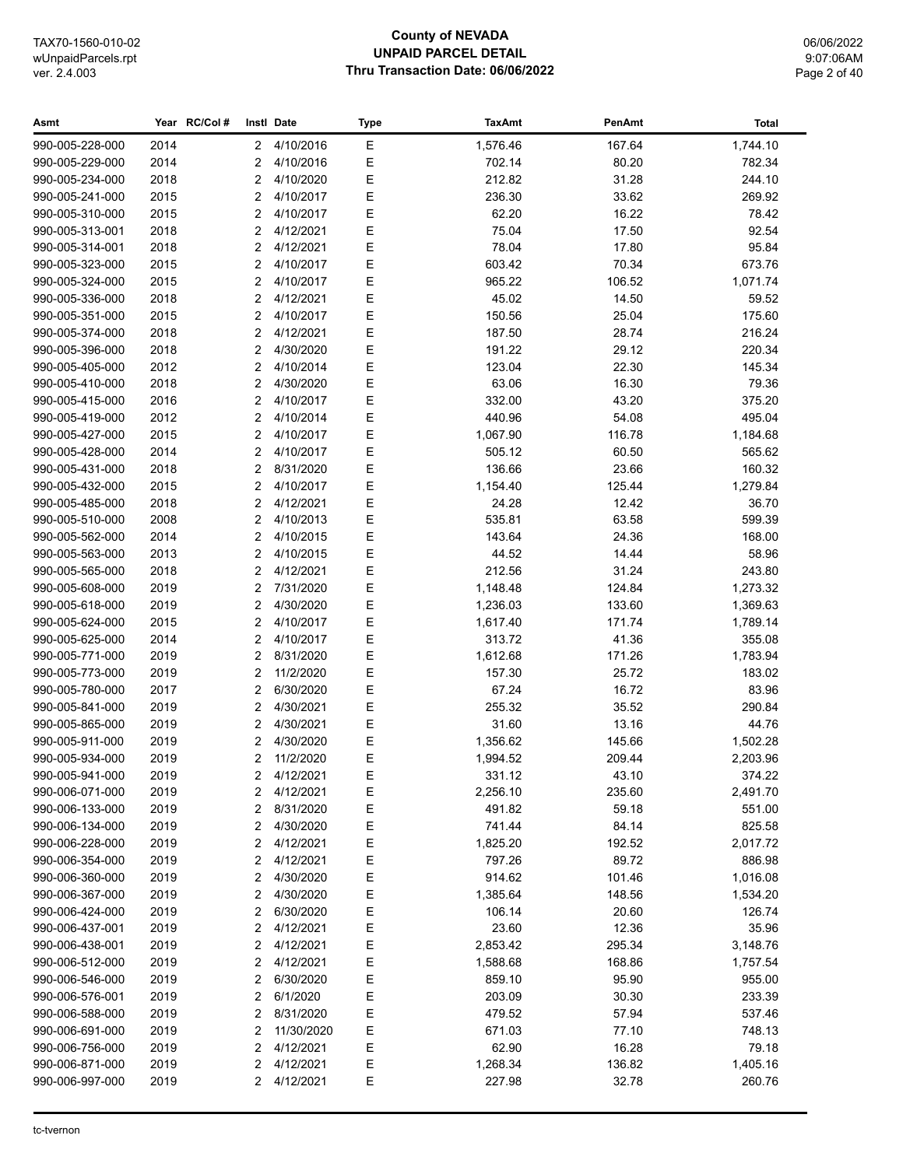## **County of NEVADA UNPAID PARCEL DETAIL** Thru Transaction Date: 06/06/2022

| Asmt            |      | Year RC/Col# |                | Instl Date | <b>Type</b> | <b>TaxAmt</b> | PenAmt | <b>Total</b> |
|-----------------|------|--------------|----------------|------------|-------------|---------------|--------|--------------|
| 990-005-228-000 | 2014 |              | 2              | 4/10/2016  | Ε           | 1,576.46      | 167.64 | 1,744.10     |
| 990-005-229-000 | 2014 |              | 2              | 4/10/2016  | $\mathsf E$ | 702.14        | 80.20  | 782.34       |
| 990-005-234-000 | 2018 |              | 2              | 4/10/2020  | $\mathsf E$ | 212.82        | 31.28  | 244.10       |
| 990-005-241-000 | 2015 |              | $\overline{2}$ | 4/10/2017  | $\mathsf E$ | 236.30        | 33.62  | 269.92       |
| 990-005-310-000 | 2015 |              | $\overline{2}$ | 4/10/2017  | E           | 62.20         | 16.22  | 78.42        |
| 990-005-313-001 | 2018 |              | $\overline{2}$ | 4/12/2021  | $\mathsf E$ | 75.04         | 17.50  | 92.54        |
| 990-005-314-001 | 2018 |              | 2              | 4/12/2021  | $\mathsf E$ | 78.04         | 17.80  | 95.84        |
| 990-005-323-000 | 2015 |              | 2              | 4/10/2017  | $\mathsf E$ | 603.42        | 70.34  | 673.76       |
| 990-005-324-000 | 2015 |              | 2              | 4/10/2017  | $\mathsf E$ | 965.22        | 106.52 | 1,071.74     |
| 990-005-336-000 | 2018 |              | $\overline{2}$ | 4/12/2021  | $\mathsf E$ | 45.02         | 14.50  | 59.52        |
| 990-005-351-000 | 2015 |              | 2              | 4/10/2017  | Е           | 150.56        | 25.04  | 175.60       |
| 990-005-374-000 | 2018 |              | 2              | 4/12/2021  | $\mathsf E$ | 187.50        | 28.74  | 216.24       |
| 990-005-396-000 | 2018 |              | 2              | 4/30/2020  | $\mathsf E$ | 191.22        | 29.12  | 220.34       |
| 990-005-405-000 | 2012 |              | 2              | 4/10/2014  | Е           | 123.04        | 22.30  | 145.34       |
| 990-005-410-000 | 2018 |              | 2              | 4/30/2020  | Е           | 63.06         | 16.30  | 79.36        |
| 990-005-415-000 | 2016 |              | 2              | 4/10/2017  | $\mathsf E$ | 332.00        | 43.20  | 375.20       |
| 990-005-419-000 | 2012 |              | 2              | 4/10/2014  | E           | 440.96        | 54.08  | 495.04       |
| 990-005-427-000 | 2015 |              | $\overline{2}$ | 4/10/2017  | E           | 1,067.90      | 116.78 | 1,184.68     |
| 990-005-428-000 | 2014 |              | $\overline{2}$ | 4/10/2017  | $\mathsf E$ | 505.12        | 60.50  | 565.62       |
| 990-005-431-000 | 2018 |              | $\overline{2}$ | 8/31/2020  | $\mathsf E$ | 136.66        | 23.66  | 160.32       |
| 990-005-432-000 | 2015 |              | 2              | 4/10/2017  | E           | 1,154.40      | 125.44 | 1,279.84     |
| 990-005-485-000 | 2018 |              | 2              | 4/12/2021  | $\mathsf E$ | 24.28         | 12.42  | 36.70        |
| 990-005-510-000 | 2008 |              | 2              | 4/10/2013  | E           | 535.81        | 63.58  | 599.39       |
| 990-005-562-000 | 2014 |              | 2              | 4/10/2015  | E           | 143.64        | 24.36  | 168.00       |
| 990-005-563-000 | 2013 |              | 2              | 4/10/2015  | Е           | 44.52         | 14.44  | 58.96        |
| 990-005-565-000 | 2018 |              | 2              | 4/12/2021  | Е           | 212.56        | 31.24  | 243.80       |
| 990-005-608-000 | 2019 |              | 2              | 7/31/2020  | Е           | 1,148.48      | 124.84 | 1,273.32     |
| 990-005-618-000 | 2019 |              | 2              | 4/30/2020  | Е           | 1,236.03      | 133.60 | 1,369.63     |
| 990-005-624-000 | 2015 |              | 2              | 4/10/2017  | Е           | 1,617.40      | 171.74 | 1,789.14     |
| 990-005-625-000 | 2014 |              | 2              | 4/10/2017  | Е           | 313.72        | 41.36  | 355.08       |
| 990-005-771-000 | 2019 |              | $\overline{2}$ | 8/31/2020  | E           | 1,612.68      | 171.26 | 1,783.94     |
| 990-005-773-000 | 2019 |              | 2              | 11/2/2020  | E           | 157.30        | 25.72  | 183.02       |
| 990-005-780-000 | 2017 |              | $\overline{2}$ | 6/30/2020  | $\mathsf E$ | 67.24         | 16.72  | 83.96        |
| 990-005-841-000 | 2019 |              | $\overline{2}$ | 4/30/2021  | $\mathsf E$ | 255.32        | 35.52  | 290.84       |
| 990-005-865-000 | 2019 |              | 2              | 4/30/2021  | $\mathsf E$ | 31.60         | 13.16  | 44.76        |
| 990-005-911-000 | 2019 |              | 2              | 4/30/2020  | $\mathsf E$ | 1,356.62      | 145.66 | 1,502.28     |
| 990-005-934-000 | 2019 |              | 2              | 11/2/2020  | E           | 1,994.52      | 209.44 | 2,203.96     |
| 990-005-941-000 | 2019 |              | 2              | 4/12/2021  | E           | 331.12        | 43.10  | 374.22       |
| 990-006-071-000 | 2019 |              | 2              | 4/12/2021  | E           | 2,256.10      | 235.60 | 2,491.70     |
| 990-006-133-000 | 2019 |              | 2              | 8/31/2020  | Е           | 491.82        | 59.18  | 551.00       |
| 990-006-134-000 | 2019 |              | 2              | 4/30/2020  | Е           | 741.44        | 84.14  | 825.58       |
| 990-006-228-000 | 2019 |              | 2              | 4/12/2021  | Е           | 1,825.20      | 192.52 | 2,017.72     |
| 990-006-354-000 | 2019 |              | 2              | 4/12/2021  | Е           | 797.26        | 89.72  | 886.98       |
| 990-006-360-000 | 2019 |              | 2              | 4/30/2020  | E           | 914.62        | 101.46 | 1,016.08     |
| 990-006-367-000 | 2019 |              | 2              | 4/30/2020  | E           | 1,385.64      | 148.56 | 1,534.20     |
| 990-006-424-000 | 2019 |              | 2              | 6/30/2020  | Е           | 106.14        | 20.60  | 126.74       |
| 990-006-437-001 | 2019 |              | 2              | 4/12/2021  | Е           | 23.60         | 12.36  | 35.96        |
| 990-006-438-001 | 2019 |              | 2              | 4/12/2021  | Е           | 2,853.42      | 295.34 | 3,148.76     |
| 990-006-512-000 | 2019 |              | 2              | 4/12/2021  | Е           | 1,588.68      | 168.86 | 1,757.54     |
| 990-006-546-000 | 2019 |              | 2              | 6/30/2020  | E           | 859.10        | 95.90  | 955.00       |
| 990-006-576-001 | 2019 |              | 2              | 6/1/2020   | Е           | 203.09        | 30.30  | 233.39       |
| 990-006-588-000 | 2019 |              | 2              | 8/31/2020  | Е           | 479.52        | 57.94  | 537.46       |
| 990-006-691-000 | 2019 |              | 2              | 11/30/2020 | Е           | 671.03        | 77.10  | 748.13       |
| 990-006-756-000 | 2019 |              | 2              | 4/12/2021  | Е           | 62.90         | 16.28  | 79.18        |
| 990-006-871-000 | 2019 |              | 2              | 4/12/2021  | Е           | 1,268.34      | 136.82 | 1,405.16     |
| 990-006-997-000 | 2019 |              | 2              | 4/12/2021  | Е           | 227.98        | 32.78  | 260.76       |
|                 |      |              |                |            |             |               |        |              |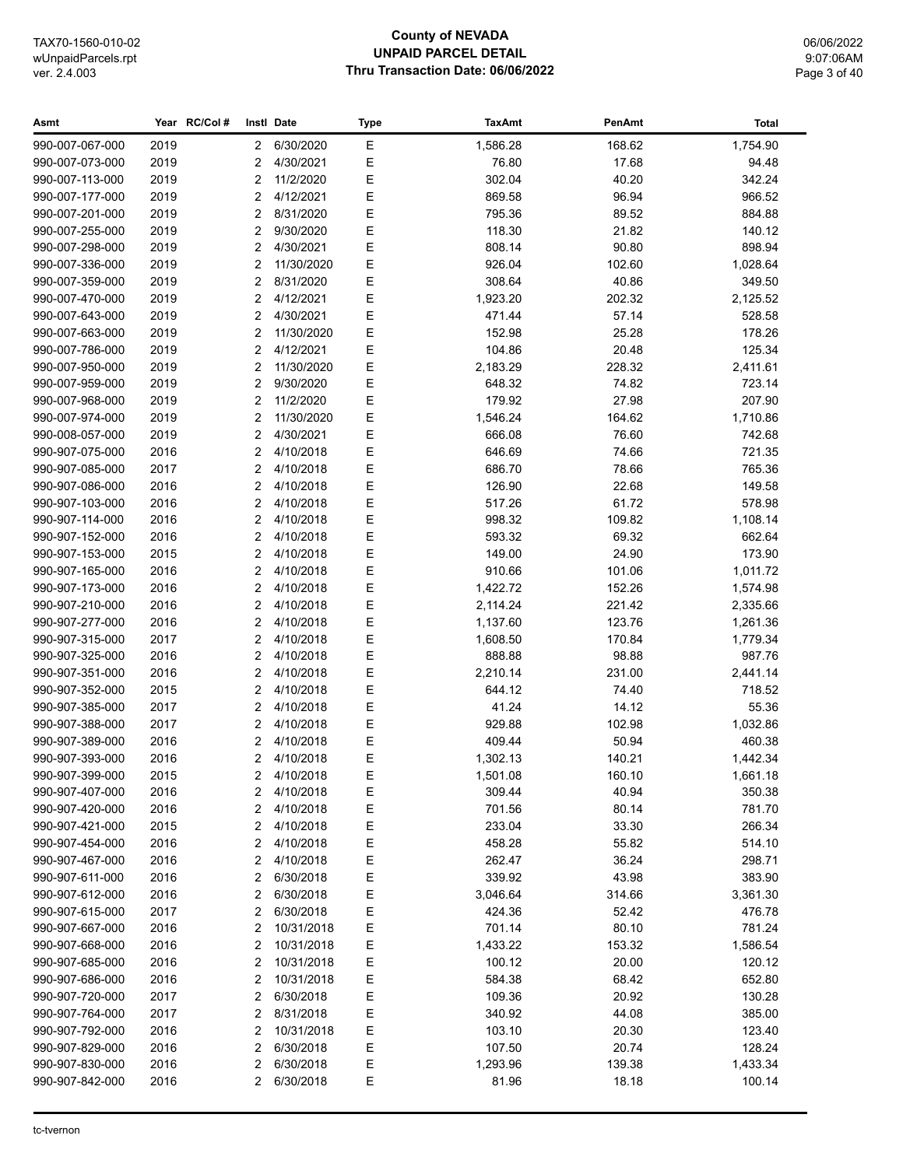## **County of NEVADA UNPAID PARCEL DETAIL** Thru Transaction Date: 06/06/2022

06/06/2022 9:07:06AM Page 3 of 40

| Asmt            |      | Year RC/Col# |                | Instl Date  | <b>Type</b> | <b>TaxAmt</b> | PenAmt | <b>Total</b> |
|-----------------|------|--------------|----------------|-------------|-------------|---------------|--------|--------------|
| 990-007-067-000 | 2019 |              | $\overline{2}$ | 6/30/2020   | Ε           | 1,586.28      | 168.62 | 1,754.90     |
| 990-007-073-000 | 2019 |              | 2              | 4/30/2021   | Ε           | 76.80         | 17.68  | 94.48        |
| 990-007-113-000 | 2019 |              | 2              | 11/2/2020   | Ε           | 302.04        | 40.20  | 342.24       |
| 990-007-177-000 | 2019 |              | 2              | 4/12/2021   | Ε           | 869.58        | 96.94  | 966.52       |
| 990-007-201-000 | 2019 |              | 2              | 8/31/2020   | E           | 795.36        | 89.52  | 884.88       |
| 990-007-255-000 | 2019 |              | 2              | 9/30/2020   | Ε           | 118.30        | 21.82  | 140.12       |
| 990-007-298-000 | 2019 |              | 2              | 4/30/2021   | E           | 808.14        | 90.80  | 898.94       |
| 990-007-336-000 | 2019 |              | $\overline{2}$ | 11/30/2020  | E           | 926.04        | 102.60 | 1,028.64     |
| 990-007-359-000 | 2019 |              | $\overline{2}$ | 8/31/2020   | E           | 308.64        | 40.86  | 349.50       |
| 990-007-470-000 | 2019 |              | $\overline{2}$ | 4/12/2021   | E           | 1,923.20      | 202.32 | 2,125.52     |
| 990-007-643-000 | 2019 |              | $\overline{2}$ | 4/30/2021   | E           | 471.44        | 57.14  | 528.58       |
| 990-007-663-000 | 2019 |              | 2              | 11/30/2020  | Ε           | 152.98        | 25.28  | 178.26       |
| 990-007-786-000 | 2019 |              | $\overline{2}$ | 4/12/2021   | Ε           | 104.86        | 20.48  | 125.34       |
| 990-007-950-000 | 2019 |              | $\overline{2}$ | 11/30/2020  | Ε           | 2,183.29      | 228.32 | 2,411.61     |
| 990-007-959-000 | 2019 |              | $\overline{2}$ | 9/30/2020   | Ε           | 648.32        | 74.82  | 723.14       |
| 990-007-968-000 | 2019 |              | $\overline{2}$ | 11/2/2020   | Ε           | 179.92        | 27.98  | 207.90       |
| 990-007-974-000 | 2019 |              | 2              | 11/30/2020  | Ε           | 1,546.24      | 164.62 | 1,710.86     |
| 990-008-057-000 | 2019 |              | 2              | 4/30/2021   | E           | 666.08        | 76.60  | 742.68       |
| 990-907-075-000 | 2016 |              | 2              | 4/10/2018   | Ε           | 646.69        | 74.66  | 721.35       |
| 990-907-085-000 | 2017 |              | 2              | 4/10/2018   | E           | 686.70        | 78.66  | 765.36       |
| 990-907-086-000 | 2016 |              | $\overline{2}$ | 4/10/2018   | E           | 126.90        | 22.68  | 149.58       |
| 990-907-103-000 | 2016 |              | $\overline{2}$ | 4/10/2018   | E           | 517.26        | 61.72  | 578.98       |
| 990-907-114-000 | 2016 |              | 2              | 4/10/2018   | E           | 998.32        | 109.82 | 1,108.14     |
| 990-907-152-000 | 2016 |              | 2              | 4/10/2018   | E           | 593.32        | 69.32  | 662.64       |
| 990-907-153-000 | 2015 |              | 2              | 4/10/2018   | E           | 149.00        | 24.90  | 173.90       |
| 990-907-165-000 | 2016 |              | 2              | 4/10/2018   | Ε           | 910.66        | 101.06 | 1,011.72     |
| 990-907-173-000 | 2016 |              | $\overline{2}$ | 4/10/2018   | Ε           | 1,422.72      | 152.26 | 1,574.98     |
| 990-907-210-000 | 2016 |              | $\overline{2}$ | 4/10/2018   | Ε           | 2,114.24      | 221.42 | 2,335.66     |
| 990-907-277-000 | 2016 |              | $\overline{2}$ | 4/10/2018   | Ε           | 1,137.60      | 123.76 | 1,261.36     |
| 990-907-315-000 | 2017 |              | 2              | 4/10/2018   | Ε           | 1,608.50      | 170.84 | 1,779.34     |
| 990-907-325-000 | 2016 |              | 2              | 4/10/2018   | E           | 888.88        | 98.88  | 987.76       |
| 990-907-351-000 | 2016 |              | 2              | 4/10/2018   | Ε           | 2,210.14      | 231.00 | 2,441.14     |
| 990-907-352-000 | 2015 |              | 2              | 4/10/2018   | E           | 644.12        | 74.40  | 718.52       |
| 990-907-385-000 | 2017 |              | 2              | 4/10/2018   | E           | 41.24         | 14.12  | 55.36        |
| 990-907-388-000 | 2017 |              | $\overline{2}$ | 4/10/2018   | E           | 929.88        | 102.98 | 1,032.86     |
| 990-907-389-000 | 2016 |              | $\overline{2}$ | 4/10/2018   | Ε           | 409.44        | 50.94  | 460.38       |
| 990-907-393-000 | 2016 |              | 2              | 4/10/2018   | Ε           | 1,302.13      | 140.21 | 1,442.34     |
| 990-907-399-000 | 2015 |              |                | 2 4/10/2018 | Е           | 1,501.08      | 160.10 | 1,661.18     |
| 990-907-407-000 | 2016 |              | 2              | 4/10/2018   | Е           | 309.44        | 40.94  | 350.38       |
| 990-907-420-000 | 2016 |              | 2              | 4/10/2018   | Ε           | 701.56        | 80.14  | 781.70       |
| 990-907-421-000 | 2015 |              | 2              | 4/10/2018   | Е           | 233.04        | 33.30  | 266.34       |
| 990-907-454-000 | 2016 |              | 2              | 4/10/2018   | Е           | 458.28        | 55.82  | 514.10       |
| 990-907-467-000 | 2016 |              | 2              | 4/10/2018   | Е           | 262.47        | 36.24  | 298.71       |
| 990-907-611-000 | 2016 |              | 2              | 6/30/2018   | Ε           | 339.92        | 43.98  | 383.90       |
| 990-907-612-000 | 2016 |              | 2              | 6/30/2018   | Ε           | 3,046.64      | 314.66 | 3,361.30     |
| 990-907-615-000 | 2017 |              | 2              | 6/30/2018   | Ε           | 424.36        | 52.42  | 476.78       |
| 990-907-667-000 | 2016 |              | 2              | 10/31/2018  | Ε           | 701.14        | 80.10  | 781.24       |
| 990-907-668-000 | 2016 |              | 2              | 10/31/2018  | Е           | 1,433.22      | 153.32 | 1,586.54     |
| 990-907-685-000 | 2016 |              | 2              | 10/31/2018  | Ε           | 100.12        | 20.00  | 120.12       |
| 990-907-686-000 | 2016 |              | 2              | 10/31/2018  | Ε           | 584.38        | 68.42  | 652.80       |
| 990-907-720-000 | 2017 |              | 2              | 6/30/2018   | E           | 109.36        | 20.92  | 130.28       |
| 990-907-764-000 | 2017 |              | 2              | 8/31/2018   | Ε           | 340.92        | 44.08  | 385.00       |
| 990-907-792-000 | 2016 |              | 2              | 10/31/2018  | Ε           | 103.10        | 20.30  | 123.40       |
| 990-907-829-000 | 2016 |              | 2              | 6/30/2018   | Ε           | 107.50        | 20.74  | 128.24       |
| 990-907-830-000 | 2016 |              | 2              | 6/30/2018   | Е           | 1,293.96      | 139.38 | 1,433.34     |
| 990-907-842-000 | 2016 |              | 2              | 6/30/2018   | Е           | 81.96         | 18.18  | 100.14       |
|                 |      |              |                |             |             |               |        |              |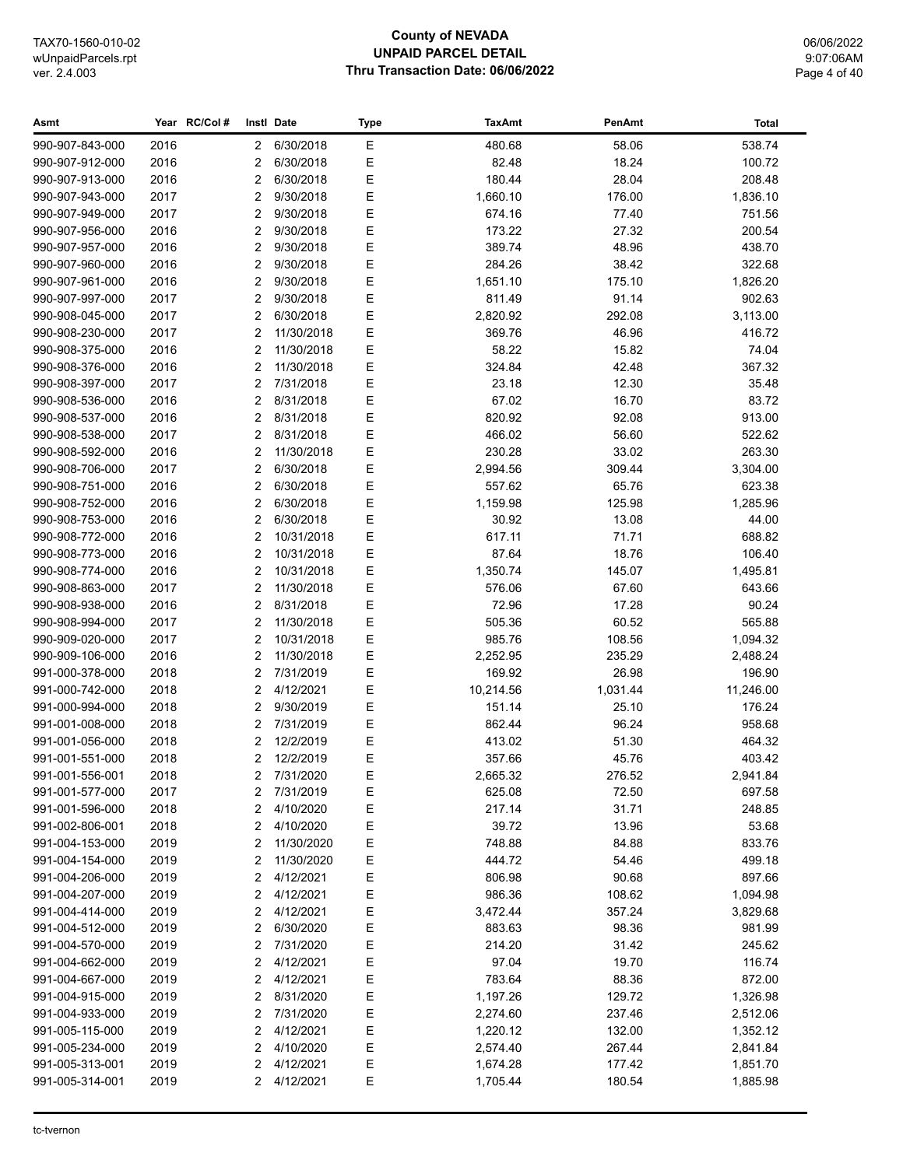## **County of NEVADA UNPAID PARCEL DETAIL Thru Transaction Date: 06/06/2022**

06/06/2022 9:07:06AM Page 4 of 40

| Asmt                               |              | Year RC/Col# |                      | Instl Date               | Type        | <b>TaxAmt</b>      | PenAmt           | Total                |
|------------------------------------|--------------|--------------|----------------------|--------------------------|-------------|--------------------|------------------|----------------------|
| 990-907-843-000                    | 2016         |              | $\mathbf{2}^{\circ}$ | 6/30/2018                | $\mathsf E$ | 480.68             | 58.06            | 538.74               |
| 990-907-912-000                    | 2016         |              | 2                    | 6/30/2018                | Ε           | 82.48              | 18.24            | 100.72               |
| 990-907-913-000                    | 2016         |              | 2                    | 6/30/2018                | Ε           | 180.44             | 28.04            | 208.48               |
| 990-907-943-000                    | 2017         |              | 2                    | 9/30/2018                | Ε           | 1,660.10           | 176.00           | 1,836.10             |
| 990-907-949-000                    | 2017         |              | 2                    | 9/30/2018                | E           | 674.16             | 77.40            | 751.56               |
| 990-907-956-000                    | 2016         |              | 2                    | 9/30/2018                | Ε           | 173.22             | 27.32            | 200.54               |
| 990-907-957-000                    | 2016         |              | 2                    | 9/30/2018                | E           | 389.74             | 48.96            | 438.70               |
| 990-907-960-000                    | 2016         |              | 2                    | 9/30/2018                | E           | 284.26             | 38.42            | 322.68               |
| 990-907-961-000                    | 2016         |              | 2                    | 9/30/2018                | E           | 1,651.10           | 175.10           | 1,826.20             |
| 990-907-997-000                    | 2017         |              | 2                    | 9/30/2018                | E           | 811.49             | 91.14            | 902.63               |
| 990-908-045-000                    | 2017         |              | 2                    | 6/30/2018                | E           | 2,820.92           | 292.08           | 3,113.00             |
| 990-908-230-000                    | 2017         |              | 2                    | 11/30/2018               | Ε           | 369.76             | 46.96            | 416.72               |
| 990-908-375-000                    | 2016         |              | 2                    | 11/30/2018               | Ε           | 58.22              | 15.82            | 74.04                |
| 990-908-376-000                    | 2016         |              | 2                    | 11/30/2018               | Е           | 324.84             | 42.48            | 367.32               |
| 990-908-397-000                    | 2017         |              | 2                    | 7/31/2018                | Ε           | 23.18              | 12.30            | 35.48                |
| 990-908-536-000                    | 2016         |              | 2                    | 8/31/2018                | Ε           | 67.02              | 16.70            | 83.72                |
| 990-908-537-000                    | 2016         |              | 2                    | 8/31/2018                | Ε           | 820.92             | 92.08            | 913.00               |
| 990-908-538-000                    | 2017         |              | 2                    | 8/31/2018                | E           | 466.02             | 56.60            | 522.62               |
| 990-908-592-000                    | 2016         |              | 2                    | 11/30/2018               | E           | 230.28             | 33.02            | 263.30               |
| 990-908-706-000                    | 2017         |              | 2                    | 6/30/2018                | E           | 2,994.56           | 309.44           | 3,304.00             |
| 990-908-751-000                    | 2016         |              | 2                    | 6/30/2018                | E           | 557.62             | 65.76            | 623.38               |
| 990-908-752-000                    | 2016         |              | 2                    | 6/30/2018                | E           | 1,159.98           | 125.98           | 1,285.96             |
| 990-908-753-000                    | 2016         |              | 2                    | 6/30/2018                | E           | 30.92              | 13.08            | 44.00                |
| 990-908-772-000                    | 2016         |              | 2                    | 10/31/2018               | E           | 617.11             | 71.71            | 688.82               |
| 990-908-773-000                    | 2016         |              | $\overline{2}$       | 10/31/2018               | Ε           | 87.64              | 18.76            | 106.40               |
| 990-908-774-000                    | 2016         |              | 2                    | 10/31/2018               | Ε           | 1,350.74           | 145.07           | 1,495.81             |
| 990-908-863-000                    | 2017         |              | $\overline{2}$       | 11/30/2018               | Ε           | 576.06             | 67.60            | 643.66               |
| 990-908-938-000                    | 2016         |              | 2                    | 8/31/2018                | Ε           | 72.96              | 17.28            | 90.24                |
| 990-908-994-000                    | 2017         |              | 2<br>2               | 11/30/2018               | Ε           | 505.36             | 60.52            | 565.88               |
| 990-909-020-000<br>990-909-106-000 | 2017<br>2016 |              | 2                    | 10/31/2018<br>11/30/2018 | Ε<br>E      | 985.76<br>2,252.95 | 108.56<br>235.29 | 1,094.32<br>2,488.24 |
| 991-000-378-000                    | 2018         |              | 2                    | 7/31/2019                | Ε           | 169.92             | 26.98            | 196.90               |
| 991-000-742-000                    | 2018         |              | 2                    | 4/12/2021                | E           | 10,214.56          | 1,031.44         | 11,246.00            |
| 991-000-994-000                    | 2018         |              | 2                    | 9/30/2019                | E           | 151.14             | 25.10            | 176.24               |
| 991-001-008-000                    | 2018         |              | 2                    | 7/31/2019                | E           | 862.44             | 96.24            | 958.68               |
| 991-001-056-000                    | 2018         |              | 2                    | 12/2/2019                | Ε           | 413.02             | 51.30            | 464.32               |
| 991-001-551-000                    | 2018         |              | 2                    | 12/2/2019                | E           | 357.66             | 45.76            | 403.42               |
| 991-001-556-001                    | 2018         |              |                      | 2 7/31/2020              | Ε           | 2,665.32           | 276.52           | 2,941.84             |
| 991-001-577-000                    | 2017         |              | 2                    | 7/31/2019                | Е           | 625.08             | 72.50            | 697.58               |
| 991-001-596-000                    | 2018         |              | 2                    | 4/10/2020                | Ε           | 217.14             | 31.71            | 248.85               |
| 991-002-806-001                    | 2018         |              | 2                    | 4/10/2020                | E           | 39.72              | 13.96            | 53.68                |
| 991-004-153-000                    | 2019         |              | 2                    | 11/30/2020               | Е           | 748.88             | 84.88            | 833.76               |
| 991-004-154-000                    | 2019         |              | 2                    | 11/30/2020               | Е           | 444.72             | 54.46            | 499.18               |
| 991-004-206-000                    | 2019         |              | 2                    | 4/12/2021                | Ε           | 806.98             | 90.68            | 897.66               |
| 991-004-207-000                    | 2019         |              | 2                    | 4/12/2021                | Ε           | 986.36             | 108.62           | 1,094.98             |
| 991-004-414-000                    | 2019         |              | 2                    | 4/12/2021                | Ε           | 3,472.44           | 357.24           | 3,829.68             |
| 991-004-512-000                    | 2019         |              | 2                    | 6/30/2020                | Е           | 883.63             | 98.36            | 981.99               |
| 991-004-570-000                    | 2019         |              | 2                    | 7/31/2020                | Ε           | 214.20             | 31.42            | 245.62               |
| 991-004-662-000                    | 2019         |              | 2                    | 4/12/2021                | Ε           | 97.04              | 19.70            | 116.74               |
| 991-004-667-000                    | 2019         |              | 2                    | 4/12/2021                | Ε           | 783.64             | 88.36            | 872.00               |
| 991-004-915-000                    | 2019         |              | 2                    | 8/31/2020                | Ε           | 1,197.26           | 129.72           | 1,326.98             |
| 991-004-933-000                    | 2019         |              | 2                    | 7/31/2020                | Ε           | 2,274.60           | 237.46           | 2,512.06             |
| 991-005-115-000                    | 2019         |              | 2                    | 4/12/2021                | Ε           | 1,220.12           | 132.00           | 1,352.12             |
| 991-005-234-000                    | 2019         |              | 2                    | 4/10/2020                | Е           | 2,574.40           | 267.44           | 2,841.84             |
| 991-005-313-001                    | 2019         |              | 2                    | 4/12/2021                | Е           | 1,674.28           | 177.42           | 1,851.70             |
| 991-005-314-001                    | 2019         |              | $\overline{2}$       | 4/12/2021                | Е           | 1,705.44           | 180.54           | 1,885.98             |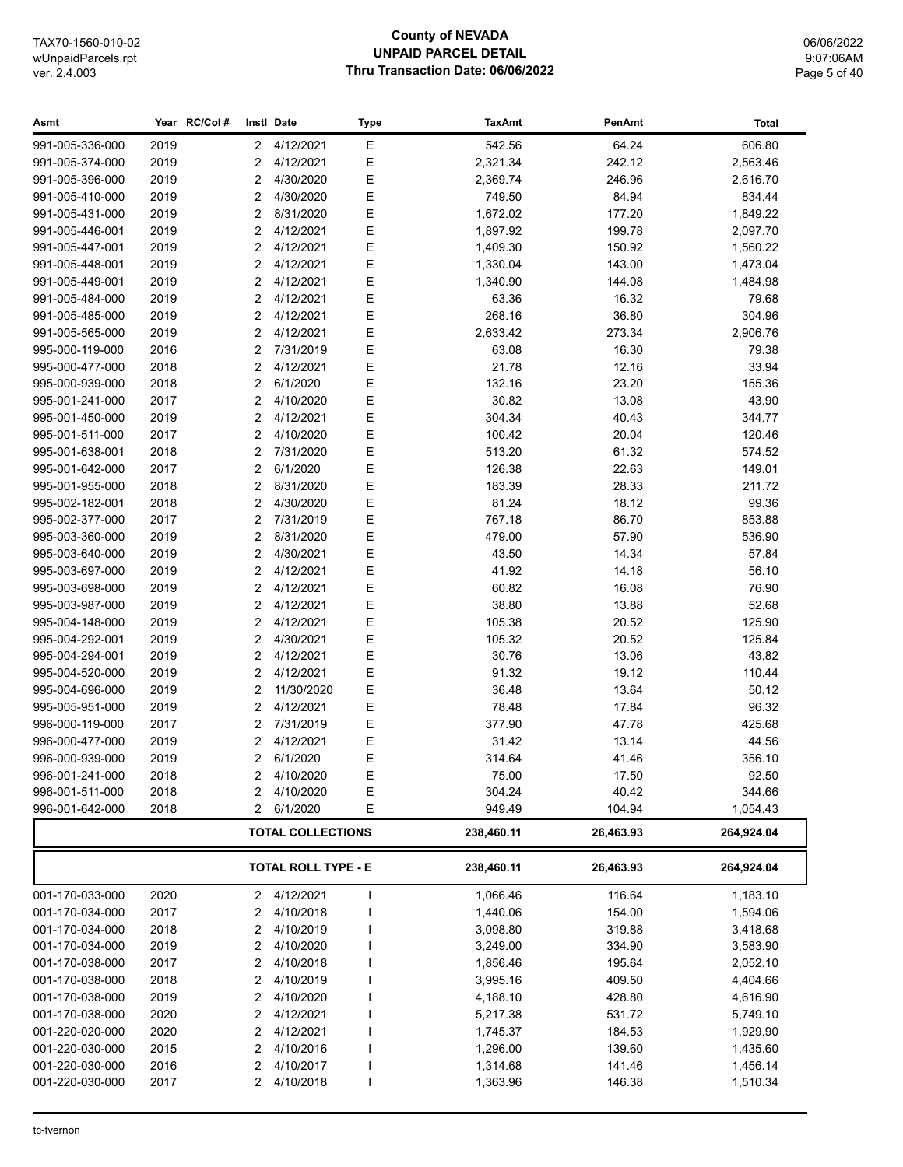# **County of NEVADA UNPAID PARCEL DETAIL** Thru Transaction Date: 06/06/2022

06/06/2022 9:07:06AM Page 5 of 40

| Asmt            |      | Year RC/Col # |                | Instl Date                 | Type | <b>TaxAmt</b> | PenAmt    | <b>Total</b> |
|-----------------|------|---------------|----------------|----------------------------|------|---------------|-----------|--------------|
| 991-005-336-000 | 2019 |               | $\overline{2}$ | 4/12/2021                  | Ε    | 542.56        | 64.24     | 606.80       |
| 991-005-374-000 | 2019 |               | 2              | 4/12/2021                  | Ε    | 2,321.34      | 242.12    | 2,563.46     |
| 991-005-396-000 | 2019 |               | 2              | 4/30/2020                  | Ε    | 2,369.74      | 246.96    | 2,616.70     |
| 991-005-410-000 | 2019 |               | $\overline{2}$ | 4/30/2020                  | Ε    | 749.50        | 84.94     | 834.44       |
| 991-005-431-000 | 2019 |               | 2              | 8/31/2020                  | Ε    | 1,672.02      | 177.20    | 1,849.22     |
| 991-005-446-001 | 2019 |               | $\overline{2}$ | 4/12/2021                  | Ε    | 1,897.92      | 199.78    | 2,097.70     |
| 991-005-447-001 | 2019 |               | 2              | 4/12/2021                  | Ε    | 1,409.30      | 150.92    | 1,560.22     |
| 991-005-448-001 | 2019 |               | 2              | 4/12/2021                  | Ε    | 1,330.04      | 143.00    | 1,473.04     |
| 991-005-449-001 | 2019 |               | $\overline{2}$ | 4/12/2021                  | E    | 1,340.90      | 144.08    | 1,484.98     |
| 991-005-484-000 | 2019 |               | $\overline{2}$ | 4/12/2021                  | E    | 63.36         | 16.32     | 79.68        |
| 991-005-485-000 | 2019 |               | $\overline{2}$ | 4/12/2021                  | E    | 268.16        | 36.80     | 304.96       |
| 991-005-565-000 | 2019 |               | 2              | 4/12/2021                  | Ε    | 2,633.42      | 273.34    | 2,906.76     |
| 995-000-119-000 | 2016 |               | 2              | 7/31/2019                  | Ε    | 63.08         | 16.30     | 79.38        |
| 995-000-477-000 | 2018 |               | 2              | 4/12/2021                  | E    | 21.78         | 12.16     | 33.94        |
| 995-000-939-000 | 2018 |               | $\overline{2}$ | 6/1/2020                   | E    | 132.16        | 23.20     | 155.36       |
| 995-001-241-000 | 2017 |               | 2              | 4/10/2020                  | Ε    | 30.82         | 13.08     | 43.90        |
| 995-001-450-000 | 2019 |               | 2              | 4/12/2021                  | Ε    | 304.34        | 40.43     | 344.77       |
| 995-001-511-000 | 2017 |               | 2              | 4/10/2020                  | Ε    | 100.42        | 20.04     | 120.46       |
| 995-001-638-001 | 2018 |               | $\overline{2}$ | 7/31/2020                  | Ε    | 513.20        | 61.32     | 574.52       |
| 995-001-642-000 | 2017 |               | 2              | 6/1/2020                   | E    | 126.38        | 22.63     | 149.01       |
| 995-001-955-000 | 2018 |               | 2              | 8/31/2020                  | Ε    | 183.39        | 28.33     | 211.72       |
| 995-002-182-001 | 2018 |               | $\overline{2}$ | 4/30/2020                  | E    | 81.24         | 18.12     | 99.36        |
| 995-002-377-000 | 2017 |               | $\overline{2}$ | 7/31/2019                  | E    | 767.18        | 86.70     | 853.88       |
| 995-003-360-000 | 2019 |               | $\overline{2}$ | 8/31/2020                  | E    | 479.00        | 57.90     | 536.90       |
| 995-003-640-000 | 2019 |               | $\overline{2}$ | 4/30/2021                  | E    | 43.50         | 14.34     | 57.84        |
| 995-003-697-000 | 2019 |               | 2              | 4/12/2021                  | Ε    | 41.92         | 14.18     | 56.10        |
| 995-003-698-000 | 2019 |               | 2              | 4/12/2021                  | Ε    | 60.82         | 16.08     | 76.90        |
| 995-003-987-000 | 2019 |               | 2              | 4/12/2021                  | Ε    | 38.80         | 13.88     | 52.68        |
| 995-004-148-000 | 2019 |               | $\overline{2}$ | 4/12/2021                  | E    | 105.38        | 20.52     | 125.90       |
| 995-004-292-001 | 2019 |               | 2              | 4/30/2021                  | Ε    | 105.32        | 20.52     | 125.84       |
| 995-004-294-001 | 2019 |               | $\overline{2}$ | 4/12/2021                  | Ε    | 30.76         | 13.06     | 43.82        |
| 995-004-520-000 | 2019 |               | 2              | 4/12/2021                  | Ε    | 91.32         | 19.12     | 110.44       |
| 995-004-696-000 | 2019 |               | 2              | 11/30/2020                 | Ε    | 36.48         | 13.64     | 50.12        |
| 995-005-951-000 | 2019 |               | 2              | 4/12/2021                  | Ε    | 78.48         | 17.84     | 96.32        |
| 996-000-119-000 | 2017 |               | 2              | 7/31/2019                  | Ε    | 377.90        | 47.78     | 425.68       |
| 996-000-477-000 | 2019 |               | 2              | 4/12/2021                  | Ε    | 31.42         | 13.14     | 44.56        |
| 996-000-939-000 | 2019 |               | 2              | 6/1/2020                   | E    | 314.64        | 41.46     | 356.10       |
| 996-001-241-000 | 2018 |               | 2              | 4/10/2020                  | Ε    | 75.00         | 17.50     | 92.50        |
| 996-001-511-000 | 2018 |               | 2              | 4/10/2020                  | Ε    | 304.24        | 40.42     | 344.66       |
| 996-001-642-000 | 2018 |               | 2              | 6/1/2020                   | Ε    | 949.49        | 104.94    | 1,054.43     |
|                 |      |               |                | <b>TOTAL COLLECTIONS</b>   |      | 238,460.11    | 26,463.93 | 264,924.04   |
|                 |      |               |                | <b>TOTAL ROLL TYPE - E</b> |      | 238,460.11    | 26,463.93 | 264,924.04   |
| 001-170-033-000 | 2020 |               | 2              | 4/12/2021                  | I    | 1,066.46      | 116.64    | 1,183.10     |
| 001-170-034-000 | 2017 |               | 2              | 4/10/2018                  |      | 1,440.06      | 154.00    | 1,594.06     |
| 001-170-034-000 | 2018 |               | 2              | 4/10/2019                  |      | 3,098.80      | 319.88    | 3,418.68     |
| 001-170-034-000 | 2019 |               | 2              | 4/10/2020                  |      | 3,249.00      | 334.90    | 3,583.90     |
| 001-170-038-000 | 2017 |               | 2              | 4/10/2018                  |      | 1,856.46      | 195.64    | 2,052.10     |
| 001-170-038-000 | 2018 |               | $\overline{c}$ | 4/10/2019                  |      | 3,995.16      | 409.50    | 4,404.66     |
| 001-170-038-000 | 2019 |               | $\overline{2}$ | 4/10/2020                  |      | 4,188.10      | 428.80    | 4,616.90     |
| 001-170-038-000 | 2020 |               | 2              | 4/12/2021                  |      | 5,217.38      | 531.72    | 5,749.10     |
| 001-220-020-000 | 2020 |               | $\overline{2}$ | 4/12/2021                  |      | 1,745.37      | 184.53    | 1,929.90     |
| 001-220-030-000 | 2015 |               | 2              | 4/10/2016                  |      | 1,296.00      | 139.60    | 1,435.60     |
| 001-220-030-000 | 2016 |               | 2              | 4/10/2017                  |      | 1,314.68      | 141.46    | 1,456.14     |
| 001-220-030-000 | 2017 |               | 2              | 4/10/2018                  | I    | 1,363.96      | 146.38    | 1,510.34     |
|                 |      |               |                |                            |      |               |           |              |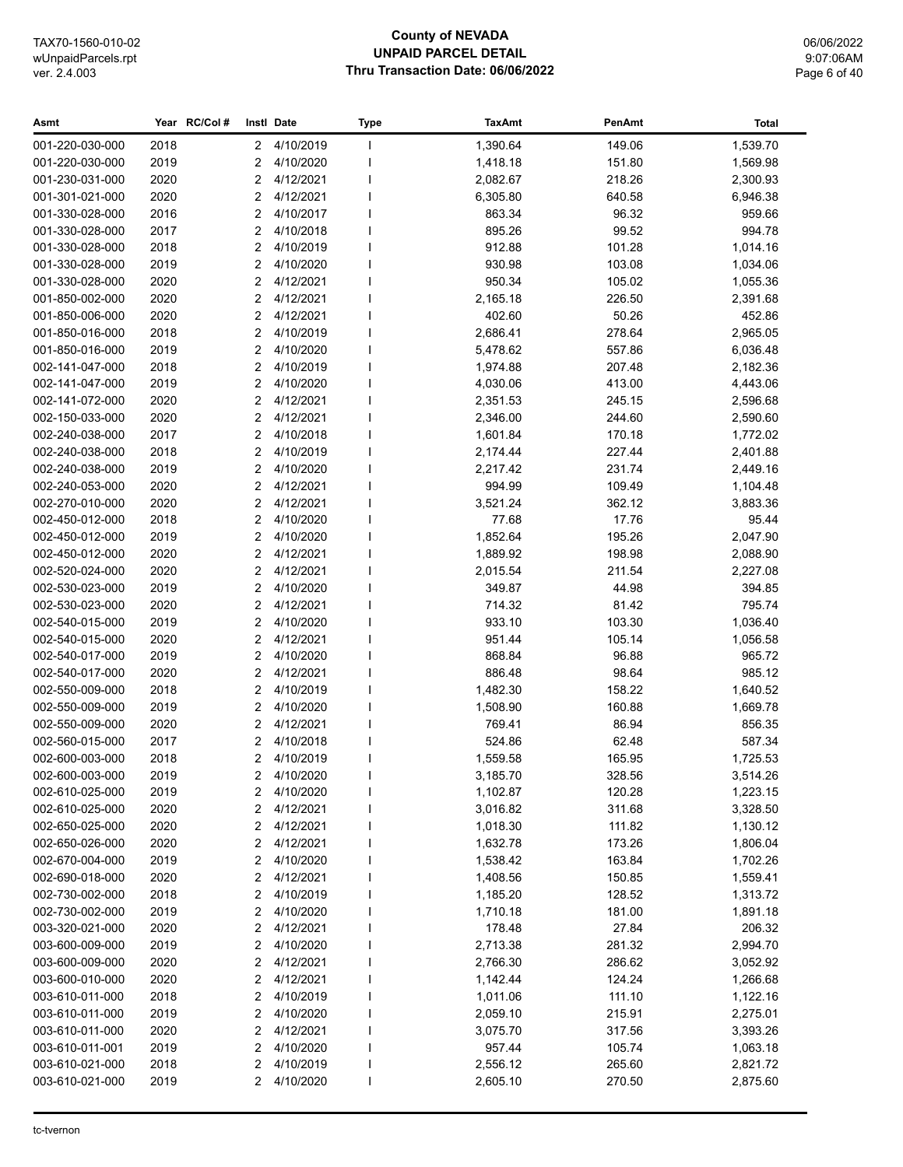# **County of NEVADA UNPAID PARCEL DETAIL** Thru Transaction Date: 06/06/2022

06/06/2022 9:07:06AM Page 6 of 40

| Asmt            |      | Year RC/Col# |                | Instl Date  | <b>Type</b> | <b>TaxAmt</b> | PenAmt | <b>Total</b> |
|-----------------|------|--------------|----------------|-------------|-------------|---------------|--------|--------------|
| 001-220-030-000 | 2018 |              | $\mathbf{2}$   | 4/10/2019   |             | 1,390.64      | 149.06 | 1,539.70     |
| 001-220-030-000 | 2019 |              | 2              | 4/10/2020   |             | 1,418.18      | 151.80 | 1,569.98     |
| 001-230-031-000 | 2020 |              | 2              | 4/12/2021   |             | 2,082.67      | 218.26 | 2,300.93     |
| 001-301-021-000 | 2020 |              | 2              | 4/12/2021   |             | 6,305.80      | 640.58 | 6,946.38     |
| 001-330-028-000 | 2016 |              | 2              | 4/10/2017   |             | 863.34        | 96.32  | 959.66       |
| 001-330-028-000 | 2017 |              | $\overline{2}$ | 4/10/2018   |             | 895.26        | 99.52  | 994.78       |
| 001-330-028-000 | 2018 |              | 2              | 4/10/2019   |             | 912.88        | 101.28 | 1,014.16     |
| 001-330-028-000 | 2019 |              | 2              | 4/10/2020   |             | 930.98        | 103.08 | 1,034.06     |
| 001-330-028-000 | 2020 |              | $\overline{2}$ | 4/12/2021   |             | 950.34        | 105.02 | 1,055.36     |
| 001-850-002-000 | 2020 |              | 2              | 4/12/2021   |             | 2,165.18      | 226.50 | 2,391.68     |
| 001-850-006-000 | 2020 |              | 2              | 4/12/2021   |             | 402.60        | 50.26  | 452.86       |
| 001-850-016-000 | 2018 |              | 2              | 4/10/2019   |             | 2,686.41      | 278.64 | 2,965.05     |
| 001-850-016-000 | 2019 |              | 2              | 4/10/2020   |             | 5,478.62      | 557.86 | 6,036.48     |
| 002-141-047-000 | 2018 |              | 2              | 4/10/2019   |             | 1,974.88      | 207.48 | 2,182.36     |
| 002-141-047-000 | 2019 |              | 2              | 4/10/2020   |             | 4,030.06      | 413.00 | 4,443.06     |
| 002-141-072-000 | 2020 |              | 2              | 4/12/2021   |             | 2,351.53      | 245.15 | 2,596.68     |
| 002-150-033-000 | 2020 |              | 2              | 4/12/2021   |             | 2,346.00      | 244.60 | 2,590.60     |
| 002-240-038-000 | 2017 |              | 2              | 4/10/2018   |             | 1,601.84      | 170.18 | 1,772.02     |
| 002-240-038-000 | 2018 |              | 2              | 4/10/2019   |             | 2,174.44      | 227.44 | 2,401.88     |
| 002-240-038-000 | 2019 |              | 2              | 4/10/2020   |             | 2,217.42      | 231.74 | 2,449.16     |
| 002-240-053-000 | 2020 |              | 2              | 4/12/2021   |             | 994.99        | 109.49 | 1,104.48     |
| 002-270-010-000 | 2020 |              | 2              | 4/12/2021   |             | 3,521.24      | 362.12 | 3,883.36     |
| 002-450-012-000 | 2018 |              | 2              | 4/10/2020   |             | 77.68         | 17.76  | 95.44        |
| 002-450-012-000 | 2019 |              | 2              | 4/10/2020   |             | 1,852.64      | 195.26 | 2,047.90     |
| 002-450-012-000 | 2020 |              | 2              | 4/12/2021   |             | 1,889.92      | 198.98 | 2,088.90     |
| 002-520-024-000 | 2020 |              | 2              | 4/12/2021   |             | 2,015.54      | 211.54 | 2,227.08     |
| 002-530-023-000 | 2019 |              | 2              | 4/10/2020   |             | 349.87        | 44.98  | 394.85       |
| 002-530-023-000 | 2020 |              | $\overline{2}$ | 4/12/2021   |             | 714.32        | 81.42  | 795.74       |
| 002-540-015-000 | 2019 |              | $\overline{2}$ | 4/10/2020   |             | 933.10        | 103.30 | 1,036.40     |
| 002-540-015-000 | 2020 |              | 2              | 4/12/2021   |             | 951.44        | 105.14 | 1,056.58     |
| 002-540-017-000 | 2019 |              | 2              | 4/10/2020   |             | 868.84        | 96.88  | 965.72       |
| 002-540-017-000 | 2020 |              | 2              | 4/12/2021   |             | 886.48        | 98.64  | 985.12       |
| 002-550-009-000 | 2018 |              | $\overline{2}$ | 4/10/2019   |             | 1,482.30      | 158.22 | 1,640.52     |
| 002-550-009-000 | 2019 |              | 2              | 4/10/2020   |             | 1,508.90      | 160.88 | 1,669.78     |
| 002-550-009-000 | 2020 |              | 2              | 4/12/2021   |             | 769.41        | 86.94  | 856.35       |
| 002-560-015-000 | 2017 |              | 2              | 4/10/2018   |             | 524.86        | 62.48  | 587.34       |
| 002-600-003-000 | 2018 |              | 2              | 4/10/2019   |             | 1,559.58      | 165.95 | 1,725.53     |
| 002-600-003-000 | 2019 |              |                | 2 4/10/2020 |             | 3,185.70      | 328.56 | 3,514.26     |
| 002-610-025-000 | 2019 |              | 2              | 4/10/2020   |             | 1,102.87      | 120.28 | 1,223.15     |
| 002-610-025-000 | 2020 |              | 2              | 4/12/2021   |             | 3,016.82      | 311.68 | 3,328.50     |
| 002-650-025-000 | 2020 |              | 2              | 4/12/2021   |             | 1,018.30      | 111.82 | 1,130.12     |
| 002-650-026-000 | 2020 |              | 2              | 4/12/2021   |             | 1,632.78      | 173.26 | 1,806.04     |
| 002-670-004-000 | 2019 |              | 2              | 4/10/2020   |             | 1,538.42      | 163.84 | 1,702.26     |
| 002-690-018-000 | 2020 |              | 2              | 4/12/2021   |             | 1,408.56      | 150.85 | 1,559.41     |
| 002-730-002-000 | 2018 |              | 2              | 4/10/2019   |             | 1,185.20      | 128.52 | 1,313.72     |
| 002-730-002-000 | 2019 |              | 2              | 4/10/2020   |             | 1,710.18      | 181.00 | 1,891.18     |
| 003-320-021-000 | 2020 |              | 2              | 4/12/2021   |             | 178.48        | 27.84  | 206.32       |
| 003-600-009-000 | 2019 |              | 2              | 4/10/2020   |             | 2,713.38      | 281.32 | 2,994.70     |
| 003-600-009-000 | 2020 |              | 2              | 4/12/2021   |             | 2,766.30      | 286.62 | 3,052.92     |
| 003-600-010-000 | 2020 |              | 2              | 4/12/2021   |             | 1,142.44      | 124.24 | 1,266.68     |
| 003-610-011-000 | 2018 |              | 2              | 4/10/2019   |             | 1,011.06      | 111.10 | 1,122.16     |
| 003-610-011-000 | 2019 |              | 2              | 4/10/2020   |             | 2,059.10      | 215.91 | 2,275.01     |
| 003-610-011-000 | 2020 |              | 2              | 4/12/2021   |             | 3,075.70      | 317.56 | 3,393.26     |
| 003-610-011-001 | 2019 |              | 2              | 4/10/2020   |             | 957.44        | 105.74 | 1,063.18     |
| 003-610-021-000 | 2018 |              | 2              | 4/10/2019   |             | 2,556.12      | 265.60 | 2,821.72     |
| 003-610-021-000 | 2019 |              | 2              | 4/10/2020   |             | 2,605.10      | 270.50 | 2,875.60     |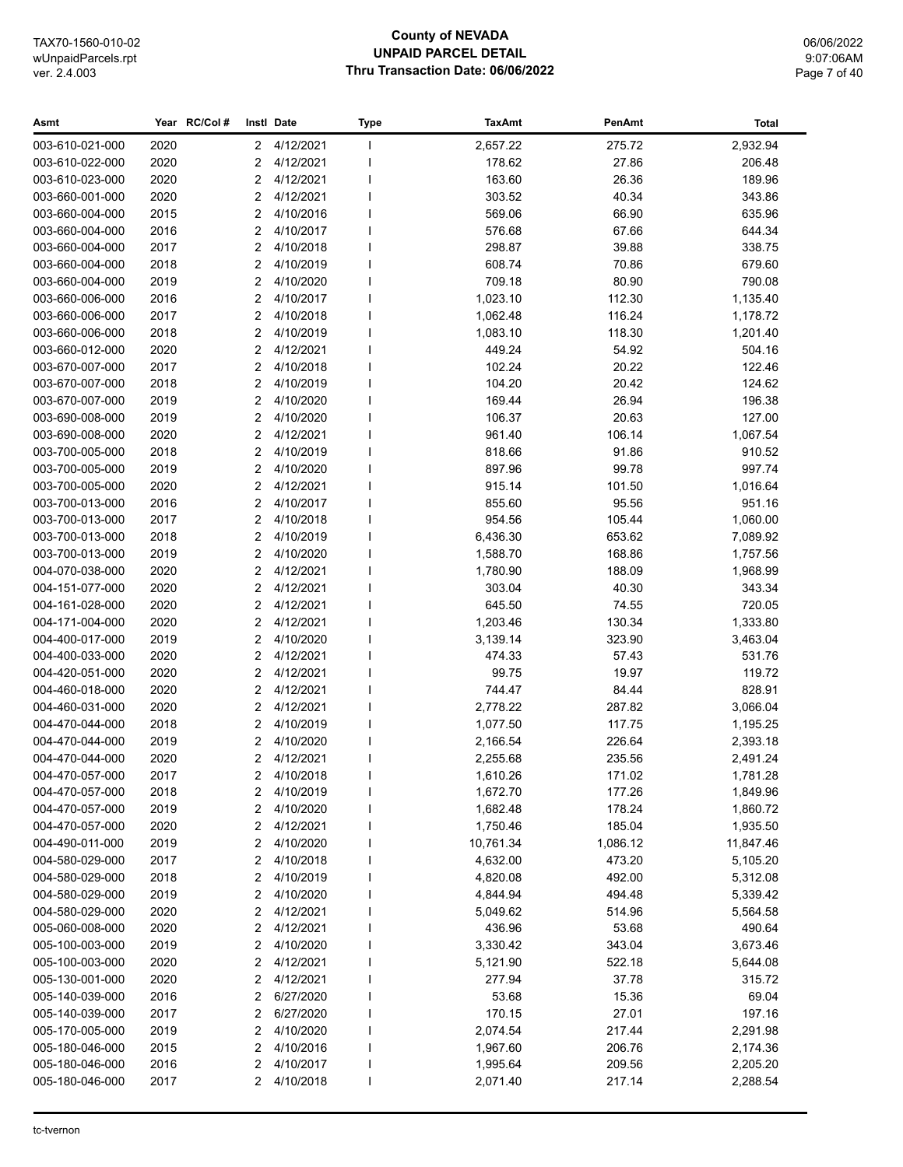# **County of NEVADA UNPAID PARCEL DETAIL** Thru Transaction Date: 06/06/2022

06/06/2022 9:07:06AM Page 7 of 40

| 2020<br>4/12/2021<br>2,657.22<br>275.72<br>2,932.94<br>003-610-021-000<br>$\mathbf{2}$<br>$\mathbf{I}$<br>2020<br>4/12/2021<br>178.62<br>27.86<br>206.48<br>003-610-022-000<br>$\overline{2}$<br>2020<br>4/12/2021<br>163.60<br>26.36<br>189.96<br>003-610-023-000<br>$\overline{2}$<br>2020<br>2<br>4/12/2021<br>303.52<br>40.34<br>343.86<br>003-660-001-000<br>003-660-004-000<br>2015<br>2<br>4/10/2016<br>569.06<br>66.90<br>635.96<br>2<br>4/10/2017<br>576.68<br>67.66<br>003-660-004-000<br>2016<br>644.34<br>2017<br>2<br>4/10/2018<br>298.87<br>39.88<br>338.75<br>003-660-004-000<br>003-660-004-000<br>2018<br>2<br>4/10/2019<br>608.74<br>70.86<br>679.60<br>2<br>4/10/2020<br>709.18<br>80.90<br>790.08<br>003-660-004-000<br>2019<br>003-660-006-000<br>2016<br>2<br>4/10/2017<br>1,023.10<br>112.30<br>1,135.40<br>2<br>4/10/2018<br>1,062.48<br>116.24<br>1,178.72<br>003-660-006-000<br>2017<br>2<br>1,083.10<br>003-660-006-000<br>2018<br>4/10/2019<br>118.30<br>1,201.40<br>ı<br>2020<br>2<br>449.24<br>54.92<br>003-660-012-000<br>4/12/2021<br>504.16<br>2017<br>2<br>4/10/2018<br>102.24<br>20.22<br>122.46<br>003-670-007-000<br>003-670-007-000<br>2018<br>2<br>4/10/2019<br>104.20<br>20.42<br>124.62<br>$\overline{2}$<br>4/10/2020<br>169.44<br>26.94<br>196.38<br>003-670-007-000<br>2019<br>2019<br>2<br>4/10/2020<br>106.37<br>20.63<br>127.00<br>003-690-008-000<br>2020<br>2<br>4/12/2021<br>961.40<br>106.14<br>003-690-008-000<br>1,067.54<br>2<br>4/10/2019<br>003-700-005-000<br>2018<br>818.66<br>91.86<br>910.52<br>2<br>4/10/2020<br>997.74<br>003-700-005-000<br>2019<br>897.96<br>99.78<br>2020<br>2<br>4/12/2021<br>915.14<br>003-700-005-000<br>101.50<br>1,016.64<br>2<br>4/10/2017<br>95.56<br>951.16<br>003-700-013-000<br>2016<br>855.60<br>$\overline{2}$<br>4/10/2018<br>954.56<br>003-700-013-000<br>2017<br>105.44<br>1,060.00<br>003-700-013-000<br>2018<br>2<br>4/10/2019<br>6,436.30<br>653.62<br>7,089.92<br>2<br>4/10/2020<br>1,588.70<br>168.86<br>003-700-013-000<br>2019<br>1,757.56<br>$\overline{2}$<br>004-070-038-000<br>2020<br>4/12/2021<br>1,780.90<br>188.09<br>1,968.99<br>2020<br>2<br>4/12/2021<br>303.04<br>40.30<br>004-151-077-000<br>343.34<br>2020<br>2<br>4/12/2021<br>645.50<br>720.05<br>004-161-028-000<br>74.55<br>2020<br>$\overline{2}$<br>4/12/2021<br>130.34<br>004-171-004-000<br>1,203.46<br>1,333.80<br>4/10/2020<br>004-400-017-000<br>2019<br>$\overline{2}$<br>3,139.14<br>323.90<br>3,463.04<br>2020<br>2<br>4/12/2021<br>004-400-033-000<br>474.33<br>57.43<br>531.76<br>4/12/2021<br>99.75<br>19.97<br>004-420-051-000<br>2020<br>2<br>119.72<br>2020<br>2<br>4/12/2021<br>744.47<br>84.44<br>828.91<br>004-460-018-000<br>2020<br>$\overline{2}$<br>4/12/2021<br>2,778.22<br>3,066.04<br>004-460-031-000<br>287.82<br>2018<br>2<br>4/10/2019<br>1,077.50<br>004-470-044-000<br>117.75<br>1,195.25<br>$\overline{2}$<br>4/10/2020<br>004-470-044-000<br>2019<br>2,166.54<br>226.64<br>2,393.18<br>2<br>4/12/2021<br>2,255.68<br>004-470-044-000<br>2020<br>235.56<br>2,491.24<br>171.02<br>004-470-057-000<br>2017<br>2 4/10/2018<br>1,610.26<br>1,781.28<br>004-470-057-000<br>4/10/2019<br>1,672.70<br>2018<br>2<br>177.26<br>1,849.96<br>004-470-057-000<br>2019<br>2<br>4/10/2020<br>1,682.48<br>178.24<br>1,860.72<br>004-470-057-000<br>2020<br>2<br>4/12/2021<br>1,750.46<br>185.04<br>1,935.50<br>4/10/2020<br>004-490-011-000<br>2019<br>2<br>10,761.34<br>1,086.12<br>11,847.46<br>4/10/2018<br>004-580-029-000<br>2017<br>2<br>4,632.00<br>473.20<br>5,105.20<br>2018<br>4/10/2019<br>492.00<br>004-580-029-000<br>2<br>4,820.08<br>5,312.08<br>4/10/2020<br>004-580-029-000<br>2019<br>2<br>4,844.94<br>494.48<br>5,339.42<br>2020<br>2<br>4/12/2021<br>004-580-029-000<br>5,049.62<br>514.96<br>5,564.58<br>2<br>005-060-008-000<br>2020<br>4/12/2021<br>436.96<br>53.68<br>490.64<br>005-100-003-000<br>2019<br>2<br>4/10/2020<br>3,330.42<br>343.04<br>3,673.46<br>005-100-003-000<br>2020<br>2<br>4/12/2021<br>5,121.90<br>522.18<br>5,644.08<br>4/12/2021<br>37.78<br>005-130-001-000<br>2020<br>2<br>277.94<br>315.72<br>005-140-039-000<br>2016<br>2<br>6/27/2020<br>53.68<br>15.36<br>69.04<br>005-140-039-000<br>2017<br>2<br>6/27/2020<br>170.15<br>27.01<br>197.16<br>2<br>005-170-005-000<br>2019<br>4/10/2020<br>2,074.54<br>217.44<br>2,291.98<br>2<br>005-180-046-000<br>2015<br>4/10/2016<br>1,967.60<br>206.76<br>2,174.36<br>005-180-046-000<br>2016<br>2<br>4/10/2017<br>1,995.64<br>209.56<br>2,205.20<br>2017<br>2<br>4/10/2018<br>2,071.40<br>217.14<br>005-180-046-000<br>2,288.54 | Asmt | Year RC/Col# | Instl Date | <b>Type</b> | <b>TaxAmt</b> | PenAmt | <b>Total</b> |
|----------------------------------------------------------------------------------------------------------------------------------------------------------------------------------------------------------------------------------------------------------------------------------------------------------------------------------------------------------------------------------------------------------------------------------------------------------------------------------------------------------------------------------------------------------------------------------------------------------------------------------------------------------------------------------------------------------------------------------------------------------------------------------------------------------------------------------------------------------------------------------------------------------------------------------------------------------------------------------------------------------------------------------------------------------------------------------------------------------------------------------------------------------------------------------------------------------------------------------------------------------------------------------------------------------------------------------------------------------------------------------------------------------------------------------------------------------------------------------------------------------------------------------------------------------------------------------------------------------------------------------------------------------------------------------------------------------------------------------------------------------------------------------------------------------------------------------------------------------------------------------------------------------------------------------------------------------------------------------------------------------------------------------------------------------------------------------------------------------------------------------------------------------------------------------------------------------------------------------------------------------------------------------------------------------------------------------------------------------------------------------------------------------------------------------------------------------------------------------------------------------------------------------------------------------------------------------------------------------------------------------------------------------------------------------------------------------------------------------------------------------------------------------------------------------------------------------------------------------------------------------------------------------------------------------------------------------------------------------------------------------------------------------------------------------------------------------------------------------------------------------------------------------------------------------------------------------------------------------------------------------------------------------------------------------------------------------------------------------------------------------------------------------------------------------------------------------------------------------------------------------------------------------------------------------------------------------------------------------------------------------------------------------------------------------------------------------------------------------------------------------------------------------------------------------------------------------------------------------------------------------------------------------------------------------------------------------------------------------------------------------------------------------------------------------------------------------------------------------------------------------------------------------------------------------------------------------------------------------------------------------------------------------------------------------------------------------------------------------------------------------------------------------------------------------------------------------------------------------------------------------------------------------------------------------------------------------------------------------------------|------|--------------|------------|-------------|---------------|--------|--------------|
|                                                                                                                                                                                                                                                                                                                                                                                                                                                                                                                                                                                                                                                                                                                                                                                                                                                                                                                                                                                                                                                                                                                                                                                                                                                                                                                                                                                                                                                                                                                                                                                                                                                                                                                                                                                                                                                                                                                                                                                                                                                                                                                                                                                                                                                                                                                                                                                                                                                                                                                                                                                                                                                                                                                                                                                                                                                                                                                                                                                                                                                                                                                                                                                                                                                                                                                                                                                                                                                                                                                                                                                                                                                                                                                                                                                                                                                                                                                                                                                                                                                                                                                                                                                                                                                                                                                                                                                                                                                                                                                                                                                                                      |      |              |            |             |               |        |              |
|                                                                                                                                                                                                                                                                                                                                                                                                                                                                                                                                                                                                                                                                                                                                                                                                                                                                                                                                                                                                                                                                                                                                                                                                                                                                                                                                                                                                                                                                                                                                                                                                                                                                                                                                                                                                                                                                                                                                                                                                                                                                                                                                                                                                                                                                                                                                                                                                                                                                                                                                                                                                                                                                                                                                                                                                                                                                                                                                                                                                                                                                                                                                                                                                                                                                                                                                                                                                                                                                                                                                                                                                                                                                                                                                                                                                                                                                                                                                                                                                                                                                                                                                                                                                                                                                                                                                                                                                                                                                                                                                                                                                                      |      |              |            |             |               |        |              |
|                                                                                                                                                                                                                                                                                                                                                                                                                                                                                                                                                                                                                                                                                                                                                                                                                                                                                                                                                                                                                                                                                                                                                                                                                                                                                                                                                                                                                                                                                                                                                                                                                                                                                                                                                                                                                                                                                                                                                                                                                                                                                                                                                                                                                                                                                                                                                                                                                                                                                                                                                                                                                                                                                                                                                                                                                                                                                                                                                                                                                                                                                                                                                                                                                                                                                                                                                                                                                                                                                                                                                                                                                                                                                                                                                                                                                                                                                                                                                                                                                                                                                                                                                                                                                                                                                                                                                                                                                                                                                                                                                                                                                      |      |              |            |             |               |        |              |
|                                                                                                                                                                                                                                                                                                                                                                                                                                                                                                                                                                                                                                                                                                                                                                                                                                                                                                                                                                                                                                                                                                                                                                                                                                                                                                                                                                                                                                                                                                                                                                                                                                                                                                                                                                                                                                                                                                                                                                                                                                                                                                                                                                                                                                                                                                                                                                                                                                                                                                                                                                                                                                                                                                                                                                                                                                                                                                                                                                                                                                                                                                                                                                                                                                                                                                                                                                                                                                                                                                                                                                                                                                                                                                                                                                                                                                                                                                                                                                                                                                                                                                                                                                                                                                                                                                                                                                                                                                                                                                                                                                                                                      |      |              |            |             |               |        |              |
|                                                                                                                                                                                                                                                                                                                                                                                                                                                                                                                                                                                                                                                                                                                                                                                                                                                                                                                                                                                                                                                                                                                                                                                                                                                                                                                                                                                                                                                                                                                                                                                                                                                                                                                                                                                                                                                                                                                                                                                                                                                                                                                                                                                                                                                                                                                                                                                                                                                                                                                                                                                                                                                                                                                                                                                                                                                                                                                                                                                                                                                                                                                                                                                                                                                                                                                                                                                                                                                                                                                                                                                                                                                                                                                                                                                                                                                                                                                                                                                                                                                                                                                                                                                                                                                                                                                                                                                                                                                                                                                                                                                                                      |      |              |            |             |               |        |              |
|                                                                                                                                                                                                                                                                                                                                                                                                                                                                                                                                                                                                                                                                                                                                                                                                                                                                                                                                                                                                                                                                                                                                                                                                                                                                                                                                                                                                                                                                                                                                                                                                                                                                                                                                                                                                                                                                                                                                                                                                                                                                                                                                                                                                                                                                                                                                                                                                                                                                                                                                                                                                                                                                                                                                                                                                                                                                                                                                                                                                                                                                                                                                                                                                                                                                                                                                                                                                                                                                                                                                                                                                                                                                                                                                                                                                                                                                                                                                                                                                                                                                                                                                                                                                                                                                                                                                                                                                                                                                                                                                                                                                                      |      |              |            |             |               |        |              |
|                                                                                                                                                                                                                                                                                                                                                                                                                                                                                                                                                                                                                                                                                                                                                                                                                                                                                                                                                                                                                                                                                                                                                                                                                                                                                                                                                                                                                                                                                                                                                                                                                                                                                                                                                                                                                                                                                                                                                                                                                                                                                                                                                                                                                                                                                                                                                                                                                                                                                                                                                                                                                                                                                                                                                                                                                                                                                                                                                                                                                                                                                                                                                                                                                                                                                                                                                                                                                                                                                                                                                                                                                                                                                                                                                                                                                                                                                                                                                                                                                                                                                                                                                                                                                                                                                                                                                                                                                                                                                                                                                                                                                      |      |              |            |             |               |        |              |
|                                                                                                                                                                                                                                                                                                                                                                                                                                                                                                                                                                                                                                                                                                                                                                                                                                                                                                                                                                                                                                                                                                                                                                                                                                                                                                                                                                                                                                                                                                                                                                                                                                                                                                                                                                                                                                                                                                                                                                                                                                                                                                                                                                                                                                                                                                                                                                                                                                                                                                                                                                                                                                                                                                                                                                                                                                                                                                                                                                                                                                                                                                                                                                                                                                                                                                                                                                                                                                                                                                                                                                                                                                                                                                                                                                                                                                                                                                                                                                                                                                                                                                                                                                                                                                                                                                                                                                                                                                                                                                                                                                                                                      |      |              |            |             |               |        |              |
|                                                                                                                                                                                                                                                                                                                                                                                                                                                                                                                                                                                                                                                                                                                                                                                                                                                                                                                                                                                                                                                                                                                                                                                                                                                                                                                                                                                                                                                                                                                                                                                                                                                                                                                                                                                                                                                                                                                                                                                                                                                                                                                                                                                                                                                                                                                                                                                                                                                                                                                                                                                                                                                                                                                                                                                                                                                                                                                                                                                                                                                                                                                                                                                                                                                                                                                                                                                                                                                                                                                                                                                                                                                                                                                                                                                                                                                                                                                                                                                                                                                                                                                                                                                                                                                                                                                                                                                                                                                                                                                                                                                                                      |      |              |            |             |               |        |              |
|                                                                                                                                                                                                                                                                                                                                                                                                                                                                                                                                                                                                                                                                                                                                                                                                                                                                                                                                                                                                                                                                                                                                                                                                                                                                                                                                                                                                                                                                                                                                                                                                                                                                                                                                                                                                                                                                                                                                                                                                                                                                                                                                                                                                                                                                                                                                                                                                                                                                                                                                                                                                                                                                                                                                                                                                                                                                                                                                                                                                                                                                                                                                                                                                                                                                                                                                                                                                                                                                                                                                                                                                                                                                                                                                                                                                                                                                                                                                                                                                                                                                                                                                                                                                                                                                                                                                                                                                                                                                                                                                                                                                                      |      |              |            |             |               |        |              |
|                                                                                                                                                                                                                                                                                                                                                                                                                                                                                                                                                                                                                                                                                                                                                                                                                                                                                                                                                                                                                                                                                                                                                                                                                                                                                                                                                                                                                                                                                                                                                                                                                                                                                                                                                                                                                                                                                                                                                                                                                                                                                                                                                                                                                                                                                                                                                                                                                                                                                                                                                                                                                                                                                                                                                                                                                                                                                                                                                                                                                                                                                                                                                                                                                                                                                                                                                                                                                                                                                                                                                                                                                                                                                                                                                                                                                                                                                                                                                                                                                                                                                                                                                                                                                                                                                                                                                                                                                                                                                                                                                                                                                      |      |              |            |             |               |        |              |
|                                                                                                                                                                                                                                                                                                                                                                                                                                                                                                                                                                                                                                                                                                                                                                                                                                                                                                                                                                                                                                                                                                                                                                                                                                                                                                                                                                                                                                                                                                                                                                                                                                                                                                                                                                                                                                                                                                                                                                                                                                                                                                                                                                                                                                                                                                                                                                                                                                                                                                                                                                                                                                                                                                                                                                                                                                                                                                                                                                                                                                                                                                                                                                                                                                                                                                                                                                                                                                                                                                                                                                                                                                                                                                                                                                                                                                                                                                                                                                                                                                                                                                                                                                                                                                                                                                                                                                                                                                                                                                                                                                                                                      |      |              |            |             |               |        |              |
|                                                                                                                                                                                                                                                                                                                                                                                                                                                                                                                                                                                                                                                                                                                                                                                                                                                                                                                                                                                                                                                                                                                                                                                                                                                                                                                                                                                                                                                                                                                                                                                                                                                                                                                                                                                                                                                                                                                                                                                                                                                                                                                                                                                                                                                                                                                                                                                                                                                                                                                                                                                                                                                                                                                                                                                                                                                                                                                                                                                                                                                                                                                                                                                                                                                                                                                                                                                                                                                                                                                                                                                                                                                                                                                                                                                                                                                                                                                                                                                                                                                                                                                                                                                                                                                                                                                                                                                                                                                                                                                                                                                                                      |      |              |            |             |               |        |              |
|                                                                                                                                                                                                                                                                                                                                                                                                                                                                                                                                                                                                                                                                                                                                                                                                                                                                                                                                                                                                                                                                                                                                                                                                                                                                                                                                                                                                                                                                                                                                                                                                                                                                                                                                                                                                                                                                                                                                                                                                                                                                                                                                                                                                                                                                                                                                                                                                                                                                                                                                                                                                                                                                                                                                                                                                                                                                                                                                                                                                                                                                                                                                                                                                                                                                                                                                                                                                                                                                                                                                                                                                                                                                                                                                                                                                                                                                                                                                                                                                                                                                                                                                                                                                                                                                                                                                                                                                                                                                                                                                                                                                                      |      |              |            |             |               |        |              |
|                                                                                                                                                                                                                                                                                                                                                                                                                                                                                                                                                                                                                                                                                                                                                                                                                                                                                                                                                                                                                                                                                                                                                                                                                                                                                                                                                                                                                                                                                                                                                                                                                                                                                                                                                                                                                                                                                                                                                                                                                                                                                                                                                                                                                                                                                                                                                                                                                                                                                                                                                                                                                                                                                                                                                                                                                                                                                                                                                                                                                                                                                                                                                                                                                                                                                                                                                                                                                                                                                                                                                                                                                                                                                                                                                                                                                                                                                                                                                                                                                                                                                                                                                                                                                                                                                                                                                                                                                                                                                                                                                                                                                      |      |              |            |             |               |        |              |
|                                                                                                                                                                                                                                                                                                                                                                                                                                                                                                                                                                                                                                                                                                                                                                                                                                                                                                                                                                                                                                                                                                                                                                                                                                                                                                                                                                                                                                                                                                                                                                                                                                                                                                                                                                                                                                                                                                                                                                                                                                                                                                                                                                                                                                                                                                                                                                                                                                                                                                                                                                                                                                                                                                                                                                                                                                                                                                                                                                                                                                                                                                                                                                                                                                                                                                                                                                                                                                                                                                                                                                                                                                                                                                                                                                                                                                                                                                                                                                                                                                                                                                                                                                                                                                                                                                                                                                                                                                                                                                                                                                                                                      |      |              |            |             |               |        |              |
|                                                                                                                                                                                                                                                                                                                                                                                                                                                                                                                                                                                                                                                                                                                                                                                                                                                                                                                                                                                                                                                                                                                                                                                                                                                                                                                                                                                                                                                                                                                                                                                                                                                                                                                                                                                                                                                                                                                                                                                                                                                                                                                                                                                                                                                                                                                                                                                                                                                                                                                                                                                                                                                                                                                                                                                                                                                                                                                                                                                                                                                                                                                                                                                                                                                                                                                                                                                                                                                                                                                                                                                                                                                                                                                                                                                                                                                                                                                                                                                                                                                                                                                                                                                                                                                                                                                                                                                                                                                                                                                                                                                                                      |      |              |            |             |               |        |              |
|                                                                                                                                                                                                                                                                                                                                                                                                                                                                                                                                                                                                                                                                                                                                                                                                                                                                                                                                                                                                                                                                                                                                                                                                                                                                                                                                                                                                                                                                                                                                                                                                                                                                                                                                                                                                                                                                                                                                                                                                                                                                                                                                                                                                                                                                                                                                                                                                                                                                                                                                                                                                                                                                                                                                                                                                                                                                                                                                                                                                                                                                                                                                                                                                                                                                                                                                                                                                                                                                                                                                                                                                                                                                                                                                                                                                                                                                                                                                                                                                                                                                                                                                                                                                                                                                                                                                                                                                                                                                                                                                                                                                                      |      |              |            |             |               |        |              |
|                                                                                                                                                                                                                                                                                                                                                                                                                                                                                                                                                                                                                                                                                                                                                                                                                                                                                                                                                                                                                                                                                                                                                                                                                                                                                                                                                                                                                                                                                                                                                                                                                                                                                                                                                                                                                                                                                                                                                                                                                                                                                                                                                                                                                                                                                                                                                                                                                                                                                                                                                                                                                                                                                                                                                                                                                                                                                                                                                                                                                                                                                                                                                                                                                                                                                                                                                                                                                                                                                                                                                                                                                                                                                                                                                                                                                                                                                                                                                                                                                                                                                                                                                                                                                                                                                                                                                                                                                                                                                                                                                                                                                      |      |              |            |             |               |        |              |
|                                                                                                                                                                                                                                                                                                                                                                                                                                                                                                                                                                                                                                                                                                                                                                                                                                                                                                                                                                                                                                                                                                                                                                                                                                                                                                                                                                                                                                                                                                                                                                                                                                                                                                                                                                                                                                                                                                                                                                                                                                                                                                                                                                                                                                                                                                                                                                                                                                                                                                                                                                                                                                                                                                                                                                                                                                                                                                                                                                                                                                                                                                                                                                                                                                                                                                                                                                                                                                                                                                                                                                                                                                                                                                                                                                                                                                                                                                                                                                                                                                                                                                                                                                                                                                                                                                                                                                                                                                                                                                                                                                                                                      |      |              |            |             |               |        |              |
|                                                                                                                                                                                                                                                                                                                                                                                                                                                                                                                                                                                                                                                                                                                                                                                                                                                                                                                                                                                                                                                                                                                                                                                                                                                                                                                                                                                                                                                                                                                                                                                                                                                                                                                                                                                                                                                                                                                                                                                                                                                                                                                                                                                                                                                                                                                                                                                                                                                                                                                                                                                                                                                                                                                                                                                                                                                                                                                                                                                                                                                                                                                                                                                                                                                                                                                                                                                                                                                                                                                                                                                                                                                                                                                                                                                                                                                                                                                                                                                                                                                                                                                                                                                                                                                                                                                                                                                                                                                                                                                                                                                                                      |      |              |            |             |               |        |              |
|                                                                                                                                                                                                                                                                                                                                                                                                                                                                                                                                                                                                                                                                                                                                                                                                                                                                                                                                                                                                                                                                                                                                                                                                                                                                                                                                                                                                                                                                                                                                                                                                                                                                                                                                                                                                                                                                                                                                                                                                                                                                                                                                                                                                                                                                                                                                                                                                                                                                                                                                                                                                                                                                                                                                                                                                                                                                                                                                                                                                                                                                                                                                                                                                                                                                                                                                                                                                                                                                                                                                                                                                                                                                                                                                                                                                                                                                                                                                                                                                                                                                                                                                                                                                                                                                                                                                                                                                                                                                                                                                                                                                                      |      |              |            |             |               |        |              |
|                                                                                                                                                                                                                                                                                                                                                                                                                                                                                                                                                                                                                                                                                                                                                                                                                                                                                                                                                                                                                                                                                                                                                                                                                                                                                                                                                                                                                                                                                                                                                                                                                                                                                                                                                                                                                                                                                                                                                                                                                                                                                                                                                                                                                                                                                                                                                                                                                                                                                                                                                                                                                                                                                                                                                                                                                                                                                                                                                                                                                                                                                                                                                                                                                                                                                                                                                                                                                                                                                                                                                                                                                                                                                                                                                                                                                                                                                                                                                                                                                                                                                                                                                                                                                                                                                                                                                                                                                                                                                                                                                                                                                      |      |              |            |             |               |        |              |
|                                                                                                                                                                                                                                                                                                                                                                                                                                                                                                                                                                                                                                                                                                                                                                                                                                                                                                                                                                                                                                                                                                                                                                                                                                                                                                                                                                                                                                                                                                                                                                                                                                                                                                                                                                                                                                                                                                                                                                                                                                                                                                                                                                                                                                                                                                                                                                                                                                                                                                                                                                                                                                                                                                                                                                                                                                                                                                                                                                                                                                                                                                                                                                                                                                                                                                                                                                                                                                                                                                                                                                                                                                                                                                                                                                                                                                                                                                                                                                                                                                                                                                                                                                                                                                                                                                                                                                                                                                                                                                                                                                                                                      |      |              |            |             |               |        |              |
|                                                                                                                                                                                                                                                                                                                                                                                                                                                                                                                                                                                                                                                                                                                                                                                                                                                                                                                                                                                                                                                                                                                                                                                                                                                                                                                                                                                                                                                                                                                                                                                                                                                                                                                                                                                                                                                                                                                                                                                                                                                                                                                                                                                                                                                                                                                                                                                                                                                                                                                                                                                                                                                                                                                                                                                                                                                                                                                                                                                                                                                                                                                                                                                                                                                                                                                                                                                                                                                                                                                                                                                                                                                                                                                                                                                                                                                                                                                                                                                                                                                                                                                                                                                                                                                                                                                                                                                                                                                                                                                                                                                                                      |      |              |            |             |               |        |              |
|                                                                                                                                                                                                                                                                                                                                                                                                                                                                                                                                                                                                                                                                                                                                                                                                                                                                                                                                                                                                                                                                                                                                                                                                                                                                                                                                                                                                                                                                                                                                                                                                                                                                                                                                                                                                                                                                                                                                                                                                                                                                                                                                                                                                                                                                                                                                                                                                                                                                                                                                                                                                                                                                                                                                                                                                                                                                                                                                                                                                                                                                                                                                                                                                                                                                                                                                                                                                                                                                                                                                                                                                                                                                                                                                                                                                                                                                                                                                                                                                                                                                                                                                                                                                                                                                                                                                                                                                                                                                                                                                                                                                                      |      |              |            |             |               |        |              |
|                                                                                                                                                                                                                                                                                                                                                                                                                                                                                                                                                                                                                                                                                                                                                                                                                                                                                                                                                                                                                                                                                                                                                                                                                                                                                                                                                                                                                                                                                                                                                                                                                                                                                                                                                                                                                                                                                                                                                                                                                                                                                                                                                                                                                                                                                                                                                                                                                                                                                                                                                                                                                                                                                                                                                                                                                                                                                                                                                                                                                                                                                                                                                                                                                                                                                                                                                                                                                                                                                                                                                                                                                                                                                                                                                                                                                                                                                                                                                                                                                                                                                                                                                                                                                                                                                                                                                                                                                                                                                                                                                                                                                      |      |              |            |             |               |        |              |
|                                                                                                                                                                                                                                                                                                                                                                                                                                                                                                                                                                                                                                                                                                                                                                                                                                                                                                                                                                                                                                                                                                                                                                                                                                                                                                                                                                                                                                                                                                                                                                                                                                                                                                                                                                                                                                                                                                                                                                                                                                                                                                                                                                                                                                                                                                                                                                                                                                                                                                                                                                                                                                                                                                                                                                                                                                                                                                                                                                                                                                                                                                                                                                                                                                                                                                                                                                                                                                                                                                                                                                                                                                                                                                                                                                                                                                                                                                                                                                                                                                                                                                                                                                                                                                                                                                                                                                                                                                                                                                                                                                                                                      |      |              |            |             |               |        |              |
|                                                                                                                                                                                                                                                                                                                                                                                                                                                                                                                                                                                                                                                                                                                                                                                                                                                                                                                                                                                                                                                                                                                                                                                                                                                                                                                                                                                                                                                                                                                                                                                                                                                                                                                                                                                                                                                                                                                                                                                                                                                                                                                                                                                                                                                                                                                                                                                                                                                                                                                                                                                                                                                                                                                                                                                                                                                                                                                                                                                                                                                                                                                                                                                                                                                                                                                                                                                                                                                                                                                                                                                                                                                                                                                                                                                                                                                                                                                                                                                                                                                                                                                                                                                                                                                                                                                                                                                                                                                                                                                                                                                                                      |      |              |            |             |               |        |              |
|                                                                                                                                                                                                                                                                                                                                                                                                                                                                                                                                                                                                                                                                                                                                                                                                                                                                                                                                                                                                                                                                                                                                                                                                                                                                                                                                                                                                                                                                                                                                                                                                                                                                                                                                                                                                                                                                                                                                                                                                                                                                                                                                                                                                                                                                                                                                                                                                                                                                                                                                                                                                                                                                                                                                                                                                                                                                                                                                                                                                                                                                                                                                                                                                                                                                                                                                                                                                                                                                                                                                                                                                                                                                                                                                                                                                                                                                                                                                                                                                                                                                                                                                                                                                                                                                                                                                                                                                                                                                                                                                                                                                                      |      |              |            |             |               |        |              |
|                                                                                                                                                                                                                                                                                                                                                                                                                                                                                                                                                                                                                                                                                                                                                                                                                                                                                                                                                                                                                                                                                                                                                                                                                                                                                                                                                                                                                                                                                                                                                                                                                                                                                                                                                                                                                                                                                                                                                                                                                                                                                                                                                                                                                                                                                                                                                                                                                                                                                                                                                                                                                                                                                                                                                                                                                                                                                                                                                                                                                                                                                                                                                                                                                                                                                                                                                                                                                                                                                                                                                                                                                                                                                                                                                                                                                                                                                                                                                                                                                                                                                                                                                                                                                                                                                                                                                                                                                                                                                                                                                                                                                      |      |              |            |             |               |        |              |
|                                                                                                                                                                                                                                                                                                                                                                                                                                                                                                                                                                                                                                                                                                                                                                                                                                                                                                                                                                                                                                                                                                                                                                                                                                                                                                                                                                                                                                                                                                                                                                                                                                                                                                                                                                                                                                                                                                                                                                                                                                                                                                                                                                                                                                                                                                                                                                                                                                                                                                                                                                                                                                                                                                                                                                                                                                                                                                                                                                                                                                                                                                                                                                                                                                                                                                                                                                                                                                                                                                                                                                                                                                                                                                                                                                                                                                                                                                                                                                                                                                                                                                                                                                                                                                                                                                                                                                                                                                                                                                                                                                                                                      |      |              |            |             |               |        |              |
|                                                                                                                                                                                                                                                                                                                                                                                                                                                                                                                                                                                                                                                                                                                                                                                                                                                                                                                                                                                                                                                                                                                                                                                                                                                                                                                                                                                                                                                                                                                                                                                                                                                                                                                                                                                                                                                                                                                                                                                                                                                                                                                                                                                                                                                                                                                                                                                                                                                                                                                                                                                                                                                                                                                                                                                                                                                                                                                                                                                                                                                                                                                                                                                                                                                                                                                                                                                                                                                                                                                                                                                                                                                                                                                                                                                                                                                                                                                                                                                                                                                                                                                                                                                                                                                                                                                                                                                                                                                                                                                                                                                                                      |      |              |            |             |               |        |              |
|                                                                                                                                                                                                                                                                                                                                                                                                                                                                                                                                                                                                                                                                                                                                                                                                                                                                                                                                                                                                                                                                                                                                                                                                                                                                                                                                                                                                                                                                                                                                                                                                                                                                                                                                                                                                                                                                                                                                                                                                                                                                                                                                                                                                                                                                                                                                                                                                                                                                                                                                                                                                                                                                                                                                                                                                                                                                                                                                                                                                                                                                                                                                                                                                                                                                                                                                                                                                                                                                                                                                                                                                                                                                                                                                                                                                                                                                                                                                                                                                                                                                                                                                                                                                                                                                                                                                                                                                                                                                                                                                                                                                                      |      |              |            |             |               |        |              |
|                                                                                                                                                                                                                                                                                                                                                                                                                                                                                                                                                                                                                                                                                                                                                                                                                                                                                                                                                                                                                                                                                                                                                                                                                                                                                                                                                                                                                                                                                                                                                                                                                                                                                                                                                                                                                                                                                                                                                                                                                                                                                                                                                                                                                                                                                                                                                                                                                                                                                                                                                                                                                                                                                                                                                                                                                                                                                                                                                                                                                                                                                                                                                                                                                                                                                                                                                                                                                                                                                                                                                                                                                                                                                                                                                                                                                                                                                                                                                                                                                                                                                                                                                                                                                                                                                                                                                                                                                                                                                                                                                                                                                      |      |              |            |             |               |        |              |
|                                                                                                                                                                                                                                                                                                                                                                                                                                                                                                                                                                                                                                                                                                                                                                                                                                                                                                                                                                                                                                                                                                                                                                                                                                                                                                                                                                                                                                                                                                                                                                                                                                                                                                                                                                                                                                                                                                                                                                                                                                                                                                                                                                                                                                                                                                                                                                                                                                                                                                                                                                                                                                                                                                                                                                                                                                                                                                                                                                                                                                                                                                                                                                                                                                                                                                                                                                                                                                                                                                                                                                                                                                                                                                                                                                                                                                                                                                                                                                                                                                                                                                                                                                                                                                                                                                                                                                                                                                                                                                                                                                                                                      |      |              |            |             |               |        |              |
|                                                                                                                                                                                                                                                                                                                                                                                                                                                                                                                                                                                                                                                                                                                                                                                                                                                                                                                                                                                                                                                                                                                                                                                                                                                                                                                                                                                                                                                                                                                                                                                                                                                                                                                                                                                                                                                                                                                                                                                                                                                                                                                                                                                                                                                                                                                                                                                                                                                                                                                                                                                                                                                                                                                                                                                                                                                                                                                                                                                                                                                                                                                                                                                                                                                                                                                                                                                                                                                                                                                                                                                                                                                                                                                                                                                                                                                                                                                                                                                                                                                                                                                                                                                                                                                                                                                                                                                                                                                                                                                                                                                                                      |      |              |            |             |               |        |              |
|                                                                                                                                                                                                                                                                                                                                                                                                                                                                                                                                                                                                                                                                                                                                                                                                                                                                                                                                                                                                                                                                                                                                                                                                                                                                                                                                                                                                                                                                                                                                                                                                                                                                                                                                                                                                                                                                                                                                                                                                                                                                                                                                                                                                                                                                                                                                                                                                                                                                                                                                                                                                                                                                                                                                                                                                                                                                                                                                                                                                                                                                                                                                                                                                                                                                                                                                                                                                                                                                                                                                                                                                                                                                                                                                                                                                                                                                                                                                                                                                                                                                                                                                                                                                                                                                                                                                                                                                                                                                                                                                                                                                                      |      |              |            |             |               |        |              |
|                                                                                                                                                                                                                                                                                                                                                                                                                                                                                                                                                                                                                                                                                                                                                                                                                                                                                                                                                                                                                                                                                                                                                                                                                                                                                                                                                                                                                                                                                                                                                                                                                                                                                                                                                                                                                                                                                                                                                                                                                                                                                                                                                                                                                                                                                                                                                                                                                                                                                                                                                                                                                                                                                                                                                                                                                                                                                                                                                                                                                                                                                                                                                                                                                                                                                                                                                                                                                                                                                                                                                                                                                                                                                                                                                                                                                                                                                                                                                                                                                                                                                                                                                                                                                                                                                                                                                                                                                                                                                                                                                                                                                      |      |              |            |             |               |        |              |
|                                                                                                                                                                                                                                                                                                                                                                                                                                                                                                                                                                                                                                                                                                                                                                                                                                                                                                                                                                                                                                                                                                                                                                                                                                                                                                                                                                                                                                                                                                                                                                                                                                                                                                                                                                                                                                                                                                                                                                                                                                                                                                                                                                                                                                                                                                                                                                                                                                                                                                                                                                                                                                                                                                                                                                                                                                                                                                                                                                                                                                                                                                                                                                                                                                                                                                                                                                                                                                                                                                                                                                                                                                                                                                                                                                                                                                                                                                                                                                                                                                                                                                                                                                                                                                                                                                                                                                                                                                                                                                                                                                                                                      |      |              |            |             |               |        |              |
|                                                                                                                                                                                                                                                                                                                                                                                                                                                                                                                                                                                                                                                                                                                                                                                                                                                                                                                                                                                                                                                                                                                                                                                                                                                                                                                                                                                                                                                                                                                                                                                                                                                                                                                                                                                                                                                                                                                                                                                                                                                                                                                                                                                                                                                                                                                                                                                                                                                                                                                                                                                                                                                                                                                                                                                                                                                                                                                                                                                                                                                                                                                                                                                                                                                                                                                                                                                                                                                                                                                                                                                                                                                                                                                                                                                                                                                                                                                                                                                                                                                                                                                                                                                                                                                                                                                                                                                                                                                                                                                                                                                                                      |      |              |            |             |               |        |              |
|                                                                                                                                                                                                                                                                                                                                                                                                                                                                                                                                                                                                                                                                                                                                                                                                                                                                                                                                                                                                                                                                                                                                                                                                                                                                                                                                                                                                                                                                                                                                                                                                                                                                                                                                                                                                                                                                                                                                                                                                                                                                                                                                                                                                                                                                                                                                                                                                                                                                                                                                                                                                                                                                                                                                                                                                                                                                                                                                                                                                                                                                                                                                                                                                                                                                                                                                                                                                                                                                                                                                                                                                                                                                                                                                                                                                                                                                                                                                                                                                                                                                                                                                                                                                                                                                                                                                                                                                                                                                                                                                                                                                                      |      |              |            |             |               |        |              |
|                                                                                                                                                                                                                                                                                                                                                                                                                                                                                                                                                                                                                                                                                                                                                                                                                                                                                                                                                                                                                                                                                                                                                                                                                                                                                                                                                                                                                                                                                                                                                                                                                                                                                                                                                                                                                                                                                                                                                                                                                                                                                                                                                                                                                                                                                                                                                                                                                                                                                                                                                                                                                                                                                                                                                                                                                                                                                                                                                                                                                                                                                                                                                                                                                                                                                                                                                                                                                                                                                                                                                                                                                                                                                                                                                                                                                                                                                                                                                                                                                                                                                                                                                                                                                                                                                                                                                                                                                                                                                                                                                                                                                      |      |              |            |             |               |        |              |
|                                                                                                                                                                                                                                                                                                                                                                                                                                                                                                                                                                                                                                                                                                                                                                                                                                                                                                                                                                                                                                                                                                                                                                                                                                                                                                                                                                                                                                                                                                                                                                                                                                                                                                                                                                                                                                                                                                                                                                                                                                                                                                                                                                                                                                                                                                                                                                                                                                                                                                                                                                                                                                                                                                                                                                                                                                                                                                                                                                                                                                                                                                                                                                                                                                                                                                                                                                                                                                                                                                                                                                                                                                                                                                                                                                                                                                                                                                                                                                                                                                                                                                                                                                                                                                                                                                                                                                                                                                                                                                                                                                                                                      |      |              |            |             |               |        |              |
|                                                                                                                                                                                                                                                                                                                                                                                                                                                                                                                                                                                                                                                                                                                                                                                                                                                                                                                                                                                                                                                                                                                                                                                                                                                                                                                                                                                                                                                                                                                                                                                                                                                                                                                                                                                                                                                                                                                                                                                                                                                                                                                                                                                                                                                                                                                                                                                                                                                                                                                                                                                                                                                                                                                                                                                                                                                                                                                                                                                                                                                                                                                                                                                                                                                                                                                                                                                                                                                                                                                                                                                                                                                                                                                                                                                                                                                                                                                                                                                                                                                                                                                                                                                                                                                                                                                                                                                                                                                                                                                                                                                                                      |      |              |            |             |               |        |              |
|                                                                                                                                                                                                                                                                                                                                                                                                                                                                                                                                                                                                                                                                                                                                                                                                                                                                                                                                                                                                                                                                                                                                                                                                                                                                                                                                                                                                                                                                                                                                                                                                                                                                                                                                                                                                                                                                                                                                                                                                                                                                                                                                                                                                                                                                                                                                                                                                                                                                                                                                                                                                                                                                                                                                                                                                                                                                                                                                                                                                                                                                                                                                                                                                                                                                                                                                                                                                                                                                                                                                                                                                                                                                                                                                                                                                                                                                                                                                                                                                                                                                                                                                                                                                                                                                                                                                                                                                                                                                                                                                                                                                                      |      |              |            |             |               |        |              |
|                                                                                                                                                                                                                                                                                                                                                                                                                                                                                                                                                                                                                                                                                                                                                                                                                                                                                                                                                                                                                                                                                                                                                                                                                                                                                                                                                                                                                                                                                                                                                                                                                                                                                                                                                                                                                                                                                                                                                                                                                                                                                                                                                                                                                                                                                                                                                                                                                                                                                                                                                                                                                                                                                                                                                                                                                                                                                                                                                                                                                                                                                                                                                                                                                                                                                                                                                                                                                                                                                                                                                                                                                                                                                                                                                                                                                                                                                                                                                                                                                                                                                                                                                                                                                                                                                                                                                                                                                                                                                                                                                                                                                      |      |              |            |             |               |        |              |
|                                                                                                                                                                                                                                                                                                                                                                                                                                                                                                                                                                                                                                                                                                                                                                                                                                                                                                                                                                                                                                                                                                                                                                                                                                                                                                                                                                                                                                                                                                                                                                                                                                                                                                                                                                                                                                                                                                                                                                                                                                                                                                                                                                                                                                                                                                                                                                                                                                                                                                                                                                                                                                                                                                                                                                                                                                                                                                                                                                                                                                                                                                                                                                                                                                                                                                                                                                                                                                                                                                                                                                                                                                                                                                                                                                                                                                                                                                                                                                                                                                                                                                                                                                                                                                                                                                                                                                                                                                                                                                                                                                                                                      |      |              |            |             |               |        |              |
|                                                                                                                                                                                                                                                                                                                                                                                                                                                                                                                                                                                                                                                                                                                                                                                                                                                                                                                                                                                                                                                                                                                                                                                                                                                                                                                                                                                                                                                                                                                                                                                                                                                                                                                                                                                                                                                                                                                                                                                                                                                                                                                                                                                                                                                                                                                                                                                                                                                                                                                                                                                                                                                                                                                                                                                                                                                                                                                                                                                                                                                                                                                                                                                                                                                                                                                                                                                                                                                                                                                                                                                                                                                                                                                                                                                                                                                                                                                                                                                                                                                                                                                                                                                                                                                                                                                                                                                                                                                                                                                                                                                                                      |      |              |            |             |               |        |              |
|                                                                                                                                                                                                                                                                                                                                                                                                                                                                                                                                                                                                                                                                                                                                                                                                                                                                                                                                                                                                                                                                                                                                                                                                                                                                                                                                                                                                                                                                                                                                                                                                                                                                                                                                                                                                                                                                                                                                                                                                                                                                                                                                                                                                                                                                                                                                                                                                                                                                                                                                                                                                                                                                                                                                                                                                                                                                                                                                                                                                                                                                                                                                                                                                                                                                                                                                                                                                                                                                                                                                                                                                                                                                                                                                                                                                                                                                                                                                                                                                                                                                                                                                                                                                                                                                                                                                                                                                                                                                                                                                                                                                                      |      |              |            |             |               |        |              |
|                                                                                                                                                                                                                                                                                                                                                                                                                                                                                                                                                                                                                                                                                                                                                                                                                                                                                                                                                                                                                                                                                                                                                                                                                                                                                                                                                                                                                                                                                                                                                                                                                                                                                                                                                                                                                                                                                                                                                                                                                                                                                                                                                                                                                                                                                                                                                                                                                                                                                                                                                                                                                                                                                                                                                                                                                                                                                                                                                                                                                                                                                                                                                                                                                                                                                                                                                                                                                                                                                                                                                                                                                                                                                                                                                                                                                                                                                                                                                                                                                                                                                                                                                                                                                                                                                                                                                                                                                                                                                                                                                                                                                      |      |              |            |             |               |        |              |
|                                                                                                                                                                                                                                                                                                                                                                                                                                                                                                                                                                                                                                                                                                                                                                                                                                                                                                                                                                                                                                                                                                                                                                                                                                                                                                                                                                                                                                                                                                                                                                                                                                                                                                                                                                                                                                                                                                                                                                                                                                                                                                                                                                                                                                                                                                                                                                                                                                                                                                                                                                                                                                                                                                                                                                                                                                                                                                                                                                                                                                                                                                                                                                                                                                                                                                                                                                                                                                                                                                                                                                                                                                                                                                                                                                                                                                                                                                                                                                                                                                                                                                                                                                                                                                                                                                                                                                                                                                                                                                                                                                                                                      |      |              |            |             |               |        |              |
|                                                                                                                                                                                                                                                                                                                                                                                                                                                                                                                                                                                                                                                                                                                                                                                                                                                                                                                                                                                                                                                                                                                                                                                                                                                                                                                                                                                                                                                                                                                                                                                                                                                                                                                                                                                                                                                                                                                                                                                                                                                                                                                                                                                                                                                                                                                                                                                                                                                                                                                                                                                                                                                                                                                                                                                                                                                                                                                                                                                                                                                                                                                                                                                                                                                                                                                                                                                                                                                                                                                                                                                                                                                                                                                                                                                                                                                                                                                                                                                                                                                                                                                                                                                                                                                                                                                                                                                                                                                                                                                                                                                                                      |      |              |            |             |               |        |              |
|                                                                                                                                                                                                                                                                                                                                                                                                                                                                                                                                                                                                                                                                                                                                                                                                                                                                                                                                                                                                                                                                                                                                                                                                                                                                                                                                                                                                                                                                                                                                                                                                                                                                                                                                                                                                                                                                                                                                                                                                                                                                                                                                                                                                                                                                                                                                                                                                                                                                                                                                                                                                                                                                                                                                                                                                                                                                                                                                                                                                                                                                                                                                                                                                                                                                                                                                                                                                                                                                                                                                                                                                                                                                                                                                                                                                                                                                                                                                                                                                                                                                                                                                                                                                                                                                                                                                                                                                                                                                                                                                                                                                                      |      |              |            |             |               |        |              |
|                                                                                                                                                                                                                                                                                                                                                                                                                                                                                                                                                                                                                                                                                                                                                                                                                                                                                                                                                                                                                                                                                                                                                                                                                                                                                                                                                                                                                                                                                                                                                                                                                                                                                                                                                                                                                                                                                                                                                                                                                                                                                                                                                                                                                                                                                                                                                                                                                                                                                                                                                                                                                                                                                                                                                                                                                                                                                                                                                                                                                                                                                                                                                                                                                                                                                                                                                                                                                                                                                                                                                                                                                                                                                                                                                                                                                                                                                                                                                                                                                                                                                                                                                                                                                                                                                                                                                                                                                                                                                                                                                                                                                      |      |              |            |             |               |        |              |
|                                                                                                                                                                                                                                                                                                                                                                                                                                                                                                                                                                                                                                                                                                                                                                                                                                                                                                                                                                                                                                                                                                                                                                                                                                                                                                                                                                                                                                                                                                                                                                                                                                                                                                                                                                                                                                                                                                                                                                                                                                                                                                                                                                                                                                                                                                                                                                                                                                                                                                                                                                                                                                                                                                                                                                                                                                                                                                                                                                                                                                                                                                                                                                                                                                                                                                                                                                                                                                                                                                                                                                                                                                                                                                                                                                                                                                                                                                                                                                                                                                                                                                                                                                                                                                                                                                                                                                                                                                                                                                                                                                                                                      |      |              |            |             |               |        |              |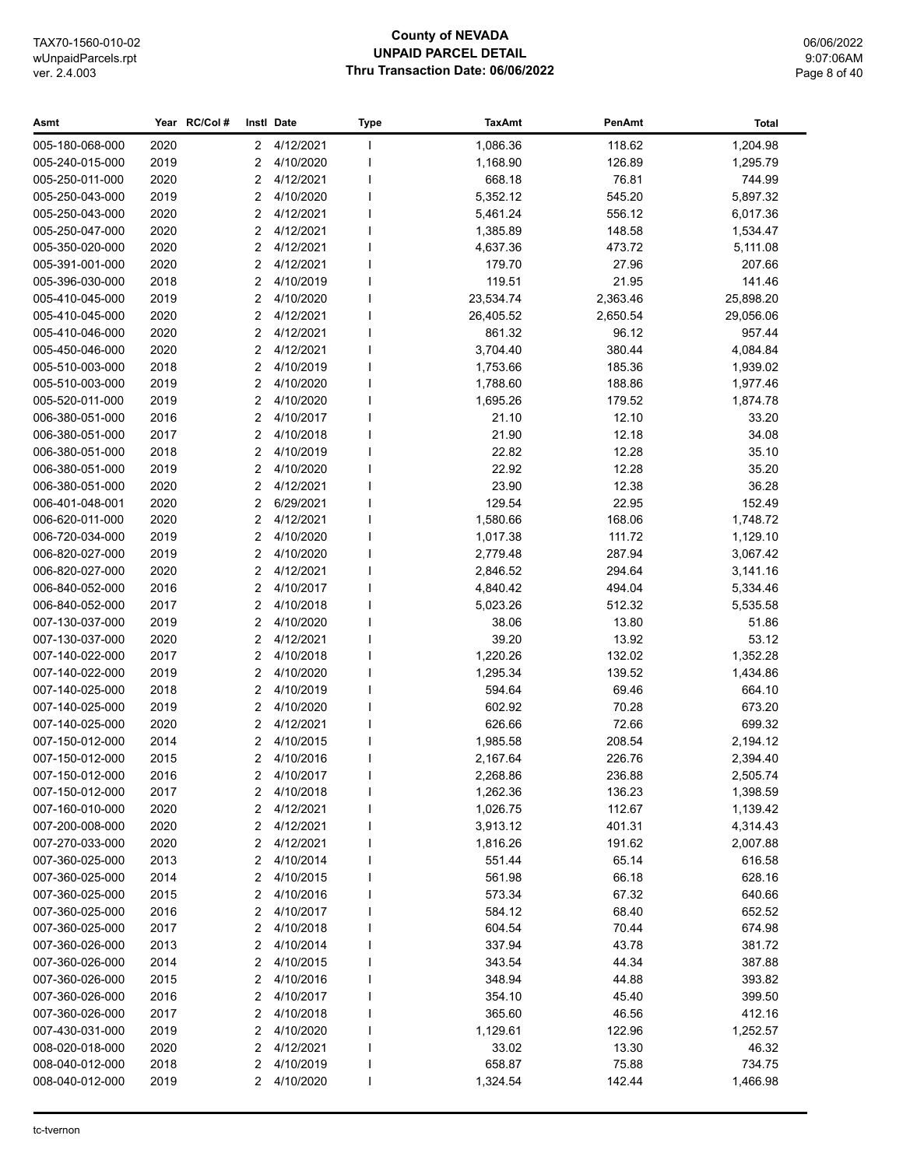# **County of NEVADA UNPAID PARCEL DETAIL** Thru Transaction Date: 06/06/2022

06/06/2022 9:07:06AM Page 8 of 40

| 2020<br>4/12/2021<br>1,086.36<br>118.62<br>1,204.98<br>005-180-068-000<br>$\mathbf{2}$<br>2019<br>4/10/2020<br>1,168.90<br>126.89<br>1,295.79<br>005-240-015-000<br>2<br>4/12/2021<br>668.18<br>76.81<br>744.99<br>005-250-011-000<br>2020<br>2<br>005-250-043-000<br>2019<br>$\overline{2}$<br>4/10/2020<br>5,352.12<br>545.20<br>5,897.32<br>005-250-043-000<br>2020<br>2<br>4/12/2021<br>5,461.24<br>556.12<br>6,017.36<br>4/12/2021<br>005-250-047-000<br>2020<br>2<br>1,385.89<br>148.58<br>1,534.47<br>2020<br>2<br>4/12/2021<br>005-350-020-000<br>4,637.36<br>473.72<br>5,111.08<br>2020<br>2<br>4/12/2021<br>27.96<br>207.66<br>005-391-001-000<br>179.70<br>005-396-030-000<br>2018<br>$\overline{2}$<br>4/10/2019<br>119.51<br>21.95<br>141.46<br>2019<br>2<br>4/10/2020<br>23,534.74<br>2,363.46<br>25,898.20<br>005-410-045-000<br>2020<br>2<br>4/12/2021<br>26,405.52<br>2,650.54<br>29,056.06<br>005-410-045-000<br>2020<br>2<br>4/12/2021<br>861.32<br>96.12<br>957.44<br>005-410-046-000<br>2<br>4/12/2021<br>3,704.40<br>380.44<br>4,084.84<br>005-450-046-000<br>2020<br>2018<br>2<br>4/10/2019<br>1,753.66<br>185.36<br>1,939.02<br>005-510-003-000<br>2019<br>2<br>4/10/2020<br>1,788.60<br>188.86<br>1,977.46<br>005-510-003-000<br>2<br>4/10/2020<br>1,695.26<br>179.52<br>005-520-011-000<br>2019<br>1,874.78<br>2016<br>2<br>4/10/2017<br>21.10<br>12.10<br>33.20<br>006-380-051-000<br>2017<br>2<br>4/10/2018<br>21.90<br>12.18<br>34.08<br>006-380-051-000<br>2018<br>2<br>4/10/2019<br>22.82<br>12.28<br>35.10<br>006-380-051-000<br>2<br>4/10/2020<br>22.92<br>35.20<br>006-380-051-000<br>2019<br>12.28<br>2020<br>2<br>4/12/2021<br>23.90<br>12.38<br>36.28<br>006-380-051-000<br>2020<br>2<br>6/29/2021<br>129.54<br>22.95<br>152.49<br>006-401-048-001<br>2<br>4/12/2021<br>006-620-011-000<br>2020<br>1,580.66<br>168.06<br>1,748.72<br>2<br>4/10/2020<br>111.72<br>1,129.10<br>006-720-034-000<br>2019<br>1,017.38<br>2019<br>2<br>4/10/2020<br>287.94<br>3,067.42<br>006-820-027-000<br>2,779.48<br>2<br>006-820-027-000<br>2020<br>4/12/2021<br>2,846.52<br>294.64<br>3,141.16<br>2<br>4/10/2017<br>006-840-052-000<br>2016<br>4,840.42<br>494.04<br>5,334.46<br>2<br>4/10/2018<br>5,023.26<br>006-840-052-000<br>2017<br>512.32<br>5,535.58<br>007-130-037-000<br>2019<br>2<br>4/10/2020<br>38.06<br>13.80<br>51.86<br>2<br>4/12/2021<br>39.20<br>53.12<br>007-130-037-000<br>2020<br>13.92<br>2017<br>2<br>4/10/2018<br>1,220.26<br>132.02<br>1,352.28<br>007-140-022-000<br>2019<br>4/10/2020<br>007-140-022-000<br>2<br>1,295.34<br>139.52<br>1,434.86<br>4/10/2019<br>007-140-025-000<br>2018<br>2<br>594.64<br>69.46<br>664.10<br>$\overline{2}$<br>4/10/2020<br>70.28<br>673.20<br>007-140-025-000<br>2019<br>602.92<br>007-140-025-000<br>2020<br>2<br>4/12/2021<br>626.66<br>72.66<br>699.32<br>$\overline{2}$<br>007-150-012-000<br>2014<br>4/10/2015<br>1,985.58<br>208.54<br>2,194.12<br>2<br>007-150-012-000<br>2015<br>4/10/2016<br>2,167.64<br>226.76<br>2,394.40<br>2016<br>2 4/10/2017<br>2,268.86<br>236.88<br>2,505.74<br>007-150-012-000<br>007-150-012-000<br>4/10/2018<br>1,262.36<br>1,398.59<br>2017<br>2<br>136.23<br>007-160-010-000<br>2020<br>2<br>4/12/2021<br>1,026.75<br>112.67<br>1,139.42<br>007-200-008-000<br>2020<br>2<br>4/12/2021<br>401.31<br>3,913.12<br>4,314.43<br>007-270-033-000<br>2020<br>2<br>4/12/2021<br>1,816.26<br>191.62<br>2,007.88<br>007-360-025-000<br>2013<br>2<br>4/10/2014<br>551.44<br>65.14<br>616.58<br>007-360-025-000<br>2014<br>2<br>4/10/2015<br>561.98<br>66.18<br>628.16<br>4/10/2016<br>007-360-025-000<br>2015<br>2<br>573.34<br>67.32<br>640.66<br>007-360-025-000<br>2016<br>2<br>4/10/2017<br>584.12<br>68.40<br>652.52<br>2017<br>2<br>4/10/2018<br>604.54<br>70.44<br>674.98<br>007-360-025-000<br>2<br>43.78<br>007-360-026-000<br>2013<br>4/10/2014<br>337.94<br>381.72<br>44.34<br>007-360-026-000<br>2014<br>2<br>4/10/2015<br>343.54<br>387.88<br>007-360-026-000<br>2015<br>2<br>4/10/2016<br>348.94<br>44.88<br>393.82<br>007-360-026-000<br>2016<br>2<br>4/10/2017<br>354.10<br>45.40<br>399.50<br>007-360-026-000<br>2017<br>2<br>4/10/2018<br>365.60<br>46.56<br>412.16<br>007-430-031-000<br>2019<br>2<br>4/10/2020<br>1,129.61<br>122.96<br>1,252.57<br>008-020-018-000<br>2020<br>2<br>4/12/2021<br>33.02<br>13.30<br>46.32<br>008-040-012-000<br>2<br>658.87<br>734.75<br>2018<br>4/10/2019<br>75.88<br>008-040-012-000<br>2019<br>2<br>4/10/2020<br>1,324.54<br>1,466.98<br>142.44 | Asmt | Year RC/Col# | Instl Date | <b>Type</b> | <b>TaxAmt</b> | PenAmt | Total |
|-------------------------------------------------------------------------------------------------------------------------------------------------------------------------------------------------------------------------------------------------------------------------------------------------------------------------------------------------------------------------------------------------------------------------------------------------------------------------------------------------------------------------------------------------------------------------------------------------------------------------------------------------------------------------------------------------------------------------------------------------------------------------------------------------------------------------------------------------------------------------------------------------------------------------------------------------------------------------------------------------------------------------------------------------------------------------------------------------------------------------------------------------------------------------------------------------------------------------------------------------------------------------------------------------------------------------------------------------------------------------------------------------------------------------------------------------------------------------------------------------------------------------------------------------------------------------------------------------------------------------------------------------------------------------------------------------------------------------------------------------------------------------------------------------------------------------------------------------------------------------------------------------------------------------------------------------------------------------------------------------------------------------------------------------------------------------------------------------------------------------------------------------------------------------------------------------------------------------------------------------------------------------------------------------------------------------------------------------------------------------------------------------------------------------------------------------------------------------------------------------------------------------------------------------------------------------------------------------------------------------------------------------------------------------------------------------------------------------------------------------------------------------------------------------------------------------------------------------------------------------------------------------------------------------------------------------------------------------------------------------------------------------------------------------------------------------------------------------------------------------------------------------------------------------------------------------------------------------------------------------------------------------------------------------------------------------------------------------------------------------------------------------------------------------------------------------------------------------------------------------------------------------------------------------------------------------------------------------------------------------------------------------------------------------------------------------------------------------------------------------------------------------------------------------------------------------------------------------------------------------------------------------------------------------------------------------------------------------------------------------------------------------------------------------------------------------------------------------------------------------------------------------------------------------------------------------------------------------------------------------------------------------------------------------------------------------------------------------------------------------------------------------------------------------------------------------------------------------------------------------------------------|------|--------------|------------|-------------|---------------|--------|-------|
|                                                                                                                                                                                                                                                                                                                                                                                                                                                                                                                                                                                                                                                                                                                                                                                                                                                                                                                                                                                                                                                                                                                                                                                                                                                                                                                                                                                                                                                                                                                                                                                                                                                                                                                                                                                                                                                                                                                                                                                                                                                                                                                                                                                                                                                                                                                                                                                                                                                                                                                                                                                                                                                                                                                                                                                                                                                                                                                                                                                                                                                                                                                                                                                                                                                                                                                                                                                                                                                                                                                                                                                                                                                                                                                                                                                                                                                                                                                                                                                                                                                                                                                                                                                                                                                                                                                                                                                                                                                                                                                   |      |              |            |             |               |        |       |
|                                                                                                                                                                                                                                                                                                                                                                                                                                                                                                                                                                                                                                                                                                                                                                                                                                                                                                                                                                                                                                                                                                                                                                                                                                                                                                                                                                                                                                                                                                                                                                                                                                                                                                                                                                                                                                                                                                                                                                                                                                                                                                                                                                                                                                                                                                                                                                                                                                                                                                                                                                                                                                                                                                                                                                                                                                                                                                                                                                                                                                                                                                                                                                                                                                                                                                                                                                                                                                                                                                                                                                                                                                                                                                                                                                                                                                                                                                                                                                                                                                                                                                                                                                                                                                                                                                                                                                                                                                                                                                                   |      |              |            |             |               |        |       |
|                                                                                                                                                                                                                                                                                                                                                                                                                                                                                                                                                                                                                                                                                                                                                                                                                                                                                                                                                                                                                                                                                                                                                                                                                                                                                                                                                                                                                                                                                                                                                                                                                                                                                                                                                                                                                                                                                                                                                                                                                                                                                                                                                                                                                                                                                                                                                                                                                                                                                                                                                                                                                                                                                                                                                                                                                                                                                                                                                                                                                                                                                                                                                                                                                                                                                                                                                                                                                                                                                                                                                                                                                                                                                                                                                                                                                                                                                                                                                                                                                                                                                                                                                                                                                                                                                                                                                                                                                                                                                                                   |      |              |            |             |               |        |       |
|                                                                                                                                                                                                                                                                                                                                                                                                                                                                                                                                                                                                                                                                                                                                                                                                                                                                                                                                                                                                                                                                                                                                                                                                                                                                                                                                                                                                                                                                                                                                                                                                                                                                                                                                                                                                                                                                                                                                                                                                                                                                                                                                                                                                                                                                                                                                                                                                                                                                                                                                                                                                                                                                                                                                                                                                                                                                                                                                                                                                                                                                                                                                                                                                                                                                                                                                                                                                                                                                                                                                                                                                                                                                                                                                                                                                                                                                                                                                                                                                                                                                                                                                                                                                                                                                                                                                                                                                                                                                                                                   |      |              |            |             |               |        |       |
|                                                                                                                                                                                                                                                                                                                                                                                                                                                                                                                                                                                                                                                                                                                                                                                                                                                                                                                                                                                                                                                                                                                                                                                                                                                                                                                                                                                                                                                                                                                                                                                                                                                                                                                                                                                                                                                                                                                                                                                                                                                                                                                                                                                                                                                                                                                                                                                                                                                                                                                                                                                                                                                                                                                                                                                                                                                                                                                                                                                                                                                                                                                                                                                                                                                                                                                                                                                                                                                                                                                                                                                                                                                                                                                                                                                                                                                                                                                                                                                                                                                                                                                                                                                                                                                                                                                                                                                                                                                                                                                   |      |              |            |             |               |        |       |
|                                                                                                                                                                                                                                                                                                                                                                                                                                                                                                                                                                                                                                                                                                                                                                                                                                                                                                                                                                                                                                                                                                                                                                                                                                                                                                                                                                                                                                                                                                                                                                                                                                                                                                                                                                                                                                                                                                                                                                                                                                                                                                                                                                                                                                                                                                                                                                                                                                                                                                                                                                                                                                                                                                                                                                                                                                                                                                                                                                                                                                                                                                                                                                                                                                                                                                                                                                                                                                                                                                                                                                                                                                                                                                                                                                                                                                                                                                                                                                                                                                                                                                                                                                                                                                                                                                                                                                                                                                                                                                                   |      |              |            |             |               |        |       |
|                                                                                                                                                                                                                                                                                                                                                                                                                                                                                                                                                                                                                                                                                                                                                                                                                                                                                                                                                                                                                                                                                                                                                                                                                                                                                                                                                                                                                                                                                                                                                                                                                                                                                                                                                                                                                                                                                                                                                                                                                                                                                                                                                                                                                                                                                                                                                                                                                                                                                                                                                                                                                                                                                                                                                                                                                                                                                                                                                                                                                                                                                                                                                                                                                                                                                                                                                                                                                                                                                                                                                                                                                                                                                                                                                                                                                                                                                                                                                                                                                                                                                                                                                                                                                                                                                                                                                                                                                                                                                                                   |      |              |            |             |               |        |       |
|                                                                                                                                                                                                                                                                                                                                                                                                                                                                                                                                                                                                                                                                                                                                                                                                                                                                                                                                                                                                                                                                                                                                                                                                                                                                                                                                                                                                                                                                                                                                                                                                                                                                                                                                                                                                                                                                                                                                                                                                                                                                                                                                                                                                                                                                                                                                                                                                                                                                                                                                                                                                                                                                                                                                                                                                                                                                                                                                                                                                                                                                                                                                                                                                                                                                                                                                                                                                                                                                                                                                                                                                                                                                                                                                                                                                                                                                                                                                                                                                                                                                                                                                                                                                                                                                                                                                                                                                                                                                                                                   |      |              |            |             |               |        |       |
|                                                                                                                                                                                                                                                                                                                                                                                                                                                                                                                                                                                                                                                                                                                                                                                                                                                                                                                                                                                                                                                                                                                                                                                                                                                                                                                                                                                                                                                                                                                                                                                                                                                                                                                                                                                                                                                                                                                                                                                                                                                                                                                                                                                                                                                                                                                                                                                                                                                                                                                                                                                                                                                                                                                                                                                                                                                                                                                                                                                                                                                                                                                                                                                                                                                                                                                                                                                                                                                                                                                                                                                                                                                                                                                                                                                                                                                                                                                                                                                                                                                                                                                                                                                                                                                                                                                                                                                                                                                                                                                   |      |              |            |             |               |        |       |
|                                                                                                                                                                                                                                                                                                                                                                                                                                                                                                                                                                                                                                                                                                                                                                                                                                                                                                                                                                                                                                                                                                                                                                                                                                                                                                                                                                                                                                                                                                                                                                                                                                                                                                                                                                                                                                                                                                                                                                                                                                                                                                                                                                                                                                                                                                                                                                                                                                                                                                                                                                                                                                                                                                                                                                                                                                                                                                                                                                                                                                                                                                                                                                                                                                                                                                                                                                                                                                                                                                                                                                                                                                                                                                                                                                                                                                                                                                                                                                                                                                                                                                                                                                                                                                                                                                                                                                                                                                                                                                                   |      |              |            |             |               |        |       |
|                                                                                                                                                                                                                                                                                                                                                                                                                                                                                                                                                                                                                                                                                                                                                                                                                                                                                                                                                                                                                                                                                                                                                                                                                                                                                                                                                                                                                                                                                                                                                                                                                                                                                                                                                                                                                                                                                                                                                                                                                                                                                                                                                                                                                                                                                                                                                                                                                                                                                                                                                                                                                                                                                                                                                                                                                                                                                                                                                                                                                                                                                                                                                                                                                                                                                                                                                                                                                                                                                                                                                                                                                                                                                                                                                                                                                                                                                                                                                                                                                                                                                                                                                                                                                                                                                                                                                                                                                                                                                                                   |      |              |            |             |               |        |       |
|                                                                                                                                                                                                                                                                                                                                                                                                                                                                                                                                                                                                                                                                                                                                                                                                                                                                                                                                                                                                                                                                                                                                                                                                                                                                                                                                                                                                                                                                                                                                                                                                                                                                                                                                                                                                                                                                                                                                                                                                                                                                                                                                                                                                                                                                                                                                                                                                                                                                                                                                                                                                                                                                                                                                                                                                                                                                                                                                                                                                                                                                                                                                                                                                                                                                                                                                                                                                                                                                                                                                                                                                                                                                                                                                                                                                                                                                                                                                                                                                                                                                                                                                                                                                                                                                                                                                                                                                                                                                                                                   |      |              |            |             |               |        |       |
|                                                                                                                                                                                                                                                                                                                                                                                                                                                                                                                                                                                                                                                                                                                                                                                                                                                                                                                                                                                                                                                                                                                                                                                                                                                                                                                                                                                                                                                                                                                                                                                                                                                                                                                                                                                                                                                                                                                                                                                                                                                                                                                                                                                                                                                                                                                                                                                                                                                                                                                                                                                                                                                                                                                                                                                                                                                                                                                                                                                                                                                                                                                                                                                                                                                                                                                                                                                                                                                                                                                                                                                                                                                                                                                                                                                                                                                                                                                                                                                                                                                                                                                                                                                                                                                                                                                                                                                                                                                                                                                   |      |              |            |             |               |        |       |
|                                                                                                                                                                                                                                                                                                                                                                                                                                                                                                                                                                                                                                                                                                                                                                                                                                                                                                                                                                                                                                                                                                                                                                                                                                                                                                                                                                                                                                                                                                                                                                                                                                                                                                                                                                                                                                                                                                                                                                                                                                                                                                                                                                                                                                                                                                                                                                                                                                                                                                                                                                                                                                                                                                                                                                                                                                                                                                                                                                                                                                                                                                                                                                                                                                                                                                                                                                                                                                                                                                                                                                                                                                                                                                                                                                                                                                                                                                                                                                                                                                                                                                                                                                                                                                                                                                                                                                                                                                                                                                                   |      |              |            |             |               |        |       |
|                                                                                                                                                                                                                                                                                                                                                                                                                                                                                                                                                                                                                                                                                                                                                                                                                                                                                                                                                                                                                                                                                                                                                                                                                                                                                                                                                                                                                                                                                                                                                                                                                                                                                                                                                                                                                                                                                                                                                                                                                                                                                                                                                                                                                                                                                                                                                                                                                                                                                                                                                                                                                                                                                                                                                                                                                                                                                                                                                                                                                                                                                                                                                                                                                                                                                                                                                                                                                                                                                                                                                                                                                                                                                                                                                                                                                                                                                                                                                                                                                                                                                                                                                                                                                                                                                                                                                                                                                                                                                                                   |      |              |            |             |               |        |       |
|                                                                                                                                                                                                                                                                                                                                                                                                                                                                                                                                                                                                                                                                                                                                                                                                                                                                                                                                                                                                                                                                                                                                                                                                                                                                                                                                                                                                                                                                                                                                                                                                                                                                                                                                                                                                                                                                                                                                                                                                                                                                                                                                                                                                                                                                                                                                                                                                                                                                                                                                                                                                                                                                                                                                                                                                                                                                                                                                                                                                                                                                                                                                                                                                                                                                                                                                                                                                                                                                                                                                                                                                                                                                                                                                                                                                                                                                                                                                                                                                                                                                                                                                                                                                                                                                                                                                                                                                                                                                                                                   |      |              |            |             |               |        |       |
|                                                                                                                                                                                                                                                                                                                                                                                                                                                                                                                                                                                                                                                                                                                                                                                                                                                                                                                                                                                                                                                                                                                                                                                                                                                                                                                                                                                                                                                                                                                                                                                                                                                                                                                                                                                                                                                                                                                                                                                                                                                                                                                                                                                                                                                                                                                                                                                                                                                                                                                                                                                                                                                                                                                                                                                                                                                                                                                                                                                                                                                                                                                                                                                                                                                                                                                                                                                                                                                                                                                                                                                                                                                                                                                                                                                                                                                                                                                                                                                                                                                                                                                                                                                                                                                                                                                                                                                                                                                                                                                   |      |              |            |             |               |        |       |
|                                                                                                                                                                                                                                                                                                                                                                                                                                                                                                                                                                                                                                                                                                                                                                                                                                                                                                                                                                                                                                                                                                                                                                                                                                                                                                                                                                                                                                                                                                                                                                                                                                                                                                                                                                                                                                                                                                                                                                                                                                                                                                                                                                                                                                                                                                                                                                                                                                                                                                                                                                                                                                                                                                                                                                                                                                                                                                                                                                                                                                                                                                                                                                                                                                                                                                                                                                                                                                                                                                                                                                                                                                                                                                                                                                                                                                                                                                                                                                                                                                                                                                                                                                                                                                                                                                                                                                                                                                                                                                                   |      |              |            |             |               |        |       |
|                                                                                                                                                                                                                                                                                                                                                                                                                                                                                                                                                                                                                                                                                                                                                                                                                                                                                                                                                                                                                                                                                                                                                                                                                                                                                                                                                                                                                                                                                                                                                                                                                                                                                                                                                                                                                                                                                                                                                                                                                                                                                                                                                                                                                                                                                                                                                                                                                                                                                                                                                                                                                                                                                                                                                                                                                                                                                                                                                                                                                                                                                                                                                                                                                                                                                                                                                                                                                                                                                                                                                                                                                                                                                                                                                                                                                                                                                                                                                                                                                                                                                                                                                                                                                                                                                                                                                                                                                                                                                                                   |      |              |            |             |               |        |       |
|                                                                                                                                                                                                                                                                                                                                                                                                                                                                                                                                                                                                                                                                                                                                                                                                                                                                                                                                                                                                                                                                                                                                                                                                                                                                                                                                                                                                                                                                                                                                                                                                                                                                                                                                                                                                                                                                                                                                                                                                                                                                                                                                                                                                                                                                                                                                                                                                                                                                                                                                                                                                                                                                                                                                                                                                                                                                                                                                                                                                                                                                                                                                                                                                                                                                                                                                                                                                                                                                                                                                                                                                                                                                                                                                                                                                                                                                                                                                                                                                                                                                                                                                                                                                                                                                                                                                                                                                                                                                                                                   |      |              |            |             |               |        |       |
|                                                                                                                                                                                                                                                                                                                                                                                                                                                                                                                                                                                                                                                                                                                                                                                                                                                                                                                                                                                                                                                                                                                                                                                                                                                                                                                                                                                                                                                                                                                                                                                                                                                                                                                                                                                                                                                                                                                                                                                                                                                                                                                                                                                                                                                                                                                                                                                                                                                                                                                                                                                                                                                                                                                                                                                                                                                                                                                                                                                                                                                                                                                                                                                                                                                                                                                                                                                                                                                                                                                                                                                                                                                                                                                                                                                                                                                                                                                                                                                                                                                                                                                                                                                                                                                                                                                                                                                                                                                                                                                   |      |              |            |             |               |        |       |
|                                                                                                                                                                                                                                                                                                                                                                                                                                                                                                                                                                                                                                                                                                                                                                                                                                                                                                                                                                                                                                                                                                                                                                                                                                                                                                                                                                                                                                                                                                                                                                                                                                                                                                                                                                                                                                                                                                                                                                                                                                                                                                                                                                                                                                                                                                                                                                                                                                                                                                                                                                                                                                                                                                                                                                                                                                                                                                                                                                                                                                                                                                                                                                                                                                                                                                                                                                                                                                                                                                                                                                                                                                                                                                                                                                                                                                                                                                                                                                                                                                                                                                                                                                                                                                                                                                                                                                                                                                                                                                                   |      |              |            |             |               |        |       |
|                                                                                                                                                                                                                                                                                                                                                                                                                                                                                                                                                                                                                                                                                                                                                                                                                                                                                                                                                                                                                                                                                                                                                                                                                                                                                                                                                                                                                                                                                                                                                                                                                                                                                                                                                                                                                                                                                                                                                                                                                                                                                                                                                                                                                                                                                                                                                                                                                                                                                                                                                                                                                                                                                                                                                                                                                                                                                                                                                                                                                                                                                                                                                                                                                                                                                                                                                                                                                                                                                                                                                                                                                                                                                                                                                                                                                                                                                                                                                                                                                                                                                                                                                                                                                                                                                                                                                                                                                                                                                                                   |      |              |            |             |               |        |       |
|                                                                                                                                                                                                                                                                                                                                                                                                                                                                                                                                                                                                                                                                                                                                                                                                                                                                                                                                                                                                                                                                                                                                                                                                                                                                                                                                                                                                                                                                                                                                                                                                                                                                                                                                                                                                                                                                                                                                                                                                                                                                                                                                                                                                                                                                                                                                                                                                                                                                                                                                                                                                                                                                                                                                                                                                                                                                                                                                                                                                                                                                                                                                                                                                                                                                                                                                                                                                                                                                                                                                                                                                                                                                                                                                                                                                                                                                                                                                                                                                                                                                                                                                                                                                                                                                                                                                                                                                                                                                                                                   |      |              |            |             |               |        |       |
|                                                                                                                                                                                                                                                                                                                                                                                                                                                                                                                                                                                                                                                                                                                                                                                                                                                                                                                                                                                                                                                                                                                                                                                                                                                                                                                                                                                                                                                                                                                                                                                                                                                                                                                                                                                                                                                                                                                                                                                                                                                                                                                                                                                                                                                                                                                                                                                                                                                                                                                                                                                                                                                                                                                                                                                                                                                                                                                                                                                                                                                                                                                                                                                                                                                                                                                                                                                                                                                                                                                                                                                                                                                                                                                                                                                                                                                                                                                                                                                                                                                                                                                                                                                                                                                                                                                                                                                                                                                                                                                   |      |              |            |             |               |        |       |
|                                                                                                                                                                                                                                                                                                                                                                                                                                                                                                                                                                                                                                                                                                                                                                                                                                                                                                                                                                                                                                                                                                                                                                                                                                                                                                                                                                                                                                                                                                                                                                                                                                                                                                                                                                                                                                                                                                                                                                                                                                                                                                                                                                                                                                                                                                                                                                                                                                                                                                                                                                                                                                                                                                                                                                                                                                                                                                                                                                                                                                                                                                                                                                                                                                                                                                                                                                                                                                                                                                                                                                                                                                                                                                                                                                                                                                                                                                                                                                                                                                                                                                                                                                                                                                                                                                                                                                                                                                                                                                                   |      |              |            |             |               |        |       |
|                                                                                                                                                                                                                                                                                                                                                                                                                                                                                                                                                                                                                                                                                                                                                                                                                                                                                                                                                                                                                                                                                                                                                                                                                                                                                                                                                                                                                                                                                                                                                                                                                                                                                                                                                                                                                                                                                                                                                                                                                                                                                                                                                                                                                                                                                                                                                                                                                                                                                                                                                                                                                                                                                                                                                                                                                                                                                                                                                                                                                                                                                                                                                                                                                                                                                                                                                                                                                                                                                                                                                                                                                                                                                                                                                                                                                                                                                                                                                                                                                                                                                                                                                                                                                                                                                                                                                                                                                                                                                                                   |      |              |            |             |               |        |       |
|                                                                                                                                                                                                                                                                                                                                                                                                                                                                                                                                                                                                                                                                                                                                                                                                                                                                                                                                                                                                                                                                                                                                                                                                                                                                                                                                                                                                                                                                                                                                                                                                                                                                                                                                                                                                                                                                                                                                                                                                                                                                                                                                                                                                                                                                                                                                                                                                                                                                                                                                                                                                                                                                                                                                                                                                                                                                                                                                                                                                                                                                                                                                                                                                                                                                                                                                                                                                                                                                                                                                                                                                                                                                                                                                                                                                                                                                                                                                                                                                                                                                                                                                                                                                                                                                                                                                                                                                                                                                                                                   |      |              |            |             |               |        |       |
|                                                                                                                                                                                                                                                                                                                                                                                                                                                                                                                                                                                                                                                                                                                                                                                                                                                                                                                                                                                                                                                                                                                                                                                                                                                                                                                                                                                                                                                                                                                                                                                                                                                                                                                                                                                                                                                                                                                                                                                                                                                                                                                                                                                                                                                                                                                                                                                                                                                                                                                                                                                                                                                                                                                                                                                                                                                                                                                                                                                                                                                                                                                                                                                                                                                                                                                                                                                                                                                                                                                                                                                                                                                                                                                                                                                                                                                                                                                                                                                                                                                                                                                                                                                                                                                                                                                                                                                                                                                                                                                   |      |              |            |             |               |        |       |
|                                                                                                                                                                                                                                                                                                                                                                                                                                                                                                                                                                                                                                                                                                                                                                                                                                                                                                                                                                                                                                                                                                                                                                                                                                                                                                                                                                                                                                                                                                                                                                                                                                                                                                                                                                                                                                                                                                                                                                                                                                                                                                                                                                                                                                                                                                                                                                                                                                                                                                                                                                                                                                                                                                                                                                                                                                                                                                                                                                                                                                                                                                                                                                                                                                                                                                                                                                                                                                                                                                                                                                                                                                                                                                                                                                                                                                                                                                                                                                                                                                                                                                                                                                                                                                                                                                                                                                                                                                                                                                                   |      |              |            |             |               |        |       |
|                                                                                                                                                                                                                                                                                                                                                                                                                                                                                                                                                                                                                                                                                                                                                                                                                                                                                                                                                                                                                                                                                                                                                                                                                                                                                                                                                                                                                                                                                                                                                                                                                                                                                                                                                                                                                                                                                                                                                                                                                                                                                                                                                                                                                                                                                                                                                                                                                                                                                                                                                                                                                                                                                                                                                                                                                                                                                                                                                                                                                                                                                                                                                                                                                                                                                                                                                                                                                                                                                                                                                                                                                                                                                                                                                                                                                                                                                                                                                                                                                                                                                                                                                                                                                                                                                                                                                                                                                                                                                                                   |      |              |            |             |               |        |       |
|                                                                                                                                                                                                                                                                                                                                                                                                                                                                                                                                                                                                                                                                                                                                                                                                                                                                                                                                                                                                                                                                                                                                                                                                                                                                                                                                                                                                                                                                                                                                                                                                                                                                                                                                                                                                                                                                                                                                                                                                                                                                                                                                                                                                                                                                                                                                                                                                                                                                                                                                                                                                                                                                                                                                                                                                                                                                                                                                                                                                                                                                                                                                                                                                                                                                                                                                                                                                                                                                                                                                                                                                                                                                                                                                                                                                                                                                                                                                                                                                                                                                                                                                                                                                                                                                                                                                                                                                                                                                                                                   |      |              |            |             |               |        |       |
|                                                                                                                                                                                                                                                                                                                                                                                                                                                                                                                                                                                                                                                                                                                                                                                                                                                                                                                                                                                                                                                                                                                                                                                                                                                                                                                                                                                                                                                                                                                                                                                                                                                                                                                                                                                                                                                                                                                                                                                                                                                                                                                                                                                                                                                                                                                                                                                                                                                                                                                                                                                                                                                                                                                                                                                                                                                                                                                                                                                                                                                                                                                                                                                                                                                                                                                                                                                                                                                                                                                                                                                                                                                                                                                                                                                                                                                                                                                                                                                                                                                                                                                                                                                                                                                                                                                                                                                                                                                                                                                   |      |              |            |             |               |        |       |
|                                                                                                                                                                                                                                                                                                                                                                                                                                                                                                                                                                                                                                                                                                                                                                                                                                                                                                                                                                                                                                                                                                                                                                                                                                                                                                                                                                                                                                                                                                                                                                                                                                                                                                                                                                                                                                                                                                                                                                                                                                                                                                                                                                                                                                                                                                                                                                                                                                                                                                                                                                                                                                                                                                                                                                                                                                                                                                                                                                                                                                                                                                                                                                                                                                                                                                                                                                                                                                                                                                                                                                                                                                                                                                                                                                                                                                                                                                                                                                                                                                                                                                                                                                                                                                                                                                                                                                                                                                                                                                                   |      |              |            |             |               |        |       |
|                                                                                                                                                                                                                                                                                                                                                                                                                                                                                                                                                                                                                                                                                                                                                                                                                                                                                                                                                                                                                                                                                                                                                                                                                                                                                                                                                                                                                                                                                                                                                                                                                                                                                                                                                                                                                                                                                                                                                                                                                                                                                                                                                                                                                                                                                                                                                                                                                                                                                                                                                                                                                                                                                                                                                                                                                                                                                                                                                                                                                                                                                                                                                                                                                                                                                                                                                                                                                                                                                                                                                                                                                                                                                                                                                                                                                                                                                                                                                                                                                                                                                                                                                                                                                                                                                                                                                                                                                                                                                                                   |      |              |            |             |               |        |       |
|                                                                                                                                                                                                                                                                                                                                                                                                                                                                                                                                                                                                                                                                                                                                                                                                                                                                                                                                                                                                                                                                                                                                                                                                                                                                                                                                                                                                                                                                                                                                                                                                                                                                                                                                                                                                                                                                                                                                                                                                                                                                                                                                                                                                                                                                                                                                                                                                                                                                                                                                                                                                                                                                                                                                                                                                                                                                                                                                                                                                                                                                                                                                                                                                                                                                                                                                                                                                                                                                                                                                                                                                                                                                                                                                                                                                                                                                                                                                                                                                                                                                                                                                                                                                                                                                                                                                                                                                                                                                                                                   |      |              |            |             |               |        |       |
|                                                                                                                                                                                                                                                                                                                                                                                                                                                                                                                                                                                                                                                                                                                                                                                                                                                                                                                                                                                                                                                                                                                                                                                                                                                                                                                                                                                                                                                                                                                                                                                                                                                                                                                                                                                                                                                                                                                                                                                                                                                                                                                                                                                                                                                                                                                                                                                                                                                                                                                                                                                                                                                                                                                                                                                                                                                                                                                                                                                                                                                                                                                                                                                                                                                                                                                                                                                                                                                                                                                                                                                                                                                                                                                                                                                                                                                                                                                                                                                                                                                                                                                                                                                                                                                                                                                                                                                                                                                                                                                   |      |              |            |             |               |        |       |
|                                                                                                                                                                                                                                                                                                                                                                                                                                                                                                                                                                                                                                                                                                                                                                                                                                                                                                                                                                                                                                                                                                                                                                                                                                                                                                                                                                                                                                                                                                                                                                                                                                                                                                                                                                                                                                                                                                                                                                                                                                                                                                                                                                                                                                                                                                                                                                                                                                                                                                                                                                                                                                                                                                                                                                                                                                                                                                                                                                                                                                                                                                                                                                                                                                                                                                                                                                                                                                                                                                                                                                                                                                                                                                                                                                                                                                                                                                                                                                                                                                                                                                                                                                                                                                                                                                                                                                                                                                                                                                                   |      |              |            |             |               |        |       |
|                                                                                                                                                                                                                                                                                                                                                                                                                                                                                                                                                                                                                                                                                                                                                                                                                                                                                                                                                                                                                                                                                                                                                                                                                                                                                                                                                                                                                                                                                                                                                                                                                                                                                                                                                                                                                                                                                                                                                                                                                                                                                                                                                                                                                                                                                                                                                                                                                                                                                                                                                                                                                                                                                                                                                                                                                                                                                                                                                                                                                                                                                                                                                                                                                                                                                                                                                                                                                                                                                                                                                                                                                                                                                                                                                                                                                                                                                                                                                                                                                                                                                                                                                                                                                                                                                                                                                                                                                                                                                                                   |      |              |            |             |               |        |       |
|                                                                                                                                                                                                                                                                                                                                                                                                                                                                                                                                                                                                                                                                                                                                                                                                                                                                                                                                                                                                                                                                                                                                                                                                                                                                                                                                                                                                                                                                                                                                                                                                                                                                                                                                                                                                                                                                                                                                                                                                                                                                                                                                                                                                                                                                                                                                                                                                                                                                                                                                                                                                                                                                                                                                                                                                                                                                                                                                                                                                                                                                                                                                                                                                                                                                                                                                                                                                                                                                                                                                                                                                                                                                                                                                                                                                                                                                                                                                                                                                                                                                                                                                                                                                                                                                                                                                                                                                                                                                                                                   |      |              |            |             |               |        |       |
|                                                                                                                                                                                                                                                                                                                                                                                                                                                                                                                                                                                                                                                                                                                                                                                                                                                                                                                                                                                                                                                                                                                                                                                                                                                                                                                                                                                                                                                                                                                                                                                                                                                                                                                                                                                                                                                                                                                                                                                                                                                                                                                                                                                                                                                                                                                                                                                                                                                                                                                                                                                                                                                                                                                                                                                                                                                                                                                                                                                                                                                                                                                                                                                                                                                                                                                                                                                                                                                                                                                                                                                                                                                                                                                                                                                                                                                                                                                                                                                                                                                                                                                                                                                                                                                                                                                                                                                                                                                                                                                   |      |              |            |             |               |        |       |
|                                                                                                                                                                                                                                                                                                                                                                                                                                                                                                                                                                                                                                                                                                                                                                                                                                                                                                                                                                                                                                                                                                                                                                                                                                                                                                                                                                                                                                                                                                                                                                                                                                                                                                                                                                                                                                                                                                                                                                                                                                                                                                                                                                                                                                                                                                                                                                                                                                                                                                                                                                                                                                                                                                                                                                                                                                                                                                                                                                                                                                                                                                                                                                                                                                                                                                                                                                                                                                                                                                                                                                                                                                                                                                                                                                                                                                                                                                                                                                                                                                                                                                                                                                                                                                                                                                                                                                                                                                                                                                                   |      |              |            |             |               |        |       |
|                                                                                                                                                                                                                                                                                                                                                                                                                                                                                                                                                                                                                                                                                                                                                                                                                                                                                                                                                                                                                                                                                                                                                                                                                                                                                                                                                                                                                                                                                                                                                                                                                                                                                                                                                                                                                                                                                                                                                                                                                                                                                                                                                                                                                                                                                                                                                                                                                                                                                                                                                                                                                                                                                                                                                                                                                                                                                                                                                                                                                                                                                                                                                                                                                                                                                                                                                                                                                                                                                                                                                                                                                                                                                                                                                                                                                                                                                                                                                                                                                                                                                                                                                                                                                                                                                                                                                                                                                                                                                                                   |      |              |            |             |               |        |       |
|                                                                                                                                                                                                                                                                                                                                                                                                                                                                                                                                                                                                                                                                                                                                                                                                                                                                                                                                                                                                                                                                                                                                                                                                                                                                                                                                                                                                                                                                                                                                                                                                                                                                                                                                                                                                                                                                                                                                                                                                                                                                                                                                                                                                                                                                                                                                                                                                                                                                                                                                                                                                                                                                                                                                                                                                                                                                                                                                                                                                                                                                                                                                                                                                                                                                                                                                                                                                                                                                                                                                                                                                                                                                                                                                                                                                                                                                                                                                                                                                                                                                                                                                                                                                                                                                                                                                                                                                                                                                                                                   |      |              |            |             |               |        |       |
|                                                                                                                                                                                                                                                                                                                                                                                                                                                                                                                                                                                                                                                                                                                                                                                                                                                                                                                                                                                                                                                                                                                                                                                                                                                                                                                                                                                                                                                                                                                                                                                                                                                                                                                                                                                                                                                                                                                                                                                                                                                                                                                                                                                                                                                                                                                                                                                                                                                                                                                                                                                                                                                                                                                                                                                                                                                                                                                                                                                                                                                                                                                                                                                                                                                                                                                                                                                                                                                                                                                                                                                                                                                                                                                                                                                                                                                                                                                                                                                                                                                                                                                                                                                                                                                                                                                                                                                                                                                                                                                   |      |              |            |             |               |        |       |
|                                                                                                                                                                                                                                                                                                                                                                                                                                                                                                                                                                                                                                                                                                                                                                                                                                                                                                                                                                                                                                                                                                                                                                                                                                                                                                                                                                                                                                                                                                                                                                                                                                                                                                                                                                                                                                                                                                                                                                                                                                                                                                                                                                                                                                                                                                                                                                                                                                                                                                                                                                                                                                                                                                                                                                                                                                                                                                                                                                                                                                                                                                                                                                                                                                                                                                                                                                                                                                                                                                                                                                                                                                                                                                                                                                                                                                                                                                                                                                                                                                                                                                                                                                                                                                                                                                                                                                                                                                                                                                                   |      |              |            |             |               |        |       |
|                                                                                                                                                                                                                                                                                                                                                                                                                                                                                                                                                                                                                                                                                                                                                                                                                                                                                                                                                                                                                                                                                                                                                                                                                                                                                                                                                                                                                                                                                                                                                                                                                                                                                                                                                                                                                                                                                                                                                                                                                                                                                                                                                                                                                                                                                                                                                                                                                                                                                                                                                                                                                                                                                                                                                                                                                                                                                                                                                                                                                                                                                                                                                                                                                                                                                                                                                                                                                                                                                                                                                                                                                                                                                                                                                                                                                                                                                                                                                                                                                                                                                                                                                                                                                                                                                                                                                                                                                                                                                                                   |      |              |            |             |               |        |       |
|                                                                                                                                                                                                                                                                                                                                                                                                                                                                                                                                                                                                                                                                                                                                                                                                                                                                                                                                                                                                                                                                                                                                                                                                                                                                                                                                                                                                                                                                                                                                                                                                                                                                                                                                                                                                                                                                                                                                                                                                                                                                                                                                                                                                                                                                                                                                                                                                                                                                                                                                                                                                                                                                                                                                                                                                                                                                                                                                                                                                                                                                                                                                                                                                                                                                                                                                                                                                                                                                                                                                                                                                                                                                                                                                                                                                                                                                                                                                                                                                                                                                                                                                                                                                                                                                                                                                                                                                                                                                                                                   |      |              |            |             |               |        |       |
|                                                                                                                                                                                                                                                                                                                                                                                                                                                                                                                                                                                                                                                                                                                                                                                                                                                                                                                                                                                                                                                                                                                                                                                                                                                                                                                                                                                                                                                                                                                                                                                                                                                                                                                                                                                                                                                                                                                                                                                                                                                                                                                                                                                                                                                                                                                                                                                                                                                                                                                                                                                                                                                                                                                                                                                                                                                                                                                                                                                                                                                                                                                                                                                                                                                                                                                                                                                                                                                                                                                                                                                                                                                                                                                                                                                                                                                                                                                                                                                                                                                                                                                                                                                                                                                                                                                                                                                                                                                                                                                   |      |              |            |             |               |        |       |
|                                                                                                                                                                                                                                                                                                                                                                                                                                                                                                                                                                                                                                                                                                                                                                                                                                                                                                                                                                                                                                                                                                                                                                                                                                                                                                                                                                                                                                                                                                                                                                                                                                                                                                                                                                                                                                                                                                                                                                                                                                                                                                                                                                                                                                                                                                                                                                                                                                                                                                                                                                                                                                                                                                                                                                                                                                                                                                                                                                                                                                                                                                                                                                                                                                                                                                                                                                                                                                                                                                                                                                                                                                                                                                                                                                                                                                                                                                                                                                                                                                                                                                                                                                                                                                                                                                                                                                                                                                                                                                                   |      |              |            |             |               |        |       |
|                                                                                                                                                                                                                                                                                                                                                                                                                                                                                                                                                                                                                                                                                                                                                                                                                                                                                                                                                                                                                                                                                                                                                                                                                                                                                                                                                                                                                                                                                                                                                                                                                                                                                                                                                                                                                                                                                                                                                                                                                                                                                                                                                                                                                                                                                                                                                                                                                                                                                                                                                                                                                                                                                                                                                                                                                                                                                                                                                                                                                                                                                                                                                                                                                                                                                                                                                                                                                                                                                                                                                                                                                                                                                                                                                                                                                                                                                                                                                                                                                                                                                                                                                                                                                                                                                                                                                                                                                                                                                                                   |      |              |            |             |               |        |       |
|                                                                                                                                                                                                                                                                                                                                                                                                                                                                                                                                                                                                                                                                                                                                                                                                                                                                                                                                                                                                                                                                                                                                                                                                                                                                                                                                                                                                                                                                                                                                                                                                                                                                                                                                                                                                                                                                                                                                                                                                                                                                                                                                                                                                                                                                                                                                                                                                                                                                                                                                                                                                                                                                                                                                                                                                                                                                                                                                                                                                                                                                                                                                                                                                                                                                                                                                                                                                                                                                                                                                                                                                                                                                                                                                                                                                                                                                                                                                                                                                                                                                                                                                                                                                                                                                                                                                                                                                                                                                                                                   |      |              |            |             |               |        |       |
|                                                                                                                                                                                                                                                                                                                                                                                                                                                                                                                                                                                                                                                                                                                                                                                                                                                                                                                                                                                                                                                                                                                                                                                                                                                                                                                                                                                                                                                                                                                                                                                                                                                                                                                                                                                                                                                                                                                                                                                                                                                                                                                                                                                                                                                                                                                                                                                                                                                                                                                                                                                                                                                                                                                                                                                                                                                                                                                                                                                                                                                                                                                                                                                                                                                                                                                                                                                                                                                                                                                                                                                                                                                                                                                                                                                                                                                                                                                                                                                                                                                                                                                                                                                                                                                                                                                                                                                                                                                                                                                   |      |              |            |             |               |        |       |
|                                                                                                                                                                                                                                                                                                                                                                                                                                                                                                                                                                                                                                                                                                                                                                                                                                                                                                                                                                                                                                                                                                                                                                                                                                                                                                                                                                                                                                                                                                                                                                                                                                                                                                                                                                                                                                                                                                                                                                                                                                                                                                                                                                                                                                                                                                                                                                                                                                                                                                                                                                                                                                                                                                                                                                                                                                                                                                                                                                                                                                                                                                                                                                                                                                                                                                                                                                                                                                                                                                                                                                                                                                                                                                                                                                                                                                                                                                                                                                                                                                                                                                                                                                                                                                                                                                                                                                                                                                                                                                                   |      |              |            |             |               |        |       |
|                                                                                                                                                                                                                                                                                                                                                                                                                                                                                                                                                                                                                                                                                                                                                                                                                                                                                                                                                                                                                                                                                                                                                                                                                                                                                                                                                                                                                                                                                                                                                                                                                                                                                                                                                                                                                                                                                                                                                                                                                                                                                                                                                                                                                                                                                                                                                                                                                                                                                                                                                                                                                                                                                                                                                                                                                                                                                                                                                                                                                                                                                                                                                                                                                                                                                                                                                                                                                                                                                                                                                                                                                                                                                                                                                                                                                                                                                                                                                                                                                                                                                                                                                                                                                                                                                                                                                                                                                                                                                                                   |      |              |            |             |               |        |       |
|                                                                                                                                                                                                                                                                                                                                                                                                                                                                                                                                                                                                                                                                                                                                                                                                                                                                                                                                                                                                                                                                                                                                                                                                                                                                                                                                                                                                                                                                                                                                                                                                                                                                                                                                                                                                                                                                                                                                                                                                                                                                                                                                                                                                                                                                                                                                                                                                                                                                                                                                                                                                                                                                                                                                                                                                                                                                                                                                                                                                                                                                                                                                                                                                                                                                                                                                                                                                                                                                                                                                                                                                                                                                                                                                                                                                                                                                                                                                                                                                                                                                                                                                                                                                                                                                                                                                                                                                                                                                                                                   |      |              |            |             |               |        |       |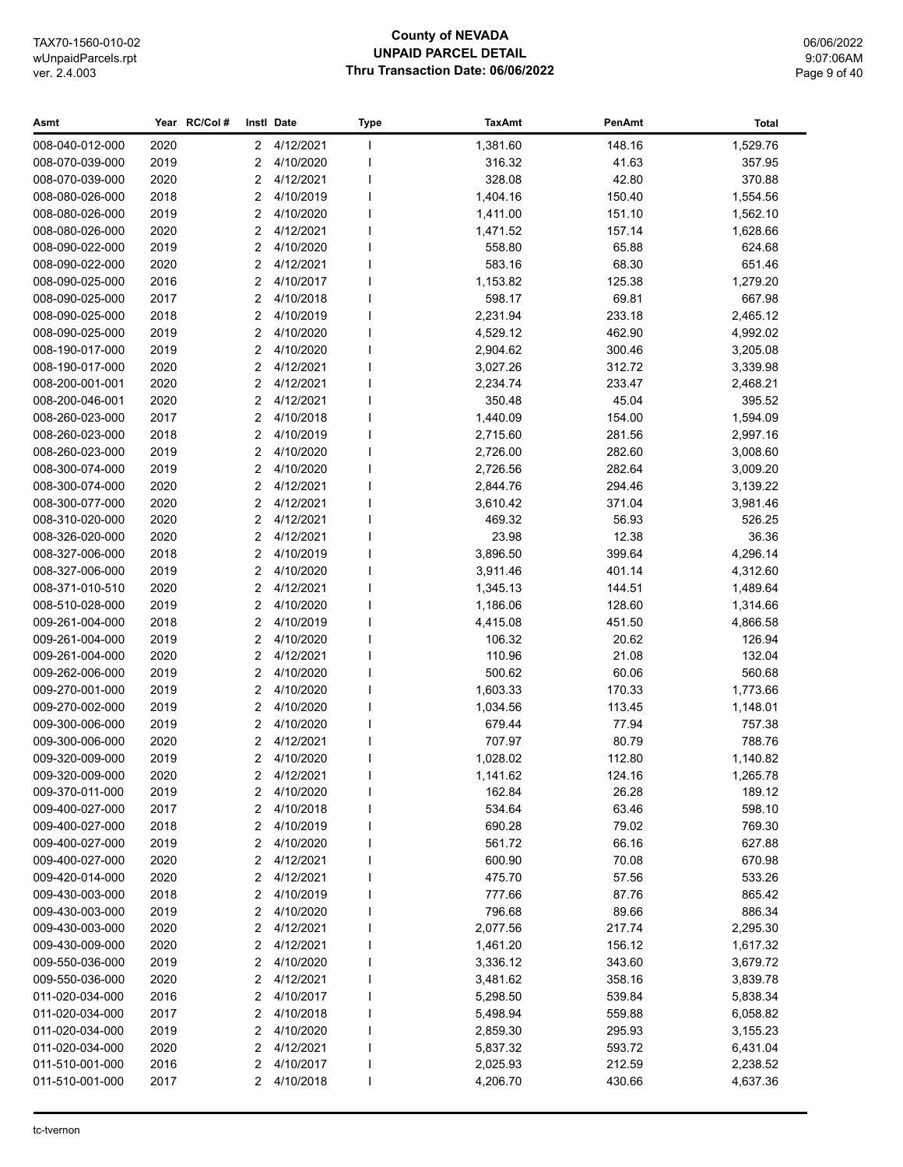# **County of NEVADA UNPAID PARCEL DETAIL Thru Transaction Date: 06/06/2022**

06/06/2022 9:07:06AM Page 9 of 40

| 2020<br>4/12/2021<br>1,381.60<br>148.16<br>1,529.76<br>008-040-012-000<br>$\mathbf{2}$<br>$\mathbf{I}$<br>2019<br>2<br>4/10/2020<br>316.32<br>41.63<br>008-070-039-000<br>357.95<br>I<br>2020<br>4/12/2021<br>328.08<br>42.80<br>370.88<br>008-070-039-000<br>2<br>4/10/2019<br>008-080-026-000<br>2018<br>$\overline{2}$<br>1,404.16<br>150.40<br>1,554.56<br>2019<br>$\overline{2}$<br>4/10/2020<br>1,411.00<br>151.10<br>1,562.10<br>008-080-026-000<br>2020<br>4/12/2021<br>008-080-026-000<br>2<br>1,471.52<br>157.14<br>1,628.66<br>4/10/2020<br>008-090-022-000<br>2019<br>2<br>558.80<br>65.88<br>624.68<br>2020<br>$\overline{2}$<br>4/12/2021<br>68.30<br>008-090-022-000<br>583.16<br>651.46<br>2016<br>2<br>4/10/2017<br>1,153.82<br>125.38<br>008-090-025-000<br>1,279.20<br>008-090-025-000<br>2017<br>2<br>4/10/2018<br>598.17<br>69.81<br>667.98<br>2018<br>2<br>4/10/2019<br>2,231.94<br>233.18<br>008-090-025-000<br>2,465.12<br>2<br>4/10/2020<br>4,529.12<br>462.90<br>4,992.02<br>008-090-025-000<br>2019<br>2<br>4/10/2020<br>2,904.62<br>008-190-017-000<br>2019<br>300.46<br>3,205.08<br>$\overline{2}$<br>4/12/2021<br>3,027.26<br>008-190-017-000<br>2020<br>312.72<br>3,339.98<br>2020<br>$\overline{2}$<br>4/12/2021<br>233.47<br>008-200-001-001<br>2,234.74<br>2,468.21<br>2020<br>2<br>4/12/2021<br>350.48<br>45.04<br>008-200-046-001<br>395.52<br>$\overline{2}$<br>4/10/2018<br>154.00<br>008-260-023-000<br>2017<br>1,440.09<br>1,594.09<br>2018<br>2<br>4/10/2019<br>2,715.60<br>281.56<br>008-260-023-000<br>2,997.16<br>2019<br>2<br>4/10/2020<br>2,726.00<br>282.60<br>008-260-023-000<br>3,008.60<br>2<br>4/10/2020<br>282.64<br>008-300-074-000<br>2019<br>2,726.56<br>3,009.20 | Total |
|--------------------------------------------------------------------------------------------------------------------------------------------------------------------------------------------------------------------------------------------------------------------------------------------------------------------------------------------------------------------------------------------------------------------------------------------------------------------------------------------------------------------------------------------------------------------------------------------------------------------------------------------------------------------------------------------------------------------------------------------------------------------------------------------------------------------------------------------------------------------------------------------------------------------------------------------------------------------------------------------------------------------------------------------------------------------------------------------------------------------------------------------------------------------------------------------------------------------------------------------------------------------------------------------------------------------------------------------------------------------------------------------------------------------------------------------------------------------------------------------------------------------------------------------------------------------------------------------------------------------------------------------------------------------------------------------------------------------------|-------|
|                                                                                                                                                                                                                                                                                                                                                                                                                                                                                                                                                                                                                                                                                                                                                                                                                                                                                                                                                                                                                                                                                                                                                                                                                                                                                                                                                                                                                                                                                                                                                                                                                                                                                                                          |       |
|                                                                                                                                                                                                                                                                                                                                                                                                                                                                                                                                                                                                                                                                                                                                                                                                                                                                                                                                                                                                                                                                                                                                                                                                                                                                                                                                                                                                                                                                                                                                                                                                                                                                                                                          |       |
|                                                                                                                                                                                                                                                                                                                                                                                                                                                                                                                                                                                                                                                                                                                                                                                                                                                                                                                                                                                                                                                                                                                                                                                                                                                                                                                                                                                                                                                                                                                                                                                                                                                                                                                          |       |
|                                                                                                                                                                                                                                                                                                                                                                                                                                                                                                                                                                                                                                                                                                                                                                                                                                                                                                                                                                                                                                                                                                                                                                                                                                                                                                                                                                                                                                                                                                                                                                                                                                                                                                                          |       |
|                                                                                                                                                                                                                                                                                                                                                                                                                                                                                                                                                                                                                                                                                                                                                                                                                                                                                                                                                                                                                                                                                                                                                                                                                                                                                                                                                                                                                                                                                                                                                                                                                                                                                                                          |       |
|                                                                                                                                                                                                                                                                                                                                                                                                                                                                                                                                                                                                                                                                                                                                                                                                                                                                                                                                                                                                                                                                                                                                                                                                                                                                                                                                                                                                                                                                                                                                                                                                                                                                                                                          |       |
|                                                                                                                                                                                                                                                                                                                                                                                                                                                                                                                                                                                                                                                                                                                                                                                                                                                                                                                                                                                                                                                                                                                                                                                                                                                                                                                                                                                                                                                                                                                                                                                                                                                                                                                          |       |
|                                                                                                                                                                                                                                                                                                                                                                                                                                                                                                                                                                                                                                                                                                                                                                                                                                                                                                                                                                                                                                                                                                                                                                                                                                                                                                                                                                                                                                                                                                                                                                                                                                                                                                                          |       |
|                                                                                                                                                                                                                                                                                                                                                                                                                                                                                                                                                                                                                                                                                                                                                                                                                                                                                                                                                                                                                                                                                                                                                                                                                                                                                                                                                                                                                                                                                                                                                                                                                                                                                                                          |       |
|                                                                                                                                                                                                                                                                                                                                                                                                                                                                                                                                                                                                                                                                                                                                                                                                                                                                                                                                                                                                                                                                                                                                                                                                                                                                                                                                                                                                                                                                                                                                                                                                                                                                                                                          |       |
|                                                                                                                                                                                                                                                                                                                                                                                                                                                                                                                                                                                                                                                                                                                                                                                                                                                                                                                                                                                                                                                                                                                                                                                                                                                                                                                                                                                                                                                                                                                                                                                                                                                                                                                          |       |
|                                                                                                                                                                                                                                                                                                                                                                                                                                                                                                                                                                                                                                                                                                                                                                                                                                                                                                                                                                                                                                                                                                                                                                                                                                                                                                                                                                                                                                                                                                                                                                                                                                                                                                                          |       |
|                                                                                                                                                                                                                                                                                                                                                                                                                                                                                                                                                                                                                                                                                                                                                                                                                                                                                                                                                                                                                                                                                                                                                                                                                                                                                                                                                                                                                                                                                                                                                                                                                                                                                                                          |       |
|                                                                                                                                                                                                                                                                                                                                                                                                                                                                                                                                                                                                                                                                                                                                                                                                                                                                                                                                                                                                                                                                                                                                                                                                                                                                                                                                                                                                                                                                                                                                                                                                                                                                                                                          |       |
|                                                                                                                                                                                                                                                                                                                                                                                                                                                                                                                                                                                                                                                                                                                                                                                                                                                                                                                                                                                                                                                                                                                                                                                                                                                                                                                                                                                                                                                                                                                                                                                                                                                                                                                          |       |
|                                                                                                                                                                                                                                                                                                                                                                                                                                                                                                                                                                                                                                                                                                                                                                                                                                                                                                                                                                                                                                                                                                                                                                                                                                                                                                                                                                                                                                                                                                                                                                                                                                                                                                                          |       |
|                                                                                                                                                                                                                                                                                                                                                                                                                                                                                                                                                                                                                                                                                                                                                                                                                                                                                                                                                                                                                                                                                                                                                                                                                                                                                                                                                                                                                                                                                                                                                                                                                                                                                                                          |       |
|                                                                                                                                                                                                                                                                                                                                                                                                                                                                                                                                                                                                                                                                                                                                                                                                                                                                                                                                                                                                                                                                                                                                                                                                                                                                                                                                                                                                                                                                                                                                                                                                                                                                                                                          |       |
|                                                                                                                                                                                                                                                                                                                                                                                                                                                                                                                                                                                                                                                                                                                                                                                                                                                                                                                                                                                                                                                                                                                                                                                                                                                                                                                                                                                                                                                                                                                                                                                                                                                                                                                          |       |
|                                                                                                                                                                                                                                                                                                                                                                                                                                                                                                                                                                                                                                                                                                                                                                                                                                                                                                                                                                                                                                                                                                                                                                                                                                                                                                                                                                                                                                                                                                                                                                                                                                                                                                                          |       |
| 2<br>2020<br>4/12/2021<br>2,844.76<br>294.46<br>3,139.22<br>008-300-074-000                                                                                                                                                                                                                                                                                                                                                                                                                                                                                                                                                                                                                                                                                                                                                                                                                                                                                                                                                                                                                                                                                                                                                                                                                                                                                                                                                                                                                                                                                                                                                                                                                                              |       |
| 2020<br>2<br>4/12/2021<br>008-300-077-000<br>3,610.42<br>371.04<br>3,981.46                                                                                                                                                                                                                                                                                                                                                                                                                                                                                                                                                                                                                                                                                                                                                                                                                                                                                                                                                                                                                                                                                                                                                                                                                                                                                                                                                                                                                                                                                                                                                                                                                                              |       |
| 2020<br>2<br>4/12/2021<br>008-310-020-000<br>469.32<br>56.93<br>526.25                                                                                                                                                                                                                                                                                                                                                                                                                                                                                                                                                                                                                                                                                                                                                                                                                                                                                                                                                                                                                                                                                                                                                                                                                                                                                                                                                                                                                                                                                                                                                                                                                                                   |       |
| $\overline{2}$<br>4/12/2021<br>23.98<br>12.38<br>36.36<br>008-326-020-000<br>2020                                                                                                                                                                                                                                                                                                                                                                                                                                                                                                                                                                                                                                                                                                                                                                                                                                                                                                                                                                                                                                                                                                                                                                                                                                                                                                                                                                                                                                                                                                                                                                                                                                        |       |
| 2<br>4/10/2019<br>4,296.14<br>008-327-006-000<br>2018<br>3,896.50<br>399.64                                                                                                                                                                                                                                                                                                                                                                                                                                                                                                                                                                                                                                                                                                                                                                                                                                                                                                                                                                                                                                                                                                                                                                                                                                                                                                                                                                                                                                                                                                                                                                                                                                              |       |
| 2<br>008-327-006-000<br>2019<br>4/10/2020<br>3,911.46<br>401.14<br>4,312.60                                                                                                                                                                                                                                                                                                                                                                                                                                                                                                                                                                                                                                                                                                                                                                                                                                                                                                                                                                                                                                                                                                                                                                                                                                                                                                                                                                                                                                                                                                                                                                                                                                              |       |
| 2<br>008-371-010-510<br>2020<br>4/12/2021<br>1,345.13<br>144.51<br>1,489.64                                                                                                                                                                                                                                                                                                                                                                                                                                                                                                                                                                                                                                                                                                                                                                                                                                                                                                                                                                                                                                                                                                                                                                                                                                                                                                                                                                                                                                                                                                                                                                                                                                              |       |
| $\overline{2}$<br>4/10/2020<br>008-510-028-000<br>2019<br>1,186.06<br>128.60<br>1,314.66                                                                                                                                                                                                                                                                                                                                                                                                                                                                                                                                                                                                                                                                                                                                                                                                                                                                                                                                                                                                                                                                                                                                                                                                                                                                                                                                                                                                                                                                                                                                                                                                                                 |       |
| 2<br>4/10/2019<br>4,415.08<br>009-261-004-000<br>2018<br>451.50<br>4,866.58<br>4/10/2020                                                                                                                                                                                                                                                                                                                                                                                                                                                                                                                                                                                                                                                                                                                                                                                                                                                                                                                                                                                                                                                                                                                                                                                                                                                                                                                                                                                                                                                                                                                                                                                                                                 |       |
| 2019<br>2<br>20.62<br>009-261-004-000<br>106.32<br>126.94<br>2020<br>2<br>4/12/2021<br>21.08<br>132.04<br>009-261-004-000<br>110.96                                                                                                                                                                                                                                                                                                                                                                                                                                                                                                                                                                                                                                                                                                                                                                                                                                                                                                                                                                                                                                                                                                                                                                                                                                                                                                                                                                                                                                                                                                                                                                                      |       |
| 2019<br>2<br>4/10/2020<br>500.62<br>60.06<br>009-262-006-000<br>560.68                                                                                                                                                                                                                                                                                                                                                                                                                                                                                                                                                                                                                                                                                                                                                                                                                                                                                                                                                                                                                                                                                                                                                                                                                                                                                                                                                                                                                                                                                                                                                                                                                                                   |       |
| 4/10/2020<br>009-270-001-000<br>2019<br>2<br>1,603.33<br>170.33<br>1,773.66                                                                                                                                                                                                                                                                                                                                                                                                                                                                                                                                                                                                                                                                                                                                                                                                                                                                                                                                                                                                                                                                                                                                                                                                                                                                                                                                                                                                                                                                                                                                                                                                                                              |       |
| 4/10/2020<br>009-270-002-000<br>2019<br>2<br>1,034.56<br>113.45<br>1,148.01                                                                                                                                                                                                                                                                                                                                                                                                                                                                                                                                                                                                                                                                                                                                                                                                                                                                                                                                                                                                                                                                                                                                                                                                                                                                                                                                                                                                                                                                                                                                                                                                                                              |       |
| $\overline{2}$<br>4/10/2020<br>77.94<br>009-300-006-000<br>2019<br>679.44<br>757.38                                                                                                                                                                                                                                                                                                                                                                                                                                                                                                                                                                                                                                                                                                                                                                                                                                                                                                                                                                                                                                                                                                                                                                                                                                                                                                                                                                                                                                                                                                                                                                                                                                      |       |
| 2<br>4/12/2021<br>80.79<br>788.76<br>009-300-006-000<br>2020<br>707.97                                                                                                                                                                                                                                                                                                                                                                                                                                                                                                                                                                                                                                                                                                                                                                                                                                                                                                                                                                                                                                                                                                                                                                                                                                                                                                                                                                                                                                                                                                                                                                                                                                                   |       |
| $\overline{2}$<br>2019<br>4/10/2020<br>1,028.02<br>112.80<br>1,140.82<br>009-320-009-000                                                                                                                                                                                                                                                                                                                                                                                                                                                                                                                                                                                                                                                                                                                                                                                                                                                                                                                                                                                                                                                                                                                                                                                                                                                                                                                                                                                                                                                                                                                                                                                                                                 |       |
| 2020<br>$\overline{2}$<br>4/12/2021<br>1,141.62<br>124.16<br>1,265.78<br>009-320-009-000                                                                                                                                                                                                                                                                                                                                                                                                                                                                                                                                                                                                                                                                                                                                                                                                                                                                                                                                                                                                                                                                                                                                                                                                                                                                                                                                                                                                                                                                                                                                                                                                                                 |       |
| 009-370-011-000<br>2019<br>2<br>4/10/2020<br>162.84<br>26.28<br>189.12                                                                                                                                                                                                                                                                                                                                                                                                                                                                                                                                                                                                                                                                                                                                                                                                                                                                                                                                                                                                                                                                                                                                                                                                                                                                                                                                                                                                                                                                                                                                                                                                                                                   |       |
| 009-400-027-000<br>4/10/2018<br>63.46<br>598.10<br>2017<br>2<br>534.64                                                                                                                                                                                                                                                                                                                                                                                                                                                                                                                                                                                                                                                                                                                                                                                                                                                                                                                                                                                                                                                                                                                                                                                                                                                                                                                                                                                                                                                                                                                                                                                                                                                   |       |
| 009-400-027-000<br>2018<br>2<br>4/10/2019<br>690.28<br>79.02<br>769.30                                                                                                                                                                                                                                                                                                                                                                                                                                                                                                                                                                                                                                                                                                                                                                                                                                                                                                                                                                                                                                                                                                                                                                                                                                                                                                                                                                                                                                                                                                                                                                                                                                                   |       |
| 009-400-027-000<br>2019<br>2<br>4/10/2020<br>561.72<br>66.16<br>627.88                                                                                                                                                                                                                                                                                                                                                                                                                                                                                                                                                                                                                                                                                                                                                                                                                                                                                                                                                                                                                                                                                                                                                                                                                                                                                                                                                                                                                                                                                                                                                                                                                                                   |       |
| 70.08<br>009-400-027-000<br>2020<br>2<br>4/12/2021<br>600.90<br>670.98                                                                                                                                                                                                                                                                                                                                                                                                                                                                                                                                                                                                                                                                                                                                                                                                                                                                                                                                                                                                                                                                                                                                                                                                                                                                                                                                                                                                                                                                                                                                                                                                                                                   |       |
| 4/12/2021<br>009-420-014-000<br>2020<br>2<br>475.70<br>57.56<br>533.26                                                                                                                                                                                                                                                                                                                                                                                                                                                                                                                                                                                                                                                                                                                                                                                                                                                                                                                                                                                                                                                                                                                                                                                                                                                                                                                                                                                                                                                                                                                                                                                                                                                   |       |
| 4/10/2019<br>87.76<br>865.42<br>009-430-003-000<br>2018<br>2<br>777.66                                                                                                                                                                                                                                                                                                                                                                                                                                                                                                                                                                                                                                                                                                                                                                                                                                                                                                                                                                                                                                                                                                                                                                                                                                                                                                                                                                                                                                                                                                                                                                                                                                                   |       |
| 4/10/2020<br>009-430-003-000<br>2019<br>2<br>796.68<br>89.66<br>886.34                                                                                                                                                                                                                                                                                                                                                                                                                                                                                                                                                                                                                                                                                                                                                                                                                                                                                                                                                                                                                                                                                                                                                                                                                                                                                                                                                                                                                                                                                                                                                                                                                                                   |       |
| 009-430-003-000<br>2020<br>2<br>4/12/2021<br>2,077.56<br>217.74<br>2,295.30                                                                                                                                                                                                                                                                                                                                                                                                                                                                                                                                                                                                                                                                                                                                                                                                                                                                                                                                                                                                                                                                                                                                                                                                                                                                                                                                                                                                                                                                                                                                                                                                                                              |       |
| 009-430-009-000<br>2020<br>2<br>4/12/2021<br>156.12<br>1,617.32<br>1,461.20                                                                                                                                                                                                                                                                                                                                                                                                                                                                                                                                                                                                                                                                                                                                                                                                                                                                                                                                                                                                                                                                                                                                                                                                                                                                                                                                                                                                                                                                                                                                                                                                                                              |       |
| 2<br>4/10/2020<br>009-550-036-000<br>2019<br>3,336.12<br>343.60<br>3,679.72                                                                                                                                                                                                                                                                                                                                                                                                                                                                                                                                                                                                                                                                                                                                                                                                                                                                                                                                                                                                                                                                                                                                                                                                                                                                                                                                                                                                                                                                                                                                                                                                                                              |       |
| 2020<br>2<br>4/12/2021<br>009-550-036-000<br>3,481.62<br>358.16<br>3,839.78                                                                                                                                                                                                                                                                                                                                                                                                                                                                                                                                                                                                                                                                                                                                                                                                                                                                                                                                                                                                                                                                                                                                                                                                                                                                                                                                                                                                                                                                                                                                                                                                                                              |       |
| 011-020-034-000<br>2016<br>2<br>4/10/2017<br>5,298.50<br>539.84<br>5,838.34                                                                                                                                                                                                                                                                                                                                                                                                                                                                                                                                                                                                                                                                                                                                                                                                                                                                                                                                                                                                                                                                                                                                                                                                                                                                                                                                                                                                                                                                                                                                                                                                                                              |       |
| 011-020-034-000<br>2017<br>2<br>4/10/2018<br>5,498.94<br>559.88<br>6,058.82                                                                                                                                                                                                                                                                                                                                                                                                                                                                                                                                                                                                                                                                                                                                                                                                                                                                                                                                                                                                                                                                                                                                                                                                                                                                                                                                                                                                                                                                                                                                                                                                                                              |       |
| 011-020-034-000<br>2019<br>2<br>4/10/2020<br>2,859.30<br>295.93<br>3,155.23                                                                                                                                                                                                                                                                                                                                                                                                                                                                                                                                                                                                                                                                                                                                                                                                                                                                                                                                                                                                                                                                                                                                                                                                                                                                                                                                                                                                                                                                                                                                                                                                                                              |       |
| 011-020-034-000<br>2020<br>2<br>4/12/2021<br>5,837.32<br>593.72<br>6,431.04<br>J.                                                                                                                                                                                                                                                                                                                                                                                                                                                                                                                                                                                                                                                                                                                                                                                                                                                                                                                                                                                                                                                                                                                                                                                                                                                                                                                                                                                                                                                                                                                                                                                                                                        |       |
| 2<br>011-510-001-000<br>2016<br>4/10/2017<br>2,025.93<br>212.59<br>2,238.52                                                                                                                                                                                                                                                                                                                                                                                                                                                                                                                                                                                                                                                                                                                                                                                                                                                                                                                                                                                                                                                                                                                                                                                                                                                                                                                                                                                                                                                                                                                                                                                                                                              |       |
| 011-510-001-000<br>2017<br>2<br>4/10/2018<br>4,206.70<br>430.66<br>4,637.36                                                                                                                                                                                                                                                                                                                                                                                                                                                                                                                                                                                                                                                                                                                                                                                                                                                                                                                                                                                                                                                                                                                                                                                                                                                                                                                                                                                                                                                                                                                                                                                                                                              |       |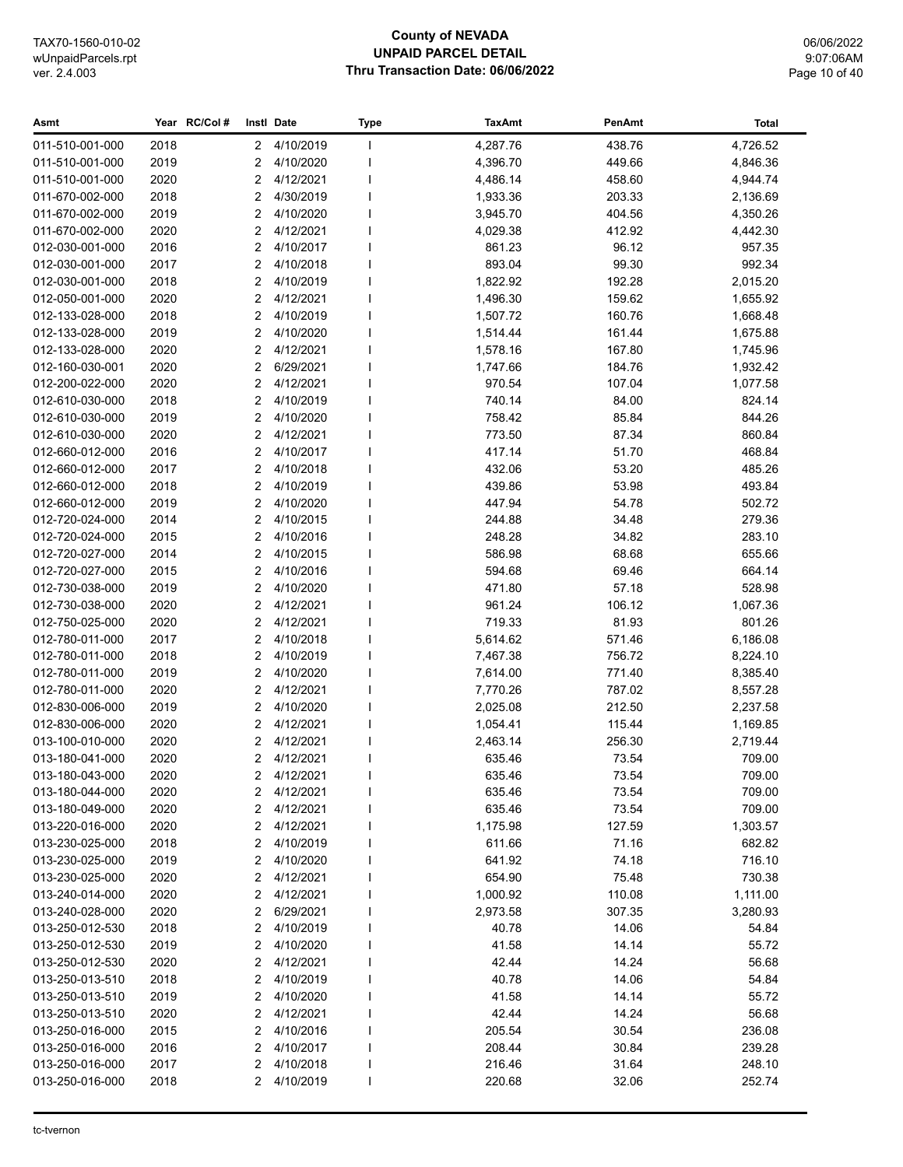## **County of NEVADA UNPAID PARCEL DETAIL Thru Transaction Date: 06/06/2022**

06/06/2022 9:07:06AM Page 10 of 40

| Asmt            |      | Year RC/Col#   | Instl Date  | <b>Type</b> | <b>TaxAmt</b> | PenAmt | <b>Total</b> |
|-----------------|------|----------------|-------------|-------------|---------------|--------|--------------|
| 011-510-001-000 | 2018 | $\mathbf{2}$   | 4/10/2019   |             | 4,287.76      | 438.76 | 4,726.52     |
| 011-510-001-000 | 2019 | 2              | 4/10/2020   |             | 4,396.70      | 449.66 | 4,846.36     |
| 011-510-001-000 | 2020 | 2              | 4/12/2021   |             | 4,486.14      | 458.60 | 4,944.74     |
| 011-670-002-000 | 2018 | 2              | 4/30/2019   |             | 1,933.36      | 203.33 | 2,136.69     |
| 011-670-002-000 | 2019 | 2              | 4/10/2020   |             | 3,945.70      | 404.56 | 4,350.26     |
| 011-670-002-000 | 2020 | 2              | 4/12/2021   |             | 4,029.38      | 412.92 | 4,442.30     |
| 012-030-001-000 | 2016 | $\overline{2}$ | 4/10/2017   |             | 861.23        | 96.12  | 957.35       |
| 012-030-001-000 | 2017 | $\overline{2}$ | 4/10/2018   |             | 893.04        | 99.30  | 992.34       |
| 012-030-001-000 | 2018 | 2              | 4/10/2019   |             | 1,822.92      | 192.28 | 2,015.20     |
| 012-050-001-000 | 2020 | 2              | 4/12/2021   |             | 1,496.30      | 159.62 | 1,655.92     |
| 012-133-028-000 | 2018 | 2              | 4/10/2019   |             | 1,507.72      | 160.76 | 1,668.48     |
| 012-133-028-000 | 2019 | 2              | 4/10/2020   |             | 1,514.44      | 161.44 | 1,675.88     |
| 012-133-028-000 | 2020 | $\overline{2}$ | 4/12/2021   |             | 1,578.16      | 167.80 | 1,745.96     |
| 012-160-030-001 | 2020 | 2              | 6/29/2021   |             | 1,747.66      | 184.76 | 1,932.42     |
| 012-200-022-000 | 2020 | 2              | 4/12/2021   |             | 970.54        | 107.04 | 1,077.58     |
| 012-610-030-000 | 2018 | 2              | 4/10/2019   |             | 740.14        | 84.00  | 824.14       |
| 012-610-030-000 | 2019 | 2              | 4/10/2020   |             | 758.42        | 85.84  | 844.26       |
| 012-610-030-000 | 2020 | 2              | 4/12/2021   |             | 773.50        | 87.34  | 860.84       |
| 012-660-012-000 | 2016 | 2              | 4/10/2017   |             | 417.14        | 51.70  | 468.84       |
| 012-660-012-000 | 2017 | 2              | 4/10/2018   |             | 432.06        | 53.20  | 485.26       |
| 012-660-012-000 | 2018 | 2              | 4/10/2019   |             | 439.86        | 53.98  | 493.84       |
| 012-660-012-000 | 2019 | 2              | 4/10/2020   |             | 447.94        | 54.78  | 502.72       |
| 012-720-024-000 | 2014 | 2              | 4/10/2015   |             | 244.88        | 34.48  | 279.36       |
| 012-720-024-000 | 2015 | 2              | 4/10/2016   |             | 248.28        | 34.82  | 283.10       |
| 012-720-027-000 | 2014 | 2              | 4/10/2015   |             | 586.98        | 68.68  | 655.66       |
| 012-720-027-000 | 2015 | 2              | 4/10/2016   |             | 594.68        | 69.46  | 664.14       |
| 012-730-038-000 | 2019 | 2              | 4/10/2020   |             | 471.80        | 57.18  | 528.98       |
| 012-730-038-000 | 2020 | 2              | 4/12/2021   |             | 961.24        | 106.12 | 1,067.36     |
| 012-750-025-000 | 2020 | 2              | 4/12/2021   |             | 719.33        | 81.93  | 801.26       |
| 012-780-011-000 | 2017 | $\overline{2}$ | 4/10/2018   |             | 5,614.62      | 571.46 | 6,186.08     |
| 012-780-011-000 | 2018 | 2              | 4/10/2019   |             | 7,467.38      | 756.72 | 8,224.10     |
| 012-780-011-000 | 2019 | 2              | 4/10/2020   |             | 7,614.00      | 771.40 | 8,385.40     |
| 012-780-011-000 | 2020 | $\overline{2}$ | 4/12/2021   |             | 7,770.26      | 787.02 | 8,557.28     |
| 012-830-006-000 | 2019 | $\overline{2}$ | 4/10/2020   |             | 2,025.08      | 212.50 | 2,237.58     |
| 012-830-006-000 | 2020 | 2              | 4/12/2021   |             | 1,054.41      | 115.44 | 1,169.85     |
| 013-100-010-000 | 2020 | 2              | 4/12/2021   |             | 2,463.14      | 256.30 | 2,719.44     |
| 013-180-041-000 | 2020 | 2              | 4/12/2021   |             | 635.46        | 73.54  | 709.00       |
| 013-180-043-000 | 2020 |                | 2 4/12/2021 |             | 635.46        | 73.54  | 709.00       |
| 013-180-044-000 | 2020 | 2              | 4/12/2021   |             | 635.46        | 73.54  | 709.00       |
| 013-180-049-000 | 2020 | 2              | 4/12/2021   |             | 635.46        | 73.54  | 709.00       |
| 013-220-016-000 | 2020 | 2              | 4/12/2021   |             | 1,175.98      | 127.59 | 1,303.57     |
| 013-230-025-000 | 2018 | 2              | 4/10/2019   |             | 611.66        | 71.16  | 682.82       |
| 013-230-025-000 | 2019 | 2              | 4/10/2020   |             | 641.92        | 74.18  | 716.10       |
| 013-230-025-000 | 2020 | 2              | 4/12/2021   |             | 654.90        | 75.48  | 730.38       |
| 013-240-014-000 | 2020 | 2              | 4/12/2021   |             | 1,000.92      | 110.08 | 1,111.00     |
| 013-240-028-000 | 2020 | 2              | 6/29/2021   |             | 2,973.58      | 307.35 | 3,280.93     |
| 013-250-012-530 | 2018 | 2              | 4/10/2019   |             | 40.78         | 14.06  | 54.84        |
| 013-250-012-530 | 2019 | 2              | 4/10/2020   |             | 41.58         | 14.14  | 55.72        |
| 013-250-012-530 | 2020 | 2              | 4/12/2021   |             | 42.44         | 14.24  | 56.68        |
| 013-250-013-510 | 2018 | 2              | 4/10/2019   |             | 40.78         | 14.06  | 54.84        |
| 013-250-013-510 | 2019 | 2              | 4/10/2020   |             | 41.58         | 14.14  | 55.72        |
| 013-250-013-510 | 2020 | 2              | 4/12/2021   |             | 42.44         | 14.24  | 56.68        |
| 013-250-016-000 | 2015 | 2              | 4/10/2016   |             | 205.54        | 30.54  | 236.08       |
| 013-250-016-000 | 2016 | 2              | 4/10/2017   |             | 208.44        | 30.84  | 239.28       |
| 013-250-016-000 | 2017 | 2              | 4/10/2018   |             | 216.46        | 31.64  | 248.10       |
| 013-250-016-000 | 2018 | 2              | 4/10/2019   |             | 220.68        | 32.06  | 252.74       |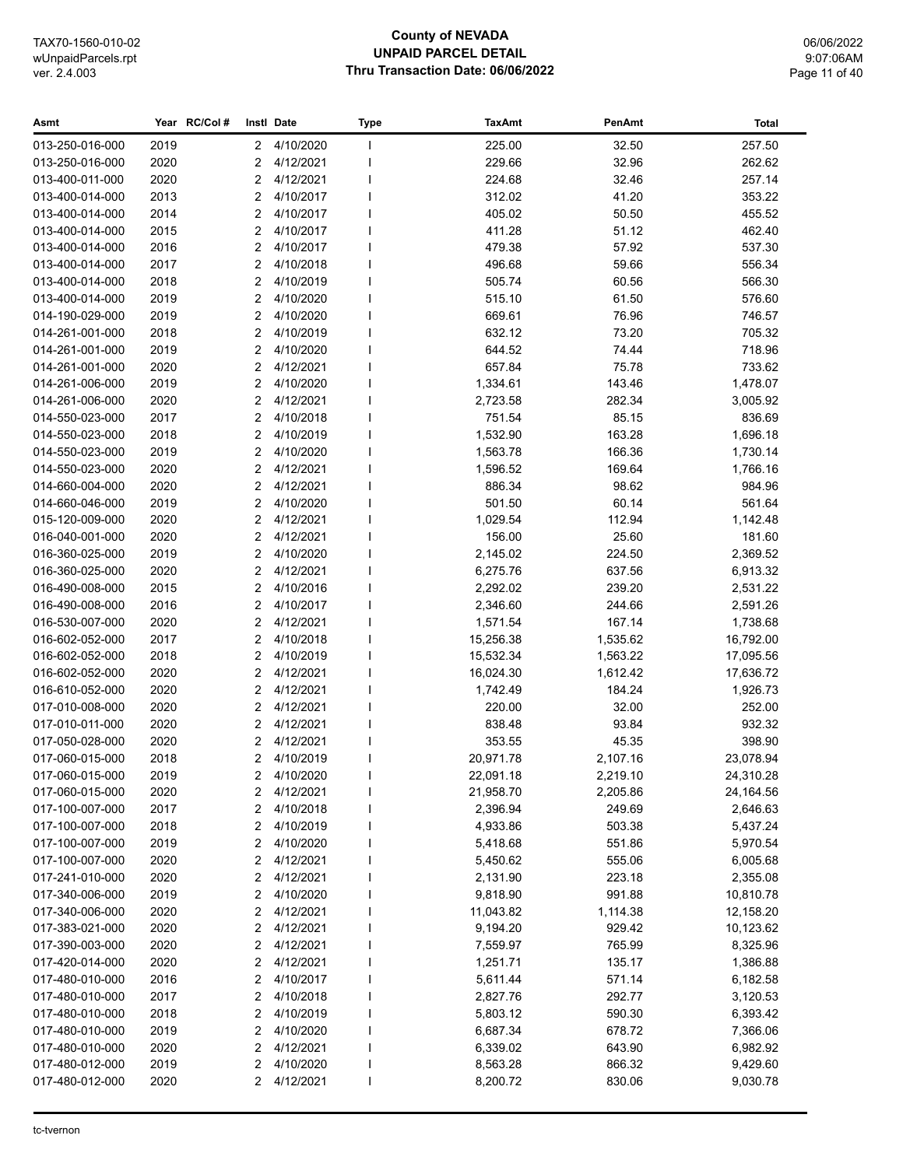## **County of NEVADA UNPAID PARCEL DETAIL Thru Transaction Date: 06/06/2022**

06/06/2022 9:07:06AM Page 11 of 40

| Asmt            |      | Year RC/Col# |                | Instl Date  | <b>Type</b> | <b>TaxAmt</b> | PenAmt   | Total     |
|-----------------|------|--------------|----------------|-------------|-------------|---------------|----------|-----------|
| 013-250-016-000 | 2019 |              | $2^{\circ}$    | 4/10/2020   |             | 225.00        | 32.50    | 257.50    |
| 013-250-016-000 | 2020 |              | 2              | 4/12/2021   |             | 229.66        | 32.96    | 262.62    |
| 013-400-011-000 | 2020 |              | $\overline{2}$ | 4/12/2021   |             | 224.68        | 32.46    | 257.14    |
| 013-400-014-000 | 2013 |              | 2              | 4/10/2017   |             | 312.02        | 41.20    | 353.22    |
| 013-400-014-000 | 2014 |              | 2              | 4/10/2017   |             | 405.02        | 50.50    | 455.52    |
| 013-400-014-000 | 2015 |              | 2              | 4/10/2017   |             | 411.28        | 51.12    | 462.40    |
| 013-400-014-000 | 2016 |              | 2              | 4/10/2017   |             | 479.38        | 57.92    | 537.30    |
| 013-400-014-000 | 2017 |              | $\overline{2}$ | 4/10/2018   |             | 496.68        | 59.66    | 556.34    |
| 013-400-014-000 | 2018 |              | 2              | 4/10/2019   |             | 505.74        | 60.56    | 566.30    |
| 013-400-014-000 | 2019 |              | $\overline{2}$ | 4/10/2020   |             | 515.10        | 61.50    | 576.60    |
| 014-190-029-000 | 2019 |              | 2              | 4/10/2020   |             | 669.61        | 76.96    | 746.57    |
| 014-261-001-000 | 2018 |              | $\overline{2}$ | 4/10/2019   |             | 632.12        | 73.20    | 705.32    |
| 014-261-001-000 | 2019 |              | 2              | 4/10/2020   |             | 644.52        | 74.44    | 718.96    |
| 014-261-001-000 | 2020 |              | $\overline{2}$ | 4/12/2021   |             | 657.84        | 75.78    | 733.62    |
| 014-261-006-000 | 2019 |              | $\overline{2}$ | 4/10/2020   |             | 1,334.61      | 143.46   | 1,478.07  |
| 014-261-006-000 | 2020 |              | 2              | 4/12/2021   |             | 2,723.58      | 282.34   | 3,005.92  |
| 014-550-023-000 | 2017 |              | 2              | 4/10/2018   |             | 751.54        | 85.15    | 836.69    |
| 014-550-023-000 | 2018 |              | 2              | 4/10/2019   |             | 1,532.90      | 163.28   | 1,696.18  |
| 014-550-023-000 | 2019 |              | 2              | 4/10/2020   |             | 1,563.78      | 166.36   | 1,730.14  |
| 014-550-023-000 | 2020 |              | 2              | 4/12/2021   |             | 1,596.52      | 169.64   | 1,766.16  |
| 014-660-004-000 | 2020 |              | $\overline{2}$ | 4/12/2021   |             | 886.34        | 98.62    | 984.96    |
| 014-660-046-000 | 2019 |              | $\overline{2}$ | 4/10/2020   |             | 501.50        | 60.14    | 561.64    |
| 015-120-009-000 | 2020 |              | 2              | 4/12/2021   |             | 1,029.54      | 112.94   | 1,142.48  |
| 016-040-001-000 | 2020 |              | 2              | 4/12/2021   |             | 156.00        | 25.60    | 181.60    |
| 016-360-025-000 | 2019 |              | $\overline{2}$ | 4/10/2020   |             | 2,145.02      | 224.50   | 2,369.52  |
| 016-360-025-000 | 2020 |              | 2              | 4/12/2021   |             | 6,275.76      | 637.56   | 6,913.32  |
| 016-490-008-000 | 2015 |              | $\overline{2}$ | 4/10/2016   |             | 2,292.02      | 239.20   | 2,531.22  |
| 016-490-008-000 | 2016 |              | $\overline{2}$ | 4/10/2017   |             | 2,346.60      | 244.66   | 2,591.26  |
| 016-530-007-000 | 2020 |              | $\overline{2}$ | 4/12/2021   |             | 1,571.54      | 167.14   | 1,738.68  |
| 016-602-052-000 | 2017 |              | 2              | 4/10/2018   |             | 15,256.38     | 1,535.62 | 16,792.00 |
| 016-602-052-000 | 2018 |              | 2              | 4/10/2019   |             | 15,532.34     | 1,563.22 | 17,095.56 |
| 016-602-052-000 | 2020 |              | 2              | 4/12/2021   |             | 16,024.30     | 1,612.42 | 17,636.72 |
| 016-610-052-000 | 2020 |              | 2              | 4/12/2021   |             | 1,742.49      | 184.24   | 1,926.73  |
| 017-010-008-000 | 2020 |              | 2              | 4/12/2021   |             | 220.00        | 32.00    | 252.00    |
| 017-010-011-000 | 2020 |              | $\overline{2}$ | 4/12/2021   |             | 838.48        | 93.84    | 932.32    |
| 017-050-028-000 | 2020 |              | $\overline{2}$ | 4/12/2021   |             | 353.55        | 45.35    | 398.90    |
| 017-060-015-000 | 2018 |              | 2              | 4/10/2019   |             | 20,971.78     | 2,107.16 | 23,078.94 |
| 017-060-015-000 | 2019 |              |                | 2 4/10/2020 |             | 22,091.18     | 2,219.10 | 24,310.28 |
| 017-060-015-000 | 2020 |              | 2              | 4/12/2021   |             | 21,958.70     | 2,205.86 | 24,164.56 |
| 017-100-007-000 | 2017 |              | 2              | 4/10/2018   |             | 2,396.94      | 249.69   | 2,646.63  |
| 017-100-007-000 | 2018 |              | 2              | 4/10/2019   |             | 4,933.86      | 503.38   | 5,437.24  |
| 017-100-007-000 | 2019 |              | 2              | 4/10/2020   |             | 5,418.68      | 551.86   | 5,970.54  |
| 017-100-007-000 | 2020 |              | 2              | 4/12/2021   |             | 5,450.62      | 555.06   | 6,005.68  |
| 017-241-010-000 | 2020 |              | 2              | 4/12/2021   |             | 2,131.90      | 223.18   | 2,355.08  |
| 017-340-006-000 | 2019 |              | 2              | 4/10/2020   |             | 9,818.90      | 991.88   | 10,810.78 |
| 017-340-006-000 | 2020 |              | 2              | 4/12/2021   |             | 11,043.82     | 1,114.38 | 12,158.20 |
| 017-383-021-000 | 2020 |              | 2              | 4/12/2021   |             | 9,194.20      | 929.42   | 10,123.62 |
| 017-390-003-000 | 2020 |              | 2              | 4/12/2021   |             | 7,559.97      | 765.99   | 8,325.96  |
| 017-420-014-000 | 2020 |              | 2              | 4/12/2021   |             | 1,251.71      | 135.17   | 1,386.88  |
| 017-480-010-000 | 2016 |              | 2              | 4/10/2017   |             | 5,611.44      | 571.14   | 6,182.58  |
| 017-480-010-000 | 2017 |              | 2              | 4/10/2018   |             | 2,827.76      | 292.77   | 3,120.53  |
| 017-480-010-000 | 2018 |              | 2              | 4/10/2019   |             | 5,803.12      | 590.30   | 6,393.42  |
| 017-480-010-000 | 2019 |              | 2              | 4/10/2020   |             | 6,687.34      | 678.72   | 7,366.06  |
| 017-480-010-000 | 2020 |              | 2              | 4/12/2021   |             | 6,339.02      | 643.90   | 6,982.92  |
| 017-480-012-000 | 2019 |              | 2              | 4/10/2020   |             | 8,563.28      | 866.32   | 9,429.60  |
| 017-480-012-000 | 2020 |              | 2              | 4/12/2021   |             | 8,200.72      | 830.06   | 9,030.78  |
|                 |      |              |                |             |             |               |          |           |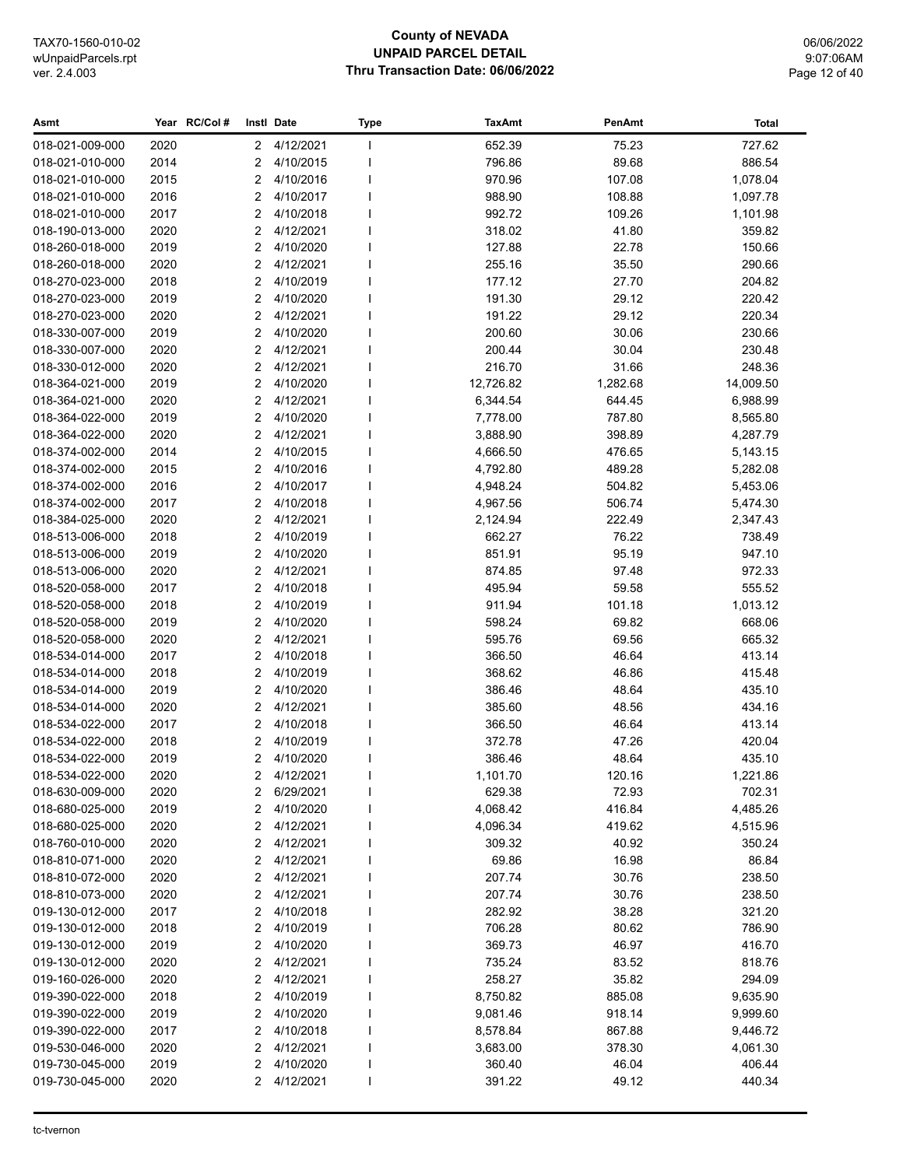#### **County of NEVADA UNPAID PARCEL DETAIL Thru Transaction Date: 06/06/2022**

| Asmt            |      | Year RC/Col# |                      | Instl Date  | <b>Type</b> | <b>TaxAmt</b> | PenAmt   | Total     |
|-----------------|------|--------------|----------------------|-------------|-------------|---------------|----------|-----------|
| 018-021-009-000 | 2020 |              | $\mathbf{2}^{\circ}$ | 4/12/2021   | J.          | 652.39        | 75.23    | 727.62    |
| 018-021-010-000 | 2014 |              | 2                    | 4/10/2015   | ı           | 796.86        | 89.68    | 886.54    |
| 018-021-010-000 | 2015 |              | 2                    | 4/10/2016   |             | 970.96        | 107.08   | 1,078.04  |
| 018-021-010-000 | 2016 |              | 2                    | 4/10/2017   |             | 988.90        | 108.88   | 1,097.78  |
| 018-021-010-000 | 2017 |              | 2                    | 4/10/2018   |             | 992.72        | 109.26   | 1,101.98  |
| 018-190-013-000 | 2020 |              | 2                    | 4/12/2021   |             | 318.02        | 41.80    | 359.82    |
| 018-260-018-000 | 2019 |              | 2                    | 4/10/2020   |             | 127.88        | 22.78    | 150.66    |
| 018-260-018-000 | 2020 |              | 2                    | 4/12/2021   |             | 255.16        | 35.50    | 290.66    |
| 018-270-023-000 | 2018 |              | 2                    | 4/10/2019   |             | 177.12        | 27.70    | 204.82    |
| 018-270-023-000 | 2019 |              | 2                    | 4/10/2020   | ı           | 191.30        | 29.12    | 220.42    |
| 018-270-023-000 | 2020 |              | 2                    | 4/12/2021   | 1           | 191.22        | 29.12    | 220.34    |
| 018-330-007-000 | 2019 |              | 2                    | 4/10/2020   |             | 200.60        | 30.06    | 230.66    |
| 018-330-007-000 | 2020 |              | 2                    | 4/12/2021   |             | 200.44        | 30.04    | 230.48    |
| 018-330-012-000 | 2020 |              | $\overline{2}$       | 4/12/2021   |             | 216.70        | 31.66    | 248.36    |
| 018-364-021-000 | 2019 |              | 2                    | 4/10/2020   |             | 12,726.82     | 1,282.68 | 14,009.50 |
| 018-364-021-000 | 2020 |              | 2                    | 4/12/2021   |             | 6,344.54      | 644.45   | 6,988.99  |
| 018-364-022-000 | 2019 |              | 2                    | 4/10/2020   | ı           | 7,778.00      | 787.80   | 8,565.80  |
| 018-364-022-000 | 2020 |              | 2                    | 4/12/2021   |             | 3,888.90      | 398.89   | 4,287.79  |
| 018-374-002-000 | 2014 |              | 2                    | 4/10/2015   |             | 4,666.50      | 476.65   | 5,143.15  |
| 018-374-002-000 | 2015 |              | $\overline{2}$       | 4/10/2016   |             | 4,792.80      | 489.28   | 5,282.08  |
| 018-374-002-000 | 2016 |              | 2                    | 4/10/2017   |             | 4,948.24      | 504.82   | 5,453.06  |
| 018-374-002-000 | 2017 |              | 2                    | 4/10/2018   | ı           | 4,967.56      | 506.74   | 5,474.30  |
| 018-384-025-000 | 2020 |              | 2                    | 4/12/2021   | ı           | 2,124.94      | 222.49   | 2,347.43  |
| 018-513-006-000 | 2018 |              | 2                    | 4/10/2019   | ı           | 662.27        | 76.22    | 738.49    |
| 018-513-006-000 | 2019 |              | 2                    | 4/10/2020   |             | 851.91        | 95.19    | 947.10    |
| 018-513-006-000 | 2020 |              | 2                    | 4/12/2021   |             | 874.85        | 97.48    | 972.33    |
| 018-520-058-000 | 2017 |              | 2                    | 4/10/2018   |             | 495.94        | 59.58    | 555.52    |
| 018-520-058-000 | 2018 |              | 2                    | 4/10/2019   |             | 911.94        | 101.18   | 1,013.12  |
| 018-520-058-000 | 2019 |              | 2                    | 4/10/2020   |             | 598.24        | 69.82    | 668.06    |
| 018-520-058-000 | 2020 |              | 2                    | 4/12/2021   |             | 595.76        | 69.56    | 665.32    |
| 018-534-014-000 | 2017 |              | 2                    | 4/10/2018   |             | 366.50        | 46.64    | 413.14    |
| 018-534-014-000 | 2018 |              | 2                    | 4/10/2019   |             | 368.62        | 46.86    | 415.48    |
| 018-534-014-000 | 2019 |              | 2                    | 4/10/2020   |             | 386.46        | 48.64    | 435.10    |
| 018-534-014-000 | 2020 |              | 2                    | 4/12/2021   |             | 385.60        | 48.56    | 434.16    |
| 018-534-022-000 | 2017 |              | 2                    | 4/10/2018   |             | 366.50        | 46.64    | 413.14    |
| 018-534-022-000 | 2018 |              | 2                    | 4/10/2019   |             | 372.78        | 47.26    | 420.04    |
| 018-534-022-000 | 2019 |              | 2                    | 4/10/2020   |             | 386.46        | 48.64    | 435.10    |
| 018-534-022-000 | 2020 |              |                      | 2 4/12/2021 |             | 1,101.70      | 120.16   | 1,221.86  |
| 018-630-009-000 | 2020 |              | 2                    | 6/29/2021   |             | 629.38        | 72.93    | 702.31    |
| 018-680-025-000 | 2019 |              | 2                    | 4/10/2020   |             | 4,068.42      | 416.84   | 4,485.26  |
| 018-680-025-000 | 2020 |              | 2                    | 4/12/2021   |             | 4,096.34      | 419.62   | 4,515.96  |
| 018-760-010-000 | 2020 |              | 2                    | 4/12/2021   |             | 309.32        | 40.92    | 350.24    |
| 018-810-071-000 | 2020 |              | 2                    | 4/12/2021   |             | 69.86         | 16.98    | 86.84     |
| 018-810-072-000 | 2020 |              | 2                    | 4/12/2021   |             | 207.74        | 30.76    | 238.50    |
| 018-810-073-000 | 2020 |              | 2                    | 4/12/2021   |             | 207.74        | 30.76    | 238.50    |
| 019-130-012-000 | 2017 |              | 2                    | 4/10/2018   |             | 282.92        | 38.28    | 321.20    |
| 019-130-012-000 | 2018 |              | 2                    | 4/10/2019   |             | 706.28        | 80.62    | 786.90    |
| 019-130-012-000 | 2019 |              | 2                    | 4/10/2020   |             | 369.73        | 46.97    | 416.70    |
| 019-130-012-000 | 2020 |              | 2                    | 4/12/2021   |             | 735.24        | 83.52    | 818.76    |
| 019-160-026-000 | 2020 |              | 2                    | 4/12/2021   | ı           | 258.27        | 35.82    | 294.09    |
| 019-390-022-000 | 2018 |              | 2                    | 4/10/2019   |             | 8,750.82      | 885.08   | 9,635.90  |
| 019-390-022-000 | 2019 |              | 2                    | 4/10/2020   |             | 9,081.46      | 918.14   | 9,999.60  |
| 019-390-022-000 | 2017 |              | 2                    | 4/10/2018   |             | 8,578.84      | 867.88   | 9,446.72  |
| 019-530-046-000 | 2020 |              | 2                    | 4/12/2021   |             | 3,683.00      | 378.30   | 4,061.30  |
| 019-730-045-000 | 2019 |              | 2                    | 4/10/2020   |             | 360.40        | 46.04    | 406.44    |
| 019-730-045-000 | 2020 |              | 2                    | 4/12/2021   | I           | 391.22        | 49.12    | 440.34    |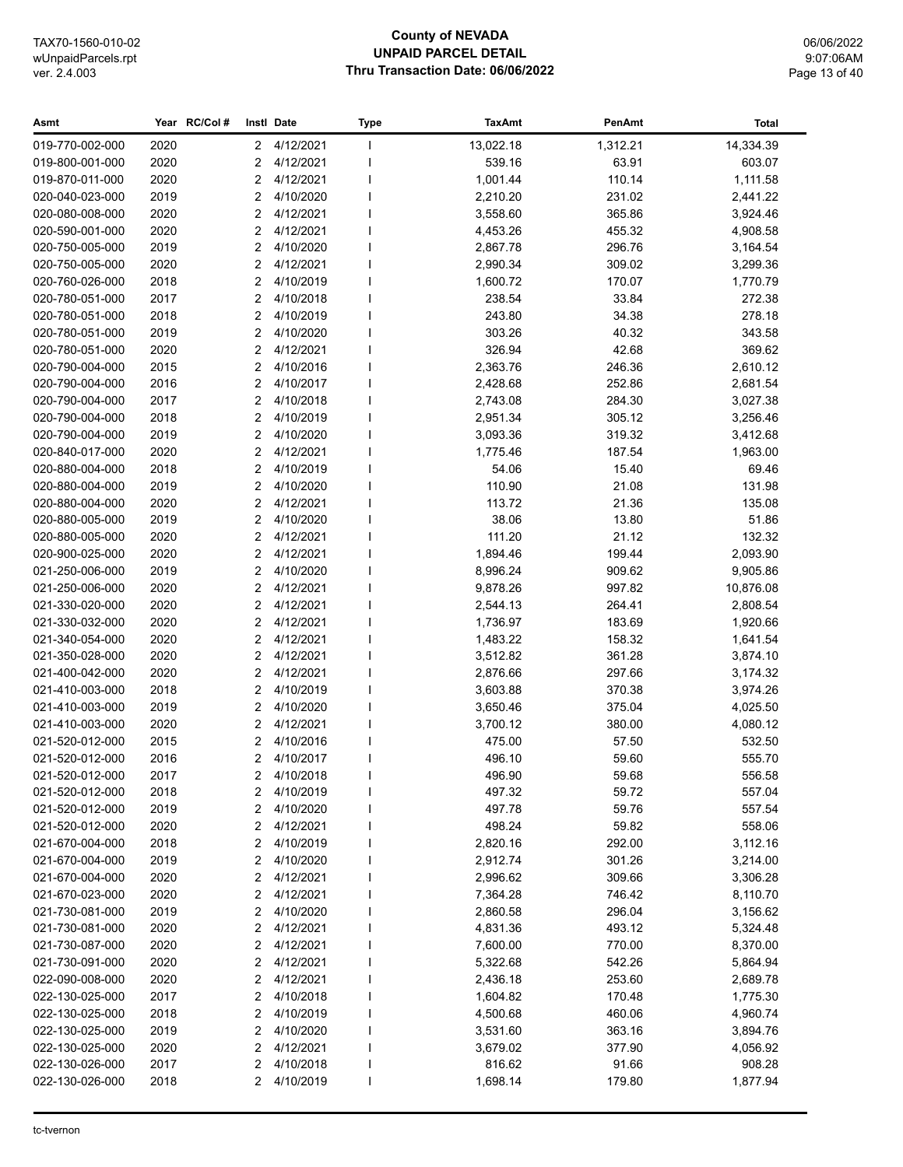#### **County of NEVADA UNPAID PARCEL DETAIL Thru Transaction Date: 06/06/2022**

06/06/2022 9:07:06AM Page 13 of 40

#### **Asmt Year Instl Type TaxAmt PenAmt RC/Col # Date Total** 019-770-002-000 2020 2 4/12/2021 1 13,022.18 1,312.21 14,334.39 019-800-001-000 2020 2 4/12/2021 I 539.16 63.91 603.07 019-870-011-000 2020 2 4/12/2021 I 1,001.44 110.14 1,111.58 020-040-023-000 2019 2 4/10/2020 I 2,210.20 231.02 2,441.22 020-080-008-000 2020 2 4/12/2021 I 3,558.60 365.86 3,924.46 020-590-001-000 2020 2 4/12/2021 I 4,453.26 455.32 4,908.58 020-750-005-000 2019 2 4/10/2020 I 2,867.78 296.76 3,164.54 020-750-005-000 2020 2 4/12/2021 I 2,990.34 309.02 3,299.36 020-760-026-000 2018 2 4/10/2019 I 1,600.72 170.07 1,770.79 020-780-051-000 2017 2 4/10/2018 I 238.54 33.84 272.38 020-780-051-000 2018 2 4/10/2019 I 243.80 34.38 278.18 020-780-051-000 2019 2 4/10/2020 I 303.26 40.32 343.58 020-780-051-000 2020 2 4/12/2021 I 326.94 42.68 369.62 020-790-004-000 2015 2 4/10/2016 I 2,363.76 246.36 2,610.12 020-790-004-000 2016 2 4/10/2017 I 2,428.68 252.86 2,681.54 020-790-004-000 2017 2 4/10/2018 I 2,743.08 284.30 3,027.38 020-790-004-000 2018 2 4/10/2019 I 2,951.34 305.12 3,256.46 020-790-004-000 2019 2 4/10/2020 I 3,093.36 319.32 3,412.68 020-840-017-000 2020 2 4/12/2021 I 1,775.46 187.54 1,963.00 020-880-004-000 2018 2 4/10/2019 I 54.06 15.40 69.46 020-880-004-000 2019 2 4/10/2020 I 110.90 21.08 131.98 020-880-004-000 2020 2 4/12/2021 I 113.72 21.36 135.08 020-880-005-000 2019 2 4/10/2020 I 38.06 13.80 51.86 020-880-005-000 2020 2 4/12/2021 I 111.20 21.12 132.32 020-900-025-000 2020 2 4/12/2021 I 1,894.46 199.44 2,093.90 021-250-006-000 2019 2 4/10/2020 I 8,996.24 909.62 9,905.86 021-250-006-000 2020 2 4/12/2021 I 9,878.26 997.82 10,876.08 021-330-020-000 2020 2 4/12/2021 I 2,544.13 264.41 2,808.54 021-330-032-000 2020 2 4/12/2021 I 1,736.97 183.69 1,920.66 021-340-054-000 2020 2 4/12/2021 I 1,483.22 158.32 1,641.54 021-350-028-000 2020 2 4/12/2021 I 3,512.82 361.28 3,874.10 021-400-042-000 2020 2 4/12/2021 I 2,876.66 297.66 3,174.32 021-410-003-000 2018 2 4/10/2019 I 3,603.88 370.38 3,974.26 021-410-003-000 2019 2 4/10/2020 I 3,650.46 375.04 4,025.50 021-410-003-000 2020 2 4/12/2021 I 3,700.12 380.00 4,080.12 021-520-012-000 2015 2 4/10/2016 I 475.00 57.50 532.50 021-520-012-000 2016 2 4/10/2017 I 496.10 59.60 555.70 021-520-012-000 2017 2 4/10/2018 I 496.90 59.68 556.58 021-520-012-000 2018 2 4/10/2019 I 497.32 59.72 557.04 021-520-012-000 2019 2 4/10/2020 I 497.78 59.76 557.54 021-520-012-000 2020 2 4/12/2021 I 498.24 59.82 558.06 021-670-004-000 2018 2 4/10/2019 I 2,820.16 292.00 3,112.16 021-670-004-000 2019 2 4/10/2020 I 2,912.74 301.26 3,214.00 021-670-004-000 2020 2 4/12/2021 I 2,996.62 309.66 3,306.28 021-670-023-000 2020 2 4/12/2021 I 7,364.28 746.42 8,110.70 021-730-081-000 2019 2 4/10/2020 I 2,860.58 296.04 3,156.62 021-730-081-000 2020 2 4/12/2021 I 4,831.36 493.12 5,324.48 021-730-087-000 2020 2 4/12/2021 I 7,600.00 770.00 8,370.00 021-730-091-000 2020 2 4/12/2021 I 5,322.68 542.26 5,864.94 022-090-008-000 2020 2 4/12/2021 I 2,436.18 253.60 2,689.78 022-130-025-000 2017 2 4/10/2018 I 1,604.82 170.48 1,775.30 022-130-025-000 2018 2 4/10/2019 I 4,500.68 460.06 4,960.74 022-130-025-000 2019 2 4/10/2020 I 3,531.60 363.16 3,894.76 022-130-025-000 2020 2 4/12/2021 I 3,679.02 377.90 4,056.92 022-130-026-000 2017 2 4/10/2018 I 816.62 91.66 908.28 022-130-026-000 2018 2 4/10/2019 I 1.698.14 179.80 1.877.94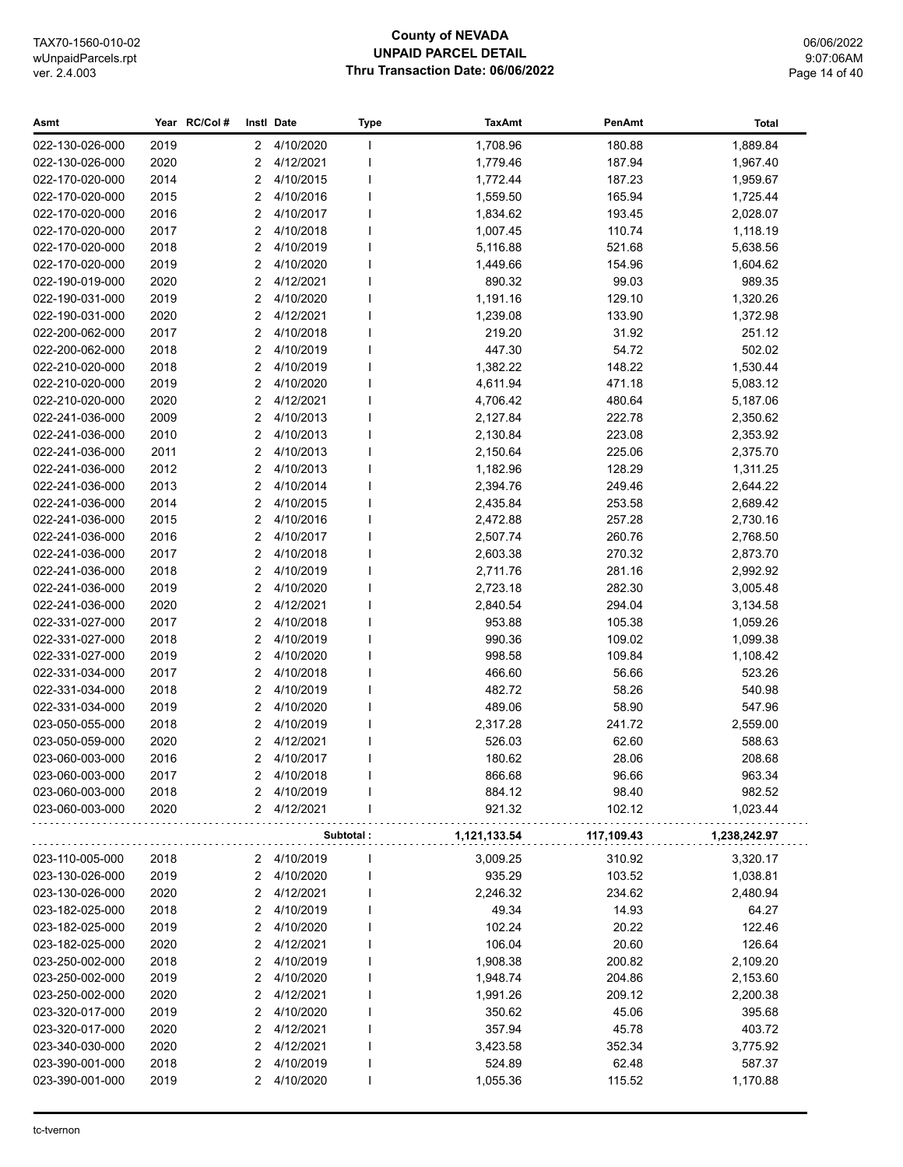## **County of NEVADA UNPAID PARCEL DETAIL Thru Transaction Date: 06/06/2022**

06/06/2022 9:07:06AM Page 14 of 40

| Asmt            |      | Year RC/Col#          | Instl Date | Type      | <b>TaxAmt</b> | PenAmt     | <b>Total</b> |
|-----------------|------|-----------------------|------------|-----------|---------------|------------|--------------|
| 022-130-026-000 | 2019 | $\mathbf{2}^{\prime}$ | 4/10/2020  | J.        | 1,708.96      | 180.88     | 1,889.84     |
| 022-130-026-000 | 2020 | $\overline{2}$        | 4/12/2021  |           | 1,779.46      | 187.94     | 1,967.40     |
| 022-170-020-000 | 2014 | $\overline{2}$        | 4/10/2015  |           | 1,772.44      | 187.23     | 1,959.67     |
| 022-170-020-000 | 2015 | 2                     | 4/10/2016  |           | 1,559.50      | 165.94     | 1,725.44     |
| 022-170-020-000 | 2016 | $\overline{2}$        | 4/10/2017  |           | 1,834.62      | 193.45     | 2,028.07     |
| 022-170-020-000 | 2017 | 2                     | 4/10/2018  |           | 1,007.45      | 110.74     | 1,118.19     |
| 022-170-020-000 | 2018 | 2                     | 4/10/2019  |           | 5,116.88      | 521.68     | 5,638.56     |
| 022-170-020-000 | 2019 | 2                     | 4/10/2020  |           | 1,449.66      | 154.96     | 1,604.62     |
| 022-190-019-000 | 2020 | $\overline{2}$        | 4/12/2021  |           | 890.32        | 99.03      | 989.35       |
| 022-190-031-000 | 2019 | $\overline{2}$        | 4/10/2020  |           | 1,191.16      | 129.10     | 1,320.26     |
| 022-190-031-000 | 2020 | $\overline{2}$        | 4/12/2021  |           | 1,239.08      | 133.90     | 1,372.98     |
| 022-200-062-000 | 2017 | $\overline{2}$        | 4/10/2018  |           | 219.20        | 31.92      | 251.12       |
| 022-200-062-000 | 2018 | 2                     | 4/10/2019  |           | 447.30        | 54.72      | 502.02       |
| 022-210-020-000 | 2018 | 2                     | 4/10/2019  |           | 1,382.22      | 148.22     | 1,530.44     |
| 022-210-020-000 | 2019 | $\overline{2}$        | 4/10/2020  |           | 4,611.94      | 471.18     | 5,083.12     |
| 022-210-020-000 | 2020 | $\overline{2}$        | 4/12/2021  |           | 4,706.42      | 480.64     | 5,187.06     |
| 022-241-036-000 | 2009 | $\overline{2}$        | 4/10/2013  |           | 2,127.84      | 222.78     | 2,350.62     |
| 022-241-036-000 | 2010 | $\overline{2}$        | 4/10/2013  |           | 2,130.84      | 223.08     | 2,353.92     |
| 022-241-036-000 | 2011 | $\overline{2}$        | 4/10/2013  |           | 2,150.64      | 225.06     | 2,375.70     |
| 022-241-036-000 | 2012 | 2                     | 4/10/2013  |           | 1,182.96      | 128.29     | 1,311.25     |
| 022-241-036-000 | 2013 | $\overline{2}$        | 4/10/2014  |           | 2,394.76      | 249.46     | 2,644.22     |
| 022-241-036-000 | 2014 | $\overline{2}$        | 4/10/2015  |           | 2,435.84      | 253.58     | 2,689.42     |
| 022-241-036-000 | 2015 | $\overline{2}$        | 4/10/2016  |           | 2,472.88      | 257.28     | 2,730.16     |
| 022-241-036-000 | 2016 | $\overline{2}$        | 4/10/2017  |           | 2,507.74      | 260.76     | 2,768.50     |
| 022-241-036-000 | 2017 | $\overline{2}$        | 4/10/2018  |           | 2,603.38      | 270.32     | 2,873.70     |
| 022-241-036-000 | 2018 | $\overline{2}$        | 4/10/2019  |           | 2,711.76      | 281.16     | 2,992.92     |
| 022-241-036-000 | 2019 | 2                     | 4/10/2020  |           | 2,723.18      | 282.30     | 3,005.48     |
| 022-241-036-000 | 2020 | $\overline{2}$        | 4/12/2021  |           | 2,840.54      | 294.04     | 3,134.58     |
| 022-331-027-000 | 2017 | 2                     | 4/10/2018  |           | 953.88        | 105.38     | 1,059.26     |
| 022-331-027-000 | 2018 | $\overline{2}$        | 4/10/2019  |           | 990.36        | 109.02     | 1,099.38     |
| 022-331-027-000 | 2019 | $\overline{2}$        | 4/10/2020  |           | 998.58        | 109.84     | 1,108.42     |
| 022-331-034-000 | 2017 | 2                     | 4/10/2018  |           | 466.60        | 56.66      | 523.26       |
| 022-331-034-000 | 2018 | 2                     | 4/10/2019  |           | 482.72        | 58.26      | 540.98       |
| 022-331-034-000 | 2019 | 2                     | 4/10/2020  |           | 489.06        | 58.90      | 547.96       |
| 023-050-055-000 | 2018 | 2                     | 4/10/2019  |           | 2,317.28      | 241.72     | 2,559.00     |
| 023-050-059-000 | 2020 | 2                     | 4/12/2021  |           | 526.03        | 62.60      | 588.63       |
| 023-060-003-000 | 2016 | 2                     | 4/10/2017  |           | 180.62        | 28.06      | 208.68       |
| 023-060-003-000 | 2017 | $\overline{c}$        | 4/10/2018  |           | 866.68        | 96.66      | 963.34       |
| 023-060-003-000 | 2018 | 2                     | 4/10/2019  |           | 884.12        | 98.40      | 982.52       |
| 023-060-003-000 | 2020 | 2                     | 4/12/2021  |           | 921.32        | 102.12     | 1,023.44     |
|                 |      |                       |            | Subtotal: | 1,121,133.54  | 117,109.43 | 1,238,242.97 |
| 023-110-005-000 | 2018 | 2                     | 4/10/2019  |           | 3,009.25      | 310.92     | 3,320.17     |
| 023-130-026-000 | 2019 | 2                     | 4/10/2020  |           | 935.29        | 103.52     | 1,038.81     |
| 023-130-026-000 | 2020 | 2                     | 4/12/2021  |           | 2,246.32      | 234.62     | 2,480.94     |
| 023-182-025-000 | 2018 | 2                     | 4/10/2019  |           | 49.34         | 14.93      | 64.27        |
| 023-182-025-000 | 2019 | 2                     | 4/10/2020  |           | 102.24        | 20.22      | 122.46       |
| 023-182-025-000 | 2020 | 2                     | 4/12/2021  |           | 106.04        | 20.60      | 126.64       |
| 023-250-002-000 | 2018 | 2                     | 4/10/2019  |           | 1,908.38      | 200.82     | 2,109.20     |
| 023-250-002-000 | 2019 | 2                     | 4/10/2020  |           | 1,948.74      | 204.86     | 2,153.60     |
| 023-250-002-000 | 2020 | 2                     | 4/12/2021  |           | 1,991.26      | 209.12     | 2,200.38     |
| 023-320-017-000 | 2019 | 2                     | 4/10/2020  |           | 350.62        | 45.06      | 395.68       |
| 023-320-017-000 | 2020 | $\overline{2}$        | 4/12/2021  |           | 357.94        | 45.78      | 403.72       |
| 023-340-030-000 | 2020 | 2                     | 4/12/2021  |           | 3,423.58      | 352.34     | 3,775.92     |
| 023-390-001-000 | 2018 | 2                     | 4/10/2019  |           | 524.89        | 62.48      | 587.37       |
| 023-390-001-000 | 2019 | 2                     | 4/10/2020  |           | 1,055.36      | 115.52     | 1,170.88     |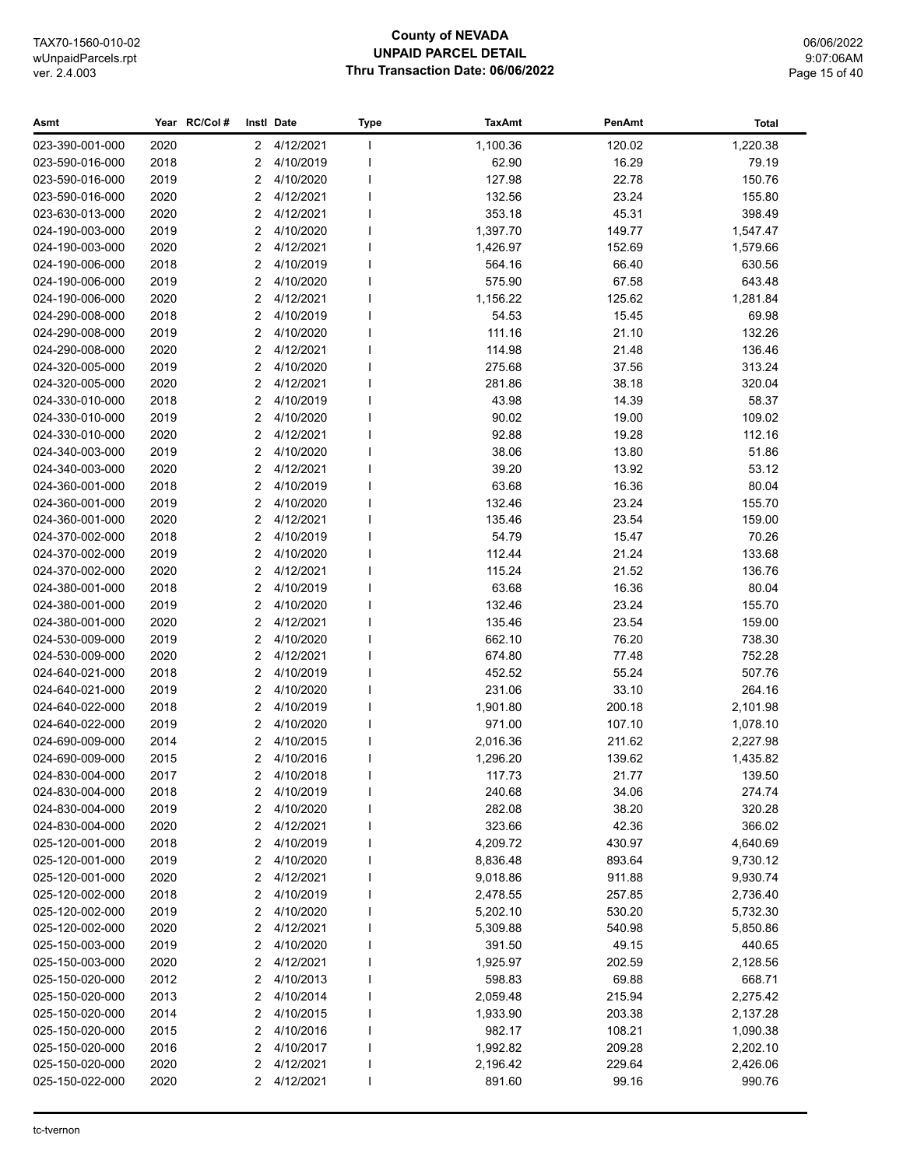## **County of NEVADA UNPAID PARCEL DETAIL** Thru Transaction Date: 06/06/2022

06/06/2022 9:07:06AM Page 15 of 40

| Asmt                               |              | Year RC/Col#   | Instl Date |                        | <b>Type</b> | <b>TaxAmt</b>        | PenAmt           | Total                |
|------------------------------------|--------------|----------------|------------|------------------------|-------------|----------------------|------------------|----------------------|
| 023-390-001-000                    | 2020         | $\mathbf{2}$   |            | 4/12/2021              |             | 1,100.36             | 120.02           | 1,220.38             |
| 023-590-016-000                    | 2018         | 2              |            | 4/10/2019              |             | 62.90                | 16.29            | 79.19                |
| 023-590-016-000                    | 2019         | 2              |            | 4/10/2020              |             | 127.98               | 22.78            | 150.76               |
| 023-590-016-000                    | 2020         | 2              |            | 4/12/2021              |             | 132.56               | 23.24            | 155.80               |
| 023-630-013-000                    | 2020         | 2              |            | 4/12/2021              |             | 353.18               | 45.31            | 398.49               |
| 024-190-003-000                    | 2019         | $\overline{2}$ |            | 4/10/2020              |             | 1,397.70             | 149.77           | 1,547.47             |
| 024-190-003-000                    | 2020         | $\overline{2}$ |            | 4/12/2021              |             | 1,426.97             | 152.69           | 1,579.66             |
| 024-190-006-000                    | 2018         | 2              |            | 4/10/2019              |             | 564.16               | 66.40            | 630.56               |
| 024-190-006-000                    | 2019         | 2              |            | 4/10/2020              |             | 575.90               | 67.58            | 643.48               |
| 024-190-006-000                    | 2020         | 2              |            | 4/12/2021              |             | 1,156.22             | 125.62           | 1,281.84             |
| 024-290-008-000                    | 2018         | 2              |            | 4/10/2019              |             | 54.53                | 15.45            | 69.98                |
| 024-290-008-000                    | 2019         | 2              |            | 4/10/2020              |             | 111.16               | 21.10            | 132.26               |
| 024-290-008-000                    | 2020         | 2              |            | 4/12/2021              |             | 114.98               | 21.48            | 136.46               |
| 024-320-005-000                    | 2019         | 2              |            | 4/10/2020              |             | 275.68               | 37.56            | 313.24               |
| 024-320-005-000                    | 2020         | 2              |            | 4/12/2021              |             | 281.86               | 38.18            | 320.04               |
| 024-330-010-000                    | 2018         | 2              |            | 4/10/2019              |             | 43.98                | 14.39            | 58.37                |
| 024-330-010-000                    | 2019         | 2              |            | 4/10/2020              |             | 90.02                | 19.00            | 109.02               |
| 024-330-010-000                    | 2020         | 2              |            | 4/12/2021              |             | 92.88                | 19.28            | 112.16               |
| 024-340-003-000                    | 2019         | 2              |            | 4/10/2020              |             | 38.06                | 13.80            | 51.86                |
| 024-340-003-000                    | 2020         | 2              |            | 4/12/2021              |             | 39.20                | 13.92            | 53.12                |
| 024-360-001-000                    | 2018         | 2              |            | 4/10/2019              |             | 63.68                | 16.36            | 80.04                |
| 024-360-001-000                    | 2019         | 2              |            | 4/10/2020              |             | 132.46               | 23.24            | 155.70               |
| 024-360-001-000                    | 2020         | 2              |            | 4/12/2021              |             | 135.46               | 23.54            | 159.00               |
| 024-370-002-000                    | 2018         | 2              |            | 4/10/2019              |             | 54.79                | 15.47            | 70.26                |
| 024-370-002-000                    | 2019         | 2              |            | 4/10/2020              |             | 112.44               | 21.24            | 133.68               |
| 024-370-002-000                    | 2020         | 2              |            | 4/12/2021              |             | 115.24               | 21.52            | 136.76               |
| 024-380-001-000                    | 2018         | $\overline{2}$ |            | 4/10/2019              |             | 63.68                | 16.36            | 80.04                |
| 024-380-001-000                    | 2019         | 2              |            | 4/10/2020              |             | 132.46               | 23.24            | 155.70               |
| 024-380-001-000                    | 2020         | 2              |            | 4/12/2021              |             | 135.46               | 23.54            | 159.00               |
| 024-530-009-000                    | 2019         | 2              |            | 4/10/2020              |             | 662.10               | 76.20            | 738.30               |
| 024-530-009-000                    | 2020         | 2              |            | 4/12/2021              |             | 674.80               | 77.48            | 752.28               |
| 024-640-021-000                    | 2018         | 2              |            | 4/10/2019              |             | 452.52               | 55.24            | 507.76               |
| 024-640-021-000                    | 2019         | $\overline{2}$ |            | 4/10/2020              |             | 231.06               | 33.10            | 264.16               |
| 024-640-022-000                    | 2018         | $\overline{2}$ |            | 4/10/2019              |             | 1,901.80             | 200.18           | 2,101.98             |
| 024-640-022-000                    | 2019         | 2              |            | 4/10/2020              |             | 971.00               | 107.10           | 1,078.10             |
| 024-690-009-000                    | 2014         | 2              |            | 4/10/2015              |             | 2,016.36             | 211.62           | 2,227.98             |
| 024-690-009-000                    | 2015         | 2              |            | 4/10/2016              |             | 1,296.20             | 139.62           | 1,435.82             |
| 024-830-004-000                    | 2017         |                |            | 2 4/10/2018            |             | 117.73               | 21.77            | 139.50               |
| 024-830-004-000                    | 2018         | 2              |            | 4/10/2019              |             | 240.68               | 34.06            | 274.74               |
| 024-830-004-000                    | 2019         | 2              |            | 4/10/2020              |             | 282.08               | 38.20            | 320.28               |
| 024-830-004-000                    | 2020         | 2              |            | 4/12/2021              |             | 323.66               | 42.36            | 366.02               |
| 025-120-001-000<br>025-120-001-000 | 2018<br>2019 | 2              |            | 4/10/2019<br>4/10/2020 |             | 4,209.72             | 430.97<br>893.64 | 4,640.69             |
| 025-120-001-000                    | 2020         | 2<br>2         |            | 4/12/2021              |             | 8,836.48             | 911.88           | 9,730.12             |
| 025-120-002-000                    | 2018         |                |            | 4/10/2019              |             | 9,018.86             | 257.85           | 9,930.74<br>2,736.40 |
| 025-120-002-000                    | 2019         | 2<br>2         |            | 4/10/2020              |             | 2,478.55<br>5,202.10 | 530.20           | 5,732.30             |
| 025-120-002-000                    | 2020         | 2              |            | 4/12/2021              |             | 5,309.88             | 540.98           | 5,850.86             |
| 025-150-003-000                    | 2019         | 2              |            | 4/10/2020              |             | 391.50               | 49.15            | 440.65               |
| 025-150-003-000                    | 2020         | 2              |            | 4/12/2021              |             | 1,925.97             | 202.59           | 2,128.56             |
| 025-150-020-000                    | 2012         | 2              |            | 4/10/2013              |             | 598.83               | 69.88            | 668.71               |
| 025-150-020-000                    | 2013         | 2              |            | 4/10/2014              |             | 2,059.48             | 215.94           | 2,275.42             |
| 025-150-020-000                    | 2014         | 2              |            | 4/10/2015              |             | 1,933.90             | 203.38           | 2,137.28             |
| 025-150-020-000                    | 2015         | 2              |            | 4/10/2016              |             | 982.17               | 108.21           | 1,090.38             |
| 025-150-020-000                    | 2016         | 2              |            | 4/10/2017              |             | 1,992.82             | 209.28           | 2,202.10             |
| 025-150-020-000                    | 2020         | 2              |            | 4/12/2021              |             | 2,196.42             | 229.64           | 2,426.06             |
| 025-150-022-000                    | 2020         | 2              |            | 4/12/2021              |             | 891.60               | 99.16            | 990.76               |
|                                    |              |                |            |                        |             |                      |                  |                      |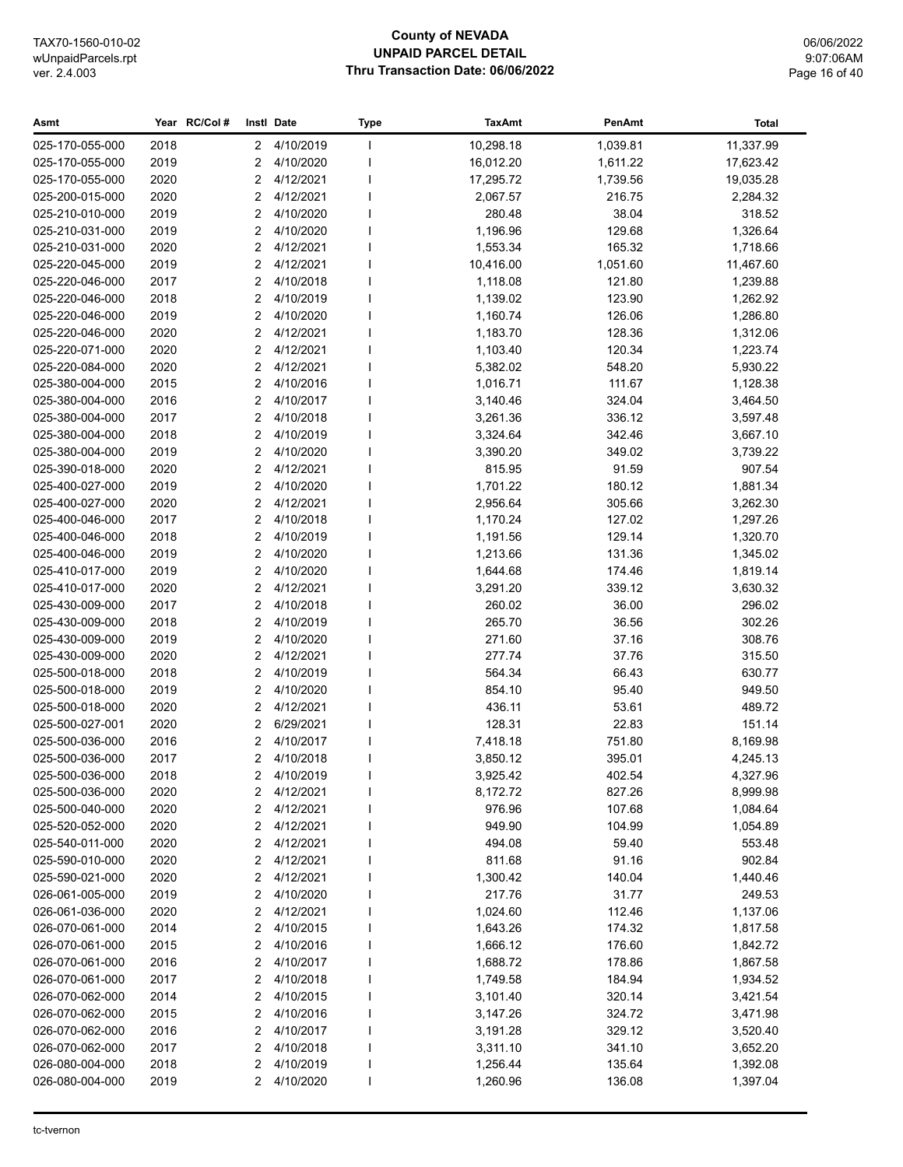#### **County of NEVADA UNPAID PARCEL DETAIL Thru Transaction Date: 06/06/2022**

06/06/2022 9:07:06AM Page 16 of 40

#### **Asmt Year Instl Type TaxAmt PenAmt RC/Col # Date Total** 025-170-055-000 2018 2 4/10/2019 I 10,298.18 1,039.81 11,337.99 025-170-055-000 2019 2 4/10/2020 I 16,012.20 1,611.22 17,623.42 025-170-055-000 2020 2 4/12/2021 I 17,295.72 1,739.56 19,035.28 025-200-015-000 2020 2 4/12/2021 I 2,067.57 216.75 2,284.32 025-210-010-000 2019 2 4/10/2020 I 280.48 38.04 318.52 025-210-031-000 2019 2 4/10/2020 l 1,196.96 129.68 1,326.64 025-210-031-000 2020 2 4/12/2021 I 1,553.34 165.32 1,718.66 025-220-045-000 2019 2 4/12/2021 I 10,416.00 1,051.60 11,467.60 025-220-046-000 2017 2 4/10/2018 I 1,118.08 121.80 1,239.88 025-220-046-000 2018 2 4/10/2019 I 1,139.02 123.90 1,262.92 025-220-046-000 2019 2 4/10/2020 1 1.160.74 126.06 1.286.80 025-220-046-000 2020 2 4/12/2021 I 1,183.70 128.36 1,312.06 025-220-071-000 2020 2 4/12/2021 1 1,103.40 120.34 1,223.74 025-220-084-000 2020 2 4/12/2021 I 5,382.02 548.20 5,930.22 025-380-004-000 2015 2 4/10/2016 I 1,016.71 111.67 1,128.38 025-380-004-000 2016 2 4/10/2017 I 3.140.46 324.04 3.464.50 025-380-004-000 2017 2 4/10/2018 l 3,261.36 336.12 3,597.48 025-380-004-000 2018 2 4/10/2019 I 3,324.64 342.46 3,667.10 025-380-004-000 2019 2 4/10/2020 I 3,390.20 349.02 3,739.22 025-390-018-000 2020 2 4/12/2021 I 815.95 91.59 907.54 025-400-027-000 2019 2 4/10/2020 I 1,701.22 180.12 1,881.34 025-400-027-000 2020 2 4/12/2021 I 2,956.64 305.66 3,262.30 025-400-046-000 2017 2 4/10/2018 I 1,170.24 127.02 1,297.26 025-400-046-000 2018 2 4/10/2019 I 1,191.56 129.14 1,320.70 025-400-046-000 2019 2 4/10/2020 l 1,213.66 131.36 1,345.02 025-410-017-000 2019 2 4/10/2020 I 1.644.68 174.46 1.819.14 025-410-017-000 2020 2 4/12/2021 I 3,291.20 339.12 3,630.32 025-430-009-000 2017 2 4/10/2018 I 260.02 36.00 296.02 025-430-009-000 2018 2 4/10/2019 I 265.70 36.56 302.26 025-430-009-000 2019 2 4/10/2020 I 271.60 37.16 308.76 025-430-009-000 2020 2 4/12/2021 I 277.74 37.76 315.50 025-500-018-000 2018 2 4/10/2019 I 564.34 66.43 630.77 025-500-018-000 2019 2 4/10/2020 I 854.10 95.40 949.50 025-500-018-000 2020 2 4/12/2021 I 436.11 53.61 489.72 025-500-027-001 2020 2 6/29/2021 1 128.31 22.83 151.14 025-500-036-000 2016 2 4/10/2017 I 7,418.18 751.80 8,169.98 025-500-036-000 2017 2 4/10/2018 I 3,850.12 395.01 4,245.13 025-500-036-000 2018 2 4/10/2019 I 3,925.42 402.54 4,327.96 025-500-036-000 2020 2 4/12/2021 I 8,172.72 827.26 8,999.98 025-500-040-000 2020 2 4/12/2021 I 976.96 107.68 1,084.64 025-520-052-000 2020 2 4/12/2021 I 949.90 104.99 1,054.89 025-540-011-000 2020 2 4/12/2021 I 494.08 59.40 553.48 025-590-010-000 2020 2 4/12/2021 I 811.68 91.16 902.84 025-590-021-000 2020 2 4/12/2021 I 1,300.42 140.04 1,440.46 026-061-005-000 2019 2 4/10/2020 I 217.76 31.77 249.53 026-061-036-000 2020 2 4/12/2021 I 1,024.60 112.46 1,137.06 026-070-061-000 2014 2 4/10/2015 I 1,643.26 174.32 1,817.58 026-070-061-000 2015 2 4/10/2016 I 1,666.12 176.60 1,842.72 026-070-061-000 2016 2 4/10/2017 I 1,688.72 178.86 1,867.58 026-070-061-000 2017 2 4/10/2018 1 1.749.58 184.94 184.94 1.934.52 026-070-062-000 2014 2 4/10/2015 I 3,101.40 320.14 320.14 3,421.54 026-070-062-000 2015 2 4/10/2016 I 3,147.26 324.72 3,471.98 026-070-062-000 2016 2 4/10/2017 I 3,191.28 329.12 3,520.40 026-070-062-000 2017 2 4/10/2018 I 3,311.10 341.10 3,652.20 026-080-004-000 2018 2 4/10/2019 I 1,256.44 135.64 1,392.08 026-080-004-000 2019 2 4/10/2020 I 1.260.96 136.08 1.397.04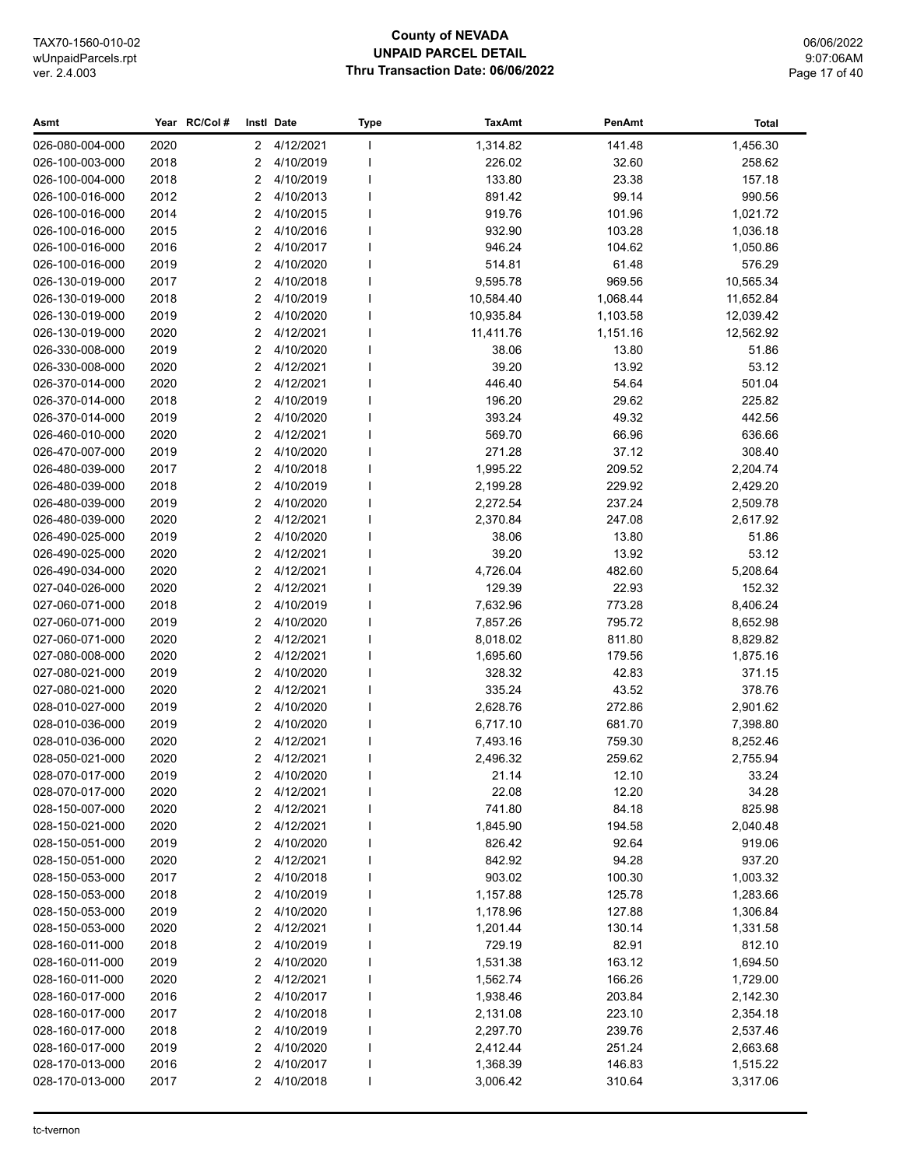#### **County of NEVADA UNPAID PARCEL DETAIL Thru Transaction Date: 06/06/2022**

| Asmt            |              | Year RC/Col# |                | Instl Date             | <b>Type</b>              | <b>TaxAmt</b> | PenAmt           | <b>Total</b> |
|-----------------|--------------|--------------|----------------|------------------------|--------------------------|---------------|------------------|--------------|
| 026-080-004-000 | 2020         |              | 2              | 4/12/2021              |                          | 1,314.82      | 141.48           | 1,456.30     |
| 026-100-003-000 | 2018         |              | 2              | 4/10/2019              |                          | 226.02        | 32.60            | 258.62       |
| 026-100-004-000 | 2018         |              | $\overline{2}$ | 4/10/2019              |                          | 133.80        | 23.38            | 157.18       |
| 026-100-016-000 | 2012         |              | $\overline{2}$ | 4/10/2013              |                          | 891.42        | 99.14            | 990.56       |
| 026-100-016-000 | 2014         |              | $\overline{2}$ | 4/10/2015              |                          | 919.76        | 101.96           | 1,021.72     |
| 026-100-016-000 | 2015         |              | 2              | 4/10/2016              |                          | 932.90        | 103.28           | 1,036.18     |
| 026-100-016-000 | 2016         |              | 2              | 4/10/2017              |                          | 946.24        | 104.62           | 1,050.86     |
| 026-100-016-000 | 2019         |              | 2              | 4/10/2020              | I                        | 514.81        | 61.48            | 576.29       |
| 026-130-019-000 | 2017         |              | 2              | 4/10/2018              | ı                        | 9,595.78      | 969.56           | 10,565.34    |
| 026-130-019-000 | 2018         |              | $\overline{2}$ | 4/10/2019              |                          | 10,584.40     | 1,068.44         | 11,652.84    |
| 026-130-019-000 | 2019         |              | $\overline{2}$ | 4/10/2020              | I                        | 10,935.84     | 1,103.58         | 12,039.42    |
| 026-130-019-000 | 2020         |              | $\overline{2}$ | 4/12/2021              |                          | 11,411.76     | 1,151.16         | 12,562.92    |
| 026-330-008-000 | 2019         |              | 2              | 4/10/2020              |                          | 38.06         | 13.80            | 51.86        |
| 026-330-008-000 | 2020         |              | $\overline{2}$ | 4/12/2021              |                          | 39.20         | 13.92            | 53.12        |
| 026-370-014-000 | 2020         |              | 2              | 4/12/2021              |                          | 446.40        | 54.64            | 501.04       |
| 026-370-014-000 | 2018         |              | 2              | 4/10/2019              |                          | 196.20        | 29.62            | 225.82       |
| 026-370-014-000 | 2019         |              | $\overline{2}$ | 4/10/2020              |                          | 393.24        | 49.32            | 442.56       |
| 026-460-010-000 | 2020         |              | $\overline{2}$ | 4/12/2021              |                          | 569.70        | 66.96            | 636.66       |
| 026-470-007-000 | 2019         |              | $\overline{2}$ | 4/10/2020              |                          | 271.28        | 37.12            | 308.40       |
| 026-480-039-000 | 2017         |              | 2              | 4/10/2018              |                          | 1,995.22      | 209.52           | 2,204.74     |
| 026-480-039-000 | 2018         |              | 2              | 4/10/2019              | ı                        | 2,199.28      | 229.92           | 2,429.20     |
| 026-480-039-000 | 2019         |              | 2              | 4/10/2020              | ı                        | 2,272.54      | 237.24           | 2,509.78     |
| 026-480-039-000 | 2020         |              | $\overline{2}$ | 4/12/2021              |                          | 2,370.84      | 247.08           | 2,617.92     |
| 026-490-025-000 | 2019         |              | 2              | 4/10/2020              |                          | 38.06         | 13.80            | 51.86        |
| 026-490-025-000 | 2020         |              | 2              | 4/12/2021              |                          | 39.20         | 13.92            | 53.12        |
| 026-490-034-000 | 2020         |              | 2              | 4/12/2021              |                          | 4,726.04      | 482.60           | 5,208.64     |
| 027-040-026-000 | 2020         |              | 2              | 4/12/2021              |                          | 129.39        | 22.93            | 152.32       |
| 027-060-071-000 | 2018         |              | 2              | 4/10/2019              |                          | 7,632.96      | 773.28           | 8,406.24     |
| 027-060-071-000 | 2019         |              | 2              | 4/10/2020              |                          | 7,857.26      | 795.72           | 8,652.98     |
| 027-060-071-000 | 2020         |              | $\overline{2}$ | 4/12/2021              |                          | 8,018.02      | 811.80           | 8,829.82     |
| 027-080-008-000 | 2020         |              | $\overline{2}$ | 4/12/2021              |                          | 1,695.60      | 179.56           | 1,875.16     |
| 027-080-021-000 | 2019         |              | $\overline{2}$ | 4/10/2020              |                          | 328.32        | 42.83            | 371.15       |
| 027-080-021-000 | 2020         |              | $\overline{2}$ | 4/12/2021              |                          | 335.24        | 43.52            | 378.76       |
| 028-010-027-000 | 2019         |              | $\overline{2}$ | 4/10/2020              |                          | 2,628.76      | 272.86           | 2,901.62     |
| 028-010-036-000 | 2019         |              | 2              | 4/10/2020              |                          | 6,717.10      | 681.70           | 7,398.80     |
| 028-010-036-000 | 2020         |              | $\overline{2}$ | 4/12/2021              |                          | 7,493.16      | 759.30           | 8,252.46     |
| 028-050-021-000 | 2020         |              | $\overline{2}$ | 4/12/2021              |                          | 2,496.32      | 259.62           | 2,755.94     |
| 028-070-017-000 | 2019         |              | $\mathcal{P}$  | 4/10/2020              |                          | 21.14         | 12.10            | 33.24        |
| 028-070-017-000 | 2020         |              | 2              | 4/12/2021              |                          | 22.08         | 12.20            | 34.28        |
| 028-150-007-000 | 2020         |              | 2              | 4/12/2021              |                          | 741.80        | 84.18            | 825.98       |
| 028-150-021-000 | 2020         |              | 2              | 4/12/2021              |                          | 1,845.90      | 194.58           | 2,040.48     |
| 028-150-051-000 | 2019         |              | 2              | 4/10/2020              |                          | 826.42        | 92.64            | 919.06       |
| 028-150-051-000 | 2020         |              | 2              | 4/12/2021              |                          | 842.92        | 94.28            | 937.20       |
| 028-150-053-000 | 2017         |              | 2              | 4/10/2018              |                          | 903.02        | 100.30           | 1,003.32     |
| 028-150-053-000 |              |              | 2              |                        |                          |               |                  |              |
| 028-150-053-000 | 2018<br>2019 |              | 2              | 4/10/2019<br>4/10/2020 |                          | 1,157.88      | 125.78<br>127.88 | 1,283.66     |
| 028-150-053-000 |              |              | 2              | 4/12/2021              |                          | 1,178.96      |                  | 1,306.84     |
| 028-160-011-000 | 2020         |              |                |                        |                          | 1,201.44      | 130.14           | 1,331.58     |
| 028-160-011-000 | 2018         |              | 2              | 4/10/2019<br>4/10/2020 |                          | 729.19        | 82.91            | 812.10       |
|                 | 2019         |              | 2              |                        |                          | 1,531.38      | 163.12           | 1,694.50     |
| 028-160-011-000 | 2020         |              | 2              | 4/12/2021              |                          | 1,562.74      | 166.26           | 1,729.00     |
| 028-160-017-000 | 2016         |              | 2              | 4/10/2017              |                          | 1,938.46      | 203.84           | 2,142.30     |
| 028-160-017-000 | 2017         |              | 2              | 4/10/2018              |                          | 2,131.08      | 223.10           | 2,354.18     |
| 028-160-017-000 | 2018         |              | 2              | 4/10/2019              |                          | 2,297.70      | 239.76           | 2,537.46     |
| 028-160-017-000 | 2019         |              | 2              | 4/10/2020              |                          | 2,412.44      | 251.24           | 2,663.68     |
| 028-170-013-000 | 2016         |              | 2              | 4/10/2017              | J                        | 1,368.39      | 146.83           | 1,515.22     |
| 028-170-013-000 | 2017         |              | 2              | 4/10/2018              | $\overline{\phantom{a}}$ | 3,006.42      | 310.64           | 3,317.06     |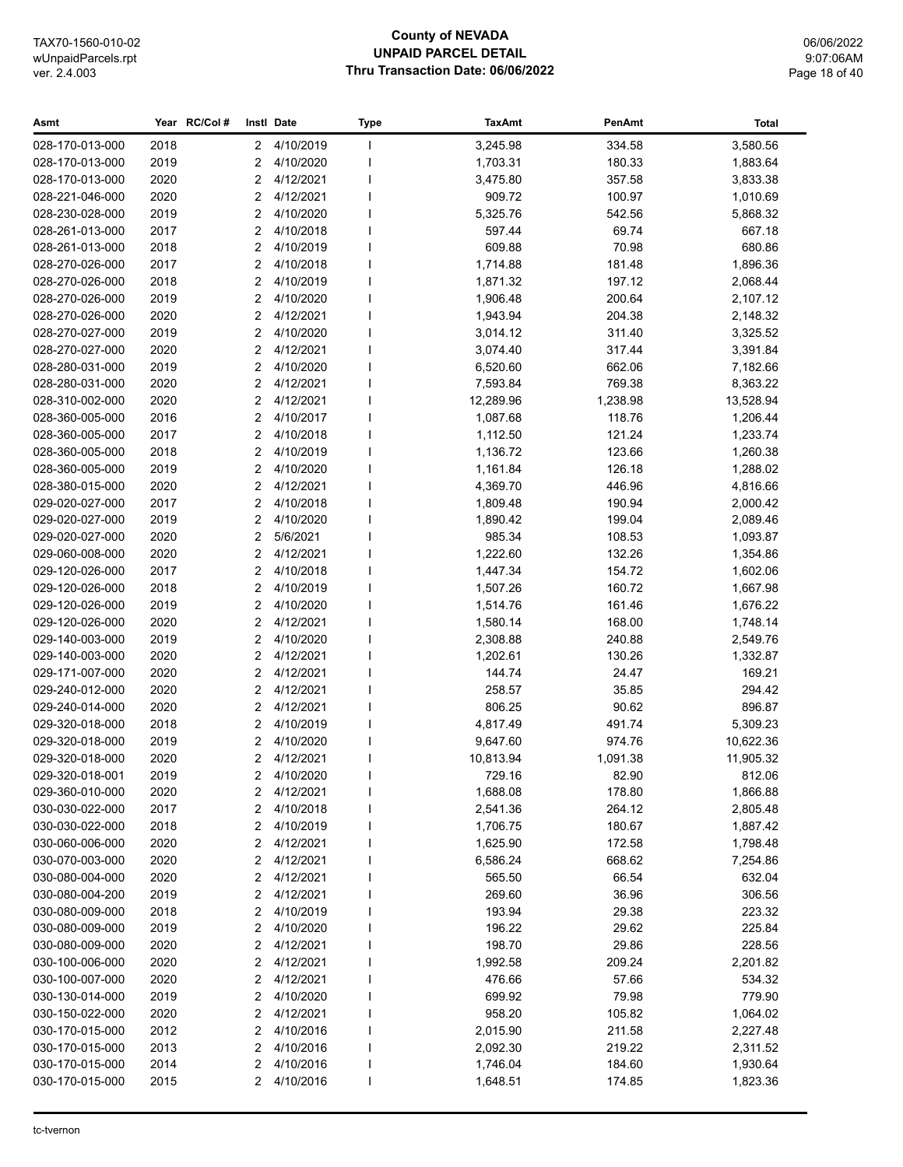#### **County of NEVADA UNPAID PARCEL DETAIL Thru Transaction Date: 06/06/2022**

06/06/2022 9:07:06AM Page 18 of 40

#### **Asmt Year Instl Type TaxAmt PenAmt RC/Col # Date Total** 028-170-013-000 2018 2 4/10/2019 I 3,245.98 334.58 3,580.56 028-170-013-000 2019 2 4/10/2020 I 1,703.31 180.33 1,883.64 028-170-013-000 2020 2 4/12/2021 I 3,475.80 357.58 3,833.38 028-221-046-000 2020 2 4/12/2021 I 909.72 100.97 1,010.69 028-230-028-000 2019 2 4/10/2020 I 5,325.76 542.56 5,868.32 028-261-013-000 2017 2 4/10/2018 I 597.44 69.74 667.18 028-261-013-000 2018 2 4/10/2019 I 609.88 70.98 680.86 028-270-026-000 2017 2 4/10/2018 1 1.714.88 181.48 181.48 1.896.36 028-270-026-000 2018 2 4/10/2019 I 1,871.32 197.12 2,068.44 028-270-026-000 2019 2 4/10/2020 I 1,906.48 200.64 2,107.12 028-270-026-000 2020 2 4/12/2021 I 1,943.94 204.38 2,148.32 028-270-027-000 2019 2 4/10/2020 I 3,014.12 311.40 3,325.52 028-270-027-000 2020 2 4/12/2021 I 3,074.40 317.44 3,391.84 028-280-031-000 2019 2 4/10/2020 I 6,520.60 662.06 7,182.66 028-280-031-000 2020 2 4/12/2021 I 7,593.84 769.38 8,363.22 028-310-002-000 2020 2 4/12/2021 | 12,289.96 1,238.98 13,528.94 028-360-005-000 2016 2 4/10/2017 I 1,087.68 118.76 1,206.44 028-360-005-000 2017 2 4/10/2018 I 1,112.50 121.24 1,233.74 028-360-005-000 2018 2 4/10/2019 I 1,136.72 123.66 1,260.38 028-360-005-000 2019 2 4/10/2020 I 1,161.84 126.18 1,288.02 028-380-015-000 2020 2 4/12/2021 I 4,369.70 446.96 4,816.66 029-020-027-000 2017 2 4/10/2018 I 1,809.48 190.94 2,000.42 029-020-027-000 2019 2 4/10/2020 I 1,890.42 199.04 2,089.46 029-020-027-000 2020 2 5/6/2021 I 985.34 108.53 1,093.87 029-060-008-000 2020 2 4/12/2021 I 1,222.60 132.26 1,354.86 029-120-026-000 2017 2 4/10/2018 I 1,447.34 154.72 1,602.06 029-120-026-000 2018 2 4/10/2019 l 1,507.26 160.72 1,667.98 029-120-026-000 2019 2 4/10/2020 l 1,514.76 161.46 1,676.22 029-120-026-000 2020 2 4/12/2021 I 1,580.14 168.00 1,748.14 029-140-003-000 2019 2 4/10/2020 I 2,308.88 240.88 2,549.76 029-140-003-000 2020 2 4/12/2021 I 1,302.61 130.26 1,332.87 029-171-007-000 2020 2 4/12/2021 I 144.74 24.47 169.21 029-240-012-000 2020 2 4/12/2021 I 258.57 35.85 294.42 029-240-014-000 2020 2 4/12/2021 I 806.25 90.62 896.87 029-320-018-000 2018 2 4/10/2019 I 4,817.49 491.74 5,309.23 029-320-018-000 2019 2 4/10/2020 I 9,647.60 974.76 10,622.36 029-320-018-000 2020 2 4/12/2021 I 10,813.94 1,091.38 11,905.32 029-320-018-001 2019 2 4/10/2020 I 729.16 82.90 812.06 029-360-010-000 2020 2 4/12/2021 I 1,688.08 178.80 1,866.88 030-030-022-000 2017 2 4/10/2018 I 2,541.36 264.12 2,805.48 030-030-022-000 2018 2 4/10/2019 I 1,706.75 180.67 1,887.42 030-060-006-000 2020 2 4/12/2021 I 1,625.90 172.58 1,798.48 030-070-003-000 2020 2 4/12/2021 I 6,586.24 668.62 7,254.86 030-080-004-000 2020 2 4/12/2021 I 565.50 66.54 632.04 030-080-004-200 2019 2 4/12/2021 I 269.60 36.96 306.56 030-080-009-000 2018 2 4/10/2019 I 193.94 29.38 223.32 030-080-009-000 2019 2 4/10/2020 I 196.22 29.62 225.84 030-080-009-000 2020 2 4/12/2021 I 198.70 29.86 228.56 030-100-006-000 2020 2 4/12/2021 I 1,992.58 209.24 2,201.82 030-100-007-000 2020 2 4/12/2021 I 476.66 57.66 534.32 030-130-014-000 2019 2 4/10/2020 I 699.92 79.98 779.90 030-150-022-000 2020 2 4/12/2021 I 958.20 105.82 1,064.02 030-170-015-000 2012 2 4/10/2016 I 2,015.90 211.58 2,227.48 030-170-015-000 2013 2 4/10/2016 I 2,092.30 219.22 2,311.52 030-170-015-000 2014 2 4/10/2016 I 1.746.04 184.60 1.930.64 030-170-015-000 2015 2 4/10/2016 I 1,648.51 174.85 1,823.36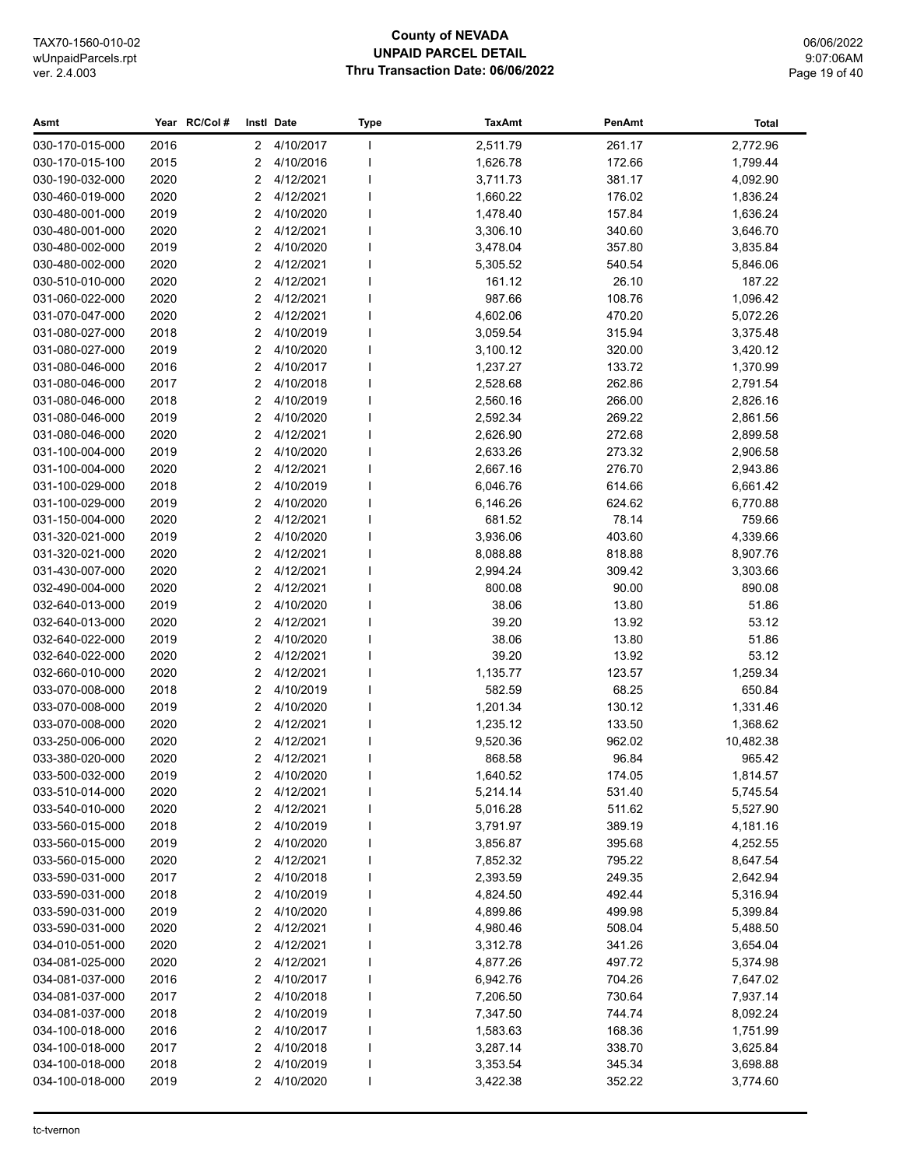## **County of NEVADA UNPAID PARCEL DETAIL Thru Transaction Date: 06/06/2022**

06/06/2022 9:07:06AM Page 19 of 40

| Asmt            |      | Year RC/Col# |        | Instl Date  | <b>Type</b>  | <b>TaxAmt</b> | PenAmt | <b>Total</b> |
|-----------------|------|--------------|--------|-------------|--------------|---------------|--------|--------------|
| 030-170-015-000 | 2016 |              | $^{2}$ | 4/10/2017   | $\mathbf{I}$ | 2,511.79      | 261.17 | 2,772.96     |
| 030-170-015-100 | 2015 |              | 2      | 4/10/2016   |              | 1,626.78      | 172.66 | 1,799.44     |
| 030-190-032-000 | 2020 |              | 2      | 4/12/2021   |              | 3,711.73      | 381.17 | 4,092.90     |
| 030-460-019-000 | 2020 |              | 2      | 4/12/2021   |              | 1,660.22      | 176.02 | 1,836.24     |
| 030-480-001-000 | 2019 |              | 2      | 4/10/2020   |              | 1,478.40      | 157.84 | 1,636.24     |
| 030-480-001-000 | 2020 |              | 2      | 4/12/2021   |              | 3,306.10      | 340.60 | 3,646.70     |
| 030-480-002-000 | 2019 |              | 2      | 4/10/2020   |              | 3,478.04      | 357.80 | 3,835.84     |
| 030-480-002-000 | 2020 |              | 2      | 4/12/2021   |              | 5,305.52      | 540.54 | 5,846.06     |
| 030-510-010-000 | 2020 |              | 2      | 4/12/2021   |              | 161.12        | 26.10  | 187.22       |
| 031-060-022-000 | 2020 |              | 2      | 4/12/2021   |              | 987.66        | 108.76 | 1,096.42     |
| 031-070-047-000 | 2020 |              | 2      | 4/12/2021   |              | 4,602.06      | 470.20 | 5,072.26     |
| 031-080-027-000 | 2018 |              | 2      | 4/10/2019   |              | 3,059.54      | 315.94 | 3,375.48     |
| 031-080-027-000 | 2019 |              | 2      | 4/10/2020   |              | 3,100.12      | 320.00 | 3,420.12     |
| 031-080-046-000 | 2016 |              | 2      | 4/10/2017   |              | 1,237.27      | 133.72 | 1,370.99     |
| 031-080-046-000 | 2017 |              | 2      | 4/10/2018   |              | 2,528.68      | 262.86 | 2,791.54     |
| 031-080-046-000 | 2018 |              | 2      | 4/10/2019   |              | 2,560.16      | 266.00 | 2,826.16     |
| 031-080-046-000 | 2019 |              | 2      | 4/10/2020   |              | 2,592.34      | 269.22 | 2,861.56     |
| 031-080-046-000 | 2020 |              | 2      | 4/12/2021   |              | 2,626.90      | 272.68 | 2,899.58     |
| 031-100-004-000 | 2019 |              | 2      | 4/10/2020   |              | 2,633.26      | 273.32 | 2,906.58     |
| 031-100-004-000 | 2020 |              | 2      | 4/12/2021   |              | 2,667.16      | 276.70 | 2,943.86     |
| 031-100-029-000 | 2018 |              | 2      | 4/10/2019   |              | 6,046.76      | 614.66 | 6,661.42     |
| 031-100-029-000 | 2019 |              | 2      | 4/10/2020   |              | 6,146.26      | 624.62 | 6,770.88     |
| 031-150-004-000 | 2020 |              | 2      | 4/12/2021   |              | 681.52        | 78.14  | 759.66       |
| 031-320-021-000 | 2019 |              | 2      | 4/10/2020   |              | 3,936.06      | 403.60 | 4,339.66     |
| 031-320-021-000 | 2020 |              | 2      | 4/12/2021   |              | 8,088.88      | 818.88 | 8,907.76     |
| 031-430-007-000 | 2020 |              | 2      | 4/12/2021   |              | 2,994.24      | 309.42 | 3,303.66     |
| 032-490-004-000 | 2020 |              | 2      | 4/12/2021   |              | 800.08        | 90.00  | 890.08       |
| 032-640-013-000 | 2019 |              | 2      | 4/10/2020   |              | 38.06         | 13.80  | 51.86        |
| 032-640-013-000 | 2020 |              | 2      | 4/12/2021   |              | 39.20         | 13.92  | 53.12        |
| 032-640-022-000 | 2019 |              | 2      | 4/10/2020   |              | 38.06         | 13.80  | 51.86        |
| 032-640-022-000 | 2020 |              | 2      | 4/12/2021   |              | 39.20         | 13.92  | 53.12        |
| 032-660-010-000 | 2020 |              | 2      | 4/12/2021   |              | 1,135.77      | 123.57 | 1,259.34     |
| 033-070-008-000 | 2018 |              | 2      | 4/10/2019   |              | 582.59        | 68.25  | 650.84       |
| 033-070-008-000 | 2019 |              | 2      | 4/10/2020   |              | 1,201.34      | 130.12 | 1,331.46     |
| 033-070-008-000 | 2020 |              | 2      | 4/12/2021   |              | 1,235.12      | 133.50 | 1,368.62     |
| 033-250-006-000 | 2020 |              | 2      | 4/12/2021   |              | 9,520.36      | 962.02 | 10,482.38    |
| 033-380-020-000 | 2020 |              | 2      | 4/12/2021   |              | 868.58        | 96.84  | 965.42       |
| 033-500-032-000 | 2019 |              |        | 2 4/10/2020 |              | 1,640.52      | 174.05 | 1,814.57     |
| 033-510-014-000 | 2020 |              | 2      | 4/12/2021   |              | 5,214.14      | 531.40 | 5,745.54     |
| 033-540-010-000 | 2020 |              | 2      | 4/12/2021   |              | 5,016.28      | 511.62 | 5,527.90     |
| 033-560-015-000 | 2018 |              | 2      | 4/10/2019   |              | 3,791.97      | 389.19 | 4,181.16     |
| 033-560-015-000 | 2019 |              | 2      | 4/10/2020   |              | 3,856.87      | 395.68 | 4,252.55     |
| 033-560-015-000 | 2020 |              | 2      | 4/12/2021   |              | 7,852.32      | 795.22 | 8,647.54     |
| 033-590-031-000 | 2017 |              | 2      | 4/10/2018   |              | 2,393.59      | 249.35 | 2,642.94     |
| 033-590-031-000 | 2018 |              | 2      | 4/10/2019   |              | 4,824.50      | 492.44 | 5,316.94     |
| 033-590-031-000 | 2019 |              | 2      | 4/10/2020   |              | 4,899.86      | 499.98 | 5,399.84     |
| 033-590-031-000 | 2020 |              | 2      | 4/12/2021   |              | 4,980.46      | 508.04 | 5,488.50     |
| 034-010-051-000 | 2020 |              | 2      | 4/12/2021   |              | 3,312.78      | 341.26 | 3,654.04     |
| 034-081-025-000 | 2020 |              | 2      | 4/12/2021   |              | 4,877.26      | 497.72 | 5,374.98     |
| 034-081-037-000 | 2016 |              | 2      | 4/10/2017   |              | 6,942.76      | 704.26 | 7,647.02     |
| 034-081-037-000 | 2017 |              | 2      | 4/10/2018   |              | 7,206.50      | 730.64 | 7,937.14     |
| 034-081-037-000 | 2018 |              | 2      | 4/10/2019   |              | 7,347.50      | 744.74 | 8,092.24     |
| 034-100-018-000 | 2016 |              | 2      | 4/10/2017   |              | 1,583.63      | 168.36 | 1,751.99     |
| 034-100-018-000 | 2017 |              | 2      | 4/10/2018   |              | 3,287.14      | 338.70 | 3,625.84     |
| 034-100-018-000 | 2018 |              | 2      | 4/10/2019   |              | 3,353.54      | 345.34 | 3,698.88     |
| 034-100-018-000 | 2019 |              | 2      | 4/10/2020   |              | 3,422.38      | 352.22 | 3,774.60     |
|                 |      |              |        |             |              |               |        |              |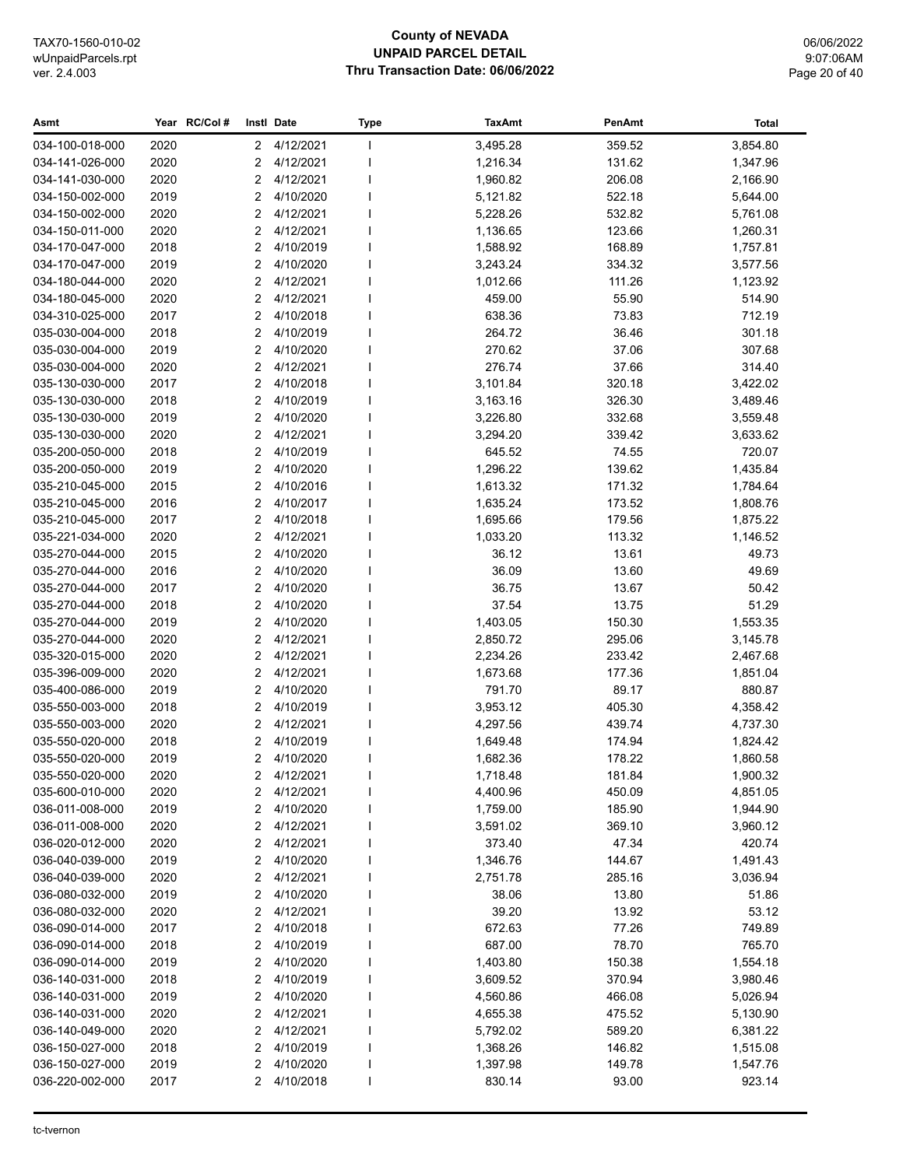#### **County of NEVADA UNPAID PARCEL DETAIL Thru Transaction Date: 06/06/2022**

06/06/2022 9:07:06AM Page 20 of 40

#### **Asmt Year Instl Type TaxAmt PenAmt RC/Col # Date Total** 034-100-018-000 2020 2 4/12/2021 I 3,495.28 359.52 3,854.80 034-141-026-000 2020 2 4/12/2021 1 1,216.34 131.62 1,347.96 034-141-030-000 2020 2 4/12/2021 I 1,960.82 206.08 2,166.90 034-150-002-000 2019 2 4/10/2020 I 5,121.82 522.18 5,644.00 034-150-002-000 2020 2 4/12/2021 I 5,228.26 532.82 5,761.08 034-150-011-000 2020 2 4/12/2021 I 1,136.65 123.66 1,260.31 034-170-047-000 2018 2 4/10/2019 I 1,588.92 168.89 1,757.81 034-170-047-000 2019 2 4/10/2020 I 3,243.24 334.32 3,577.56 034-180-044-000 2020 2 4/12/2021 I 1,012.66 111.26 1,123.92 034-180-045-000 2020 2 4/12/2021 I 459.00 55.90 514.90 034-310-025-000 2017 2 4/10/2018 I 638.36 73.83 712.19 035-030-004-000 2018 2 4/10/2019 I 264.72 36.46 301.18 035-030-004-000 2019 2 4/10/2020 I 270.62 37.06 307.68 035-030-004-000 2020 2 4/12/2021 I 276.74 37.66 314.40 035-130-030-000 2017 2 4/10/2018 I 3,101.84 320.18 3,422.02 035-130-030-000 2018 2 4/10/2019 I 3,163.16 326.30 3,489.46 035-130-030-000 2019 2 4/10/2020 I 3,226.80 332.68 3,559.48 035-130-030-000 2020 2 4/12/2021 I 3,294.20 339.42 3,633.62 035-200-050-000 2018 2 4/10/2019 I 645.52 74.55 720.07 035-200-050-000 2019 2 4/10/2020 I 1,296.22 139.62 1,435.84 035-210-045-000 2015 2 4/10/2016 I 1,613.32 171.32 1,784.64 035-210-045-000 2016 2 4/10/2017 l 1,635.24 173.52 1,808.76 035-210-045-000 2017 2 4/10/2018 I 1,695.66 179.56 1,875.22 035-221-034-000 2020 2 4/12/2021 I 1,033.20 113.32 1,146.52 035-270-044-000 2015 2 4/10/2020 I 36.12 13.61 49.73 035-270-044-000 2016 2 4/10/2020 I 36.09 13.60 49.69 035-270-044-000 2017 2 4/10/2020 l 36.75 13.67 50.42 035-270-044-000 2018 2 4/10/2020 I 37.54 13.75 51.29 035-270-044-000 2019 2 4/10/2020 I 1,403.05 150.30 1,553.35 035-270-044-000 2020 2 4/12/2021 I 2,850.72 295.06 3,145.78 035-320-015-000 2020 2 4/12/2021 I 2,234.26 233.42 2,467.68 035-396-009-000 2020 2 4/12/2021 I 1,673.68 177.36 177.36 1,851.04 035-400-086-000 2019 2 4/10/2020 I 791.70 89.17 880.87 035-550-003-000 2018 2 4/10/2019 I 3,953.12 405.30 4,358.42 035-550-003-000 2020 2 4/12/2021 I 4,297.56 439.74 4,737.30 035-550-020-000 2018 2 4/10/2019 I 1,649.48 174.94 1,824.42 035-550-020-000 2019 2 4/10/2020 I 1,682.36 178.22 1,860.58 035-550-020-000 2020 2 4/12/2021 I 1,718.48 181.84 1,900.32 035-600-010-000 2020 2 4/12/2021 I 4,400.96 450.09 4,851.05 036-011-008-000 2019 2 4/10/2020 I 1,759.00 185.90 1,944.90 036-011-008-000 2020 2 4/12/2021 I 3,591.02 369.10 3,960.12 036-020-012-000 2020 2 4/12/2021 I 373.40 47.34 420.74 036-040-039-000 2019 2 4/10/2020 I 1,346.76 144.67 1,491.43 036-040-039-000 2020 2 4/12/2021 I 2,751.78 285.16 3,036.94 036-080-032-000 2019 2 4/10/2020 I 38.06 13.80 51.86 036-080-032-000 2020 2 4/12/2021 I 39.20 13.92 53.12 036-090-014-000 2017 2 4/10/2018 I 672.63 77.26 749.89 036-090-014-000 2018 2 4/10/2019 I 687.00 78.70 765.70 036-090-014-000 2019 2 4/10/2020 I 1,403.80 150.38 1,554.18 036-140-031-000 2018 2 4/10/2019 I 3,609.52 370.94 3,980.46 036-140-031-000 2019 2 4/10/2020 I 4,560.86 466.08 5,026.94 036-140-031-000 2020 2 4/12/2021 I 4,655.38 475.52 5,130.90 036-140-049-000 2020 2 4/12/2021 I 5,792.02 589.20 6,381.22 036-150-027-000 2018 2 4/10/2019 I 1,368.26 146.82 1,515.08 036-150-027-000 2019 2 4/10/2020 I 1,397.98 149.78 1,547.76 036-220-002-000 2017 2 4/10/2018 I 830.14 93.00 923.14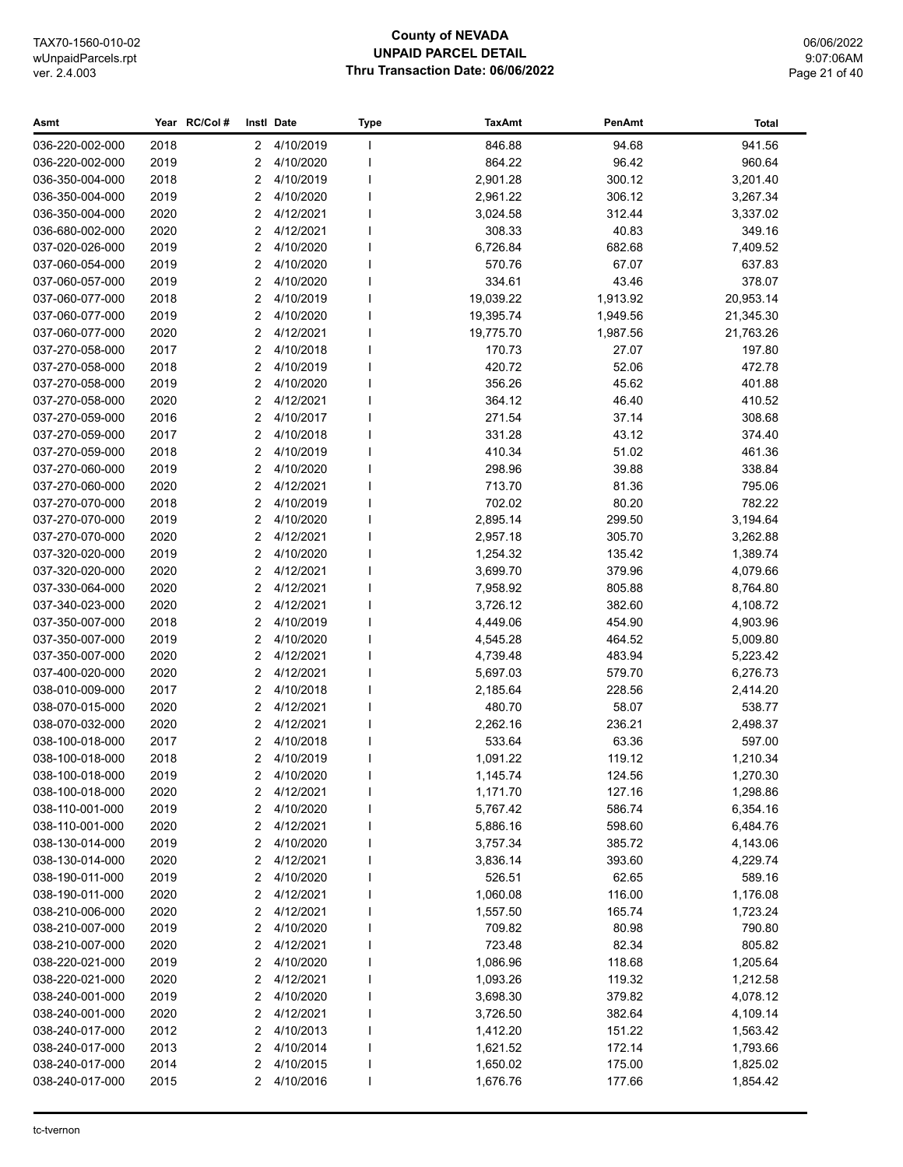## **County of NEVADA UNPAID PARCEL DETAIL Thru Transaction Date: 06/06/2022**

06/06/2022 9:07:06AM Page 21 of 40

| Asmt            |      | Year RC/Col# | Instl Date   |             | <b>Type</b>  | <b>TaxAmt</b> | PenAmt   | <b>Total</b> |
|-----------------|------|--------------|--------------|-------------|--------------|---------------|----------|--------------|
| 036-220-002-000 | 2018 |              | $\mathbf{2}$ | 4/10/2019   | $\mathbf{I}$ | 846.88        | 94.68    | 941.56       |
| 036-220-002-000 | 2019 |              | 2            | 4/10/2020   |              | 864.22        | 96.42    | 960.64       |
| 036-350-004-000 | 2018 |              | 2            | 4/10/2019   |              | 2,901.28      | 300.12   | 3,201.40     |
| 036-350-004-000 | 2019 |              | 2            | 4/10/2020   |              | 2,961.22      | 306.12   | 3,267.34     |
| 036-350-004-000 | 2020 |              | 2            | 4/12/2021   |              | 3,024.58      | 312.44   | 3,337.02     |
| 036-680-002-000 | 2020 |              | 2            | 4/12/2021   |              | 308.33        | 40.83    | 349.16       |
| 037-020-026-000 | 2019 |              | 2            | 4/10/2020   |              | 6,726.84      | 682.68   | 7,409.52     |
| 037-060-054-000 | 2019 |              | 2            | 4/10/2020   |              | 570.76        | 67.07    | 637.83       |
| 037-060-057-000 | 2019 |              | 2            | 4/10/2020   |              | 334.61        | 43.46    | 378.07       |
| 037-060-077-000 | 2018 |              | 2            | 4/10/2019   |              | 19,039.22     | 1,913.92 | 20,953.14    |
| 037-060-077-000 | 2019 |              | 2            | 4/10/2020   |              | 19,395.74     | 1,949.56 | 21,345.30    |
| 037-060-077-000 | 2020 |              | 2            | 4/12/2021   |              | 19,775.70     | 1,987.56 | 21,763.26    |
| 037-270-058-000 | 2017 |              | 2            | 4/10/2018   |              | 170.73        | 27.07    | 197.80       |
| 037-270-058-000 | 2018 |              | 2            | 4/10/2019   |              | 420.72        | 52.06    | 472.78       |
| 037-270-058-000 | 2019 |              | 2            | 4/10/2020   |              | 356.26        | 45.62    | 401.88       |
| 037-270-058-000 | 2020 |              | 2            | 4/12/2021   |              | 364.12        | 46.40    | 410.52       |
| 037-270-059-000 | 2016 |              | 2            | 4/10/2017   |              | 271.54        | 37.14    | 308.68       |
| 037-270-059-000 | 2017 |              | 2            | 4/10/2018   |              | 331.28        | 43.12    | 374.40       |
| 037-270-059-000 | 2018 |              | 2            | 4/10/2019   |              | 410.34        | 51.02    | 461.36       |
| 037-270-060-000 | 2019 |              | 2            | 4/10/2020   |              | 298.96        | 39.88    | 338.84       |
| 037-270-060-000 | 2020 |              | 2            | 4/12/2021   |              | 713.70        | 81.36    | 795.06       |
| 037-270-070-000 | 2018 |              | 2            | 4/10/2019   |              | 702.02        | 80.20    | 782.22       |
| 037-270-070-000 | 2019 |              | 2            | 4/10/2020   |              | 2,895.14      | 299.50   | 3,194.64     |
| 037-270-070-000 | 2020 |              | 2            | 4/12/2021   |              | 2,957.18      | 305.70   | 3,262.88     |
| 037-320-020-000 | 2019 |              | 2            | 4/10/2020   |              | 1,254.32      | 135.42   | 1,389.74     |
| 037-320-020-000 | 2020 |              | 2            | 4/12/2021   |              | 3,699.70      | 379.96   | 4,079.66     |
| 037-330-064-000 | 2020 |              | 2            | 4/12/2021   |              | 7,958.92      | 805.88   | 8,764.80     |
| 037-340-023-000 | 2020 |              | 2            | 4/12/2021   |              | 3,726.12      | 382.60   | 4,108.72     |
| 037-350-007-000 | 2018 |              | 2            | 4/10/2019   |              | 4,449.06      | 454.90   | 4,903.96     |
| 037-350-007-000 | 2019 |              | 2            | 4/10/2020   |              | 4,545.28      | 464.52   | 5,009.80     |
| 037-350-007-000 | 2020 |              | 2            | 4/12/2021   |              | 4,739.48      | 483.94   | 5,223.42     |
| 037-400-020-000 | 2020 |              | 2            | 4/12/2021   |              | 5,697.03      | 579.70   | 6,276.73     |
| 038-010-009-000 | 2017 |              | 2            | 4/10/2018   |              | 2,185.64      | 228.56   | 2,414.20     |
| 038-070-015-000 | 2020 |              | 2            | 4/12/2021   |              | 480.70        | 58.07    | 538.77       |
| 038-070-032-000 | 2020 |              | 2            | 4/12/2021   |              | 2,262.16      | 236.21   | 2,498.37     |
| 038-100-018-000 | 2017 |              | 2            | 4/10/2018   |              | 533.64        | 63.36    | 597.00       |
| 038-100-018-000 | 2018 |              | 2            | 4/10/2019   |              | 1,091.22      | 119.12   | 1,210.34     |
| 038-100-018-000 | 2019 |              |              | 2 4/10/2020 |              | 1,145.74      | 124.56   | 1,270.30     |
| 038-100-018-000 | 2020 |              | 2            | 4/12/2021   |              | 1,171.70      | 127.16   | 1,298.86     |
| 038-110-001-000 | 2019 |              | 2            | 4/10/2020   |              | 5,767.42      | 586.74   | 6,354.16     |
| 038-110-001-000 | 2020 |              | 2            | 4/12/2021   |              | 5,886.16      | 598.60   | 6,484.76     |
| 038-130-014-000 | 2019 |              | 2            | 4/10/2020   |              | 3,757.34      | 385.72   | 4,143.06     |
| 038-130-014-000 | 2020 |              | 2            | 4/12/2021   |              | 3,836.14      | 393.60   | 4,229.74     |
| 038-190-011-000 | 2019 |              | 2            | 4/10/2020   |              | 526.51        | 62.65    | 589.16       |
| 038-190-011-000 | 2020 |              | 2            | 4/12/2021   |              | 1,060.08      | 116.00   | 1,176.08     |
| 038-210-006-000 | 2020 |              | 2            | 4/12/2021   |              | 1,557.50      | 165.74   | 1,723.24     |
| 038-210-007-000 | 2019 |              | 2            | 4/10/2020   |              | 709.82        | 80.98    | 790.80       |
| 038-210-007-000 | 2020 |              | 2            | 4/12/2021   |              | 723.48        | 82.34    | 805.82       |
| 038-220-021-000 | 2019 |              | 2            | 4/10/2020   |              | 1,086.96      | 118.68   | 1,205.64     |
| 038-220-021-000 | 2020 |              | 2            | 4/12/2021   |              | 1,093.26      | 119.32   | 1,212.58     |
| 038-240-001-000 | 2019 |              | 2            | 4/10/2020   |              | 3,698.30      | 379.82   | 4,078.12     |
| 038-240-001-000 | 2020 |              | 2            | 4/12/2021   |              | 3,726.50      | 382.64   | 4,109.14     |
| 038-240-017-000 | 2012 |              | 2            | 4/10/2013   |              | 1,412.20      | 151.22   | 1,563.42     |
| 038-240-017-000 | 2013 |              | 2            | 4/10/2014   |              | 1,621.52      | 172.14   | 1,793.66     |
| 038-240-017-000 | 2014 |              | 2            | 4/10/2015   |              | 1,650.02      | 175.00   | 1,825.02     |
| 038-240-017-000 | 2015 |              | 2            | 4/10/2016   |              | 1,676.76      | 177.66   | 1,854.42     |
|                 |      |              |              |             |              |               |          |              |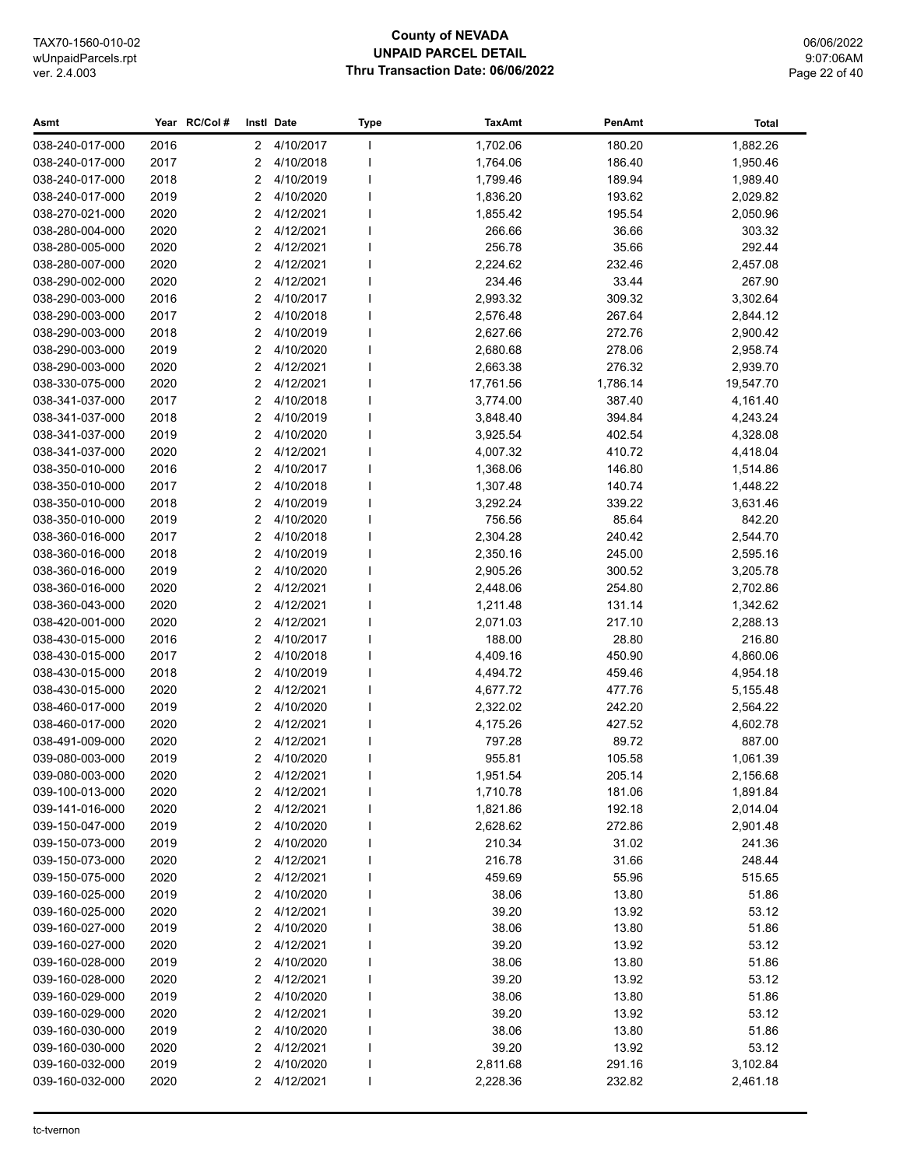## **County of NEVADA UNPAID PARCEL DETAIL Thru Transaction Date: 06/06/2022**

06/06/2022 9:07:06AM Page 22 of 40

| Asmt            |      | Year RC/Col# |                      | Instl Date  | <b>Type</b>  | <b>TaxAmt</b> | PenAmt   | <b>Total</b> |
|-----------------|------|--------------|----------------------|-------------|--------------|---------------|----------|--------------|
| 038-240-017-000 | 2016 |              | $\mathbf{2}^{\circ}$ | 4/10/2017   | J.           | 1,702.06      | 180.20   | 1,882.26     |
| 038-240-017-000 | 2017 |              | 2                    | 4/10/2018   | $\mathbf{I}$ | 1,764.06      | 186.40   | 1,950.46     |
| 038-240-017-000 | 2018 |              | 2                    | 4/10/2019   |              | 1,799.46      | 189.94   | 1,989.40     |
| 038-240-017-000 | 2019 |              | 2                    | 4/10/2020   |              | 1,836.20      | 193.62   | 2,029.82     |
| 038-270-021-000 | 2020 |              | 2                    | 4/12/2021   |              | 1,855.42      | 195.54   | 2,050.96     |
| 038-280-004-000 | 2020 |              | 2                    | 4/12/2021   |              | 266.66        | 36.66    | 303.32       |
| 038-280-005-000 | 2020 |              | 2                    | 4/12/2021   |              | 256.78        | 35.66    | 292.44       |
| 038-280-007-000 | 2020 |              | 2                    | 4/12/2021   |              | 2,224.62      | 232.46   | 2,457.08     |
| 038-290-002-000 | 2020 |              | 2                    | 4/12/2021   |              | 234.46        | 33.44    | 267.90       |
| 038-290-003-000 | 2016 |              | 2                    | 4/10/2017   |              | 2,993.32      | 309.32   | 3,302.64     |
| 038-290-003-000 | 2017 |              | 2                    | 4/10/2018   |              | 2,576.48      | 267.64   | 2,844.12     |
| 038-290-003-000 | 2018 |              | 2                    | 4/10/2019   |              | 2,627.66      | 272.76   | 2,900.42     |
| 038-290-003-000 | 2019 |              | 2                    | 4/10/2020   |              | 2,680.68      | 278.06   | 2,958.74     |
| 038-290-003-000 | 2020 |              | 2                    | 4/12/2021   |              | 2,663.38      | 276.32   | 2,939.70     |
| 038-330-075-000 | 2020 |              | 2                    | 4/12/2021   |              | 17,761.56     | 1,786.14 | 19,547.70    |
| 038-341-037-000 | 2017 |              | 2                    | 4/10/2018   |              | 3,774.00      | 387.40   | 4,161.40     |
| 038-341-037-000 | 2018 |              | 2                    | 4/10/2019   |              | 3,848.40      | 394.84   | 4,243.24     |
| 038-341-037-000 | 2019 |              | 2                    | 4/10/2020   |              | 3,925.54      | 402.54   | 4,328.08     |
| 038-341-037-000 | 2020 |              | 2                    | 4/12/2021   |              | 4,007.32      | 410.72   | 4,418.04     |
| 038-350-010-000 | 2016 |              | 2                    | 4/10/2017   |              | 1,368.06      | 146.80   | 1,514.86     |
| 038-350-010-000 | 2017 |              | 2                    | 4/10/2018   |              | 1,307.48      | 140.74   | 1,448.22     |
| 038-350-010-000 | 2018 |              | 2                    | 4/10/2019   |              | 3,292.24      | 339.22   | 3,631.46     |
| 038-350-010-000 | 2019 |              | 2                    | 4/10/2020   |              | 756.56        | 85.64    | 842.20       |
| 038-360-016-000 | 2017 |              | 2                    | 4/10/2018   |              | 2,304.28      | 240.42   | 2,544.70     |
| 038-360-016-000 | 2018 |              | 2                    | 4/10/2019   |              | 2,350.16      | 245.00   | 2,595.16     |
| 038-360-016-000 | 2019 |              | 2                    | 4/10/2020   |              | 2,905.26      | 300.52   | 3,205.78     |
| 038-360-016-000 | 2020 |              | 2                    | 4/12/2021   |              | 2,448.06      | 254.80   | 2,702.86     |
| 038-360-043-000 | 2020 |              | 2                    | 4/12/2021   |              | 1,211.48      | 131.14   | 1,342.62     |
| 038-420-001-000 | 2020 |              | 2                    | 4/12/2021   |              | 2,071.03      | 217.10   | 2,288.13     |
| 038-430-015-000 | 2016 |              | 2                    | 4/10/2017   |              | 188.00        | 28.80    | 216.80       |
| 038-430-015-000 | 2017 |              | 2                    | 4/10/2018   |              | 4,409.16      | 450.90   | 4,860.06     |
| 038-430-015-000 | 2018 |              | 2                    | 4/10/2019   |              | 4,494.72      | 459.46   | 4,954.18     |
| 038-430-015-000 | 2020 |              | 2                    | 4/12/2021   |              | 4,677.72      | 477.76   | 5,155.48     |
| 038-460-017-000 | 2019 |              | 2                    | 4/10/2020   |              | 2,322.02      | 242.20   | 2,564.22     |
| 038-460-017-000 | 2020 |              | 2                    | 4/12/2021   |              | 4,175.26      | 427.52   | 4,602.78     |
| 038-491-009-000 | 2020 |              | 2                    | 4/12/2021   |              | 797.28        | 89.72    | 887.00       |
| 039-080-003-000 | 2019 |              | 2                    | 4/10/2020   |              | 955.81        | 105.58   | 1,061.39     |
| 039-080-003-000 | 2020 |              |                      | 2 4/12/2021 |              | 1,951.54      | 205.14   | 2,156.68     |
| 039-100-013-000 | 2020 |              | 2                    | 4/12/2021   |              | 1,710.78      | 181.06   | 1,891.84     |
| 039-141-016-000 | 2020 |              | 2                    | 4/12/2021   |              | 1,821.86      | 192.18   | 2,014.04     |
| 039-150-047-000 | 2019 |              | 2                    | 4/10/2020   |              | 2,628.62      | 272.86   | 2,901.48     |
| 039-150-073-000 | 2019 |              | 2                    | 4/10/2020   |              | 210.34        | 31.02    | 241.36       |
| 039-150-073-000 | 2020 |              | 2                    | 4/12/2021   |              | 216.78        | 31.66    | 248.44       |
| 039-150-075-000 | 2020 |              | 2                    | 4/12/2021   |              | 459.69        | 55.96    | 515.65       |
| 039-160-025-000 | 2019 |              | 2                    | 4/10/2020   |              | 38.06         | 13.80    | 51.86        |
| 039-160-025-000 | 2020 |              | 2                    | 4/12/2021   |              | 39.20         | 13.92    | 53.12        |
| 039-160-027-000 | 2019 |              | 2                    | 4/10/2020   |              | 38.06         | 13.80    | 51.86        |
| 039-160-027-000 | 2020 |              | 2                    | 4/12/2021   |              | 39.20         | 13.92    | 53.12        |
| 039-160-028-000 | 2019 |              | 2                    | 4/10/2020   |              | 38.06         | 13.80    | 51.86        |
| 039-160-028-000 | 2020 |              | 2                    | 4/12/2021   |              | 39.20         | 13.92    | 53.12        |
| 039-160-029-000 | 2019 |              | 2                    | 4/10/2020   |              | 38.06         | 13.80    | 51.86        |
| 039-160-029-000 | 2020 |              | 2                    | 4/12/2021   |              | 39.20         | 13.92    | 53.12        |
| 039-160-030-000 | 2019 |              | 2                    | 4/10/2020   |              | 38.06         | 13.80    | 51.86        |
| 039-160-030-000 | 2020 |              | 2                    | 4/12/2021   |              | 39.20         | 13.92    | 53.12        |
| 039-160-032-000 | 2019 |              | 2                    | 4/10/2020   |              | 2,811.68      | 291.16   | 3,102.84     |
| 039-160-032-000 | 2020 |              | 2                    | 4/12/2021   |              | 2,228.36      | 232.82   | 2,461.18     |
|                 |      |              |                      |             |              |               |          |              |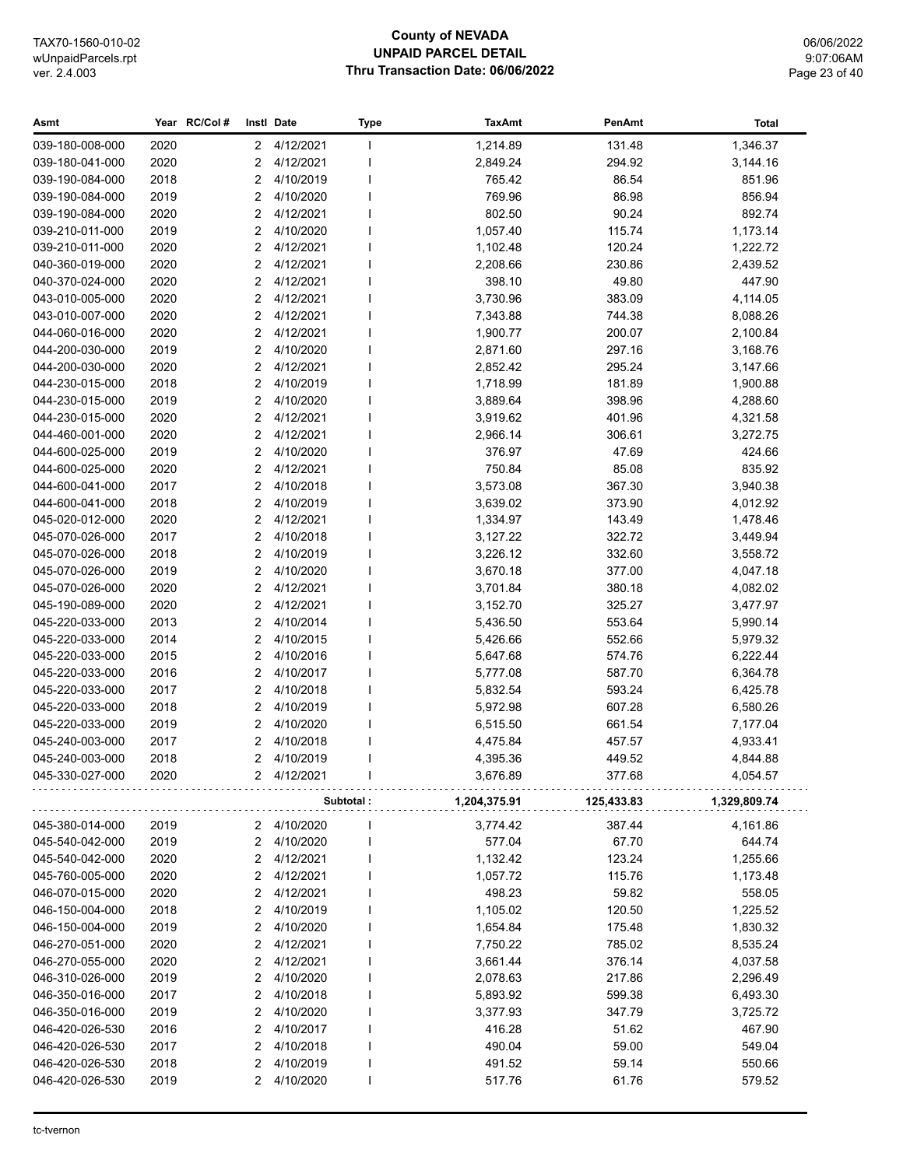## **County of NEVADA UNPAID PARCEL DETAIL** Thru Transaction Date: 06/06/2022

06/06/2022 9:07:06AM Page 23 of 40

| Asmt                               |              | Year RC/Col #  | Instl Date             | Type      | <b>TaxAmt</b>        | PenAmt           | Total                |
|------------------------------------|--------------|----------------|------------------------|-----------|----------------------|------------------|----------------------|
| 039-180-008-000                    | 2020         | 2              | 4/12/2021              | I.        | 1,214.89             | 131.48           | 1,346.37             |
| 039-180-041-000                    | 2020         | 2              | 4/12/2021              |           | 2,849.24             | 294.92           | 3,144.16             |
| 039-190-084-000                    | 2018         | 2              | 4/10/2019              |           | 765.42               | 86.54            | 851.96               |
| 039-190-084-000                    | 2019         | 2              | 4/10/2020              |           | 769.96               | 86.98            | 856.94               |
| 039-190-084-000                    | 2020         | 2              | 4/12/2021              |           | 802.50               | 90.24            | 892.74               |
| 039-210-011-000                    | 2019         | 2              | 4/10/2020              |           | 1,057.40             | 115.74           | 1,173.14             |
| 039-210-011-000                    | 2020         | 2              | 4/12/2021              |           | 1,102.48             | 120.24           | 1,222.72             |
| 040-360-019-000                    | 2020         | 2              | 4/12/2021              |           | 2,208.66             | 230.86           | 2,439.52             |
| 040-370-024-000                    | 2020         | $\overline{2}$ | 4/12/2021              |           | 398.10               | 49.80            | 447.90               |
| 043-010-005-000                    | 2020         | 2              | 4/12/2021              |           | 3,730.96             | 383.09           | 4,114.05             |
| 043-010-007-000                    | 2020         | 2              | 4/12/2021              |           | 7,343.88             | 744.38           | 8,088.26             |
| 044-060-016-000                    | 2020         | 2              | 4/12/2021              |           | 1,900.77             | 200.07           | 2,100.84             |
| 044-200-030-000                    | 2019         | 2              | 4/10/2020              |           | 2,871.60             | 297.16           | 3,168.76             |
| 044-200-030-000                    | 2020         | 2              | 4/12/2021              |           | 2,852.42             | 295.24           | 3,147.66             |
| 044-230-015-000                    | 2018         | 2              | 4/10/2019              |           | 1,718.99             | 181.89           | 1,900.88             |
| 044-230-015-000                    | 2019         | 2              | 4/10/2020              |           | 3,889.64             | 398.96           | 4,288.60             |
| 044-230-015-000                    | 2020         | 2              | 4/12/2021              |           | 3,919.62             | 401.96           | 4,321.58             |
| 044-460-001-000                    | 2020         | 2              | 4/12/2021              |           | 2,966.14             | 306.61           | 3,272.75             |
| 044-600-025-000                    | 2019         | 2              | 4/10/2020              |           | 376.97               | 47.69            | 424.66               |
| 044-600-025-000                    | 2020         | 2              | 4/12/2021              |           | 750.84               | 85.08            | 835.92               |
| 044-600-041-000                    | 2017         | 2              | 4/10/2018              |           | 3,573.08             | 367.30           | 3,940.38             |
| 044-600-041-000                    | 2018         | 2              | 4/10/2019              |           | 3,639.02             | 373.90           | 4,012.92             |
| 045-020-012-000                    | 2020         | $\overline{2}$ | 4/12/2021              |           | 1,334.97             | 143.49           | 1,478.46             |
| 045-070-026-000                    | 2017         | 2              | 4/10/2018              |           | 3,127.22             | 322.72           | 3,449.94             |
| 045-070-026-000                    | 2018         | 2              | 4/10/2019              |           | 3,226.12             | 332.60           | 3,558.72             |
| 045-070-026-000                    | 2019         | 2              | 4/10/2020              |           | 3,670.18             | 377.00           | 4,047.18             |
| 045-070-026-000                    | 2020         | 2              | 4/12/2021              |           | 3,701.84             | 380.18           | 4,082.02             |
| 045-190-089-000                    | 2020         | 2              | 4/12/2021              |           | 3,152.70             | 325.27           | 3,477.97             |
| 045-220-033-000                    | 2013         | 2              | 4/10/2014              |           | 5,436.50             | 553.64           | 5,990.14             |
| 045-220-033-000                    | 2014         | 2              | 4/10/2015              |           | 5,426.66             | 552.66           | 5,979.32             |
| 045-220-033-000                    | 2015         | 2              | 4/10/2016              |           | 5,647.68             | 574.76           | 6,222.44             |
| 045-220-033-000<br>045-220-033-000 | 2016<br>2017 | 2<br>2         | 4/10/2017<br>4/10/2018 |           | 5,777.08             | 587.70<br>593.24 | 6,364.78             |
| 045-220-033-000                    | 2018         | 2              | 4/10/2019              |           | 5,832.54<br>5,972.98 | 607.28           | 6,425.78<br>6,580.26 |
| 045-220-033-000                    | 2019         | 2              | 4/10/2020              |           | 6,515.50             | 661.54           | 7,177.04             |
| 045-240-003-000                    | 2017         | 2              | 4/10/2018              |           | 4,475.84             | 457.57           | 4,933.41             |
| 045-240-003-000                    | 2018         | 2              | 4/10/2019              |           | 4,395.36             | 449.52           | 4,844.88             |
| 045-330-027-000                    | 2020         |                | 2 4/12/2021            |           | 3,676.89             | 377.68           | 4,054.57             |
|                                    |              |                |                        | Subtotal: | 1,204,375.91         | 125,433.83       | 1,329,809.74         |
|                                    |              |                |                        |           |                      |                  |                      |
| 045-380-014-000<br>045-540-042-000 | 2019<br>2019 | 2              | 4/10/2020<br>4/10/2020 |           | 3,774.42<br>577.04   | 387.44<br>67.70  | 4,161.86<br>644.74   |
|                                    |              | 2              |                        |           |                      |                  |                      |
| 045-540-042-000<br>045-760-005-000 | 2020         | 2<br>2         | 4/12/2021<br>4/12/2021 |           | 1,132.42             | 123.24<br>115.76 | 1,255.66             |
| 046-070-015-000                    | 2020<br>2020 | 2              | 4/12/2021              |           | 1,057.72<br>498.23   | 59.82            | 1,173.48<br>558.05   |
| 046-150-004-000                    | 2018         | 2              | 4/10/2019              |           | 1,105.02             | 120.50           | 1,225.52             |
| 046-150-004-000                    | 2019         | $\overline{2}$ | 4/10/2020              |           | 1,654.84             | 175.48           | 1,830.32             |
| 046-270-051-000                    | 2020         | $\overline{2}$ | 4/12/2021              |           |                      | 785.02           |                      |
| 046-270-055-000                    | 2020         | 2              | 4/12/2021              |           | 7,750.22<br>3,661.44 | 376.14           | 8,535.24<br>4,037.58 |
| 046-310-026-000                    | 2019         | $\overline{c}$ | 4/10/2020              |           | 2,078.63             | 217.86           | 2,296.49             |
| 046-350-016-000                    | 2017         | $\overline{2}$ | 4/10/2018              |           | 5,893.92             | 599.38           | 6,493.30             |
| 046-350-016-000                    | 2019         | 2              | 4/10/2020              |           | 3,377.93             | 347.79           | 3,725.72             |
| 046-420-026-530                    | 2016         | 2              | 4/10/2017              |           | 416.28               | 51.62            | 467.90               |
| 046-420-026-530                    | 2017         | $\overline{c}$ | 4/10/2018              |           | 490.04               | 59.00            | 549.04               |
| 046-420-026-530                    | 2018         | $\overline{c}$ | 4/10/2019              |           | 491.52               | 59.14            | 550.66               |
| 046-420-026-530                    | 2019         | 2              | 4/10/2020              |           | 517.76               | 61.76            | 579.52               |
|                                    |              |                |                        |           |                      |                  |                      |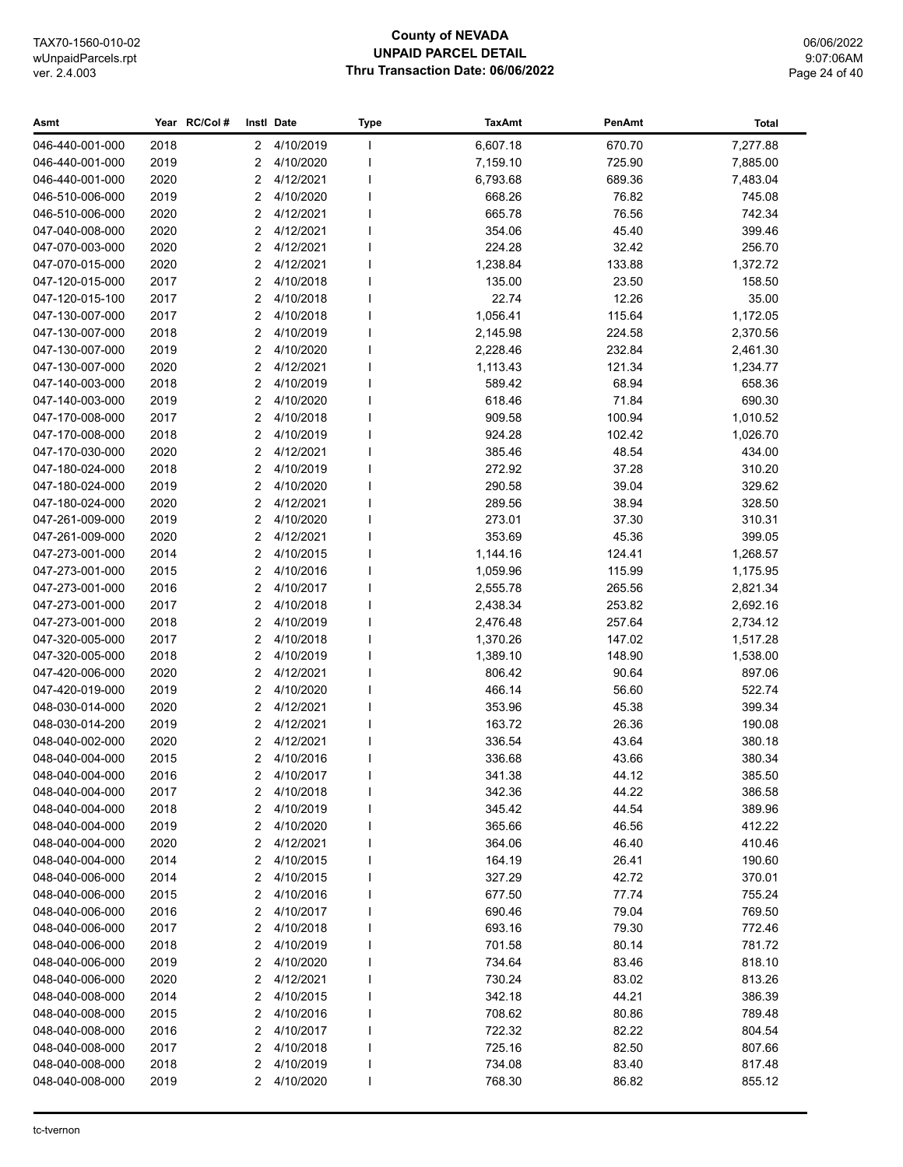## **County of NEVADA UNPAID PARCEL DETAIL** Thru Transaction Date: 06/06/2022

06/06/2022 9:07:06AM Page 24 of 40

| Asmt            |      | Year RC/Col# |                | Instl Date  | Type | <b>TaxAmt</b> | PenAmt | Total    |
|-----------------|------|--------------|----------------|-------------|------|---------------|--------|----------|
| 046-440-001-000 | 2018 |              | $\mathbf{2}$   | 4/10/2019   | I    | 6,607.18      | 670.70 | 7,277.88 |
| 046-440-001-000 | 2019 |              | 2              | 4/10/2020   |      | 7,159.10      | 725.90 | 7,885.00 |
| 046-440-001-000 | 2020 |              | 2              | 4/12/2021   |      | 6,793.68      | 689.36 | 7,483.04 |
| 046-510-006-000 | 2019 |              | 2              | 4/10/2020   |      | 668.26        | 76.82  | 745.08   |
| 046-510-006-000 | 2020 |              | 2              | 4/12/2021   |      | 665.78        | 76.56  | 742.34   |
| 047-040-008-000 | 2020 |              | 2              | 4/12/2021   |      | 354.06        | 45.40  | 399.46   |
| 047-070-003-000 | 2020 |              | 2              | 4/12/2021   |      | 224.28        | 32.42  | 256.70   |
| 047-070-015-000 | 2020 |              | 2              | 4/12/2021   |      | 1,238.84      | 133.88 | 1,372.72 |
| 047-120-015-000 | 2017 |              | 2              | 4/10/2018   |      | 135.00        | 23.50  | 158.50   |
| 047-120-015-100 | 2017 |              | 2              | 4/10/2018   |      | 22.74         | 12.26  | 35.00    |
| 047-130-007-000 | 2017 |              | 2              | 4/10/2018   |      | 1,056.41      | 115.64 | 1,172.05 |
| 047-130-007-000 | 2018 |              | 2              | 4/10/2019   |      | 2,145.98      | 224.58 | 2,370.56 |
| 047-130-007-000 | 2019 |              | 2              | 4/10/2020   |      | 2,228.46      | 232.84 | 2,461.30 |
| 047-130-007-000 | 2020 |              | 2              | 4/12/2021   |      | 1,113.43      | 121.34 | 1,234.77 |
| 047-140-003-000 | 2018 |              | 2              | 4/10/2019   |      | 589.42        | 68.94  | 658.36   |
| 047-140-003-000 | 2019 |              | 2              | 4/10/2020   |      | 618.46        | 71.84  | 690.30   |
| 047-170-008-000 | 2017 |              | 2              | 4/10/2018   |      | 909.58        | 100.94 | 1,010.52 |
| 047-170-008-000 | 2018 |              | 2              | 4/10/2019   |      | 924.28        | 102.42 | 1,026.70 |
| 047-170-030-000 | 2020 |              | 2              | 4/12/2021   |      | 385.46        | 48.54  | 434.00   |
| 047-180-024-000 | 2018 |              | $\overline{2}$ | 4/10/2019   |      | 272.92        | 37.28  | 310.20   |
| 047-180-024-000 | 2019 |              | 2              | 4/10/2020   |      | 290.58        | 39.04  | 329.62   |
| 047-180-024-000 | 2020 |              | 2              | 4/12/2021   |      | 289.56        | 38.94  | 328.50   |
| 047-261-009-000 | 2019 |              | 2              | 4/10/2020   |      | 273.01        | 37.30  | 310.31   |
| 047-261-009-000 | 2020 |              | 2              | 4/12/2021   |      | 353.69        | 45.36  | 399.05   |
| 047-273-001-000 | 2014 |              | 2              | 4/10/2015   |      | 1,144.16      | 124.41 | 1,268.57 |
| 047-273-001-000 | 2015 |              | 2              | 4/10/2016   |      | 1,059.96      | 115.99 | 1,175.95 |
| 047-273-001-000 | 2016 |              | 2              | 4/10/2017   |      | 2,555.78      | 265.56 | 2,821.34 |
| 047-273-001-000 | 2017 |              | 2              | 4/10/2018   |      | 2,438.34      | 253.82 | 2,692.16 |
| 047-273-001-000 | 2018 |              | 2              | 4/10/2019   |      | 2,476.48      | 257.64 | 2,734.12 |
| 047-320-005-000 | 2017 |              | 2              | 4/10/2018   |      | 1,370.26      | 147.02 | 1,517.28 |
| 047-320-005-000 | 2018 |              | 2              | 4/10/2019   |      | 1,389.10      | 148.90 | 1,538.00 |
| 047-420-006-000 | 2020 |              | 2              | 4/12/2021   |      | 806.42        | 90.64  | 897.06   |
| 047-420-019-000 | 2019 |              | 2              | 4/10/2020   |      | 466.14        | 56.60  | 522.74   |
| 048-030-014-000 | 2020 |              | 2              | 4/12/2021   |      | 353.96        | 45.38  | 399.34   |
| 048-030-014-200 | 2019 |              | 2              | 4/12/2021   |      | 163.72        | 26.36  | 190.08   |
| 048-040-002-000 | 2020 |              | 2              | 4/12/2021   |      | 336.54        | 43.64  | 380.18   |
| 048-040-004-000 | 2015 |              | 2              | 4/10/2016   |      | 336.68        | 43.66  | 380.34   |
| 048-040-004-000 | 2016 |              |                | 2 4/10/2017 |      | 341.38        | 44.12  | 385.50   |
| 048-040-004-000 | 2017 |              | 2              | 4/10/2018   |      | 342.36        | 44.22  | 386.58   |
| 048-040-004-000 | 2018 |              | 2              | 4/10/2019   |      | 345.42        | 44.54  | 389.96   |
| 048-040-004-000 | 2019 |              | 2              | 4/10/2020   |      | 365.66        | 46.56  | 412.22   |
| 048-040-004-000 | 2020 |              | 2              | 4/12/2021   |      | 364.06        | 46.40  | 410.46   |
| 048-040-004-000 | 2014 |              | 2              | 4/10/2015   |      | 164.19        | 26.41  | 190.60   |
| 048-040-006-000 | 2014 |              | 2              | 4/10/2015   |      | 327.29        | 42.72  | 370.01   |
| 048-040-006-000 | 2015 |              | 2              | 4/10/2016   |      | 677.50        | 77.74  | 755.24   |
| 048-040-006-000 | 2016 |              | 2              | 4/10/2017   |      | 690.46        | 79.04  | 769.50   |
| 048-040-006-000 | 2017 |              | 2              | 4/10/2018   |      | 693.16        | 79.30  | 772.46   |
| 048-040-006-000 | 2018 |              | 2              | 4/10/2019   |      | 701.58        | 80.14  | 781.72   |
| 048-040-006-000 | 2019 |              | 2              | 4/10/2020   |      | 734.64        | 83.46  | 818.10   |
| 048-040-006-000 | 2020 |              | 2              | 4/12/2021   |      | 730.24        | 83.02  | 813.26   |
| 048-040-008-000 | 2014 |              | 2              | 4/10/2015   |      | 342.18        | 44.21  | 386.39   |
| 048-040-008-000 | 2015 |              | 2              | 4/10/2016   |      | 708.62        | 80.86  | 789.48   |
| 048-040-008-000 | 2016 |              | 2              | 4/10/2017   |      | 722.32        | 82.22  | 804.54   |
| 048-040-008-000 | 2017 |              | 2              | 4/10/2018   |      | 725.16        | 82.50  | 807.66   |
| 048-040-008-000 | 2018 |              | 2              | 4/10/2019   |      | 734.08        | 83.40  | 817.48   |
| 048-040-008-000 | 2019 |              | 2              | 4/10/2020   |      | 768.30        | 86.82  | 855.12   |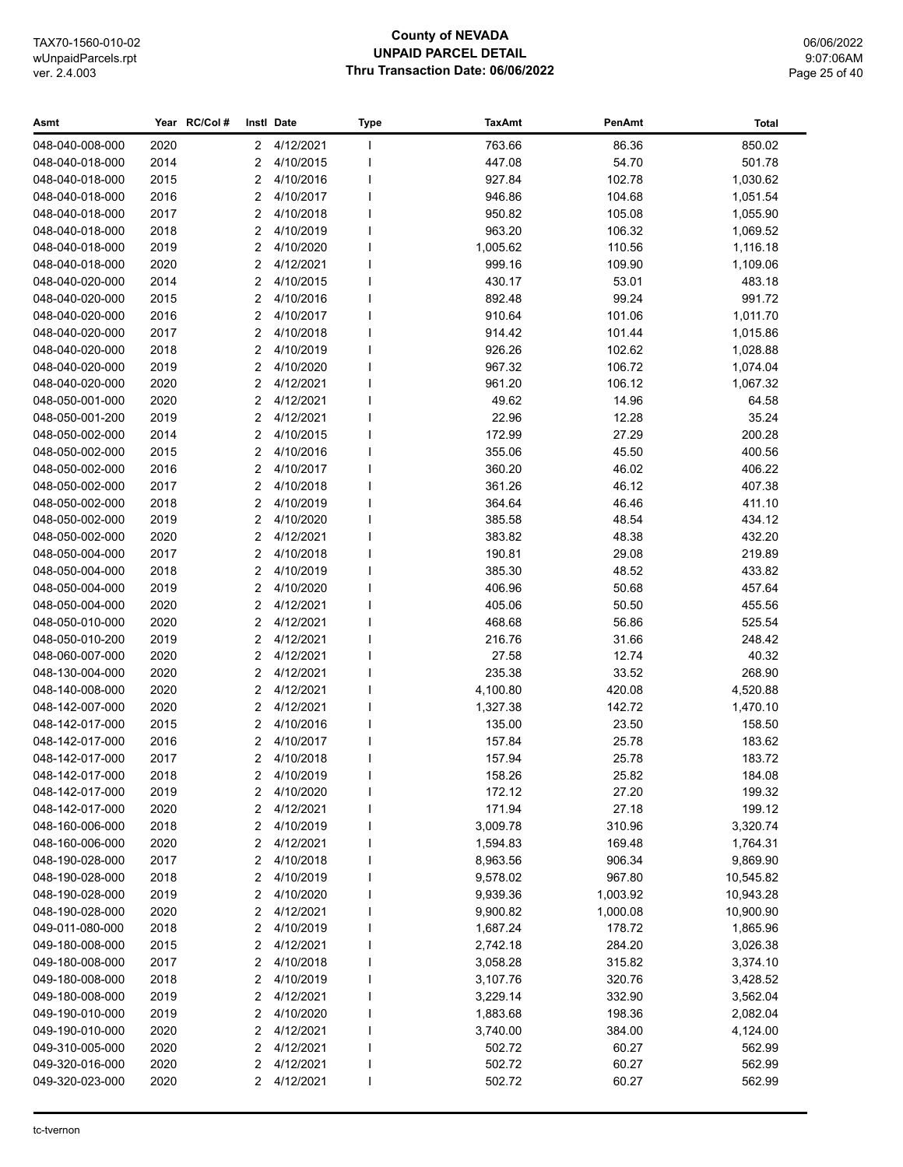## **County of NEVADA UNPAID PARCEL DETAIL Thru Transaction Date: 06/06/2022**

06/06/2022 9:07:06AM Page 25 of 40

| Asmt                               |              | Year RC/Col#   | Instl Date             | <b>Type</b> | <b>TaxAmt</b>        | PenAmt           | <b>Total</b>         |
|------------------------------------|--------------|----------------|------------------------|-------------|----------------------|------------------|----------------------|
| 048-040-008-000                    | 2020         | $\mathbf{2}$   | 4/12/2021              |             | 763.66               | 86.36            | 850.02               |
| 048-040-018-000                    | 2014         | 2              | 4/10/2015              |             | 447.08               | 54.70            | 501.78               |
| 048-040-018-000                    | 2015         | $\overline{2}$ | 4/10/2016              |             | 927.84               | 102.78           | 1,030.62             |
| 048-040-018-000                    | 2016         | 2              | 4/10/2017              |             | 946.86               | 104.68           | 1,051.54             |
| 048-040-018-000                    | 2017         | 2              | 4/10/2018              |             | 950.82               | 105.08           | 1,055.90             |
| 048-040-018-000                    | 2018         | 2              | 4/10/2019              |             | 963.20               | 106.32           | 1,069.52             |
| 048-040-018-000                    | 2019         | $\overline{2}$ | 4/10/2020              |             | 1,005.62             | 110.56           | 1,116.18             |
| 048-040-018-000                    | 2020         | 2              | 4/12/2021              |             | 999.16               | 109.90           | 1,109.06             |
| 048-040-020-000                    | 2014         | 2              | 4/10/2015              |             | 430.17               | 53.01            | 483.18               |
| 048-040-020-000                    | 2015         | 2              | 4/10/2016              |             | 892.48               | 99.24            | 991.72               |
| 048-040-020-000                    | 2016         | 2              | 4/10/2017              |             | 910.64               | 101.06           | 1,011.70             |
| 048-040-020-000                    | 2017         | 2              | 4/10/2018              |             | 914.42               | 101.44           | 1,015.86             |
| 048-040-020-000                    | 2018         | 2              | 4/10/2019              |             | 926.26               | 102.62           | 1,028.88             |
| 048-040-020-000                    | 2019         | 2              | 4/10/2020              |             | 967.32               | 106.72           | 1,074.04             |
| 048-040-020-000                    | 2020         | 2              | 4/12/2021              |             | 961.20               | 106.12           | 1,067.32             |
| 048-050-001-000                    | 2020         | 2              | 4/12/2021              |             | 49.62                | 14.96            | 64.58                |
| 048-050-001-200                    | 2019         | 2              | 4/12/2021              |             | 22.96                | 12.28            | 35.24                |
| 048-050-002-000                    | 2014         | 2              | 4/10/2015              |             | 172.99               | 27.29            | 200.28               |
| 048-050-002-000                    | 2015         | 2              | 4/10/2016              |             | 355.06               | 45.50            | 400.56               |
| 048-050-002-000                    | 2016         | 2              | 4/10/2017              |             | 360.20               | 46.02            | 406.22               |
| 048-050-002-000                    | 2017         | $\overline{2}$ | 4/10/2018              |             | 361.26               | 46.12            | 407.38               |
| 048-050-002-000                    | 2018         | 2              | 4/10/2019              |             | 364.64               | 46.46            | 411.10               |
| 048-050-002-000                    | 2019         | 2              | 4/10/2020              |             | 385.58               | 48.54            | 434.12               |
| 048-050-002-000                    | 2020         | 2              | 4/12/2021              |             | 383.82               | 48.38            | 432.20               |
| 048-050-004-000                    | 2017         | 2              | 4/10/2018              |             | 190.81               | 29.08            | 219.89               |
| 048-050-004-000                    | 2018         | 2              | 4/10/2019              |             | 385.30               | 48.52            | 433.82               |
| 048-050-004-000                    | 2019         | 2              | 4/10/2020              |             | 406.96               | 50.68            | 457.64               |
| 048-050-004-000                    | 2020         | $\overline{2}$ | 4/12/2021              |             | 405.06               | 50.50            | 455.56               |
| 048-050-010-000                    | 2020         | 2              | 4/12/2021              |             | 468.68               | 56.86            | 525.54               |
| 048-050-010-200                    | 2019         | 2              | 4/12/2021              |             | 216.76               | 31.66            | 248.42               |
| 048-060-007-000                    | 2020         | 2              | 4/12/2021              |             | 27.58                | 12.74            | 40.32                |
| 048-130-004-000                    | 2020         | 2              | 4/12/2021              |             | 235.38               | 33.52            | 268.90               |
| 048-140-008-000                    | 2020         | $\overline{2}$ | 4/12/2021              |             | 4,100.80             | 420.08           | 4,520.88             |
| 048-142-007-000                    | 2020         | $\overline{2}$ | 4/12/2021              |             | 1,327.38             | 142.72           | 1,470.10             |
| 048-142-017-000                    | 2015         | 2              | 4/10/2016              |             | 135.00               | 23.50            | 158.50               |
| 048-142-017-000                    | 2016         | 2              | 4/10/2017              |             | 157.84               | 25.78            | 183.62               |
| 048-142-017-000                    | 2017         | 2              | 4/10/2018              |             | 157.94               | 25.78            | 183.72               |
| 048-142-017-000                    | 2018         |                | 2 4/10/2019            |             | 158.26               | 25.82            | 184.08               |
| 048-142-017-000                    | 2019         | 2              | 4/10/2020              |             | 172.12               | 27.20            | 199.32               |
| 048-142-017-000                    | 2020         | 2              | 4/12/2021              |             | 171.94               | 27.18            | 199.12               |
| 048-160-006-000                    | 2018         | 2              | 4/10/2019              |             | 3,009.78             | 310.96           | 3,320.74             |
| 048-160-006-000                    | 2020         | 2              | 4/12/2021              |             | 1,594.83             | 169.48           | 1,764.31             |
| 048-190-028-000                    | 2017         | 2              | 4/10/2018              |             | 8,963.56             | 906.34           | 9,869.90             |
| 048-190-028-000                    | 2018         | 2              | 4/10/2019              |             | 9,578.02             | 967.80           | 10,545.82            |
| 048-190-028-000                    | 2019         | 2              | 4/10/2020              |             | 9,939.36             | 1,003.92         | 10,943.28            |
| 048-190-028-000                    | 2020         | 2              | 4/12/2021              |             | 9,900.82             | 1,000.08         | 10,900.90            |
| 049-011-080-000<br>049-180-008-000 | 2018         | 2              | 4/10/2019<br>4/12/2021 |             | 1,687.24             | 178.72           | 1,865.96             |
|                                    | 2015         | 2              | 4/10/2018              |             | 2,742.18             | 284.20           | 3,026.38             |
| 049-180-008-000<br>049-180-008-000 | 2017         | 2<br>2         | 4/10/2019              |             | 3,058.28             | 315.82<br>320.76 | 3,374.10             |
| 049-180-008-000                    | 2018<br>2019 | 2              | 4/12/2021              |             | 3,107.76<br>3,229.14 | 332.90           | 3,428.52<br>3,562.04 |
| 049-190-010-000                    | 2019         | 2              | 4/10/2020              |             | 1,883.68             | 198.36           | 2,082.04             |
| 049-190-010-000                    | 2020         | 2              | 4/12/2021              |             | 3,740.00             | 384.00           | 4,124.00             |
| 049-310-005-000                    | 2020         | 2              | 4/12/2021              |             | 502.72               | 60.27            | 562.99               |
| 049-320-016-000                    | 2020         | 2              | 4/12/2021              |             | 502.72               | 60.27            | 562.99               |
| 049-320-023-000                    | 2020         | 2              | 4/12/2021              |             | 502.72               | 60.27            | 562.99               |
|                                    |              |                |                        |             |                      |                  |                      |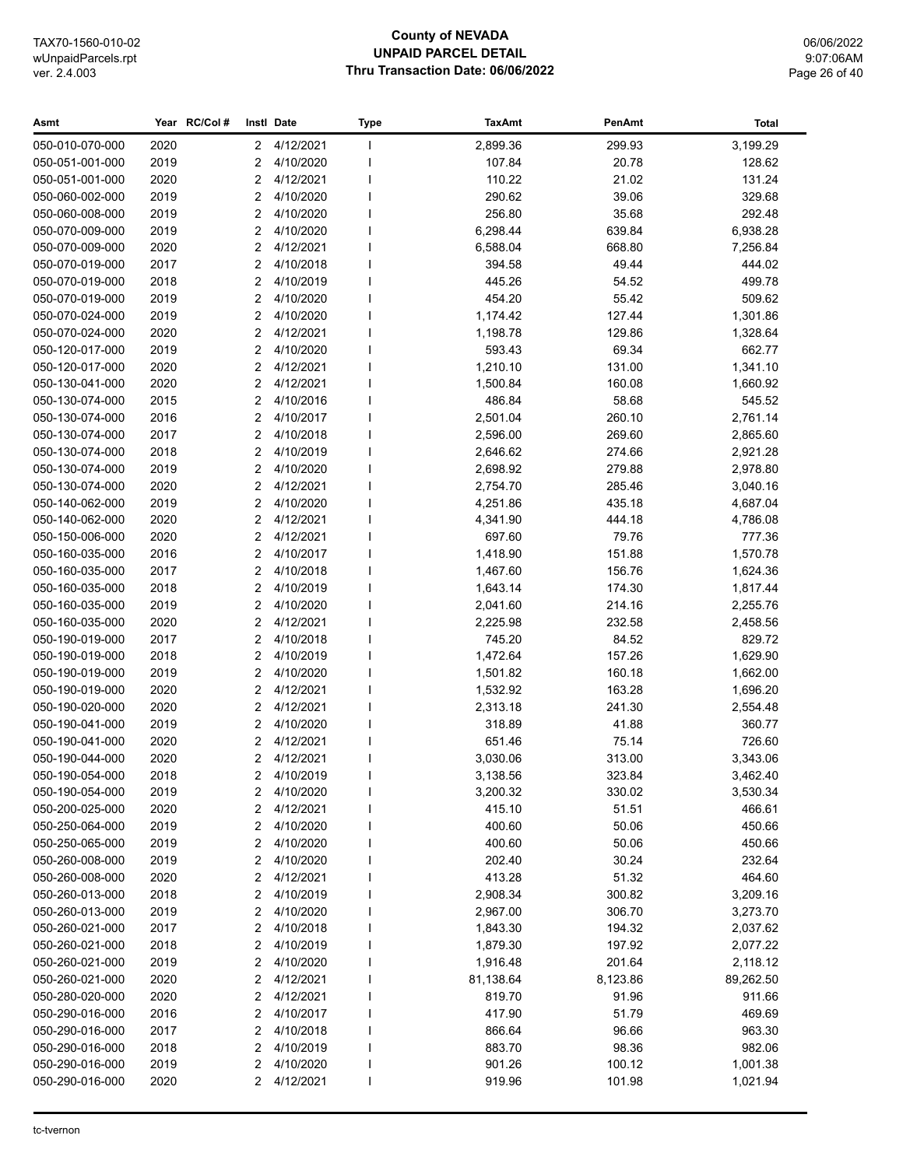## **County of NEVADA UNPAID PARCEL DETAIL Thru Transaction Date: 06/06/2022**

06/06/2022 9:07:06AM Page 26 of 40

| Asmt            |      | Year RC/Col#   | Instl Date  | <b>Type</b>  | <b>TaxAmt</b> | PenAmt   | <b>Total</b> |
|-----------------|------|----------------|-------------|--------------|---------------|----------|--------------|
| 050-010-070-000 | 2020 | $\mathbf{2}$   | 4/12/2021   | $\mathbf{I}$ | 2,899.36      | 299.93   | 3,199.29     |
| 050-051-001-000 | 2019 | 2              | 4/10/2020   |              | 107.84        | 20.78    | 128.62       |
| 050-051-001-000 | 2020 | 2              | 4/12/2021   |              | 110.22        | 21.02    | 131.24       |
| 050-060-002-000 | 2019 | 2              | 4/10/2020   |              | 290.62        | 39.06    | 329.68       |
| 050-060-008-000 | 2019 | 2              | 4/10/2020   |              | 256.80        | 35.68    | 292.48       |
| 050-070-009-000 | 2019 | 2              | 4/10/2020   |              | 6,298.44      | 639.84   | 6,938.28     |
| 050-070-009-000 | 2020 | $\overline{2}$ | 4/12/2021   |              | 6,588.04      | 668.80   | 7,256.84     |
| 050-070-019-000 | 2017 | 2              | 4/10/2018   |              | 394.58        | 49.44    | 444.02       |
| 050-070-019-000 | 2018 | 2              | 4/10/2019   |              | 445.26        | 54.52    | 499.78       |
| 050-070-019-000 | 2019 | 2              | 4/10/2020   |              | 454.20        | 55.42    | 509.62       |
| 050-070-024-000 | 2019 | 2              | 4/10/2020   |              | 1,174.42      | 127.44   | 1,301.86     |
| 050-070-024-000 | 2020 | 2              | 4/12/2021   |              | 1,198.78      | 129.86   | 1,328.64     |
| 050-120-017-000 | 2019 | 2              | 4/10/2020   |              | 593.43        | 69.34    | 662.77       |
| 050-120-017-000 | 2020 | 2              | 4/12/2021   |              | 1,210.10      | 131.00   | 1,341.10     |
| 050-130-041-000 | 2020 | 2              | 4/12/2021   |              | 1,500.84      | 160.08   | 1,660.92     |
| 050-130-074-000 | 2015 | 2              | 4/10/2016   |              | 486.84        | 58.68    | 545.52       |
| 050-130-074-000 | 2016 | 2              | 4/10/2017   |              | 2,501.04      | 260.10   | 2,761.14     |
| 050-130-074-000 | 2017 | 2              | 4/10/2018   |              | 2,596.00      | 269.60   | 2,865.60     |
| 050-130-074-000 | 2018 | 2              | 4/10/2019   |              | 2,646.62      | 274.66   | 2,921.28     |
| 050-130-074-000 | 2019 | 2              | 4/10/2020   |              | 2,698.92      | 279.88   | 2,978.80     |
| 050-130-074-000 | 2020 | 2              | 4/12/2021   |              | 2,754.70      | 285.46   | 3,040.16     |
| 050-140-062-000 | 2019 | 2              | 4/10/2020   |              | 4,251.86      | 435.18   | 4,687.04     |
| 050-140-062-000 | 2020 | 2              | 4/12/2021   |              | 4,341.90      | 444.18   | 4,786.08     |
| 050-150-006-000 | 2020 | 2              | 4/12/2021   |              | 697.60        | 79.76    | 777.36       |
| 050-160-035-000 | 2016 | 2              | 4/10/2017   |              | 1,418.90      | 151.88   | 1,570.78     |
| 050-160-035-000 | 2017 | 2              | 4/10/2018   |              | 1,467.60      | 156.76   | 1,624.36     |
| 050-160-035-000 | 2018 | 2              | 4/10/2019   |              | 1,643.14      | 174.30   | 1,817.44     |
| 050-160-035-000 | 2019 | 2              | 4/10/2020   |              | 2,041.60      | 214.16   | 2,255.76     |
| 050-160-035-000 | 2020 | 2              | 4/12/2021   |              | 2,225.98      | 232.58   | 2,458.56     |
| 050-190-019-000 | 2017 | 2              | 4/10/2018   |              | 745.20        | 84.52    | 829.72       |
| 050-190-019-000 | 2018 | 2              | 4/10/2019   |              | 1,472.64      | 157.26   | 1,629.90     |
| 050-190-019-000 | 2019 | 2              | 4/10/2020   |              | 1,501.82      | 160.18   | 1,662.00     |
| 050-190-019-000 | 2020 | $\overline{2}$ | 4/12/2021   |              | 1,532.92      | 163.28   | 1,696.20     |
| 050-190-020-000 | 2020 | 2              | 4/12/2021   |              | 2,313.18      | 241.30   | 2,554.48     |
| 050-190-041-000 | 2019 | 2              | 4/10/2020   |              | 318.89        | 41.88    | 360.77       |
| 050-190-041-000 | 2020 | 2              | 4/12/2021   |              | 651.46        | 75.14    | 726.60       |
| 050-190-044-000 | 2020 | 2              | 4/12/2021   |              | 3,030.06      | 313.00   | 3,343.06     |
| 050-190-054-000 | 2018 |                | 2 4/10/2019 |              | 3,138.56      | 323.84   | 3,462.40     |
| 050-190-054-000 | 2019 | 2              | 4/10/2020   |              | 3,200.32      | 330.02   | 3,530.34     |
| 050-200-025-000 | 2020 | 2              | 4/12/2021   |              | 415.10        | 51.51    | 466.61       |
| 050-250-064-000 | 2019 | 2              | 4/10/2020   |              | 400.60        | 50.06    | 450.66       |
| 050-250-065-000 | 2019 | 2              | 4/10/2020   |              | 400.60        | 50.06    | 450.66       |
| 050-260-008-000 | 2019 | 2              | 4/10/2020   |              | 202.40        | 30.24    | 232.64       |
| 050-260-008-000 | 2020 | 2              | 4/12/2021   |              | 413.28        | 51.32    | 464.60       |
| 050-260-013-000 | 2018 | 2              | 4/10/2019   |              | 2,908.34      | 300.82   | 3,209.16     |
| 050-260-013-000 | 2019 | 2              | 4/10/2020   |              | 2,967.00      | 306.70   | 3,273.70     |
| 050-260-021-000 | 2017 | 2              | 4/10/2018   |              | 1,843.30      | 194.32   | 2,037.62     |
| 050-260-021-000 | 2018 | 2              | 4/10/2019   |              | 1,879.30      | 197.92   | 2,077.22     |
| 050-260-021-000 | 2019 | 2              | 4/10/2020   |              | 1,916.48      | 201.64   | 2,118.12     |
| 050-260-021-000 | 2020 | 2              | 4/12/2021   |              | 81,138.64     | 8,123.86 | 89,262.50    |
| 050-280-020-000 | 2020 | 2              | 4/12/2021   |              | 819.70        | 91.96    | 911.66       |
| 050-290-016-000 | 2016 | 2              | 4/10/2017   |              | 417.90        | 51.79    | 469.69       |
| 050-290-016-000 | 2017 | 2              | 4/10/2018   |              | 866.64        | 96.66    | 963.30       |
| 050-290-016-000 | 2018 | 2              | 4/10/2019   |              | 883.70        | 98.36    | 982.06       |
| 050-290-016-000 | 2019 | 2              | 4/10/2020   |              | 901.26        | 100.12   | 1,001.38     |
| 050-290-016-000 | 2020 | 2              | 4/12/2021   |              | 919.96        | 101.98   | 1,021.94     |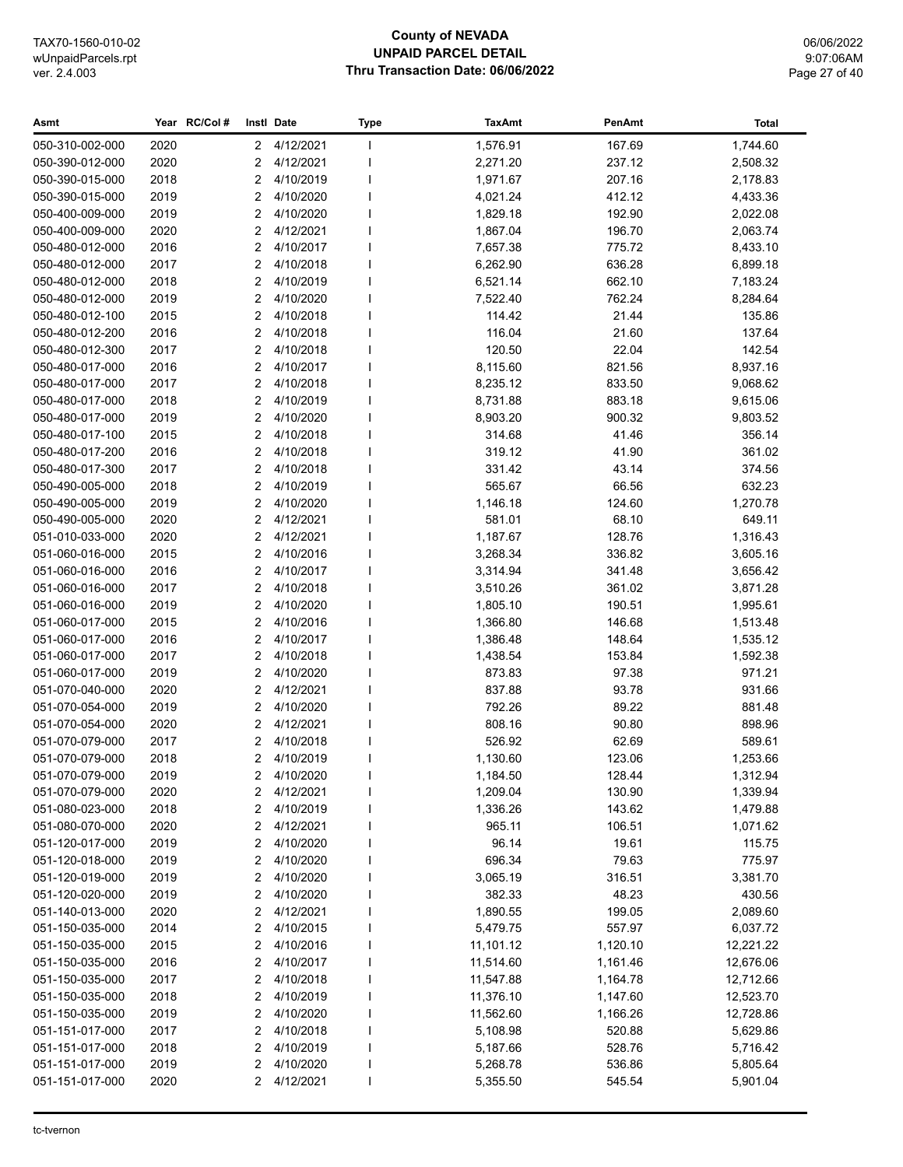## **County of NEVADA UNPAID PARCEL DETAIL Thru Transaction Date: 06/06/2022**

06/06/2022 9:07:06AM Page 27 of 40

| Asmt            |      | Year RC/Col# |                | Instl Date  | <b>Type</b> | <b>TaxAmt</b> | PenAmt   | <b>Total</b> |
|-----------------|------|--------------|----------------|-------------|-------------|---------------|----------|--------------|
| 050-310-002-000 | 2020 |              | $\mathbf{2}$   | 4/12/2021   | J.          | 1,576.91      | 167.69   | 1,744.60     |
| 050-390-012-000 | 2020 |              | 2              | 4/12/2021   |             | 2,271.20      | 237.12   | 2,508.32     |
| 050-390-015-000 | 2018 |              | 2              | 4/10/2019   |             | 1,971.67      | 207.16   | 2,178.83     |
| 050-390-015-000 | 2019 |              | 2              | 4/10/2020   |             | 4,021.24      | 412.12   | 4,433.36     |
| 050-400-009-000 | 2019 |              | 2              | 4/10/2020   |             | 1,829.18      | 192.90   | 2,022.08     |
| 050-400-009-000 | 2020 |              | 2              | 4/12/2021   |             | 1,867.04      | 196.70   | 2,063.74     |
| 050-480-012-000 | 2016 |              | $\overline{2}$ | 4/10/2017   |             | 7,657.38      | 775.72   | 8,433.10     |
| 050-480-012-000 | 2017 |              | 2              | 4/10/2018   |             | 6,262.90      | 636.28   | 6,899.18     |
| 050-480-012-000 | 2018 |              | 2              | 4/10/2019   |             | 6,521.14      | 662.10   | 7,183.24     |
| 050-480-012-000 | 2019 |              | 2              | 4/10/2020   |             | 7,522.40      | 762.24   | 8,284.64     |
| 050-480-012-100 | 2015 |              | 2              | 4/10/2018   |             | 114.42        | 21.44    | 135.86       |
| 050-480-012-200 | 2016 |              | 2              | 4/10/2018   |             | 116.04        | 21.60    | 137.64       |
| 050-480-012-300 | 2017 |              | 2              | 4/10/2018   |             | 120.50        | 22.04    | 142.54       |
| 050-480-017-000 | 2016 |              | 2              | 4/10/2017   |             | 8,115.60      | 821.56   | 8,937.16     |
| 050-480-017-000 | 2017 |              | 2              | 4/10/2018   |             | 8,235.12      | 833.50   | 9,068.62     |
| 050-480-017-000 | 2018 |              | 2              | 4/10/2019   |             | 8,731.88      | 883.18   | 9,615.06     |
| 050-480-017-000 | 2019 |              | 2              | 4/10/2020   |             | 8,903.20      | 900.32   | 9,803.52     |
| 050-480-017-100 | 2015 |              | 2              | 4/10/2018   |             | 314.68        | 41.46    | 356.14       |
| 050-480-017-200 | 2016 |              | 2              | 4/10/2018   |             | 319.12        | 41.90    | 361.02       |
| 050-480-017-300 | 2017 |              | 2              | 4/10/2018   |             | 331.42        | 43.14    | 374.56       |
| 050-490-005-000 | 2018 |              | 2              | 4/10/2019   |             | 565.67        | 66.56    | 632.23       |
| 050-490-005-000 | 2019 |              | 2              | 4/10/2020   |             | 1,146.18      | 124.60   | 1,270.78     |
| 050-490-005-000 | 2020 |              | 2              | 4/12/2021   |             | 581.01        | 68.10    | 649.11       |
| 051-010-033-000 | 2020 |              | 2              | 4/12/2021   | J.          | 1,187.67      | 128.76   | 1,316.43     |
| 051-060-016-000 | 2015 |              | 2              | 4/10/2016   |             | 3,268.34      | 336.82   | 3,605.16     |
| 051-060-016-000 | 2016 |              | 2              | 4/10/2017   |             | 3,314.94      | 341.48   | 3,656.42     |
| 051-060-016-000 | 2017 |              | 2              | 4/10/2018   |             | 3,510.26      | 361.02   | 3,871.28     |
| 051-060-016-000 | 2019 |              | 2              | 4/10/2020   |             | 1,805.10      | 190.51   | 1,995.61     |
| 051-060-017-000 | 2015 |              | 2              | 4/10/2016   |             | 1,366.80      | 146.68   | 1,513.48     |
| 051-060-017-000 | 2016 |              | 2              | 4/10/2017   |             | 1,386.48      | 148.64   | 1,535.12     |
| 051-060-017-000 | 2017 |              | 2              | 4/10/2018   |             | 1,438.54      | 153.84   | 1,592.38     |
| 051-060-017-000 | 2019 |              | 2              | 4/10/2020   |             | 873.83        | 97.38    | 971.21       |
| 051-070-040-000 | 2020 |              | $\overline{2}$ | 4/12/2021   |             | 837.88        | 93.78    | 931.66       |
| 051-070-054-000 | 2019 |              | 2              | 4/10/2020   |             | 792.26        | 89.22    | 881.48       |
| 051-070-054-000 | 2020 |              | 2              | 4/12/2021   |             | 808.16        | 90.80    | 898.96       |
| 051-070-079-000 | 2017 |              | 2              | 4/10/2018   |             | 526.92        | 62.69    | 589.61       |
| 051-070-079-000 | 2018 |              | 2              | 4/10/2019   |             | 1,130.60      | 123.06   | 1,253.66     |
| 051-070-079-000 | 2019 |              |                | 2 4/10/2020 |             | 1,184.50      | 128.44   | 1,312.94     |
| 051-070-079-000 | 2020 |              | 2              | 4/12/2021   |             | 1,209.04      | 130.90   | 1,339.94     |
| 051-080-023-000 | 2018 |              | 2              | 4/10/2019   |             | 1,336.26      | 143.62   | 1,479.88     |
| 051-080-070-000 | 2020 |              | 2              | 4/12/2021   |             | 965.11        | 106.51   | 1,071.62     |
| 051-120-017-000 | 2019 |              | 2              | 4/10/2020   |             | 96.14         | 19.61    | 115.75       |
| 051-120-018-000 | 2019 |              | 2              | 4/10/2020   |             | 696.34        | 79.63    | 775.97       |
| 051-120-019-000 | 2019 |              | 2              | 4/10/2020   |             | 3,065.19      | 316.51   | 3,381.70     |
| 051-120-020-000 | 2019 |              | 2              | 4/10/2020   |             | 382.33        | 48.23    | 430.56       |
| 051-140-013-000 | 2020 |              | 2              | 4/12/2021   |             | 1,890.55      | 199.05   | 2,089.60     |
| 051-150-035-000 | 2014 |              | 2              | 4/10/2015   |             | 5,479.75      | 557.97   | 6,037.72     |
| 051-150-035-000 | 2015 |              | 2              | 4/10/2016   |             | 11,101.12     | 1,120.10 | 12,221.22    |
| 051-150-035-000 | 2016 |              | 2              | 4/10/2017   |             | 11,514.60     | 1,161.46 | 12,676.06    |
| 051-150-035-000 | 2017 |              | 2              | 4/10/2018   |             | 11,547.88     | 1,164.78 | 12,712.66    |
| 051-150-035-000 | 2018 |              | 2              | 4/10/2019   |             | 11,376.10     | 1,147.60 | 12,523.70    |
| 051-150-035-000 | 2019 |              | 2              | 4/10/2020   |             | 11,562.60     | 1,166.26 | 12,728.86    |
| 051-151-017-000 | 2017 |              | 2              | 4/10/2018   |             | 5,108.98      | 520.88   | 5,629.86     |
| 051-151-017-000 | 2018 |              | 2              | 4/10/2019   |             | 5,187.66      | 528.76   | 5,716.42     |
| 051-151-017-000 | 2019 |              | 2              | 4/10/2020   |             | 5,268.78      | 536.86   | 5,805.64     |
| 051-151-017-000 | 2020 |              | 2              | 4/12/2021   |             | 5,355.50      | 545.54   | 5,901.04     |
|                 |      |              |                |             |             |               |          |              |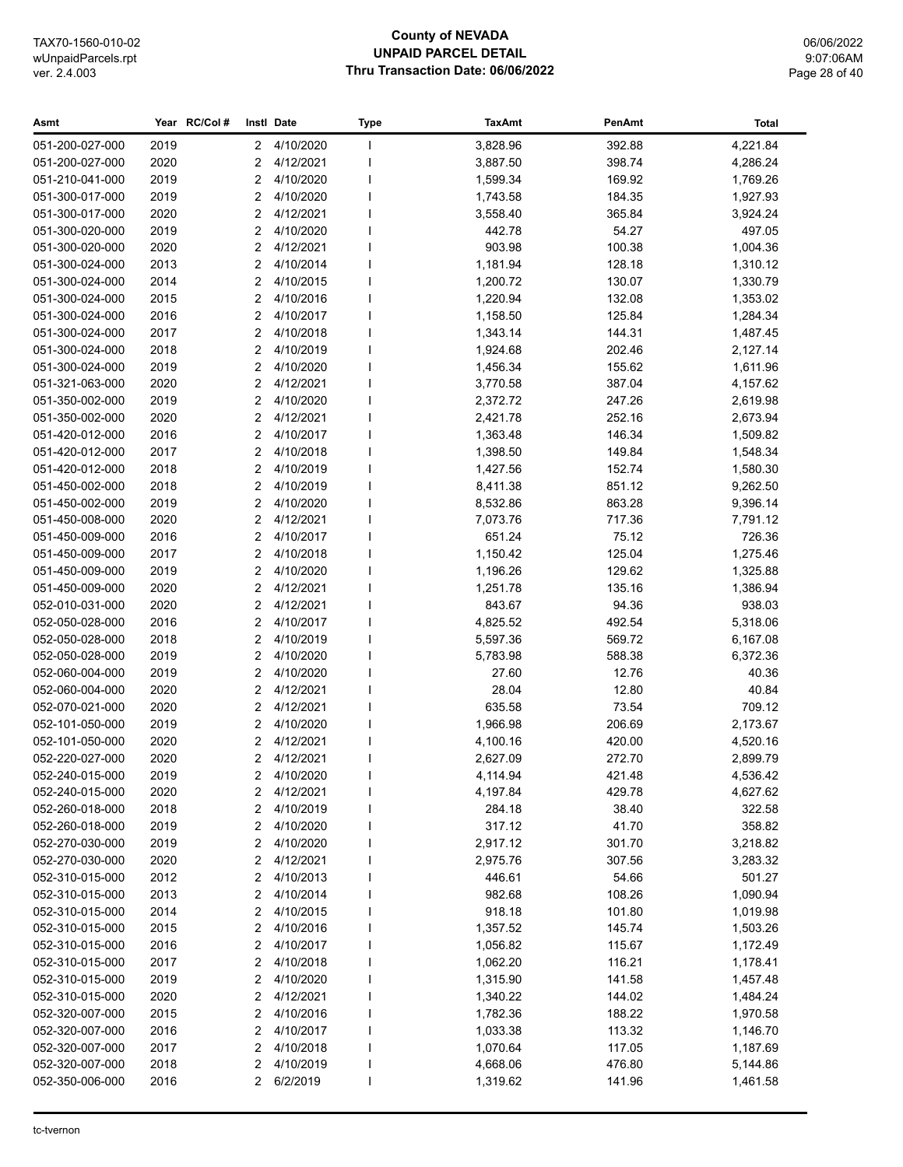## **County of NEVADA UNPAID PARCEL DETAIL Thru Transaction Date: 06/06/2022**

06/06/2022 9:07:06AM Page 28 of 40

| 4/10/2020<br>3,828.96<br>392.88<br>4,221.84<br>051-200-027-000<br>2019<br>$^{2}$<br>$\mathbf{I}$<br>2020<br>4/12/2021<br>398.74<br>4,286.24<br>051-200-027-000<br>2<br>3,887.50<br>2019<br>4/10/2020<br>169.92<br>051-210-041-000<br>2<br>1,599.34<br>1,769.26<br>2019<br>4/10/2020<br>051-300-017-000<br>2<br>1,743.58<br>184.35<br>1,927.93<br>4/12/2021<br>365.84<br>051-300-017-000<br>2020<br>2<br>3,558.40<br>3,924.24<br>2019<br>2<br>4/10/2020<br>442.78<br>54.27<br>497.05<br>051-300-020-000<br>051-300-020-000<br>2020<br>2<br>4/12/2021<br>903.98<br>100.38<br>1,004.36<br>2013<br>2<br>4/10/2014<br>1,310.12<br>051-300-024-000<br>1,181.94<br>128.18<br>051-300-024-000<br>2014<br>2<br>4/10/2015<br>1,200.72<br>130.07<br>1,330.79<br>051-300-024-000<br>2015<br>2<br>4/10/2016<br>1,220.94<br>132.08<br>1,353.02<br>2<br>051-300-024-000<br>2016<br>4/10/2017<br>1,158.50<br>125.84<br>1,284.34<br>2<br>051-300-024-000<br>2017<br>4/10/2018<br>1,343.14<br>144.31<br>1,487.45<br>2018<br>2<br>4/10/2019<br>1,924.68<br>202.46<br>2,127.14<br>051-300-024-000<br>051-300-024-000<br>2019<br>2<br>4/10/2020<br>1,456.34<br>155.62<br>1,611.96<br>2020<br>2<br>4/12/2021<br>3,770.58<br>387.04<br>4,157.62<br>051-321-063-000<br>2019<br>2<br>4/10/2020<br>247.26<br>051-350-002-000<br>2,372.72<br>2,619.98<br>2020<br>2<br>4/12/2021<br>051-350-002-000<br>2,421.78<br>252.16<br>2,673.94<br>2<br>4/10/2017<br>051-420-012-000<br>2016<br>1,363.48<br>146.34<br>1,509.82<br>2017<br>2<br>4/10/2018<br>051-420-012-000<br>1,398.50<br>149.84<br>1,548.34<br>051-420-012-000<br>2018<br>2<br>4/10/2019<br>152.74<br>1,427.56<br>1,580.30<br>2<br>051-450-002-000<br>2018<br>4/10/2019<br>8,411.38<br>851.12<br>9,262.50<br>2<br>051-450-002-000<br>2019<br>4/10/2020<br>8,532.86<br>863.28<br>9,396.14<br>2020<br>2<br>4/12/2021<br>7,791.12<br>051-450-008-000<br>7,073.76<br>717.36<br>051-450-009-000<br>2<br>4/10/2017<br>651.24<br>75.12<br>726.36<br>2016<br>051-450-009-000<br>2017<br>2<br>4/10/2018<br>1,150.42<br>125.04<br>1,275.46<br>2019<br>2<br>129.62<br>051-450-009-000<br>4/10/2020<br>1,196.26<br>1,325.88<br>2020<br>2<br>4/12/2021<br>135.16<br>051-450-009-000<br>1,251.78<br>1,386.94<br>2020<br>4/12/2021<br>843.67<br>94.36<br>938.03<br>052-010-031-000<br>2<br>2016<br>2<br>4/10/2017<br>492.54<br>5,318.06<br>052-050-028-000<br>4,825.52<br>2018<br>2<br>4/10/2019<br>5,597.36<br>569.72<br>052-050-028-000<br>6,167.08<br>052-050-028-000<br>2019<br>2<br>4/10/2020<br>5,783.98<br>588.38<br>6,372.36<br>4/10/2020<br>052-060-004-000<br>2019<br>2<br>27.60<br>12.76<br>40.36<br>2020<br>2<br>4/12/2021<br>28.04<br>12.80<br>40.84<br>052-060-004-000<br>052-070-021-000<br>2020<br>2<br>4/12/2021<br>635.58<br>73.54<br>709.12<br>052-101-050-000<br>4/10/2020<br>1,966.98<br>206.69<br>2,173.67<br>2019<br>2<br>2020<br>4/12/2021<br>4,100.16<br>052-101-050-000<br>2<br>420.00<br>4,520.16<br>2020<br>2<br>4/12/2021<br>052-220-027-000<br>2,627.09<br>272.70<br>2,899.79<br>2019<br>2 4/10/2020<br>421.48<br>4,536.42<br>052-240-015-000<br>4,114.94<br>052-240-015-000<br>4/12/2021<br>4,197.84<br>4,627.62<br>2020<br>2<br>429.78<br>052-260-018-000<br>4/10/2019<br>38.40<br>322.58<br>2018<br>2<br>284.18<br>41.70<br>052-260-018-000<br>2019<br>2<br>4/10/2020<br>317.12<br>358.82<br>052-270-030-000<br>2019<br>4/10/2020<br>2,917.12<br>301.70<br>3,218.82<br>2<br>2020<br>4/12/2021<br>052-270-030-000<br>2<br>2,975.76<br>307.56<br>3,283.32<br>4/10/2013<br>052-310-015-000<br>2012<br>446.61<br>54.66<br>501.27<br>2<br>052-310-015-000<br>2013<br>2<br>4/10/2014<br>982.68<br>108.26<br>1,090.94<br>052-310-015-000<br>2014<br>2<br>4/10/2015<br>918.18<br>101.80<br>1,019.98<br>052-310-015-000<br>2015<br>2<br>4/10/2016<br>1,357.52<br>145.74<br>1,503.26<br>052-310-015-000<br>2016<br>2<br>4/10/2017<br>1,056.82<br>115.67<br>1,172.49<br>052-310-015-000<br>2017<br>2<br>4/10/2018<br>1,062.20<br>116.21<br>1,178.41<br>2019<br>4/10/2020<br>052-310-015-000<br>2<br>1,315.90<br>141.58<br>1,457.48<br>052-310-015-000<br>2020<br>2<br>4/12/2021<br>144.02<br>1,484.24<br>1,340.22<br>052-320-007-000<br>2015<br>2<br>4/10/2016<br>1,782.36<br>188.22<br>1,970.58<br>052-320-007-000<br>2016<br>2<br>4/10/2017<br>1,033.38<br>113.32<br>1,146.70<br>2017<br>052-320-007-000<br>2<br>4/10/2018<br>1,070.64<br>117.05<br>1,187.69<br>4/10/2019<br>052-320-007-000<br>2018<br>2<br>4,668.06<br>476.80<br>5,144.86<br>052-350-006-000<br>2016<br>2<br>6/2/2019<br>1,319.62<br>1,461.58<br>141.96 | Asmt | Year RC/Col# | Instl Date | <b>Type</b> | <b>TaxAmt</b> | PenAmt | Total |
|----------------------------------------------------------------------------------------------------------------------------------------------------------------------------------------------------------------------------------------------------------------------------------------------------------------------------------------------------------------------------------------------------------------------------------------------------------------------------------------------------------------------------------------------------------------------------------------------------------------------------------------------------------------------------------------------------------------------------------------------------------------------------------------------------------------------------------------------------------------------------------------------------------------------------------------------------------------------------------------------------------------------------------------------------------------------------------------------------------------------------------------------------------------------------------------------------------------------------------------------------------------------------------------------------------------------------------------------------------------------------------------------------------------------------------------------------------------------------------------------------------------------------------------------------------------------------------------------------------------------------------------------------------------------------------------------------------------------------------------------------------------------------------------------------------------------------------------------------------------------------------------------------------------------------------------------------------------------------------------------------------------------------------------------------------------------------------------------------------------------------------------------------------------------------------------------------------------------------------------------------------------------------------------------------------------------------------------------------------------------------------------------------------------------------------------------------------------------------------------------------------------------------------------------------------------------------------------------------------------------------------------------------------------------------------------------------------------------------------------------------------------------------------------------------------------------------------------------------------------------------------------------------------------------------------------------------------------------------------------------------------------------------------------------------------------------------------------------------------------------------------------------------------------------------------------------------------------------------------------------------------------------------------------------------------------------------------------------------------------------------------------------------------------------------------------------------------------------------------------------------------------------------------------------------------------------------------------------------------------------------------------------------------------------------------------------------------------------------------------------------------------------------------------------------------------------------------------------------------------------------------------------------------------------------------------------------------------------------------------------------------------------------------------------------------------------------------------------------------------------------------------------------------------------------------------------------------------------------------------------------------------------------------------------------------------------------------------------------------------------------------------------------------------------------------------------------------------------------------------------------------------------------------------------------------------|------|--------------|------------|-------------|---------------|--------|-------|
|                                                                                                                                                                                                                                                                                                                                                                                                                                                                                                                                                                                                                                                                                                                                                                                                                                                                                                                                                                                                                                                                                                                                                                                                                                                                                                                                                                                                                                                                                                                                                                                                                                                                                                                                                                                                                                                                                                                                                                                                                                                                                                                                                                                                                                                                                                                                                                                                                                                                                                                                                                                                                                                                                                                                                                                                                                                                                                                                                                                                                                                                                                                                                                                                                                                                                                                                                                                                                                                                                                                                                                                                                                                                                                                                                                                                                                                                                                                                                                                                                                                                                                                                                                                                                                                                                                                                                                                                                                                                                                                                                                |      |              |            |             |               |        |       |
|                                                                                                                                                                                                                                                                                                                                                                                                                                                                                                                                                                                                                                                                                                                                                                                                                                                                                                                                                                                                                                                                                                                                                                                                                                                                                                                                                                                                                                                                                                                                                                                                                                                                                                                                                                                                                                                                                                                                                                                                                                                                                                                                                                                                                                                                                                                                                                                                                                                                                                                                                                                                                                                                                                                                                                                                                                                                                                                                                                                                                                                                                                                                                                                                                                                                                                                                                                                                                                                                                                                                                                                                                                                                                                                                                                                                                                                                                                                                                                                                                                                                                                                                                                                                                                                                                                                                                                                                                                                                                                                                                                |      |              |            |             |               |        |       |
|                                                                                                                                                                                                                                                                                                                                                                                                                                                                                                                                                                                                                                                                                                                                                                                                                                                                                                                                                                                                                                                                                                                                                                                                                                                                                                                                                                                                                                                                                                                                                                                                                                                                                                                                                                                                                                                                                                                                                                                                                                                                                                                                                                                                                                                                                                                                                                                                                                                                                                                                                                                                                                                                                                                                                                                                                                                                                                                                                                                                                                                                                                                                                                                                                                                                                                                                                                                                                                                                                                                                                                                                                                                                                                                                                                                                                                                                                                                                                                                                                                                                                                                                                                                                                                                                                                                                                                                                                                                                                                                                                                |      |              |            |             |               |        |       |
|                                                                                                                                                                                                                                                                                                                                                                                                                                                                                                                                                                                                                                                                                                                                                                                                                                                                                                                                                                                                                                                                                                                                                                                                                                                                                                                                                                                                                                                                                                                                                                                                                                                                                                                                                                                                                                                                                                                                                                                                                                                                                                                                                                                                                                                                                                                                                                                                                                                                                                                                                                                                                                                                                                                                                                                                                                                                                                                                                                                                                                                                                                                                                                                                                                                                                                                                                                                                                                                                                                                                                                                                                                                                                                                                                                                                                                                                                                                                                                                                                                                                                                                                                                                                                                                                                                                                                                                                                                                                                                                                                                |      |              |            |             |               |        |       |
|                                                                                                                                                                                                                                                                                                                                                                                                                                                                                                                                                                                                                                                                                                                                                                                                                                                                                                                                                                                                                                                                                                                                                                                                                                                                                                                                                                                                                                                                                                                                                                                                                                                                                                                                                                                                                                                                                                                                                                                                                                                                                                                                                                                                                                                                                                                                                                                                                                                                                                                                                                                                                                                                                                                                                                                                                                                                                                                                                                                                                                                                                                                                                                                                                                                                                                                                                                                                                                                                                                                                                                                                                                                                                                                                                                                                                                                                                                                                                                                                                                                                                                                                                                                                                                                                                                                                                                                                                                                                                                                                                                |      |              |            |             |               |        |       |
|                                                                                                                                                                                                                                                                                                                                                                                                                                                                                                                                                                                                                                                                                                                                                                                                                                                                                                                                                                                                                                                                                                                                                                                                                                                                                                                                                                                                                                                                                                                                                                                                                                                                                                                                                                                                                                                                                                                                                                                                                                                                                                                                                                                                                                                                                                                                                                                                                                                                                                                                                                                                                                                                                                                                                                                                                                                                                                                                                                                                                                                                                                                                                                                                                                                                                                                                                                                                                                                                                                                                                                                                                                                                                                                                                                                                                                                                                                                                                                                                                                                                                                                                                                                                                                                                                                                                                                                                                                                                                                                                                                |      |              |            |             |               |        |       |
|                                                                                                                                                                                                                                                                                                                                                                                                                                                                                                                                                                                                                                                                                                                                                                                                                                                                                                                                                                                                                                                                                                                                                                                                                                                                                                                                                                                                                                                                                                                                                                                                                                                                                                                                                                                                                                                                                                                                                                                                                                                                                                                                                                                                                                                                                                                                                                                                                                                                                                                                                                                                                                                                                                                                                                                                                                                                                                                                                                                                                                                                                                                                                                                                                                                                                                                                                                                                                                                                                                                                                                                                                                                                                                                                                                                                                                                                                                                                                                                                                                                                                                                                                                                                                                                                                                                                                                                                                                                                                                                                                                |      |              |            |             |               |        |       |
|                                                                                                                                                                                                                                                                                                                                                                                                                                                                                                                                                                                                                                                                                                                                                                                                                                                                                                                                                                                                                                                                                                                                                                                                                                                                                                                                                                                                                                                                                                                                                                                                                                                                                                                                                                                                                                                                                                                                                                                                                                                                                                                                                                                                                                                                                                                                                                                                                                                                                                                                                                                                                                                                                                                                                                                                                                                                                                                                                                                                                                                                                                                                                                                                                                                                                                                                                                                                                                                                                                                                                                                                                                                                                                                                                                                                                                                                                                                                                                                                                                                                                                                                                                                                                                                                                                                                                                                                                                                                                                                                                                |      |              |            |             |               |        |       |
|                                                                                                                                                                                                                                                                                                                                                                                                                                                                                                                                                                                                                                                                                                                                                                                                                                                                                                                                                                                                                                                                                                                                                                                                                                                                                                                                                                                                                                                                                                                                                                                                                                                                                                                                                                                                                                                                                                                                                                                                                                                                                                                                                                                                                                                                                                                                                                                                                                                                                                                                                                                                                                                                                                                                                                                                                                                                                                                                                                                                                                                                                                                                                                                                                                                                                                                                                                                                                                                                                                                                                                                                                                                                                                                                                                                                                                                                                                                                                                                                                                                                                                                                                                                                                                                                                                                                                                                                                                                                                                                                                                |      |              |            |             |               |        |       |
|                                                                                                                                                                                                                                                                                                                                                                                                                                                                                                                                                                                                                                                                                                                                                                                                                                                                                                                                                                                                                                                                                                                                                                                                                                                                                                                                                                                                                                                                                                                                                                                                                                                                                                                                                                                                                                                                                                                                                                                                                                                                                                                                                                                                                                                                                                                                                                                                                                                                                                                                                                                                                                                                                                                                                                                                                                                                                                                                                                                                                                                                                                                                                                                                                                                                                                                                                                                                                                                                                                                                                                                                                                                                                                                                                                                                                                                                                                                                                                                                                                                                                                                                                                                                                                                                                                                                                                                                                                                                                                                                                                |      |              |            |             |               |        |       |
|                                                                                                                                                                                                                                                                                                                                                                                                                                                                                                                                                                                                                                                                                                                                                                                                                                                                                                                                                                                                                                                                                                                                                                                                                                                                                                                                                                                                                                                                                                                                                                                                                                                                                                                                                                                                                                                                                                                                                                                                                                                                                                                                                                                                                                                                                                                                                                                                                                                                                                                                                                                                                                                                                                                                                                                                                                                                                                                                                                                                                                                                                                                                                                                                                                                                                                                                                                                                                                                                                                                                                                                                                                                                                                                                                                                                                                                                                                                                                                                                                                                                                                                                                                                                                                                                                                                                                                                                                                                                                                                                                                |      |              |            |             |               |        |       |
|                                                                                                                                                                                                                                                                                                                                                                                                                                                                                                                                                                                                                                                                                                                                                                                                                                                                                                                                                                                                                                                                                                                                                                                                                                                                                                                                                                                                                                                                                                                                                                                                                                                                                                                                                                                                                                                                                                                                                                                                                                                                                                                                                                                                                                                                                                                                                                                                                                                                                                                                                                                                                                                                                                                                                                                                                                                                                                                                                                                                                                                                                                                                                                                                                                                                                                                                                                                                                                                                                                                                                                                                                                                                                                                                                                                                                                                                                                                                                                                                                                                                                                                                                                                                                                                                                                                                                                                                                                                                                                                                                                |      |              |            |             |               |        |       |
|                                                                                                                                                                                                                                                                                                                                                                                                                                                                                                                                                                                                                                                                                                                                                                                                                                                                                                                                                                                                                                                                                                                                                                                                                                                                                                                                                                                                                                                                                                                                                                                                                                                                                                                                                                                                                                                                                                                                                                                                                                                                                                                                                                                                                                                                                                                                                                                                                                                                                                                                                                                                                                                                                                                                                                                                                                                                                                                                                                                                                                                                                                                                                                                                                                                                                                                                                                                                                                                                                                                                                                                                                                                                                                                                                                                                                                                                                                                                                                                                                                                                                                                                                                                                                                                                                                                                                                                                                                                                                                                                                                |      |              |            |             |               |        |       |
|                                                                                                                                                                                                                                                                                                                                                                                                                                                                                                                                                                                                                                                                                                                                                                                                                                                                                                                                                                                                                                                                                                                                                                                                                                                                                                                                                                                                                                                                                                                                                                                                                                                                                                                                                                                                                                                                                                                                                                                                                                                                                                                                                                                                                                                                                                                                                                                                                                                                                                                                                                                                                                                                                                                                                                                                                                                                                                                                                                                                                                                                                                                                                                                                                                                                                                                                                                                                                                                                                                                                                                                                                                                                                                                                                                                                                                                                                                                                                                                                                                                                                                                                                                                                                                                                                                                                                                                                                                                                                                                                                                |      |              |            |             |               |        |       |
|                                                                                                                                                                                                                                                                                                                                                                                                                                                                                                                                                                                                                                                                                                                                                                                                                                                                                                                                                                                                                                                                                                                                                                                                                                                                                                                                                                                                                                                                                                                                                                                                                                                                                                                                                                                                                                                                                                                                                                                                                                                                                                                                                                                                                                                                                                                                                                                                                                                                                                                                                                                                                                                                                                                                                                                                                                                                                                                                                                                                                                                                                                                                                                                                                                                                                                                                                                                                                                                                                                                                                                                                                                                                                                                                                                                                                                                                                                                                                                                                                                                                                                                                                                                                                                                                                                                                                                                                                                                                                                                                                                |      |              |            |             |               |        |       |
|                                                                                                                                                                                                                                                                                                                                                                                                                                                                                                                                                                                                                                                                                                                                                                                                                                                                                                                                                                                                                                                                                                                                                                                                                                                                                                                                                                                                                                                                                                                                                                                                                                                                                                                                                                                                                                                                                                                                                                                                                                                                                                                                                                                                                                                                                                                                                                                                                                                                                                                                                                                                                                                                                                                                                                                                                                                                                                                                                                                                                                                                                                                                                                                                                                                                                                                                                                                                                                                                                                                                                                                                                                                                                                                                                                                                                                                                                                                                                                                                                                                                                                                                                                                                                                                                                                                                                                                                                                                                                                                                                                |      |              |            |             |               |        |       |
|                                                                                                                                                                                                                                                                                                                                                                                                                                                                                                                                                                                                                                                                                                                                                                                                                                                                                                                                                                                                                                                                                                                                                                                                                                                                                                                                                                                                                                                                                                                                                                                                                                                                                                                                                                                                                                                                                                                                                                                                                                                                                                                                                                                                                                                                                                                                                                                                                                                                                                                                                                                                                                                                                                                                                                                                                                                                                                                                                                                                                                                                                                                                                                                                                                                                                                                                                                                                                                                                                                                                                                                                                                                                                                                                                                                                                                                                                                                                                                                                                                                                                                                                                                                                                                                                                                                                                                                                                                                                                                                                                                |      |              |            |             |               |        |       |
|                                                                                                                                                                                                                                                                                                                                                                                                                                                                                                                                                                                                                                                                                                                                                                                                                                                                                                                                                                                                                                                                                                                                                                                                                                                                                                                                                                                                                                                                                                                                                                                                                                                                                                                                                                                                                                                                                                                                                                                                                                                                                                                                                                                                                                                                                                                                                                                                                                                                                                                                                                                                                                                                                                                                                                                                                                                                                                                                                                                                                                                                                                                                                                                                                                                                                                                                                                                                                                                                                                                                                                                                                                                                                                                                                                                                                                                                                                                                                                                                                                                                                                                                                                                                                                                                                                                                                                                                                                                                                                                                                                |      |              |            |             |               |        |       |
|                                                                                                                                                                                                                                                                                                                                                                                                                                                                                                                                                                                                                                                                                                                                                                                                                                                                                                                                                                                                                                                                                                                                                                                                                                                                                                                                                                                                                                                                                                                                                                                                                                                                                                                                                                                                                                                                                                                                                                                                                                                                                                                                                                                                                                                                                                                                                                                                                                                                                                                                                                                                                                                                                                                                                                                                                                                                                                                                                                                                                                                                                                                                                                                                                                                                                                                                                                                                                                                                                                                                                                                                                                                                                                                                                                                                                                                                                                                                                                                                                                                                                                                                                                                                                                                                                                                                                                                                                                                                                                                                                                |      |              |            |             |               |        |       |
|                                                                                                                                                                                                                                                                                                                                                                                                                                                                                                                                                                                                                                                                                                                                                                                                                                                                                                                                                                                                                                                                                                                                                                                                                                                                                                                                                                                                                                                                                                                                                                                                                                                                                                                                                                                                                                                                                                                                                                                                                                                                                                                                                                                                                                                                                                                                                                                                                                                                                                                                                                                                                                                                                                                                                                                                                                                                                                                                                                                                                                                                                                                                                                                                                                                                                                                                                                                                                                                                                                                                                                                                                                                                                                                                                                                                                                                                                                                                                                                                                                                                                                                                                                                                                                                                                                                                                                                                                                                                                                                                                                |      |              |            |             |               |        |       |
|                                                                                                                                                                                                                                                                                                                                                                                                                                                                                                                                                                                                                                                                                                                                                                                                                                                                                                                                                                                                                                                                                                                                                                                                                                                                                                                                                                                                                                                                                                                                                                                                                                                                                                                                                                                                                                                                                                                                                                                                                                                                                                                                                                                                                                                                                                                                                                                                                                                                                                                                                                                                                                                                                                                                                                                                                                                                                                                                                                                                                                                                                                                                                                                                                                                                                                                                                                                                                                                                                                                                                                                                                                                                                                                                                                                                                                                                                                                                                                                                                                                                                                                                                                                                                                                                                                                                                                                                                                                                                                                                                                |      |              |            |             |               |        |       |
|                                                                                                                                                                                                                                                                                                                                                                                                                                                                                                                                                                                                                                                                                                                                                                                                                                                                                                                                                                                                                                                                                                                                                                                                                                                                                                                                                                                                                                                                                                                                                                                                                                                                                                                                                                                                                                                                                                                                                                                                                                                                                                                                                                                                                                                                                                                                                                                                                                                                                                                                                                                                                                                                                                                                                                                                                                                                                                                                                                                                                                                                                                                                                                                                                                                                                                                                                                                                                                                                                                                                                                                                                                                                                                                                                                                                                                                                                                                                                                                                                                                                                                                                                                                                                                                                                                                                                                                                                                                                                                                                                                |      |              |            |             |               |        |       |
|                                                                                                                                                                                                                                                                                                                                                                                                                                                                                                                                                                                                                                                                                                                                                                                                                                                                                                                                                                                                                                                                                                                                                                                                                                                                                                                                                                                                                                                                                                                                                                                                                                                                                                                                                                                                                                                                                                                                                                                                                                                                                                                                                                                                                                                                                                                                                                                                                                                                                                                                                                                                                                                                                                                                                                                                                                                                                                                                                                                                                                                                                                                                                                                                                                                                                                                                                                                                                                                                                                                                                                                                                                                                                                                                                                                                                                                                                                                                                                                                                                                                                                                                                                                                                                                                                                                                                                                                                                                                                                                                                                |      |              |            |             |               |        |       |
|                                                                                                                                                                                                                                                                                                                                                                                                                                                                                                                                                                                                                                                                                                                                                                                                                                                                                                                                                                                                                                                                                                                                                                                                                                                                                                                                                                                                                                                                                                                                                                                                                                                                                                                                                                                                                                                                                                                                                                                                                                                                                                                                                                                                                                                                                                                                                                                                                                                                                                                                                                                                                                                                                                                                                                                                                                                                                                                                                                                                                                                                                                                                                                                                                                                                                                                                                                                                                                                                                                                                                                                                                                                                                                                                                                                                                                                                                                                                                                                                                                                                                                                                                                                                                                                                                                                                                                                                                                                                                                                                                                |      |              |            |             |               |        |       |
|                                                                                                                                                                                                                                                                                                                                                                                                                                                                                                                                                                                                                                                                                                                                                                                                                                                                                                                                                                                                                                                                                                                                                                                                                                                                                                                                                                                                                                                                                                                                                                                                                                                                                                                                                                                                                                                                                                                                                                                                                                                                                                                                                                                                                                                                                                                                                                                                                                                                                                                                                                                                                                                                                                                                                                                                                                                                                                                                                                                                                                                                                                                                                                                                                                                                                                                                                                                                                                                                                                                                                                                                                                                                                                                                                                                                                                                                                                                                                                                                                                                                                                                                                                                                                                                                                                                                                                                                                                                                                                                                                                |      |              |            |             |               |        |       |
|                                                                                                                                                                                                                                                                                                                                                                                                                                                                                                                                                                                                                                                                                                                                                                                                                                                                                                                                                                                                                                                                                                                                                                                                                                                                                                                                                                                                                                                                                                                                                                                                                                                                                                                                                                                                                                                                                                                                                                                                                                                                                                                                                                                                                                                                                                                                                                                                                                                                                                                                                                                                                                                                                                                                                                                                                                                                                                                                                                                                                                                                                                                                                                                                                                                                                                                                                                                                                                                                                                                                                                                                                                                                                                                                                                                                                                                                                                                                                                                                                                                                                                                                                                                                                                                                                                                                                                                                                                                                                                                                                                |      |              |            |             |               |        |       |
|                                                                                                                                                                                                                                                                                                                                                                                                                                                                                                                                                                                                                                                                                                                                                                                                                                                                                                                                                                                                                                                                                                                                                                                                                                                                                                                                                                                                                                                                                                                                                                                                                                                                                                                                                                                                                                                                                                                                                                                                                                                                                                                                                                                                                                                                                                                                                                                                                                                                                                                                                                                                                                                                                                                                                                                                                                                                                                                                                                                                                                                                                                                                                                                                                                                                                                                                                                                                                                                                                                                                                                                                                                                                                                                                                                                                                                                                                                                                                                                                                                                                                                                                                                                                                                                                                                                                                                                                                                                                                                                                                                |      |              |            |             |               |        |       |
|                                                                                                                                                                                                                                                                                                                                                                                                                                                                                                                                                                                                                                                                                                                                                                                                                                                                                                                                                                                                                                                                                                                                                                                                                                                                                                                                                                                                                                                                                                                                                                                                                                                                                                                                                                                                                                                                                                                                                                                                                                                                                                                                                                                                                                                                                                                                                                                                                                                                                                                                                                                                                                                                                                                                                                                                                                                                                                                                                                                                                                                                                                                                                                                                                                                                                                                                                                                                                                                                                                                                                                                                                                                                                                                                                                                                                                                                                                                                                                                                                                                                                                                                                                                                                                                                                                                                                                                                                                                                                                                                                                |      |              |            |             |               |        |       |
|                                                                                                                                                                                                                                                                                                                                                                                                                                                                                                                                                                                                                                                                                                                                                                                                                                                                                                                                                                                                                                                                                                                                                                                                                                                                                                                                                                                                                                                                                                                                                                                                                                                                                                                                                                                                                                                                                                                                                                                                                                                                                                                                                                                                                                                                                                                                                                                                                                                                                                                                                                                                                                                                                                                                                                                                                                                                                                                                                                                                                                                                                                                                                                                                                                                                                                                                                                                                                                                                                                                                                                                                                                                                                                                                                                                                                                                                                                                                                                                                                                                                                                                                                                                                                                                                                                                                                                                                                                                                                                                                                                |      |              |            |             |               |        |       |
|                                                                                                                                                                                                                                                                                                                                                                                                                                                                                                                                                                                                                                                                                                                                                                                                                                                                                                                                                                                                                                                                                                                                                                                                                                                                                                                                                                                                                                                                                                                                                                                                                                                                                                                                                                                                                                                                                                                                                                                                                                                                                                                                                                                                                                                                                                                                                                                                                                                                                                                                                                                                                                                                                                                                                                                                                                                                                                                                                                                                                                                                                                                                                                                                                                                                                                                                                                                                                                                                                                                                                                                                                                                                                                                                                                                                                                                                                                                                                                                                                                                                                                                                                                                                                                                                                                                                                                                                                                                                                                                                                                |      |              |            |             |               |        |       |
|                                                                                                                                                                                                                                                                                                                                                                                                                                                                                                                                                                                                                                                                                                                                                                                                                                                                                                                                                                                                                                                                                                                                                                                                                                                                                                                                                                                                                                                                                                                                                                                                                                                                                                                                                                                                                                                                                                                                                                                                                                                                                                                                                                                                                                                                                                                                                                                                                                                                                                                                                                                                                                                                                                                                                                                                                                                                                                                                                                                                                                                                                                                                                                                                                                                                                                                                                                                                                                                                                                                                                                                                                                                                                                                                                                                                                                                                                                                                                                                                                                                                                                                                                                                                                                                                                                                                                                                                                                                                                                                                                                |      |              |            |             |               |        |       |
|                                                                                                                                                                                                                                                                                                                                                                                                                                                                                                                                                                                                                                                                                                                                                                                                                                                                                                                                                                                                                                                                                                                                                                                                                                                                                                                                                                                                                                                                                                                                                                                                                                                                                                                                                                                                                                                                                                                                                                                                                                                                                                                                                                                                                                                                                                                                                                                                                                                                                                                                                                                                                                                                                                                                                                                                                                                                                                                                                                                                                                                                                                                                                                                                                                                                                                                                                                                                                                                                                                                                                                                                                                                                                                                                                                                                                                                                                                                                                                                                                                                                                                                                                                                                                                                                                                                                                                                                                                                                                                                                                                |      |              |            |             |               |        |       |
|                                                                                                                                                                                                                                                                                                                                                                                                                                                                                                                                                                                                                                                                                                                                                                                                                                                                                                                                                                                                                                                                                                                                                                                                                                                                                                                                                                                                                                                                                                                                                                                                                                                                                                                                                                                                                                                                                                                                                                                                                                                                                                                                                                                                                                                                                                                                                                                                                                                                                                                                                                                                                                                                                                                                                                                                                                                                                                                                                                                                                                                                                                                                                                                                                                                                                                                                                                                                                                                                                                                                                                                                                                                                                                                                                                                                                                                                                                                                                                                                                                                                                                                                                                                                                                                                                                                                                                                                                                                                                                                                                                |      |              |            |             |               |        |       |
|                                                                                                                                                                                                                                                                                                                                                                                                                                                                                                                                                                                                                                                                                                                                                                                                                                                                                                                                                                                                                                                                                                                                                                                                                                                                                                                                                                                                                                                                                                                                                                                                                                                                                                                                                                                                                                                                                                                                                                                                                                                                                                                                                                                                                                                                                                                                                                                                                                                                                                                                                                                                                                                                                                                                                                                                                                                                                                                                                                                                                                                                                                                                                                                                                                                                                                                                                                                                                                                                                                                                                                                                                                                                                                                                                                                                                                                                                                                                                                                                                                                                                                                                                                                                                                                                                                                                                                                                                                                                                                                                                                |      |              |            |             |               |        |       |
|                                                                                                                                                                                                                                                                                                                                                                                                                                                                                                                                                                                                                                                                                                                                                                                                                                                                                                                                                                                                                                                                                                                                                                                                                                                                                                                                                                                                                                                                                                                                                                                                                                                                                                                                                                                                                                                                                                                                                                                                                                                                                                                                                                                                                                                                                                                                                                                                                                                                                                                                                                                                                                                                                                                                                                                                                                                                                                                                                                                                                                                                                                                                                                                                                                                                                                                                                                                                                                                                                                                                                                                                                                                                                                                                                                                                                                                                                                                                                                                                                                                                                                                                                                                                                                                                                                                                                                                                                                                                                                                                                                |      |              |            |             |               |        |       |
|                                                                                                                                                                                                                                                                                                                                                                                                                                                                                                                                                                                                                                                                                                                                                                                                                                                                                                                                                                                                                                                                                                                                                                                                                                                                                                                                                                                                                                                                                                                                                                                                                                                                                                                                                                                                                                                                                                                                                                                                                                                                                                                                                                                                                                                                                                                                                                                                                                                                                                                                                                                                                                                                                                                                                                                                                                                                                                                                                                                                                                                                                                                                                                                                                                                                                                                                                                                                                                                                                                                                                                                                                                                                                                                                                                                                                                                                                                                                                                                                                                                                                                                                                                                                                                                                                                                                                                                                                                                                                                                                                                |      |              |            |             |               |        |       |
|                                                                                                                                                                                                                                                                                                                                                                                                                                                                                                                                                                                                                                                                                                                                                                                                                                                                                                                                                                                                                                                                                                                                                                                                                                                                                                                                                                                                                                                                                                                                                                                                                                                                                                                                                                                                                                                                                                                                                                                                                                                                                                                                                                                                                                                                                                                                                                                                                                                                                                                                                                                                                                                                                                                                                                                                                                                                                                                                                                                                                                                                                                                                                                                                                                                                                                                                                                                                                                                                                                                                                                                                                                                                                                                                                                                                                                                                                                                                                                                                                                                                                                                                                                                                                                                                                                                                                                                                                                                                                                                                                                |      |              |            |             |               |        |       |
|                                                                                                                                                                                                                                                                                                                                                                                                                                                                                                                                                                                                                                                                                                                                                                                                                                                                                                                                                                                                                                                                                                                                                                                                                                                                                                                                                                                                                                                                                                                                                                                                                                                                                                                                                                                                                                                                                                                                                                                                                                                                                                                                                                                                                                                                                                                                                                                                                                                                                                                                                                                                                                                                                                                                                                                                                                                                                                                                                                                                                                                                                                                                                                                                                                                                                                                                                                                                                                                                                                                                                                                                                                                                                                                                                                                                                                                                                                                                                                                                                                                                                                                                                                                                                                                                                                                                                                                                                                                                                                                                                                |      |              |            |             |               |        |       |
|                                                                                                                                                                                                                                                                                                                                                                                                                                                                                                                                                                                                                                                                                                                                                                                                                                                                                                                                                                                                                                                                                                                                                                                                                                                                                                                                                                                                                                                                                                                                                                                                                                                                                                                                                                                                                                                                                                                                                                                                                                                                                                                                                                                                                                                                                                                                                                                                                                                                                                                                                                                                                                                                                                                                                                                                                                                                                                                                                                                                                                                                                                                                                                                                                                                                                                                                                                                                                                                                                                                                                                                                                                                                                                                                                                                                                                                                                                                                                                                                                                                                                                                                                                                                                                                                                                                                                                                                                                                                                                                                                                |      |              |            |             |               |        |       |
|                                                                                                                                                                                                                                                                                                                                                                                                                                                                                                                                                                                                                                                                                                                                                                                                                                                                                                                                                                                                                                                                                                                                                                                                                                                                                                                                                                                                                                                                                                                                                                                                                                                                                                                                                                                                                                                                                                                                                                                                                                                                                                                                                                                                                                                                                                                                                                                                                                                                                                                                                                                                                                                                                                                                                                                                                                                                                                                                                                                                                                                                                                                                                                                                                                                                                                                                                                                                                                                                                                                                                                                                                                                                                                                                                                                                                                                                                                                                                                                                                                                                                                                                                                                                                                                                                                                                                                                                                                                                                                                                                                |      |              |            |             |               |        |       |
|                                                                                                                                                                                                                                                                                                                                                                                                                                                                                                                                                                                                                                                                                                                                                                                                                                                                                                                                                                                                                                                                                                                                                                                                                                                                                                                                                                                                                                                                                                                                                                                                                                                                                                                                                                                                                                                                                                                                                                                                                                                                                                                                                                                                                                                                                                                                                                                                                                                                                                                                                                                                                                                                                                                                                                                                                                                                                                                                                                                                                                                                                                                                                                                                                                                                                                                                                                                                                                                                                                                                                                                                                                                                                                                                                                                                                                                                                                                                                                                                                                                                                                                                                                                                                                                                                                                                                                                                                                                                                                                                                                |      |              |            |             |               |        |       |
|                                                                                                                                                                                                                                                                                                                                                                                                                                                                                                                                                                                                                                                                                                                                                                                                                                                                                                                                                                                                                                                                                                                                                                                                                                                                                                                                                                                                                                                                                                                                                                                                                                                                                                                                                                                                                                                                                                                                                                                                                                                                                                                                                                                                                                                                                                                                                                                                                                                                                                                                                                                                                                                                                                                                                                                                                                                                                                                                                                                                                                                                                                                                                                                                                                                                                                                                                                                                                                                                                                                                                                                                                                                                                                                                                                                                                                                                                                                                                                                                                                                                                                                                                                                                                                                                                                                                                                                                                                                                                                                                                                |      |              |            |             |               |        |       |
|                                                                                                                                                                                                                                                                                                                                                                                                                                                                                                                                                                                                                                                                                                                                                                                                                                                                                                                                                                                                                                                                                                                                                                                                                                                                                                                                                                                                                                                                                                                                                                                                                                                                                                                                                                                                                                                                                                                                                                                                                                                                                                                                                                                                                                                                                                                                                                                                                                                                                                                                                                                                                                                                                                                                                                                                                                                                                                                                                                                                                                                                                                                                                                                                                                                                                                                                                                                                                                                                                                                                                                                                                                                                                                                                                                                                                                                                                                                                                                                                                                                                                                                                                                                                                                                                                                                                                                                                                                                                                                                                                                |      |              |            |             |               |        |       |
|                                                                                                                                                                                                                                                                                                                                                                                                                                                                                                                                                                                                                                                                                                                                                                                                                                                                                                                                                                                                                                                                                                                                                                                                                                                                                                                                                                                                                                                                                                                                                                                                                                                                                                                                                                                                                                                                                                                                                                                                                                                                                                                                                                                                                                                                                                                                                                                                                                                                                                                                                                                                                                                                                                                                                                                                                                                                                                                                                                                                                                                                                                                                                                                                                                                                                                                                                                                                                                                                                                                                                                                                                                                                                                                                                                                                                                                                                                                                                                                                                                                                                                                                                                                                                                                                                                                                                                                                                                                                                                                                                                |      |              |            |             |               |        |       |
|                                                                                                                                                                                                                                                                                                                                                                                                                                                                                                                                                                                                                                                                                                                                                                                                                                                                                                                                                                                                                                                                                                                                                                                                                                                                                                                                                                                                                                                                                                                                                                                                                                                                                                                                                                                                                                                                                                                                                                                                                                                                                                                                                                                                                                                                                                                                                                                                                                                                                                                                                                                                                                                                                                                                                                                                                                                                                                                                                                                                                                                                                                                                                                                                                                                                                                                                                                                                                                                                                                                                                                                                                                                                                                                                                                                                                                                                                                                                                                                                                                                                                                                                                                                                                                                                                                                                                                                                                                                                                                                                                                |      |              |            |             |               |        |       |
|                                                                                                                                                                                                                                                                                                                                                                                                                                                                                                                                                                                                                                                                                                                                                                                                                                                                                                                                                                                                                                                                                                                                                                                                                                                                                                                                                                                                                                                                                                                                                                                                                                                                                                                                                                                                                                                                                                                                                                                                                                                                                                                                                                                                                                                                                                                                                                                                                                                                                                                                                                                                                                                                                                                                                                                                                                                                                                                                                                                                                                                                                                                                                                                                                                                                                                                                                                                                                                                                                                                                                                                                                                                                                                                                                                                                                                                                                                                                                                                                                                                                                                                                                                                                                                                                                                                                                                                                                                                                                                                                                                |      |              |            |             |               |        |       |
|                                                                                                                                                                                                                                                                                                                                                                                                                                                                                                                                                                                                                                                                                                                                                                                                                                                                                                                                                                                                                                                                                                                                                                                                                                                                                                                                                                                                                                                                                                                                                                                                                                                                                                                                                                                                                                                                                                                                                                                                                                                                                                                                                                                                                                                                                                                                                                                                                                                                                                                                                                                                                                                                                                                                                                                                                                                                                                                                                                                                                                                                                                                                                                                                                                                                                                                                                                                                                                                                                                                                                                                                                                                                                                                                                                                                                                                                                                                                                                                                                                                                                                                                                                                                                                                                                                                                                                                                                                                                                                                                                                |      |              |            |             |               |        |       |
|                                                                                                                                                                                                                                                                                                                                                                                                                                                                                                                                                                                                                                                                                                                                                                                                                                                                                                                                                                                                                                                                                                                                                                                                                                                                                                                                                                                                                                                                                                                                                                                                                                                                                                                                                                                                                                                                                                                                                                                                                                                                                                                                                                                                                                                                                                                                                                                                                                                                                                                                                                                                                                                                                                                                                                                                                                                                                                                                                                                                                                                                                                                                                                                                                                                                                                                                                                                                                                                                                                                                                                                                                                                                                                                                                                                                                                                                                                                                                                                                                                                                                                                                                                                                                                                                                                                                                                                                                                                                                                                                                                |      |              |            |             |               |        |       |
|                                                                                                                                                                                                                                                                                                                                                                                                                                                                                                                                                                                                                                                                                                                                                                                                                                                                                                                                                                                                                                                                                                                                                                                                                                                                                                                                                                                                                                                                                                                                                                                                                                                                                                                                                                                                                                                                                                                                                                                                                                                                                                                                                                                                                                                                                                                                                                                                                                                                                                                                                                                                                                                                                                                                                                                                                                                                                                                                                                                                                                                                                                                                                                                                                                                                                                                                                                                                                                                                                                                                                                                                                                                                                                                                                                                                                                                                                                                                                                                                                                                                                                                                                                                                                                                                                                                                                                                                                                                                                                                                                                |      |              |            |             |               |        |       |
|                                                                                                                                                                                                                                                                                                                                                                                                                                                                                                                                                                                                                                                                                                                                                                                                                                                                                                                                                                                                                                                                                                                                                                                                                                                                                                                                                                                                                                                                                                                                                                                                                                                                                                                                                                                                                                                                                                                                                                                                                                                                                                                                                                                                                                                                                                                                                                                                                                                                                                                                                                                                                                                                                                                                                                                                                                                                                                                                                                                                                                                                                                                                                                                                                                                                                                                                                                                                                                                                                                                                                                                                                                                                                                                                                                                                                                                                                                                                                                                                                                                                                                                                                                                                                                                                                                                                                                                                                                                                                                                                                                |      |              |            |             |               |        |       |
|                                                                                                                                                                                                                                                                                                                                                                                                                                                                                                                                                                                                                                                                                                                                                                                                                                                                                                                                                                                                                                                                                                                                                                                                                                                                                                                                                                                                                                                                                                                                                                                                                                                                                                                                                                                                                                                                                                                                                                                                                                                                                                                                                                                                                                                                                                                                                                                                                                                                                                                                                                                                                                                                                                                                                                                                                                                                                                                                                                                                                                                                                                                                                                                                                                                                                                                                                                                                                                                                                                                                                                                                                                                                                                                                                                                                                                                                                                                                                                                                                                                                                                                                                                                                                                                                                                                                                                                                                                                                                                                                                                |      |              |            |             |               |        |       |
|                                                                                                                                                                                                                                                                                                                                                                                                                                                                                                                                                                                                                                                                                                                                                                                                                                                                                                                                                                                                                                                                                                                                                                                                                                                                                                                                                                                                                                                                                                                                                                                                                                                                                                                                                                                                                                                                                                                                                                                                                                                                                                                                                                                                                                                                                                                                                                                                                                                                                                                                                                                                                                                                                                                                                                                                                                                                                                                                                                                                                                                                                                                                                                                                                                                                                                                                                                                                                                                                                                                                                                                                                                                                                                                                                                                                                                                                                                                                                                                                                                                                                                                                                                                                                                                                                                                                                                                                                                                                                                                                                                |      |              |            |             |               |        |       |
|                                                                                                                                                                                                                                                                                                                                                                                                                                                                                                                                                                                                                                                                                                                                                                                                                                                                                                                                                                                                                                                                                                                                                                                                                                                                                                                                                                                                                                                                                                                                                                                                                                                                                                                                                                                                                                                                                                                                                                                                                                                                                                                                                                                                                                                                                                                                                                                                                                                                                                                                                                                                                                                                                                                                                                                                                                                                                                                                                                                                                                                                                                                                                                                                                                                                                                                                                                                                                                                                                                                                                                                                                                                                                                                                                                                                                                                                                                                                                                                                                                                                                                                                                                                                                                                                                                                                                                                                                                                                                                                                                                |      |              |            |             |               |        |       |
|                                                                                                                                                                                                                                                                                                                                                                                                                                                                                                                                                                                                                                                                                                                                                                                                                                                                                                                                                                                                                                                                                                                                                                                                                                                                                                                                                                                                                                                                                                                                                                                                                                                                                                                                                                                                                                                                                                                                                                                                                                                                                                                                                                                                                                                                                                                                                                                                                                                                                                                                                                                                                                                                                                                                                                                                                                                                                                                                                                                                                                                                                                                                                                                                                                                                                                                                                                                                                                                                                                                                                                                                                                                                                                                                                                                                                                                                                                                                                                                                                                                                                                                                                                                                                                                                                                                                                                                                                                                                                                                                                                |      |              |            |             |               |        |       |
|                                                                                                                                                                                                                                                                                                                                                                                                                                                                                                                                                                                                                                                                                                                                                                                                                                                                                                                                                                                                                                                                                                                                                                                                                                                                                                                                                                                                                                                                                                                                                                                                                                                                                                                                                                                                                                                                                                                                                                                                                                                                                                                                                                                                                                                                                                                                                                                                                                                                                                                                                                                                                                                                                                                                                                                                                                                                                                                                                                                                                                                                                                                                                                                                                                                                                                                                                                                                                                                                                                                                                                                                                                                                                                                                                                                                                                                                                                                                                                                                                                                                                                                                                                                                                                                                                                                                                                                                                                                                                                                                                                |      |              |            |             |               |        |       |
|                                                                                                                                                                                                                                                                                                                                                                                                                                                                                                                                                                                                                                                                                                                                                                                                                                                                                                                                                                                                                                                                                                                                                                                                                                                                                                                                                                                                                                                                                                                                                                                                                                                                                                                                                                                                                                                                                                                                                                                                                                                                                                                                                                                                                                                                                                                                                                                                                                                                                                                                                                                                                                                                                                                                                                                                                                                                                                                                                                                                                                                                                                                                                                                                                                                                                                                                                                                                                                                                                                                                                                                                                                                                                                                                                                                                                                                                                                                                                                                                                                                                                                                                                                                                                                                                                                                                                                                                                                                                                                                                                                |      |              |            |             |               |        |       |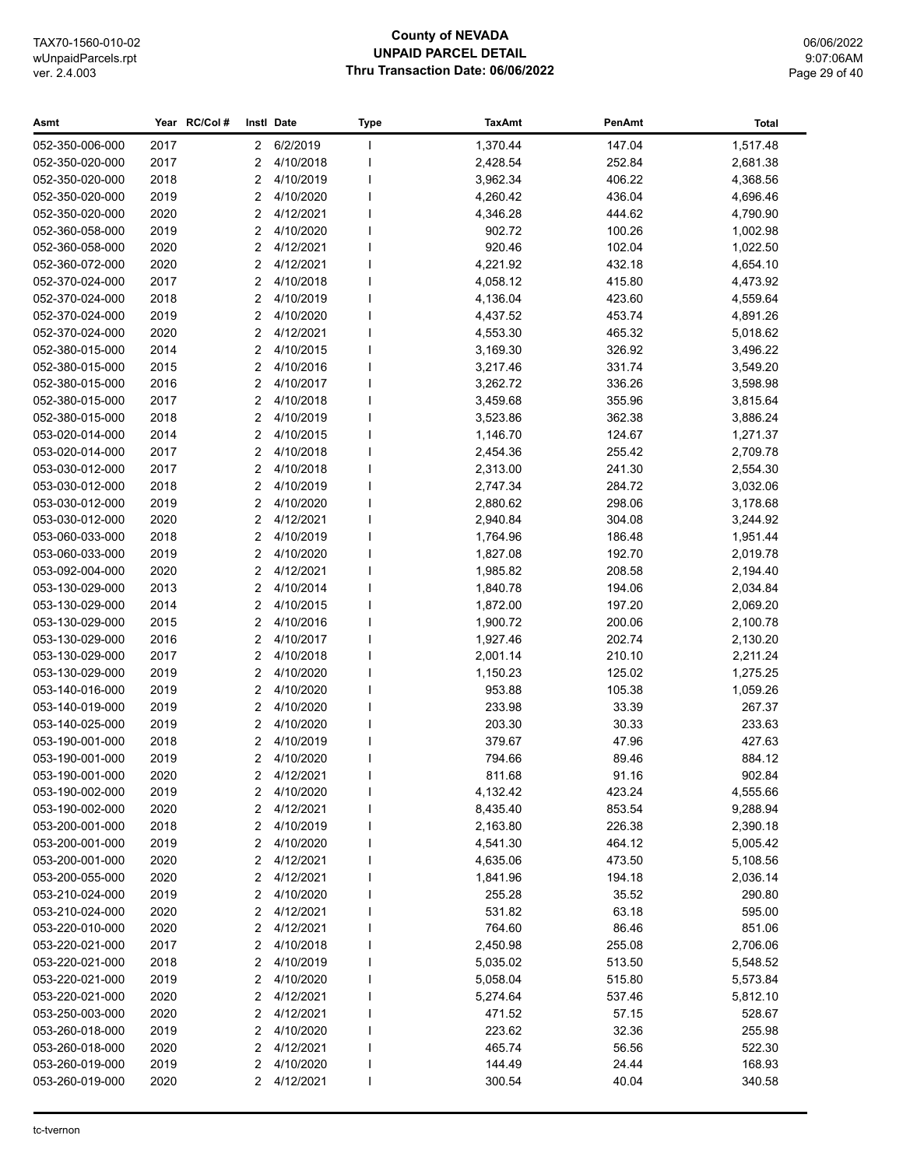## **County of NEVADA UNPAID PARCEL DETAIL Thru Transaction Date: 06/06/2022**

06/06/2022 9:07:06AM Page 29 of 40

| Asmt            |      | Year RC/Col# |              | Instl Date  | <b>Type</b> | <b>TaxAmt</b> | PenAmt | <b>Total</b> |
|-----------------|------|--------------|--------------|-------------|-------------|---------------|--------|--------------|
| 052-350-006-000 | 2017 |              | $\mathbf{2}$ | 6/2/2019    |             | 1,370.44      | 147.04 | 1,517.48     |
| 052-350-020-000 | 2017 |              | 2            | 4/10/2018   |             | 2,428.54      | 252.84 | 2,681.38     |
| 052-350-020-000 | 2018 |              | 2            | 4/10/2019   |             | 3,962.34      | 406.22 | 4,368.56     |
| 052-350-020-000 | 2019 |              | 2            | 4/10/2020   |             | 4,260.42      | 436.04 | 4,696.46     |
| 052-350-020-000 | 2020 |              | 2            | 4/12/2021   |             | 4,346.28      | 444.62 | 4,790.90     |
| 052-360-058-000 | 2019 |              | 2            | 4/10/2020   |             | 902.72        | 100.26 | 1,002.98     |
| 052-360-058-000 | 2020 |              | 2            | 4/12/2021   |             | 920.46        | 102.04 | 1,022.50     |
| 052-360-072-000 | 2020 |              | 2            | 4/12/2021   |             | 4,221.92      | 432.18 | 4,654.10     |
| 052-370-024-000 | 2017 |              | 2            | 4/10/2018   |             | 4,058.12      | 415.80 | 4,473.92     |
| 052-370-024-000 | 2018 |              | 2            | 4/10/2019   |             | 4,136.04      | 423.60 | 4,559.64     |
| 052-370-024-000 | 2019 |              | 2            | 4/10/2020   |             | 4,437.52      | 453.74 | 4,891.26     |
| 052-370-024-000 | 2020 |              | 2            | 4/12/2021   |             | 4,553.30      | 465.32 | 5,018.62     |
| 052-380-015-000 | 2014 |              | 2            | 4/10/2015   |             | 3,169.30      | 326.92 | 3,496.22     |
| 052-380-015-000 | 2015 |              | 2            | 4/10/2016   |             | 3,217.46      | 331.74 | 3,549.20     |
| 052-380-015-000 | 2016 |              | 2            | 4/10/2017   |             | 3,262.72      | 336.26 | 3,598.98     |
| 052-380-015-000 | 2017 |              | 2            | 4/10/2018   |             | 3,459.68      | 355.96 | 3,815.64     |
| 052-380-015-000 | 2018 |              | 2            | 4/10/2019   |             | 3,523.86      | 362.38 | 3,886.24     |
| 053-020-014-000 | 2014 |              | 2            | 4/10/2015   |             | 1,146.70      | 124.67 | 1,271.37     |
| 053-020-014-000 | 2017 |              | 2            | 4/10/2018   |             | 2,454.36      | 255.42 | 2,709.78     |
| 053-030-012-000 | 2017 |              | 2            | 4/10/2018   |             | 2,313.00      | 241.30 | 2,554.30     |
| 053-030-012-000 | 2018 |              | 2            | 4/10/2019   |             | 2,747.34      | 284.72 | 3,032.06     |
| 053-030-012-000 | 2019 |              | 2            | 4/10/2020   |             | 2,880.62      | 298.06 | 3,178.68     |
| 053-030-012-000 | 2020 |              | 2            | 4/12/2021   |             | 2,940.84      | 304.08 | 3,244.92     |
| 053-060-033-000 | 2018 |              | 2            | 4/10/2019   |             | 1,764.96      | 186.48 | 1,951.44     |
| 053-060-033-000 | 2019 |              | 2            | 4/10/2020   |             | 1,827.08      | 192.70 | 2,019.78     |
| 053-092-004-000 | 2020 |              | 2            | 4/12/2021   |             | 1,985.82      | 208.58 | 2,194.40     |
| 053-130-029-000 | 2013 |              | 2            | 4/10/2014   |             | 1,840.78      | 194.06 | 2,034.84     |
| 053-130-029-000 | 2014 |              | 2            | 4/10/2015   |             | 1,872.00      | 197.20 | 2,069.20     |
| 053-130-029-000 | 2015 |              | 2            | 4/10/2016   |             | 1,900.72      | 200.06 | 2,100.78     |
| 053-130-029-000 | 2016 |              | 2            | 4/10/2017   |             | 1,927.46      | 202.74 | 2,130.20     |
| 053-130-029-000 | 2017 |              | 2            | 4/10/2018   |             | 2,001.14      | 210.10 | 2,211.24     |
| 053-130-029-000 | 2019 |              | 2            | 4/10/2020   |             | 1,150.23      | 125.02 | 1,275.25     |
| 053-140-016-000 | 2019 |              | 2            | 4/10/2020   |             | 953.88        | 105.38 | 1,059.26     |
| 053-140-019-000 | 2019 |              | 2            | 4/10/2020   |             | 233.98        | 33.39  | 267.37       |
| 053-140-025-000 | 2019 |              | 2            | 4/10/2020   |             | 203.30        | 30.33  | 233.63       |
| 053-190-001-000 | 2018 |              | 2            | 4/10/2019   |             | 379.67        | 47.96  | 427.63       |
| 053-190-001-000 | 2019 |              | 2            | 4/10/2020   |             | 794.66        | 89.46  | 884.12       |
| 053-190-001-000 | 2020 |              |              | 2 4/12/2021 |             | 811.68        | 91.16  | 902.84       |
| 053-190-002-000 | 2019 |              | 2            | 4/10/2020   |             | 4,132.42      | 423.24 | 4,555.66     |
| 053-190-002-000 | 2020 |              | 2            | 4/12/2021   |             | 8,435.40      | 853.54 | 9,288.94     |
| 053-200-001-000 | 2018 |              | 2            | 4/10/2019   |             | 2,163.80      | 226.38 | 2,390.18     |
| 053-200-001-000 | 2019 |              | 2            | 4/10/2020   |             | 4,541.30      | 464.12 | 5,005.42     |
| 053-200-001-000 | 2020 |              | 2            | 4/12/2021   |             | 4,635.06      | 473.50 | 5,108.56     |
| 053-200-055-000 | 2020 |              | 2            | 4/12/2021   |             | 1,841.96      | 194.18 | 2,036.14     |
| 053-210-024-000 | 2019 |              | 2            | 4/10/2020   |             | 255.28        | 35.52  | 290.80       |
| 053-210-024-000 | 2020 |              | 2            | 4/12/2021   |             | 531.82        | 63.18  | 595.00       |
| 053-220-010-000 | 2020 |              | 2            | 4/12/2021   |             | 764.60        | 86.46  | 851.06       |
| 053-220-021-000 | 2017 |              | 2            | 4/10/2018   |             | 2,450.98      | 255.08 | 2,706.06     |
| 053-220-021-000 | 2018 |              | 2            | 4/10/2019   |             | 5,035.02      | 513.50 | 5,548.52     |
| 053-220-021-000 | 2019 |              | 2            | 4/10/2020   |             | 5,058.04      | 515.80 | 5,573.84     |
| 053-220-021-000 | 2020 |              | 2            | 4/12/2021   |             | 5,274.64      | 537.46 | 5,812.10     |
| 053-250-003-000 | 2020 |              | 2            | 4/12/2021   |             | 471.52        | 57.15  | 528.67       |
| 053-260-018-000 | 2019 |              | 2            | 4/10/2020   |             | 223.62        | 32.36  | 255.98       |
| 053-260-018-000 | 2020 |              | 2            | 4/12/2021   |             | 465.74        | 56.56  | 522.30       |
| 053-260-019-000 | 2019 |              | 2            | 4/10/2020   |             | 144.49        | 24.44  | 168.93       |
| 053-260-019-000 | 2020 |              | 2            | 4/12/2021   |             | 300.54        | 40.04  | 340.58       |
|                 |      |              |              |             |             |               |        |              |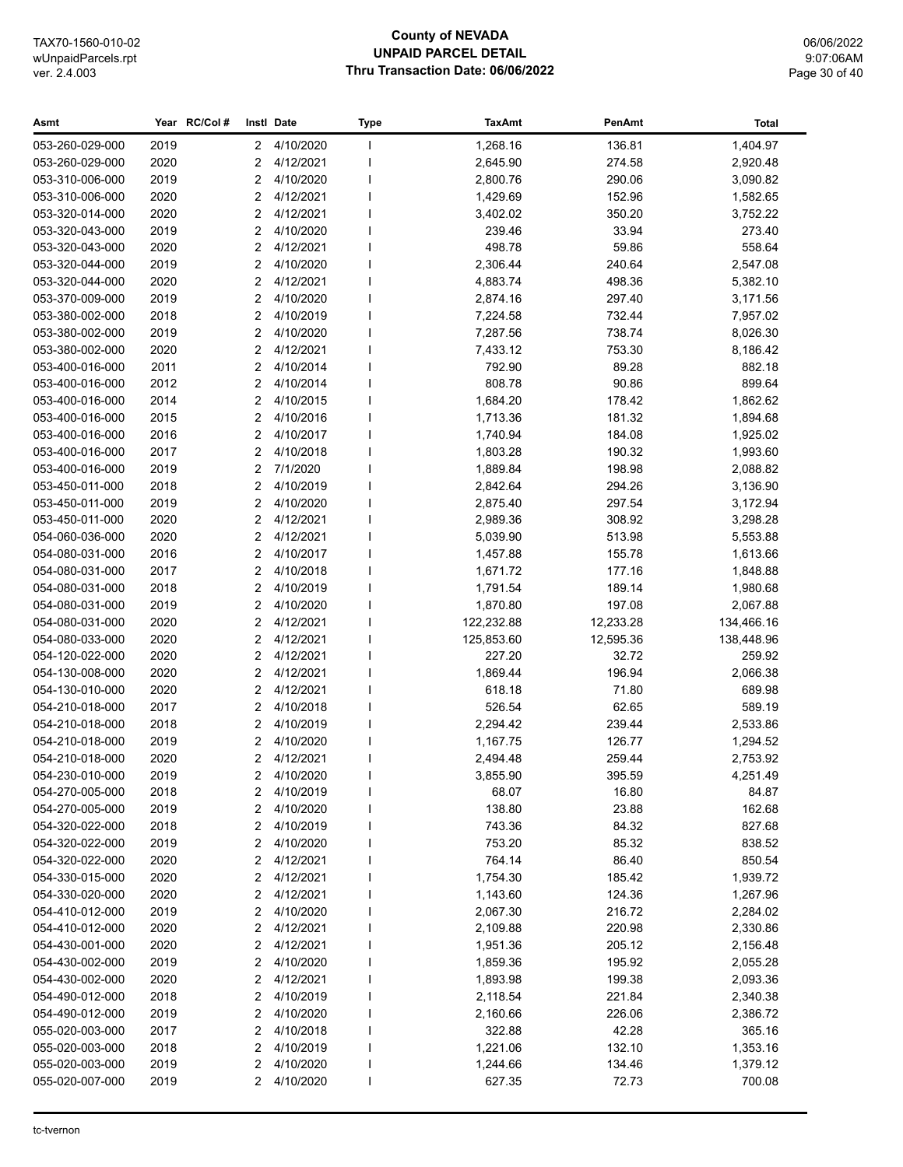#### **County of NEVADA UNPAID PARCEL DETAIL** Thru Transaction Date: 06/06/2022

06/06/2022 9:07:06AM Page 30 of 40

#### Year RC/Col# Instl Date PenAmt Asmt Type **TaxAmt Total** 053-260-029-000 2019  $\overline{2}$ 4/10/2020 136.81 1,404.97 I. 1,268.16 053-260-029-000 2020  $\overline{c}$ 4/12/2021 2,645.90 274.58 2,920.48 I. 4/10/2020 053-310-006-000 2019  $\mathfrak{p}$  $\overline{1}$ 2,800.76 290.06 3,090.82  $\overline{2}$ 053-310-006-000 2020 4/12/2021 I. 1,429.69 152.96 1,582.65 053-320-014-000 2020  $\overline{2}$ 4/12/2021 I. 3,402.02 350.20 3,752.22 053-320-043-000 2019  $\overline{2}$ 4/10/2020 239.46 33.94 273.40 **I** 4/12/2021 053-320-043-000 2020  $\mathcal{P}$ I. 498.78 59.86 558.64 053-320-044-000 2019  $\overline{2}$ 4/10/2020  $\overline{1}$ 2.306.44 240.64 2.547.08 053-320-044-000 2020  $\overline{2}$ 4/12/2021  $\overline{1}$ 488374 49836 5 382 10 053-370-009-000 2019  $\overline{2}$ 4/10/2020  $\overline{1}$ 2,874.16 297.40 3,171.56 053-380-002-000 2018  $\overline{2}$ 4/10/2019 7,224.58 732.44 7,957.02 I.  $\overline{2}$ 4/10/2020 053-380-002-000 2019 7,287.56 738.74 8,026.30 I. 053-380-002-000 2020  $\overline{2}$ 4/12/2021  $\overline{1}$ 7,433.12 753.30 8,186.42 053-400-016-000 2011  $\overline{2}$ 4/10/2014 792.90 89.28 882.18  $\mathbf{I}$ 899.64 2012  $\mathfrak{p}$ 4/10/2014 053-400-016-000  $\mathbf{I}$ 808.78 90.86 053-400-016-000 2014  $\overline{2}$ 4/10/2015  $\overline{1}$ 1,684.20 178.42 1,862.62 053-400-016-000 2015  $\mathfrak{p}$ 4/10/2016 I. 1,713.36 181.32 189468 4/10/2017 053-400-016-000 2016  $\mathfrak{D}$  $\overline{1}$ 1,740.94 184.08 1,925.02 053-400-016-000 2017  $\overline{2}$ 4/10/2018  $\overline{1}$ 1.803.28 190.32 1.993.60 053-400-016-000 2019  $\overline{2}$  $7/1/2020$  $\mathbf{I}$ 1,889.84 198.98 2,088.82  $\overline{2}$ 4/10/2019 053-450-011-000 2018  $\overline{1}$ 2,842.64 294.26 3,136.90 053-450-011-000 2019  $\overline{2}$ 4/10/2020 297.54 3.172.94 287540 I. 4/12/2021 053-450-011-000 2020  $\mathfrak{D}$ 2,989.36 308.92 3,298.28  $\mathbf{I}$  $\overline{2}$ 054-060-036-000 2020 4/12/2021  $\overline{1}$ 5,039.90 513.98 5,553.88  $\overline{2}$ 4/10/2017 054-080-031-000 2016 155 78  $\mathbf{I}$ 1,457.88 1.613.66 054-080-031-000 2017  $\overline{c}$ 4/10/2018 177.16 1,848.88 **I** 1,671.72 054-080-031-000 2018  $\mathfrak{p}$ 4/10/2019 1.791.54 189.14 1.980.68 I. 054-080-031-000 2019  $\overline{2}$ 4/10/2020  $\overline{1}$ 1,870.80 197 08 2,067.88 054-080-031-000 2020  $\overline{2}$ 4/12/2021  $\overline{1}$ 122 232 88 12 233 28 134,466.16 054-080-033-000 2020  $\overline{2}$ 4/12/2021 125,853.60 12.595.36 138.448.96  $\mathbf{I}$ 054-120-022-000 2020  $\overline{c}$ 4/12/2021  $\overline{1}$ 227.20 32.72 259.92 054-130-008-000 2020  $\overline{2}$ 4/12/2021  $\overline{1}$ 1,869.44 196.94 2.066.38 054-130-010-000 2020  $\overline{2}$ 4/12/2021  $\overline{1}$ 618 18 7180 689.98 054-210-018-000 2017  $\overline{c}$ 4/10/2018  $\overline{1}$ 526.54 62.65 589.19 054-210-018-000 2018  $\mathfrak{p}$ 4/10/2019  $\overline{1}$ 2,294.42 239.44 2,533.86 2019  $\overline{2}$ 4/10/2020 054-210-018-000 **I** 1,167.75 126.77 1,294.52 054-210-018-000 2020  $\overline{2}$ 4/12/2021 I. 2 494 48 25944 2 753 92 054-230-010-000 2019  $\overline{2}$ 4/10/2020  $\overline{1}$ 3.855.90 395.59 4.251.49  $\overline{2}$ 054-270-005-000 2018 4/10/2019  $\overline{1}$ 68.07 16.80 84.87 054-270-005-000  $\overline{2}$ 4/10/2020 2019  $\overline{1}$ 138.80 23.88 162.68 2018  $\overline{2}$ 4/10/2019  $\overline{1}$ 054-320-022-000 743.36 84.32 827.68 054-320-022-000 2019  $\overline{2}$ 4/10/2020  $\overline{1}$ 753.20 85.32 838.52  $\overline{2}$ 4/12/2021 054-320-022-000 2020  $\overline{1}$ 764.14 86.40 850.54 054-330-015-000 2020  $\overline{2}$ 4/12/2021 1,754.30 185.42 1,939.72 I. 054-330-020-000 2020  $\overline{2}$ 4/12/2021 124.36 1,267.96 I. 1.143.60  $\overline{2}$ 4/10/2020 054-410-012-000 2019  $\overline{1}$ 2,284.02 2,067.30 216.72 4/12/2021  $\mathcal{P}$ 054-410-012-000 2020 I. 2,109.88 220.98 2,330.86 054-430-001-000 2020  $\overline{2}$ 4/12/2021  $\overline{1}$ 1,951.36 205 12 2,156.48 2019  $\overline{2}$  $4/10/2020$ 054-430-002-000  $\mathbf{I}$ 195.92 2,055.28 1,859.36 054-430-002-000 2020  $\mathfrak{p}$ 4/12/2021  $\overline{1}$ 1,893.98 199.38 2,093.36 054-490-012-000 2018  $\overline{2}$ 4/10/2019  $\overline{1}$ 221.84 2,340.38 2.118.54  $\overline{2}$ 4/10/2020 054-490-012-000 2019  $\mathbf{I}$ 226.06 2,386.72 2.160.66 055-020-003-000 2017  $\overline{2}$ 4/10/2018  $\overline{1}$ 322.88 42.28 365.16 4/10/2019 055-020-003-000 2018  $\mathfrak{p}$  $\overline{1}$ 1,221.06 132.10 1.353.16 055-020-003-000 2019  $\mathfrak{p}$ 4/10/2020 I. 1,244.66 134.46 1,379.12 055-020-007-000 2019  $\overline{2}$ 4/10/2020  $\overline{1}$ 627.35 72.73 700.08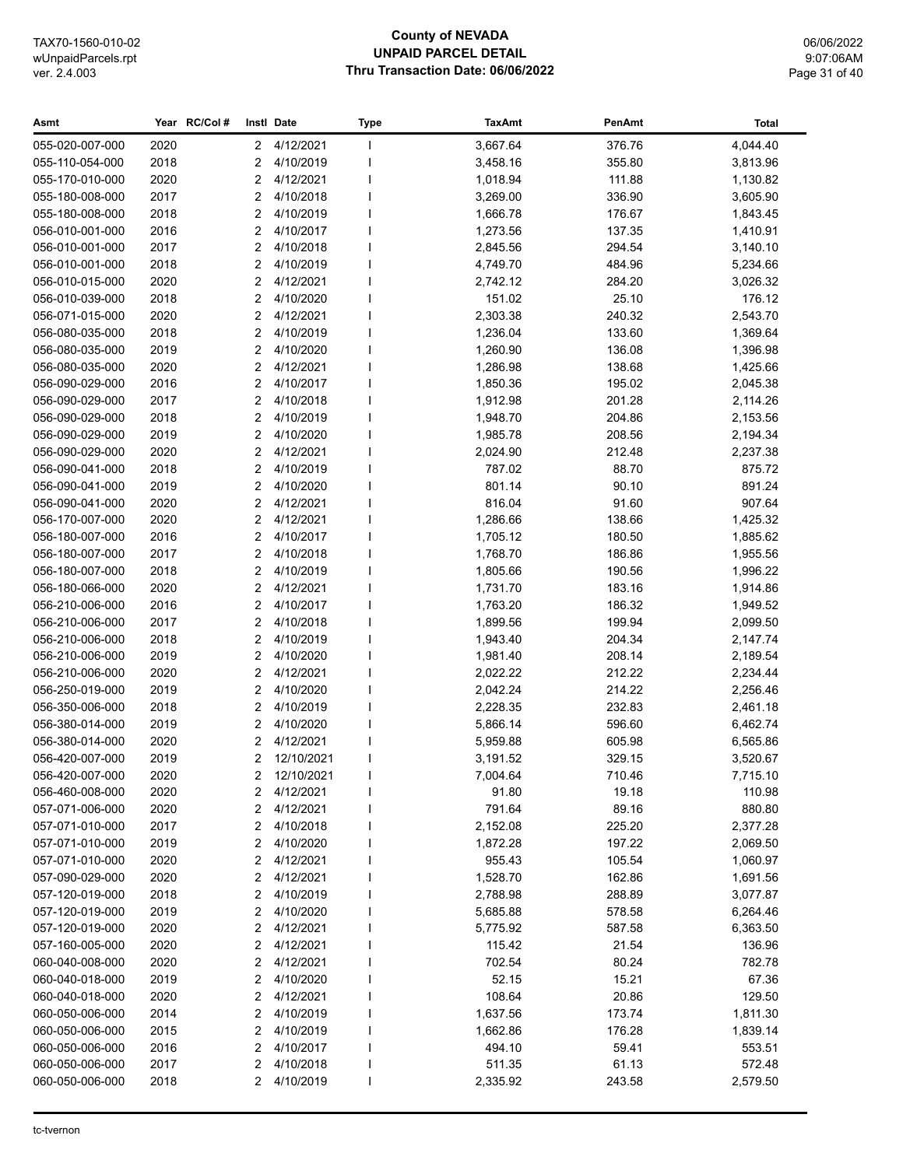## **County of NEVADA UNPAID PARCEL DETAIL Thru Transaction Date: 06/06/2022**

06/06/2022 9:07:06AM Page 31 of 40

| 2020<br>4/12/2021<br>3,667.64<br>376.76<br>4,044.40<br>055-020-007-000<br>$\mathbf{2}$<br>$\mathbf{I}$<br>2018<br>4/10/2019<br>355.80<br>3,813.96<br>055-110-054-000<br>2<br>3,458.16<br>2020<br>2<br>4/12/2021<br>111.88<br>1,130.82<br>055-170-010-000<br>1,018.94<br>2017<br>4/10/2018<br>055-180-008-000<br>2<br>3,269.00<br>336.90<br>3,605.90<br>2018<br>4/10/2019<br>055-180-008-000<br>2<br>1,666.78<br>176.67<br>1,843.45<br>2016<br>2<br>4/10/2017<br>1,410.91<br>056-010-001-000<br>1,273.56<br>137.35<br>2017<br>2<br>4/10/2018<br>294.54<br>3,140.10<br>056-010-001-000<br>2,845.56<br>2018<br>$\overline{2}$<br>4/10/2019<br>4,749.70<br>484.96<br>056-010-001-000<br>5,234.66<br>056-010-015-000<br>2020<br>2<br>4/12/2021<br>284.20<br>2,742.12<br>3,026.32<br>25.10<br>056-010-039-000<br>2018<br>2<br>4/10/2020<br>151.02<br>176.12<br>2<br>4/12/2021<br>2,303.38<br>240.32<br>2,543.70<br>056-071-015-000<br>2020<br>2<br>4/10/2019<br>1,236.04<br>133.60<br>1,369.64<br>056-080-035-000<br>2018<br>2019<br>2<br>4/10/2020<br>1,260.90<br>136.08<br>1,396.98<br>056-080-035-000<br>2020<br>2<br>4/12/2021<br>1,286.98<br>138.68<br>1,425.66<br>056-080-035-000<br>2016<br>2<br>4/10/2017<br>195.02<br>2,045.38<br>056-090-029-000<br>1,850.36<br>2017<br>2<br>4/10/2018<br>201.28<br>056-090-029-000<br>1,912.98<br>2,114.26<br>2018<br>2<br>4/10/2019<br>056-090-029-000<br>1,948.70<br>204.86<br>2,153.56<br>2<br>4/10/2020<br>056-090-029-000<br>2019<br>1,985.78<br>208.56<br>2,194.34<br>2020<br>2<br>4/12/2021<br>212.48<br>056-090-029-000<br>2,024.90<br>2,237.38<br>2018<br>2<br>4/10/2019<br>88.70<br>056-090-041-000<br>787.02<br>875.72<br>2<br>4/10/2020<br>90.10<br>891.24<br>056-090-041-000<br>2019<br>801.14<br>2020<br>2<br>4/12/2021<br>816.04<br>91.60<br>907.64<br>056-090-041-000<br>2020<br>2<br>4/12/2021<br>1,286.66<br>138.66<br>1,425.32<br>056-170-007-000<br>2<br>4/10/2017<br>1,705.12<br>1,885.62<br>056-180-007-000<br>2016<br>180.50<br>2<br>4/10/2018<br>1,768.70<br>186.86<br>056-180-007-000<br>2017<br>1,955.56<br>2018<br>2<br>4/10/2019<br>190.56<br>1,996.22<br>056-180-007-000<br>1,805.66<br>2020<br>2<br>4/12/2021<br>183.16<br>056-180-066-000<br>1,731.70<br>1,914.86<br>2016<br>2<br>4/10/2017<br>186.32<br>056-210-006-000<br>1,763.20<br>1,949.52<br>2017<br>$\overline{2}$<br>4/10/2018<br>199.94<br>056-210-006-000<br>1,899.56<br>2,099.50<br>2018<br>2<br>4/10/2019<br>204.34<br>2,147.74<br>056-210-006-000<br>1,943.40<br>4/10/2020<br>056-210-006-000<br>2019<br>2<br>1,981.40<br>208.14<br>2,189.54<br>2020<br>2<br>4/12/2021<br>056-210-006-000<br>2,022.22<br>212.22<br>2,234.44<br>056-250-019-000<br>2019<br>2<br>4/10/2020<br>2,042.24<br>214.22<br>2,256.46<br>056-350-006-000<br>2018<br>2<br>4/10/2019<br>2,228.35<br>232.83<br>2,461.18<br>2<br>4/10/2020<br>596.60<br>056-380-014-000<br>2019<br>5,866.14<br>6,462.74<br>2020<br>2<br>4/12/2021<br>605.98<br>056-380-014-000<br>5,959.88<br>6,565.86<br>2<br>12/10/2021<br>329.15<br>056-420-007-000<br>2019<br>3,191.52<br>3,520.67<br>$\overline{2}$<br>710.46<br>2020<br>12/10/2021<br>7,004.64<br>7,715.10<br>056-420-007-000<br>4/12/2021<br>056-460-008-000<br>2020<br>2<br>91.80<br>19.18<br>110.98<br>2020<br>4/12/2021<br>791.64<br>89.16<br>880.80<br>057-071-006-000<br>2<br>057-071-010-000<br>2017<br>2<br>4/10/2018<br>2,152.08<br>225.20<br>2,377.28<br>4/10/2020<br>057-071-010-000<br>2019<br>2<br>1,872.28<br>197.22<br>2,069.50<br>2020<br>4/12/2021<br>057-071-010-000<br>2<br>955.43<br>105.54<br>1,060.97<br>4/12/2021<br>057-090-029-000<br>2020<br>2<br>1,528.70<br>162.86<br>1,691.56<br>057-120-019-000<br>2018<br>2<br>4/10/2019<br>2,788.98<br>288.89<br>3,077.87<br>2<br>057-120-019-000<br>2019<br>4/10/2020<br>578.58<br>5,685.88<br>6,264.46<br>057-120-019-000<br>2020<br>2<br>4/12/2021<br>587.58<br>6,363.50<br>5,775.92<br>057-160-005-000<br>2020<br>2<br>4/12/2021<br>115.42<br>21.54<br>136.96<br>4/12/2021<br>060-040-008-000<br>2020<br>2<br>702.54<br>80.24<br>782.78<br>4/10/2020<br>52.15<br>15.21<br>67.36<br>060-040-018-000<br>2019<br>2<br>108.64<br>129.50<br>060-040-018-000<br>2020<br>2<br>4/12/2021<br>20.86<br>060-050-006-000<br>2014<br>2<br>4/10/2019<br>1,637.56<br>173.74<br>1,811.30<br>2<br>060-050-006-000<br>2015<br>4/10/2019<br>1,662.86<br>176.28<br>1,839.14<br>2016<br>4/10/2017<br>060-050-006-000<br>2<br>494.10<br>59.41<br>553.51<br>4/10/2018<br>572.48<br>060-050-006-000<br>2017<br>2<br>511.35<br>61.13<br>060-050-006-000<br>2018<br>2<br>4/10/2019<br>2,335.92<br>243.58<br>2,579.50 | Asmt | Year RC/Col# | Instl Date | <b>Type</b> | <b>TaxAmt</b> | PenAmt | Total |
|---------------------------------------------------------------------------------------------------------------------------------------------------------------------------------------------------------------------------------------------------------------------------------------------------------------------------------------------------------------------------------------------------------------------------------------------------------------------------------------------------------------------------------------------------------------------------------------------------------------------------------------------------------------------------------------------------------------------------------------------------------------------------------------------------------------------------------------------------------------------------------------------------------------------------------------------------------------------------------------------------------------------------------------------------------------------------------------------------------------------------------------------------------------------------------------------------------------------------------------------------------------------------------------------------------------------------------------------------------------------------------------------------------------------------------------------------------------------------------------------------------------------------------------------------------------------------------------------------------------------------------------------------------------------------------------------------------------------------------------------------------------------------------------------------------------------------------------------------------------------------------------------------------------------------------------------------------------------------------------------------------------------------------------------------------------------------------------------------------------------------------------------------------------------------------------------------------------------------------------------------------------------------------------------------------------------------------------------------------------------------------------------------------------------------------------------------------------------------------------------------------------------------------------------------------------------------------------------------------------------------------------------------------------------------------------------------------------------------------------------------------------------------------------------------------------------------------------------------------------------------------------------------------------------------------------------------------------------------------------------------------------------------------------------------------------------------------------------------------------------------------------------------------------------------------------------------------------------------------------------------------------------------------------------------------------------------------------------------------------------------------------------------------------------------------------------------------------------------------------------------------------------------------------------------------------------------------------------------------------------------------------------------------------------------------------------------------------------------------------------------------------------------------------------------------------------------------------------------------------------------------------------------------------------------------------------------------------------------------------------------------------------------------------------------------------------------------------------------------------------------------------------------------------------------------------------------------------------------------------------------------------------------------------------------------------------------------------------------------------------------------------------------------------------------------------------------------------------------------------------------------------------------------------------------------------------------------------------------------|------|--------------|------------|-------------|---------------|--------|-------|
|                                                                                                                                                                                                                                                                                                                                                                                                                                                                                                                                                                                                                                                                                                                                                                                                                                                                                                                                                                                                                                                                                                                                                                                                                                                                                                                                                                                                                                                                                                                                                                                                                                                                                                                                                                                                                                                                                                                                                                                                                                                                                                                                                                                                                                                                                                                                                                                                                                                                                                                                                                                                                                                                                                                                                                                                                                                                                                                                                                                                                                                                                                                                                                                                                                                                                                                                                                                                                                                                                                                                                                                                                                                                                                                                                                                                                                                                                                                                                                                                                                                                                                                                                                                                                                                                                                                                                                                                                                                                                                                                                                                                         |      |              |            |             |               |        |       |
|                                                                                                                                                                                                                                                                                                                                                                                                                                                                                                                                                                                                                                                                                                                                                                                                                                                                                                                                                                                                                                                                                                                                                                                                                                                                                                                                                                                                                                                                                                                                                                                                                                                                                                                                                                                                                                                                                                                                                                                                                                                                                                                                                                                                                                                                                                                                                                                                                                                                                                                                                                                                                                                                                                                                                                                                                                                                                                                                                                                                                                                                                                                                                                                                                                                                                                                                                                                                                                                                                                                                                                                                                                                                                                                                                                                                                                                                                                                                                                                                                                                                                                                                                                                                                                                                                                                                                                                                                                                                                                                                                                                                         |      |              |            |             |               |        |       |
|                                                                                                                                                                                                                                                                                                                                                                                                                                                                                                                                                                                                                                                                                                                                                                                                                                                                                                                                                                                                                                                                                                                                                                                                                                                                                                                                                                                                                                                                                                                                                                                                                                                                                                                                                                                                                                                                                                                                                                                                                                                                                                                                                                                                                                                                                                                                                                                                                                                                                                                                                                                                                                                                                                                                                                                                                                                                                                                                                                                                                                                                                                                                                                                                                                                                                                                                                                                                                                                                                                                                                                                                                                                                                                                                                                                                                                                                                                                                                                                                                                                                                                                                                                                                                                                                                                                                                                                                                                                                                                                                                                                                         |      |              |            |             |               |        |       |
|                                                                                                                                                                                                                                                                                                                                                                                                                                                                                                                                                                                                                                                                                                                                                                                                                                                                                                                                                                                                                                                                                                                                                                                                                                                                                                                                                                                                                                                                                                                                                                                                                                                                                                                                                                                                                                                                                                                                                                                                                                                                                                                                                                                                                                                                                                                                                                                                                                                                                                                                                                                                                                                                                                                                                                                                                                                                                                                                                                                                                                                                                                                                                                                                                                                                                                                                                                                                                                                                                                                                                                                                                                                                                                                                                                                                                                                                                                                                                                                                                                                                                                                                                                                                                                                                                                                                                                                                                                                                                                                                                                                                         |      |              |            |             |               |        |       |
|                                                                                                                                                                                                                                                                                                                                                                                                                                                                                                                                                                                                                                                                                                                                                                                                                                                                                                                                                                                                                                                                                                                                                                                                                                                                                                                                                                                                                                                                                                                                                                                                                                                                                                                                                                                                                                                                                                                                                                                                                                                                                                                                                                                                                                                                                                                                                                                                                                                                                                                                                                                                                                                                                                                                                                                                                                                                                                                                                                                                                                                                                                                                                                                                                                                                                                                                                                                                                                                                                                                                                                                                                                                                                                                                                                                                                                                                                                                                                                                                                                                                                                                                                                                                                                                                                                                                                                                                                                                                                                                                                                                                         |      |              |            |             |               |        |       |
|                                                                                                                                                                                                                                                                                                                                                                                                                                                                                                                                                                                                                                                                                                                                                                                                                                                                                                                                                                                                                                                                                                                                                                                                                                                                                                                                                                                                                                                                                                                                                                                                                                                                                                                                                                                                                                                                                                                                                                                                                                                                                                                                                                                                                                                                                                                                                                                                                                                                                                                                                                                                                                                                                                                                                                                                                                                                                                                                                                                                                                                                                                                                                                                                                                                                                                                                                                                                                                                                                                                                                                                                                                                                                                                                                                                                                                                                                                                                                                                                                                                                                                                                                                                                                                                                                                                                                                                                                                                                                                                                                                                                         |      |              |            |             |               |        |       |
|                                                                                                                                                                                                                                                                                                                                                                                                                                                                                                                                                                                                                                                                                                                                                                                                                                                                                                                                                                                                                                                                                                                                                                                                                                                                                                                                                                                                                                                                                                                                                                                                                                                                                                                                                                                                                                                                                                                                                                                                                                                                                                                                                                                                                                                                                                                                                                                                                                                                                                                                                                                                                                                                                                                                                                                                                                                                                                                                                                                                                                                                                                                                                                                                                                                                                                                                                                                                                                                                                                                                                                                                                                                                                                                                                                                                                                                                                                                                                                                                                                                                                                                                                                                                                                                                                                                                                                                                                                                                                                                                                                                                         |      |              |            |             |               |        |       |
|                                                                                                                                                                                                                                                                                                                                                                                                                                                                                                                                                                                                                                                                                                                                                                                                                                                                                                                                                                                                                                                                                                                                                                                                                                                                                                                                                                                                                                                                                                                                                                                                                                                                                                                                                                                                                                                                                                                                                                                                                                                                                                                                                                                                                                                                                                                                                                                                                                                                                                                                                                                                                                                                                                                                                                                                                                                                                                                                                                                                                                                                                                                                                                                                                                                                                                                                                                                                                                                                                                                                                                                                                                                                                                                                                                                                                                                                                                                                                                                                                                                                                                                                                                                                                                                                                                                                                                                                                                                                                                                                                                                                         |      |              |            |             |               |        |       |
|                                                                                                                                                                                                                                                                                                                                                                                                                                                                                                                                                                                                                                                                                                                                                                                                                                                                                                                                                                                                                                                                                                                                                                                                                                                                                                                                                                                                                                                                                                                                                                                                                                                                                                                                                                                                                                                                                                                                                                                                                                                                                                                                                                                                                                                                                                                                                                                                                                                                                                                                                                                                                                                                                                                                                                                                                                                                                                                                                                                                                                                                                                                                                                                                                                                                                                                                                                                                                                                                                                                                                                                                                                                                                                                                                                                                                                                                                                                                                                                                                                                                                                                                                                                                                                                                                                                                                                                                                                                                                                                                                                                                         |      |              |            |             |               |        |       |
|                                                                                                                                                                                                                                                                                                                                                                                                                                                                                                                                                                                                                                                                                                                                                                                                                                                                                                                                                                                                                                                                                                                                                                                                                                                                                                                                                                                                                                                                                                                                                                                                                                                                                                                                                                                                                                                                                                                                                                                                                                                                                                                                                                                                                                                                                                                                                                                                                                                                                                                                                                                                                                                                                                                                                                                                                                                                                                                                                                                                                                                                                                                                                                                                                                                                                                                                                                                                                                                                                                                                                                                                                                                                                                                                                                                                                                                                                                                                                                                                                                                                                                                                                                                                                                                                                                                                                                                                                                                                                                                                                                                                         |      |              |            |             |               |        |       |
|                                                                                                                                                                                                                                                                                                                                                                                                                                                                                                                                                                                                                                                                                                                                                                                                                                                                                                                                                                                                                                                                                                                                                                                                                                                                                                                                                                                                                                                                                                                                                                                                                                                                                                                                                                                                                                                                                                                                                                                                                                                                                                                                                                                                                                                                                                                                                                                                                                                                                                                                                                                                                                                                                                                                                                                                                                                                                                                                                                                                                                                                                                                                                                                                                                                                                                                                                                                                                                                                                                                                                                                                                                                                                                                                                                                                                                                                                                                                                                                                                                                                                                                                                                                                                                                                                                                                                                                                                                                                                                                                                                                                         |      |              |            |             |               |        |       |
|                                                                                                                                                                                                                                                                                                                                                                                                                                                                                                                                                                                                                                                                                                                                                                                                                                                                                                                                                                                                                                                                                                                                                                                                                                                                                                                                                                                                                                                                                                                                                                                                                                                                                                                                                                                                                                                                                                                                                                                                                                                                                                                                                                                                                                                                                                                                                                                                                                                                                                                                                                                                                                                                                                                                                                                                                                                                                                                                                                                                                                                                                                                                                                                                                                                                                                                                                                                                                                                                                                                                                                                                                                                                                                                                                                                                                                                                                                                                                                                                                                                                                                                                                                                                                                                                                                                                                                                                                                                                                                                                                                                                         |      |              |            |             |               |        |       |
|                                                                                                                                                                                                                                                                                                                                                                                                                                                                                                                                                                                                                                                                                                                                                                                                                                                                                                                                                                                                                                                                                                                                                                                                                                                                                                                                                                                                                                                                                                                                                                                                                                                                                                                                                                                                                                                                                                                                                                                                                                                                                                                                                                                                                                                                                                                                                                                                                                                                                                                                                                                                                                                                                                                                                                                                                                                                                                                                                                                                                                                                                                                                                                                                                                                                                                                                                                                                                                                                                                                                                                                                                                                                                                                                                                                                                                                                                                                                                                                                                                                                                                                                                                                                                                                                                                                                                                                                                                                                                                                                                                                                         |      |              |            |             |               |        |       |
|                                                                                                                                                                                                                                                                                                                                                                                                                                                                                                                                                                                                                                                                                                                                                                                                                                                                                                                                                                                                                                                                                                                                                                                                                                                                                                                                                                                                                                                                                                                                                                                                                                                                                                                                                                                                                                                                                                                                                                                                                                                                                                                                                                                                                                                                                                                                                                                                                                                                                                                                                                                                                                                                                                                                                                                                                                                                                                                                                                                                                                                                                                                                                                                                                                                                                                                                                                                                                                                                                                                                                                                                                                                                                                                                                                                                                                                                                                                                                                                                                                                                                                                                                                                                                                                                                                                                                                                                                                                                                                                                                                                                         |      |              |            |             |               |        |       |
|                                                                                                                                                                                                                                                                                                                                                                                                                                                                                                                                                                                                                                                                                                                                                                                                                                                                                                                                                                                                                                                                                                                                                                                                                                                                                                                                                                                                                                                                                                                                                                                                                                                                                                                                                                                                                                                                                                                                                                                                                                                                                                                                                                                                                                                                                                                                                                                                                                                                                                                                                                                                                                                                                                                                                                                                                                                                                                                                                                                                                                                                                                                                                                                                                                                                                                                                                                                                                                                                                                                                                                                                                                                                                                                                                                                                                                                                                                                                                                                                                                                                                                                                                                                                                                                                                                                                                                                                                                                                                                                                                                                                         |      |              |            |             |               |        |       |
|                                                                                                                                                                                                                                                                                                                                                                                                                                                                                                                                                                                                                                                                                                                                                                                                                                                                                                                                                                                                                                                                                                                                                                                                                                                                                                                                                                                                                                                                                                                                                                                                                                                                                                                                                                                                                                                                                                                                                                                                                                                                                                                                                                                                                                                                                                                                                                                                                                                                                                                                                                                                                                                                                                                                                                                                                                                                                                                                                                                                                                                                                                                                                                                                                                                                                                                                                                                                                                                                                                                                                                                                                                                                                                                                                                                                                                                                                                                                                                                                                                                                                                                                                                                                                                                                                                                                                                                                                                                                                                                                                                                                         |      |              |            |             |               |        |       |
|                                                                                                                                                                                                                                                                                                                                                                                                                                                                                                                                                                                                                                                                                                                                                                                                                                                                                                                                                                                                                                                                                                                                                                                                                                                                                                                                                                                                                                                                                                                                                                                                                                                                                                                                                                                                                                                                                                                                                                                                                                                                                                                                                                                                                                                                                                                                                                                                                                                                                                                                                                                                                                                                                                                                                                                                                                                                                                                                                                                                                                                                                                                                                                                                                                                                                                                                                                                                                                                                                                                                                                                                                                                                                                                                                                                                                                                                                                                                                                                                                                                                                                                                                                                                                                                                                                                                                                                                                                                                                                                                                                                                         |      |              |            |             |               |        |       |
|                                                                                                                                                                                                                                                                                                                                                                                                                                                                                                                                                                                                                                                                                                                                                                                                                                                                                                                                                                                                                                                                                                                                                                                                                                                                                                                                                                                                                                                                                                                                                                                                                                                                                                                                                                                                                                                                                                                                                                                                                                                                                                                                                                                                                                                                                                                                                                                                                                                                                                                                                                                                                                                                                                                                                                                                                                                                                                                                                                                                                                                                                                                                                                                                                                                                                                                                                                                                                                                                                                                                                                                                                                                                                                                                                                                                                                                                                                                                                                                                                                                                                                                                                                                                                                                                                                                                                                                                                                                                                                                                                                                                         |      |              |            |             |               |        |       |
|                                                                                                                                                                                                                                                                                                                                                                                                                                                                                                                                                                                                                                                                                                                                                                                                                                                                                                                                                                                                                                                                                                                                                                                                                                                                                                                                                                                                                                                                                                                                                                                                                                                                                                                                                                                                                                                                                                                                                                                                                                                                                                                                                                                                                                                                                                                                                                                                                                                                                                                                                                                                                                                                                                                                                                                                                                                                                                                                                                                                                                                                                                                                                                                                                                                                                                                                                                                                                                                                                                                                                                                                                                                                                                                                                                                                                                                                                                                                                                                                                                                                                                                                                                                                                                                                                                                                                                                                                                                                                                                                                                                                         |      |              |            |             |               |        |       |
|                                                                                                                                                                                                                                                                                                                                                                                                                                                                                                                                                                                                                                                                                                                                                                                                                                                                                                                                                                                                                                                                                                                                                                                                                                                                                                                                                                                                                                                                                                                                                                                                                                                                                                                                                                                                                                                                                                                                                                                                                                                                                                                                                                                                                                                                                                                                                                                                                                                                                                                                                                                                                                                                                                                                                                                                                                                                                                                                                                                                                                                                                                                                                                                                                                                                                                                                                                                                                                                                                                                                                                                                                                                                                                                                                                                                                                                                                                                                                                                                                                                                                                                                                                                                                                                                                                                                                                                                                                                                                                                                                                                                         |      |              |            |             |               |        |       |
|                                                                                                                                                                                                                                                                                                                                                                                                                                                                                                                                                                                                                                                                                                                                                                                                                                                                                                                                                                                                                                                                                                                                                                                                                                                                                                                                                                                                                                                                                                                                                                                                                                                                                                                                                                                                                                                                                                                                                                                                                                                                                                                                                                                                                                                                                                                                                                                                                                                                                                                                                                                                                                                                                                                                                                                                                                                                                                                                                                                                                                                                                                                                                                                                                                                                                                                                                                                                                                                                                                                                                                                                                                                                                                                                                                                                                                                                                                                                                                                                                                                                                                                                                                                                                                                                                                                                                                                                                                                                                                                                                                                                         |      |              |            |             |               |        |       |
|                                                                                                                                                                                                                                                                                                                                                                                                                                                                                                                                                                                                                                                                                                                                                                                                                                                                                                                                                                                                                                                                                                                                                                                                                                                                                                                                                                                                                                                                                                                                                                                                                                                                                                                                                                                                                                                                                                                                                                                                                                                                                                                                                                                                                                                                                                                                                                                                                                                                                                                                                                                                                                                                                                                                                                                                                                                                                                                                                                                                                                                                                                                                                                                                                                                                                                                                                                                                                                                                                                                                                                                                                                                                                                                                                                                                                                                                                                                                                                                                                                                                                                                                                                                                                                                                                                                                                                                                                                                                                                                                                                                                         |      |              |            |             |               |        |       |
|                                                                                                                                                                                                                                                                                                                                                                                                                                                                                                                                                                                                                                                                                                                                                                                                                                                                                                                                                                                                                                                                                                                                                                                                                                                                                                                                                                                                                                                                                                                                                                                                                                                                                                                                                                                                                                                                                                                                                                                                                                                                                                                                                                                                                                                                                                                                                                                                                                                                                                                                                                                                                                                                                                                                                                                                                                                                                                                                                                                                                                                                                                                                                                                                                                                                                                                                                                                                                                                                                                                                                                                                                                                                                                                                                                                                                                                                                                                                                                                                                                                                                                                                                                                                                                                                                                                                                                                                                                                                                                                                                                                                         |      |              |            |             |               |        |       |
|                                                                                                                                                                                                                                                                                                                                                                                                                                                                                                                                                                                                                                                                                                                                                                                                                                                                                                                                                                                                                                                                                                                                                                                                                                                                                                                                                                                                                                                                                                                                                                                                                                                                                                                                                                                                                                                                                                                                                                                                                                                                                                                                                                                                                                                                                                                                                                                                                                                                                                                                                                                                                                                                                                                                                                                                                                                                                                                                                                                                                                                                                                                                                                                                                                                                                                                                                                                                                                                                                                                                                                                                                                                                                                                                                                                                                                                                                                                                                                                                                                                                                                                                                                                                                                                                                                                                                                                                                                                                                                                                                                                                         |      |              |            |             |               |        |       |
|                                                                                                                                                                                                                                                                                                                                                                                                                                                                                                                                                                                                                                                                                                                                                                                                                                                                                                                                                                                                                                                                                                                                                                                                                                                                                                                                                                                                                                                                                                                                                                                                                                                                                                                                                                                                                                                                                                                                                                                                                                                                                                                                                                                                                                                                                                                                                                                                                                                                                                                                                                                                                                                                                                                                                                                                                                                                                                                                                                                                                                                                                                                                                                                                                                                                                                                                                                                                                                                                                                                                                                                                                                                                                                                                                                                                                                                                                                                                                                                                                                                                                                                                                                                                                                                                                                                                                                                                                                                                                                                                                                                                         |      |              |            |             |               |        |       |
|                                                                                                                                                                                                                                                                                                                                                                                                                                                                                                                                                                                                                                                                                                                                                                                                                                                                                                                                                                                                                                                                                                                                                                                                                                                                                                                                                                                                                                                                                                                                                                                                                                                                                                                                                                                                                                                                                                                                                                                                                                                                                                                                                                                                                                                                                                                                                                                                                                                                                                                                                                                                                                                                                                                                                                                                                                                                                                                                                                                                                                                                                                                                                                                                                                                                                                                                                                                                                                                                                                                                                                                                                                                                                                                                                                                                                                                                                                                                                                                                                                                                                                                                                                                                                                                                                                                                                                                                                                                                                                                                                                                                         |      |              |            |             |               |        |       |
|                                                                                                                                                                                                                                                                                                                                                                                                                                                                                                                                                                                                                                                                                                                                                                                                                                                                                                                                                                                                                                                                                                                                                                                                                                                                                                                                                                                                                                                                                                                                                                                                                                                                                                                                                                                                                                                                                                                                                                                                                                                                                                                                                                                                                                                                                                                                                                                                                                                                                                                                                                                                                                                                                                                                                                                                                                                                                                                                                                                                                                                                                                                                                                                                                                                                                                                                                                                                                                                                                                                                                                                                                                                                                                                                                                                                                                                                                                                                                                                                                                                                                                                                                                                                                                                                                                                                                                                                                                                                                                                                                                                                         |      |              |            |             |               |        |       |
|                                                                                                                                                                                                                                                                                                                                                                                                                                                                                                                                                                                                                                                                                                                                                                                                                                                                                                                                                                                                                                                                                                                                                                                                                                                                                                                                                                                                                                                                                                                                                                                                                                                                                                                                                                                                                                                                                                                                                                                                                                                                                                                                                                                                                                                                                                                                                                                                                                                                                                                                                                                                                                                                                                                                                                                                                                                                                                                                                                                                                                                                                                                                                                                                                                                                                                                                                                                                                                                                                                                                                                                                                                                                                                                                                                                                                                                                                                                                                                                                                                                                                                                                                                                                                                                                                                                                                                                                                                                                                                                                                                                                         |      |              |            |             |               |        |       |
|                                                                                                                                                                                                                                                                                                                                                                                                                                                                                                                                                                                                                                                                                                                                                                                                                                                                                                                                                                                                                                                                                                                                                                                                                                                                                                                                                                                                                                                                                                                                                                                                                                                                                                                                                                                                                                                                                                                                                                                                                                                                                                                                                                                                                                                                                                                                                                                                                                                                                                                                                                                                                                                                                                                                                                                                                                                                                                                                                                                                                                                                                                                                                                                                                                                                                                                                                                                                                                                                                                                                                                                                                                                                                                                                                                                                                                                                                                                                                                                                                                                                                                                                                                                                                                                                                                                                                                                                                                                                                                                                                                                                         |      |              |            |             |               |        |       |
|                                                                                                                                                                                                                                                                                                                                                                                                                                                                                                                                                                                                                                                                                                                                                                                                                                                                                                                                                                                                                                                                                                                                                                                                                                                                                                                                                                                                                                                                                                                                                                                                                                                                                                                                                                                                                                                                                                                                                                                                                                                                                                                                                                                                                                                                                                                                                                                                                                                                                                                                                                                                                                                                                                                                                                                                                                                                                                                                                                                                                                                                                                                                                                                                                                                                                                                                                                                                                                                                                                                                                                                                                                                                                                                                                                                                                                                                                                                                                                                                                                                                                                                                                                                                                                                                                                                                                                                                                                                                                                                                                                                                         |      |              |            |             |               |        |       |
|                                                                                                                                                                                                                                                                                                                                                                                                                                                                                                                                                                                                                                                                                                                                                                                                                                                                                                                                                                                                                                                                                                                                                                                                                                                                                                                                                                                                                                                                                                                                                                                                                                                                                                                                                                                                                                                                                                                                                                                                                                                                                                                                                                                                                                                                                                                                                                                                                                                                                                                                                                                                                                                                                                                                                                                                                                                                                                                                                                                                                                                                                                                                                                                                                                                                                                                                                                                                                                                                                                                                                                                                                                                                                                                                                                                                                                                                                                                                                                                                                                                                                                                                                                                                                                                                                                                                                                                                                                                                                                                                                                                                         |      |              |            |             |               |        |       |
|                                                                                                                                                                                                                                                                                                                                                                                                                                                                                                                                                                                                                                                                                                                                                                                                                                                                                                                                                                                                                                                                                                                                                                                                                                                                                                                                                                                                                                                                                                                                                                                                                                                                                                                                                                                                                                                                                                                                                                                                                                                                                                                                                                                                                                                                                                                                                                                                                                                                                                                                                                                                                                                                                                                                                                                                                                                                                                                                                                                                                                                                                                                                                                                                                                                                                                                                                                                                                                                                                                                                                                                                                                                                                                                                                                                                                                                                                                                                                                                                                                                                                                                                                                                                                                                                                                                                                                                                                                                                                                                                                                                                         |      |              |            |             |               |        |       |
|                                                                                                                                                                                                                                                                                                                                                                                                                                                                                                                                                                                                                                                                                                                                                                                                                                                                                                                                                                                                                                                                                                                                                                                                                                                                                                                                                                                                                                                                                                                                                                                                                                                                                                                                                                                                                                                                                                                                                                                                                                                                                                                                                                                                                                                                                                                                                                                                                                                                                                                                                                                                                                                                                                                                                                                                                                                                                                                                                                                                                                                                                                                                                                                                                                                                                                                                                                                                                                                                                                                                                                                                                                                                                                                                                                                                                                                                                                                                                                                                                                                                                                                                                                                                                                                                                                                                                                                                                                                                                                                                                                                                         |      |              |            |             |               |        |       |
|                                                                                                                                                                                                                                                                                                                                                                                                                                                                                                                                                                                                                                                                                                                                                                                                                                                                                                                                                                                                                                                                                                                                                                                                                                                                                                                                                                                                                                                                                                                                                                                                                                                                                                                                                                                                                                                                                                                                                                                                                                                                                                                                                                                                                                                                                                                                                                                                                                                                                                                                                                                                                                                                                                                                                                                                                                                                                                                                                                                                                                                                                                                                                                                                                                                                                                                                                                                                                                                                                                                                                                                                                                                                                                                                                                                                                                                                                                                                                                                                                                                                                                                                                                                                                                                                                                                                                                                                                                                                                                                                                                                                         |      |              |            |             |               |        |       |
|                                                                                                                                                                                                                                                                                                                                                                                                                                                                                                                                                                                                                                                                                                                                                                                                                                                                                                                                                                                                                                                                                                                                                                                                                                                                                                                                                                                                                                                                                                                                                                                                                                                                                                                                                                                                                                                                                                                                                                                                                                                                                                                                                                                                                                                                                                                                                                                                                                                                                                                                                                                                                                                                                                                                                                                                                                                                                                                                                                                                                                                                                                                                                                                                                                                                                                                                                                                                                                                                                                                                                                                                                                                                                                                                                                                                                                                                                                                                                                                                                                                                                                                                                                                                                                                                                                                                                                                                                                                                                                                                                                                                         |      |              |            |             |               |        |       |
|                                                                                                                                                                                                                                                                                                                                                                                                                                                                                                                                                                                                                                                                                                                                                                                                                                                                                                                                                                                                                                                                                                                                                                                                                                                                                                                                                                                                                                                                                                                                                                                                                                                                                                                                                                                                                                                                                                                                                                                                                                                                                                                                                                                                                                                                                                                                                                                                                                                                                                                                                                                                                                                                                                                                                                                                                                                                                                                                                                                                                                                                                                                                                                                                                                                                                                                                                                                                                                                                                                                                                                                                                                                                                                                                                                                                                                                                                                                                                                                                                                                                                                                                                                                                                                                                                                                                                                                                                                                                                                                                                                                                         |      |              |            |             |               |        |       |
|                                                                                                                                                                                                                                                                                                                                                                                                                                                                                                                                                                                                                                                                                                                                                                                                                                                                                                                                                                                                                                                                                                                                                                                                                                                                                                                                                                                                                                                                                                                                                                                                                                                                                                                                                                                                                                                                                                                                                                                                                                                                                                                                                                                                                                                                                                                                                                                                                                                                                                                                                                                                                                                                                                                                                                                                                                                                                                                                                                                                                                                                                                                                                                                                                                                                                                                                                                                                                                                                                                                                                                                                                                                                                                                                                                                                                                                                                                                                                                                                                                                                                                                                                                                                                                                                                                                                                                                                                                                                                                                                                                                                         |      |              |            |             |               |        |       |
|                                                                                                                                                                                                                                                                                                                                                                                                                                                                                                                                                                                                                                                                                                                                                                                                                                                                                                                                                                                                                                                                                                                                                                                                                                                                                                                                                                                                                                                                                                                                                                                                                                                                                                                                                                                                                                                                                                                                                                                                                                                                                                                                                                                                                                                                                                                                                                                                                                                                                                                                                                                                                                                                                                                                                                                                                                                                                                                                                                                                                                                                                                                                                                                                                                                                                                                                                                                                                                                                                                                                                                                                                                                                                                                                                                                                                                                                                                                                                                                                                                                                                                                                                                                                                                                                                                                                                                                                                                                                                                                                                                                                         |      |              |            |             |               |        |       |
|                                                                                                                                                                                                                                                                                                                                                                                                                                                                                                                                                                                                                                                                                                                                                                                                                                                                                                                                                                                                                                                                                                                                                                                                                                                                                                                                                                                                                                                                                                                                                                                                                                                                                                                                                                                                                                                                                                                                                                                                                                                                                                                                                                                                                                                                                                                                                                                                                                                                                                                                                                                                                                                                                                                                                                                                                                                                                                                                                                                                                                                                                                                                                                                                                                                                                                                                                                                                                                                                                                                                                                                                                                                                                                                                                                                                                                                                                                                                                                                                                                                                                                                                                                                                                                                                                                                                                                                                                                                                                                                                                                                                         |      |              |            |             |               |        |       |
|                                                                                                                                                                                                                                                                                                                                                                                                                                                                                                                                                                                                                                                                                                                                                                                                                                                                                                                                                                                                                                                                                                                                                                                                                                                                                                                                                                                                                                                                                                                                                                                                                                                                                                                                                                                                                                                                                                                                                                                                                                                                                                                                                                                                                                                                                                                                                                                                                                                                                                                                                                                                                                                                                                                                                                                                                                                                                                                                                                                                                                                                                                                                                                                                                                                                                                                                                                                                                                                                                                                                                                                                                                                                                                                                                                                                                                                                                                                                                                                                                                                                                                                                                                                                                                                                                                                                                                                                                                                                                                                                                                                                         |      |              |            |             |               |        |       |
|                                                                                                                                                                                                                                                                                                                                                                                                                                                                                                                                                                                                                                                                                                                                                                                                                                                                                                                                                                                                                                                                                                                                                                                                                                                                                                                                                                                                                                                                                                                                                                                                                                                                                                                                                                                                                                                                                                                                                                                                                                                                                                                                                                                                                                                                                                                                                                                                                                                                                                                                                                                                                                                                                                                                                                                                                                                                                                                                                                                                                                                                                                                                                                                                                                                                                                                                                                                                                                                                                                                                                                                                                                                                                                                                                                                                                                                                                                                                                                                                                                                                                                                                                                                                                                                                                                                                                                                                                                                                                                                                                                                                         |      |              |            |             |               |        |       |
|                                                                                                                                                                                                                                                                                                                                                                                                                                                                                                                                                                                                                                                                                                                                                                                                                                                                                                                                                                                                                                                                                                                                                                                                                                                                                                                                                                                                                                                                                                                                                                                                                                                                                                                                                                                                                                                                                                                                                                                                                                                                                                                                                                                                                                                                                                                                                                                                                                                                                                                                                                                                                                                                                                                                                                                                                                                                                                                                                                                                                                                                                                                                                                                                                                                                                                                                                                                                                                                                                                                                                                                                                                                                                                                                                                                                                                                                                                                                                                                                                                                                                                                                                                                                                                                                                                                                                                                                                                                                                                                                                                                                         |      |              |            |             |               |        |       |
|                                                                                                                                                                                                                                                                                                                                                                                                                                                                                                                                                                                                                                                                                                                                                                                                                                                                                                                                                                                                                                                                                                                                                                                                                                                                                                                                                                                                                                                                                                                                                                                                                                                                                                                                                                                                                                                                                                                                                                                                                                                                                                                                                                                                                                                                                                                                                                                                                                                                                                                                                                                                                                                                                                                                                                                                                                                                                                                                                                                                                                                                                                                                                                                                                                                                                                                                                                                                                                                                                                                                                                                                                                                                                                                                                                                                                                                                                                                                                                                                                                                                                                                                                                                                                                                                                                                                                                                                                                                                                                                                                                                                         |      |              |            |             |               |        |       |
|                                                                                                                                                                                                                                                                                                                                                                                                                                                                                                                                                                                                                                                                                                                                                                                                                                                                                                                                                                                                                                                                                                                                                                                                                                                                                                                                                                                                                                                                                                                                                                                                                                                                                                                                                                                                                                                                                                                                                                                                                                                                                                                                                                                                                                                                                                                                                                                                                                                                                                                                                                                                                                                                                                                                                                                                                                                                                                                                                                                                                                                                                                                                                                                                                                                                                                                                                                                                                                                                                                                                                                                                                                                                                                                                                                                                                                                                                                                                                                                                                                                                                                                                                                                                                                                                                                                                                                                                                                                                                                                                                                                                         |      |              |            |             |               |        |       |
|                                                                                                                                                                                                                                                                                                                                                                                                                                                                                                                                                                                                                                                                                                                                                                                                                                                                                                                                                                                                                                                                                                                                                                                                                                                                                                                                                                                                                                                                                                                                                                                                                                                                                                                                                                                                                                                                                                                                                                                                                                                                                                                                                                                                                                                                                                                                                                                                                                                                                                                                                                                                                                                                                                                                                                                                                                                                                                                                                                                                                                                                                                                                                                                                                                                                                                                                                                                                                                                                                                                                                                                                                                                                                                                                                                                                                                                                                                                                                                                                                                                                                                                                                                                                                                                                                                                                                                                                                                                                                                                                                                                                         |      |              |            |             |               |        |       |
|                                                                                                                                                                                                                                                                                                                                                                                                                                                                                                                                                                                                                                                                                                                                                                                                                                                                                                                                                                                                                                                                                                                                                                                                                                                                                                                                                                                                                                                                                                                                                                                                                                                                                                                                                                                                                                                                                                                                                                                                                                                                                                                                                                                                                                                                                                                                                                                                                                                                                                                                                                                                                                                                                                                                                                                                                                                                                                                                                                                                                                                                                                                                                                                                                                                                                                                                                                                                                                                                                                                                                                                                                                                                                                                                                                                                                                                                                                                                                                                                                                                                                                                                                                                                                                                                                                                                                                                                                                                                                                                                                                                                         |      |              |            |             |               |        |       |
|                                                                                                                                                                                                                                                                                                                                                                                                                                                                                                                                                                                                                                                                                                                                                                                                                                                                                                                                                                                                                                                                                                                                                                                                                                                                                                                                                                                                                                                                                                                                                                                                                                                                                                                                                                                                                                                                                                                                                                                                                                                                                                                                                                                                                                                                                                                                                                                                                                                                                                                                                                                                                                                                                                                                                                                                                                                                                                                                                                                                                                                                                                                                                                                                                                                                                                                                                                                                                                                                                                                                                                                                                                                                                                                                                                                                                                                                                                                                                                                                                                                                                                                                                                                                                                                                                                                                                                                                                                                                                                                                                                                                         |      |              |            |             |               |        |       |
|                                                                                                                                                                                                                                                                                                                                                                                                                                                                                                                                                                                                                                                                                                                                                                                                                                                                                                                                                                                                                                                                                                                                                                                                                                                                                                                                                                                                                                                                                                                                                                                                                                                                                                                                                                                                                                                                                                                                                                                                                                                                                                                                                                                                                                                                                                                                                                                                                                                                                                                                                                                                                                                                                                                                                                                                                                                                                                                                                                                                                                                                                                                                                                                                                                                                                                                                                                                                                                                                                                                                                                                                                                                                                                                                                                                                                                                                                                                                                                                                                                                                                                                                                                                                                                                                                                                                                                                                                                                                                                                                                                                                         |      |              |            |             |               |        |       |
|                                                                                                                                                                                                                                                                                                                                                                                                                                                                                                                                                                                                                                                                                                                                                                                                                                                                                                                                                                                                                                                                                                                                                                                                                                                                                                                                                                                                                                                                                                                                                                                                                                                                                                                                                                                                                                                                                                                                                                                                                                                                                                                                                                                                                                                                                                                                                                                                                                                                                                                                                                                                                                                                                                                                                                                                                                                                                                                                                                                                                                                                                                                                                                                                                                                                                                                                                                                                                                                                                                                                                                                                                                                                                                                                                                                                                                                                                                                                                                                                                                                                                                                                                                                                                                                                                                                                                                                                                                                                                                                                                                                                         |      |              |            |             |               |        |       |
|                                                                                                                                                                                                                                                                                                                                                                                                                                                                                                                                                                                                                                                                                                                                                                                                                                                                                                                                                                                                                                                                                                                                                                                                                                                                                                                                                                                                                                                                                                                                                                                                                                                                                                                                                                                                                                                                                                                                                                                                                                                                                                                                                                                                                                                                                                                                                                                                                                                                                                                                                                                                                                                                                                                                                                                                                                                                                                                                                                                                                                                                                                                                                                                                                                                                                                                                                                                                                                                                                                                                                                                                                                                                                                                                                                                                                                                                                                                                                                                                                                                                                                                                                                                                                                                                                                                                                                                                                                                                                                                                                                                                         |      |              |            |             |               |        |       |
|                                                                                                                                                                                                                                                                                                                                                                                                                                                                                                                                                                                                                                                                                                                                                                                                                                                                                                                                                                                                                                                                                                                                                                                                                                                                                                                                                                                                                                                                                                                                                                                                                                                                                                                                                                                                                                                                                                                                                                                                                                                                                                                                                                                                                                                                                                                                                                                                                                                                                                                                                                                                                                                                                                                                                                                                                                                                                                                                                                                                                                                                                                                                                                                                                                                                                                                                                                                                                                                                                                                                                                                                                                                                                                                                                                                                                                                                                                                                                                                                                                                                                                                                                                                                                                                                                                                                                                                                                                                                                                                                                                                                         |      |              |            |             |               |        |       |
|                                                                                                                                                                                                                                                                                                                                                                                                                                                                                                                                                                                                                                                                                                                                                                                                                                                                                                                                                                                                                                                                                                                                                                                                                                                                                                                                                                                                                                                                                                                                                                                                                                                                                                                                                                                                                                                                                                                                                                                                                                                                                                                                                                                                                                                                                                                                                                                                                                                                                                                                                                                                                                                                                                                                                                                                                                                                                                                                                                                                                                                                                                                                                                                                                                                                                                                                                                                                                                                                                                                                                                                                                                                                                                                                                                                                                                                                                                                                                                                                                                                                                                                                                                                                                                                                                                                                                                                                                                                                                                                                                                                                         |      |              |            |             |               |        |       |
|                                                                                                                                                                                                                                                                                                                                                                                                                                                                                                                                                                                                                                                                                                                                                                                                                                                                                                                                                                                                                                                                                                                                                                                                                                                                                                                                                                                                                                                                                                                                                                                                                                                                                                                                                                                                                                                                                                                                                                                                                                                                                                                                                                                                                                                                                                                                                                                                                                                                                                                                                                                                                                                                                                                                                                                                                                                                                                                                                                                                                                                                                                                                                                                                                                                                                                                                                                                                                                                                                                                                                                                                                                                                                                                                                                                                                                                                                                                                                                                                                                                                                                                                                                                                                                                                                                                                                                                                                                                                                                                                                                                                         |      |              |            |             |               |        |       |
|                                                                                                                                                                                                                                                                                                                                                                                                                                                                                                                                                                                                                                                                                                                                                                                                                                                                                                                                                                                                                                                                                                                                                                                                                                                                                                                                                                                                                                                                                                                                                                                                                                                                                                                                                                                                                                                                                                                                                                                                                                                                                                                                                                                                                                                                                                                                                                                                                                                                                                                                                                                                                                                                                                                                                                                                                                                                                                                                                                                                                                                                                                                                                                                                                                                                                                                                                                                                                                                                                                                                                                                                                                                                                                                                                                                                                                                                                                                                                                                                                                                                                                                                                                                                                                                                                                                                                                                                                                                                                                                                                                                                         |      |              |            |             |               |        |       |
|                                                                                                                                                                                                                                                                                                                                                                                                                                                                                                                                                                                                                                                                                                                                                                                                                                                                                                                                                                                                                                                                                                                                                                                                                                                                                                                                                                                                                                                                                                                                                                                                                                                                                                                                                                                                                                                                                                                                                                                                                                                                                                                                                                                                                                                                                                                                                                                                                                                                                                                                                                                                                                                                                                                                                                                                                                                                                                                                                                                                                                                                                                                                                                                                                                                                                                                                                                                                                                                                                                                                                                                                                                                                                                                                                                                                                                                                                                                                                                                                                                                                                                                                                                                                                                                                                                                                                                                                                                                                                                                                                                                                         |      |              |            |             |               |        |       |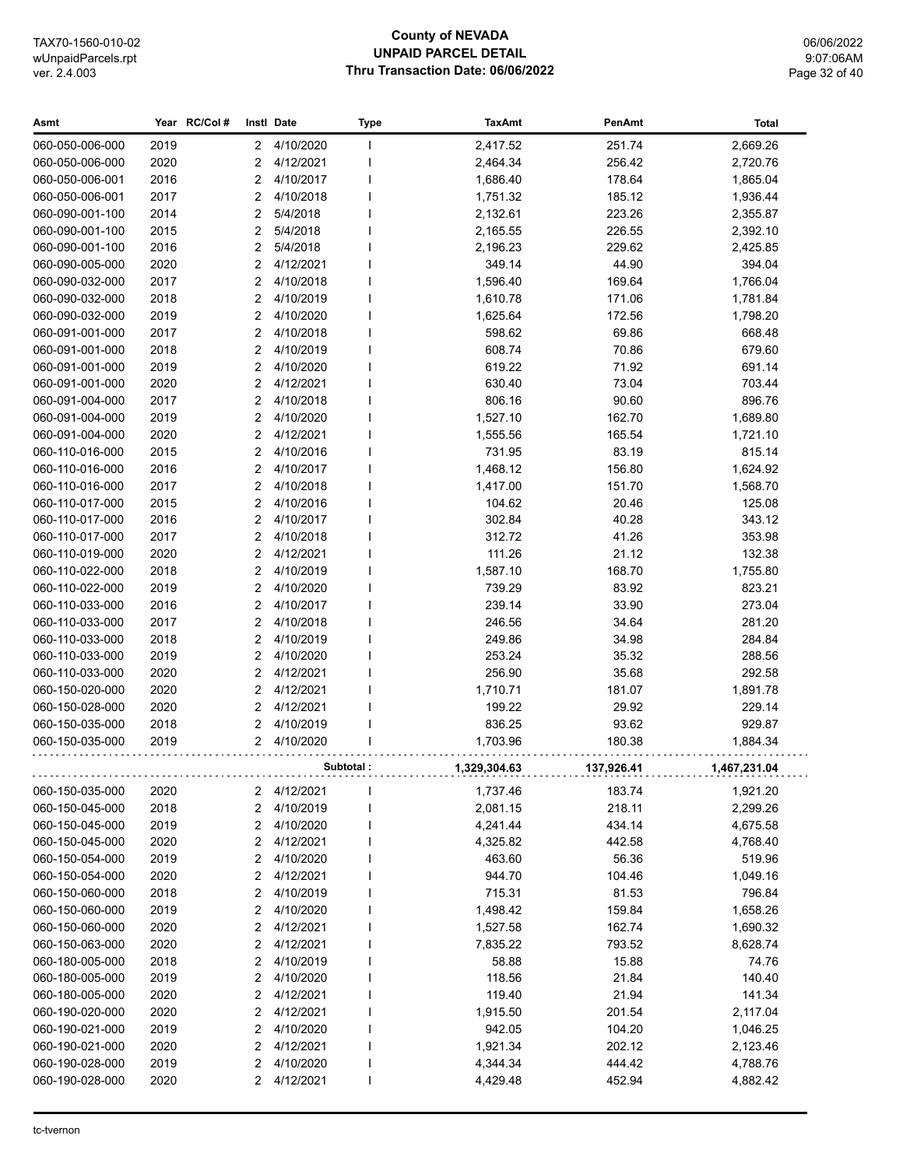## **County of NEVADA UNPAID PARCEL DETAIL Thru Transaction Date: 06/06/2022**

06/06/2022 9:07:06AM Page 32 of 40

| Asmt                               |              | Year RC/Col# |                                  | Instl Date             | Type      | <b>TaxAmt</b>    | PenAmt         | Total            |
|------------------------------------|--------------|--------------|----------------------------------|------------------------|-----------|------------------|----------------|------------------|
| 060-050-006-000                    | 2019         |              | 2                                | 4/10/2020              | I.        | 2,417.52         | 251.74         | 2,669.26         |
| 060-050-006-000                    | 2020         |              | $\overline{2}$                   | 4/12/2021              |           | 2,464.34         | 256.42         | 2,720.76         |
| 060-050-006-001                    | 2016         |              | 2                                | 4/10/2017              |           | 1,686.40         | 178.64         | 1,865.04         |
| 060-050-006-001                    | 2017         |              | 2                                | 4/10/2018              |           | 1,751.32         | 185.12         | 1,936.44         |
| 060-090-001-100                    | 2014         |              | $\overline{2}$                   | 5/4/2018               |           | 2,132.61         | 223.26         | 2,355.87         |
| 060-090-001-100                    | 2015         |              | 2                                | 5/4/2018               |           | 2,165.55         | 226.55         | 2,392.10         |
| 060-090-001-100                    | 2016         |              | 2                                | 5/4/2018               |           | 2,196.23         | 229.62         | 2,425.85         |
| 060-090-005-000                    | 2020         |              | $\overline{2}$                   | 4/12/2021              |           | 349.14           | 44.90          | 394.04           |
| 060-090-032-000                    | 2017         |              | $\overline{2}$                   | 4/10/2018              |           | 1,596.40         | 169.64         | 1,766.04         |
| 060-090-032-000                    | 2018         |              | $\overline{2}$                   | 4/10/2019              |           | 1,610.78         | 171.06         | 1,781.84         |
| 060-090-032-000                    | 2019         |              | $\overline{2}$                   | 4/10/2020              |           | 1,625.64         | 172.56         | 1,798.20         |
| 060-091-001-000                    | 2017         |              | $\overline{2}$                   | 4/10/2018              |           | 598.62           | 69.86          | 668.48           |
| 060-091-001-000                    | 2018         |              | 2                                | 4/10/2019              |           | 608.74           | 70.86          | 679.60           |
| 060-091-001-000                    | 2019         |              | $\overline{2}$                   | 4/10/2020              |           | 619.22           | 71.92          | 691.14           |
| 060-091-001-000                    | 2020         |              | $\overline{2}$                   | 4/12/2021              |           | 630.40           | 73.04          | 703.44           |
| 060-091-004-000                    | 2017         |              | $\overline{2}$                   | 4/10/2018              |           | 806.16           | 90.60          | 896.76           |
| 060-091-004-000                    | 2019         |              | $\overline{2}$                   | 4/10/2020              |           | 1,527.10         | 162.70         | 1,689.80         |
| 060-091-004-000                    | 2020         |              | $\overline{2}$                   | 4/12/2021              |           | 1,555.56         | 165.54         | 1,721.10         |
| 060-110-016-000                    | 2015         |              | $\overline{2}$                   | 4/10/2016              |           | 731.95           | 83.19          | 815.14           |
| 060-110-016-000                    | 2016         |              | $\overline{2}$                   | 4/10/2017              |           | 1,468.12         | 156.80         | 1,624.92         |
| 060-110-016-000                    | 2017         |              | $\overline{2}$                   | 4/10/2018              |           | 1,417.00         | 151.70         | 1,568.70         |
| 060-110-017-000                    | 2015         |              | $\overline{2}$                   | 4/10/2016              |           | 104.62           | 20.46          | 125.08           |
| 060-110-017-000                    | 2016         |              | $\overline{2}$                   | 4/10/2017              |           | 302.84           | 40.28          | 343.12           |
| 060-110-017-000                    | 2017         |              | $\overline{2}$                   | 4/10/2018              |           | 312.72           | 41.26          | 353.98           |
| 060-110-019-000                    | 2020         |              | $\overline{2}$                   | 4/12/2021              |           | 111.26           | 21.12          | 132.38           |
| 060-110-022-000                    | 2018         |              | $\overline{2}$<br>$\overline{2}$ | 4/10/2019              |           | 1,587.10         | 168.70         | 1,755.80         |
| 060-110-022-000<br>060-110-033-000 | 2019<br>2016 |              | $\overline{2}$                   | 4/10/2020<br>4/10/2017 |           | 739.29<br>239.14 | 83.92<br>33.90 | 823.21<br>273.04 |
| 060-110-033-000                    | 2017         |              | $\overline{2}$                   | 4/10/2018              |           | 246.56           | 34.64          | 281.20           |
| 060-110-033-000                    | 2018         |              | $\overline{2}$                   | 4/10/2019              |           | 249.86           | 34.98          | 284.84           |
| 060-110-033-000                    | 2019         |              | $\overline{2}$                   | 4/10/2020              |           | 253.24           | 35.32          | 288.56           |
| 060-110-033-000                    | 2020         |              | 2                                | 4/12/2021              |           | 256.90           | 35.68          | 292.58           |
| 060-150-020-000                    | 2020         |              | 2                                | 4/12/2021              |           | 1,710.71         | 181.07         | 1,891.78         |
| 060-150-028-000                    | 2020         |              | 2                                | 4/12/2021              |           | 199.22           | 29.92          | 229.14           |
| 060-150-035-000                    | 2018         |              | $\overline{2}$                   | 4/10/2019              |           | 836.25           | 93.62          | 929.87           |
| 060-150-035-000                    | 2019         |              | 2                                | 4/10/2020              |           | 1,703.96         | 180.38         | 1,884.34         |
|                                    |              |              |                                  |                        | Subtotal: | 1,329,304.63     | 137,926.41     | 1,467,231.04     |
| 060-150-035-000                    | 2020         |              | 2                                | 4/12/2021              |           | 1,737.46         | 183.74         | 1,921.20         |
| 060-150-045-000                    | 2018         |              | $\overline{2}$                   | 4/10/2019              |           | 2,081.15         | 218.11         | 2,299.26         |
| 060-150-045-000                    | 2019         |              | 2                                | 4/10/2020              |           | 4,241.44         | 434.14         | 4,675.58         |
| 060-150-045-000                    | 2020         |              | $\overline{c}$                   | 4/12/2021              |           | 4,325.82         | 442.58         | 4,768.40         |
| 060-150-054-000                    | 2019         |              | $\overline{c}$                   | 4/10/2020              |           | 463.60           | 56.36          | 519.96           |
| 060-150-054-000                    | 2020         |              | 2                                | 4/12/2021              |           | 944.70           | 104.46         | 1,049.16         |
| 060-150-060-000                    | 2018         |              | $\overline{2}$                   | 4/10/2019              |           | 715.31           | 81.53          | 796.84           |
| 060-150-060-000                    | 2019         |              | $\overline{2}$                   | 4/10/2020              |           | 1,498.42         | 159.84         | 1,658.26         |
| 060-150-060-000                    | 2020         |              | $\overline{2}$                   | 4/12/2021              |           | 1,527.58         | 162.74         | 1,690.32         |
| 060-150-063-000                    | 2020         |              | $\overline{2}$                   | 4/12/2021              |           | 7,835.22         | 793.52         | 8,628.74         |
| 060-180-005-000                    | 2018         |              | $\overline{2}$                   | 4/10/2019              |           | 58.88            | 15.88          | 74.76            |
| 060-180-005-000                    | 2019         |              | 2                                | 4/10/2020              | I         | 118.56           | 21.84          | 140.40           |
| 060-180-005-000                    | 2020         |              | 2                                | 4/12/2021              | I         | 119.40           | 21.94          | 141.34           |
| 060-190-020-000                    | 2020         |              | $\overline{2}$                   | 4/12/2021              |           | 1,915.50         | 201.54         | 2,117.04         |
| 060-190-021-000                    | 2019         |              | $\overline{2}$                   | 4/10/2020              |           | 942.05           | 104.20         | 1,046.25         |
| 060-190-021-000                    | 2020         |              | $\overline{c}$                   | 4/12/2021              |           | 1,921.34         | 202.12         | 2,123.46         |
| 060-190-028-000                    | 2019         |              | $\overline{c}$                   | 4/10/2020              |           | 4,344.34         | 444.42         | 4,788.76         |
| 060-190-028-000                    | 2020         |              | 2                                | 4/12/2021              | J.        | 4,429.48         | 452.94         | 4,882.42         |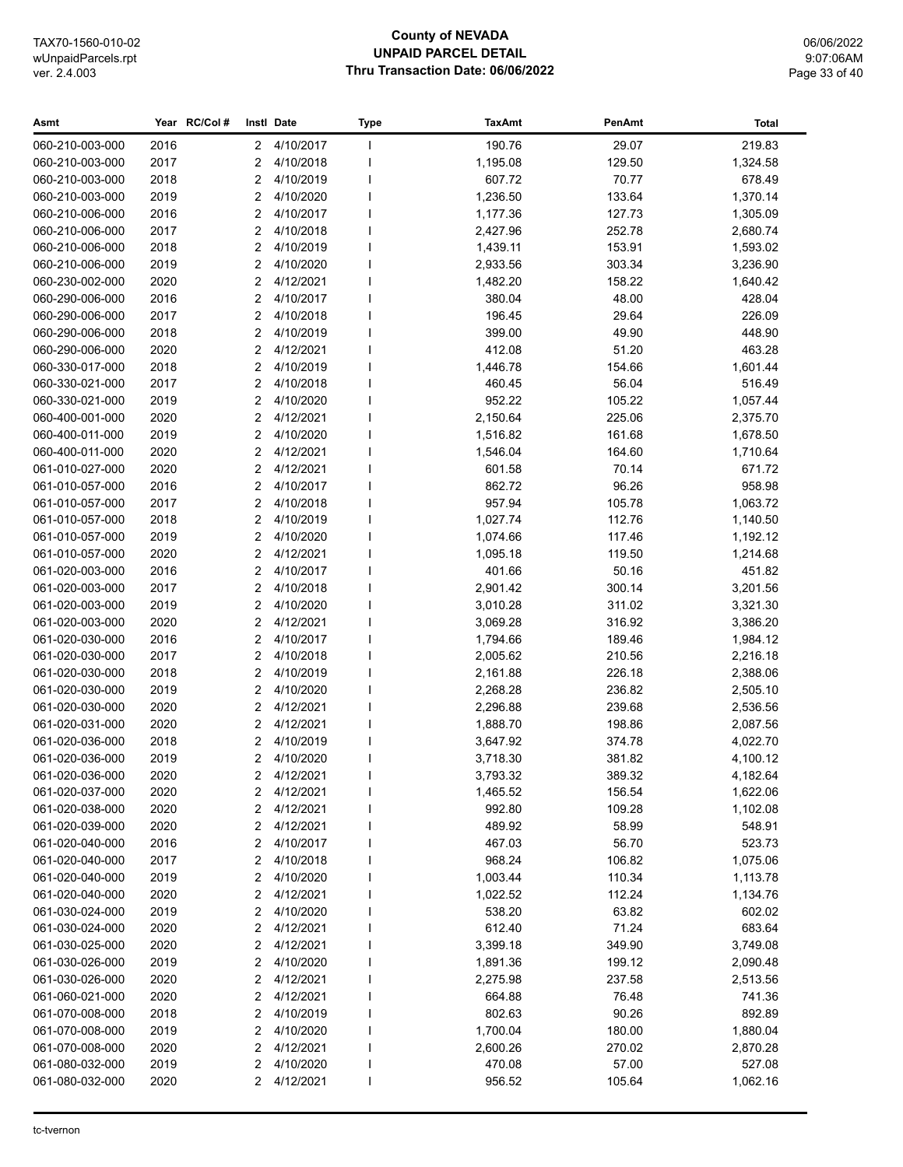## **County of NEVADA UNPAID PARCEL DETAIL Thru Transaction Date: 06/06/2022**

06/06/2022 9:07:06AM Page 33 of 40

| 4/10/2017<br>190.76<br>29.07<br>219.83<br>060-210-003-000<br>2016<br>$\mathbf{2}$<br>J.<br>2017<br>4/10/2018<br>1,195.08<br>129.50<br>1,324.58<br>060-210-003-000<br>2<br>2018<br>4/10/2019<br>607.72<br>70.77<br>678.49<br>060-210-003-000<br>2<br>4/10/2020<br>060-210-003-000<br>2019<br>2<br>1,236.50<br>133.64<br>1,370.14<br>060-210-006-000<br>2016<br>2<br>4/10/2017<br>127.73<br>1,177.36<br>1,305.09<br>2017<br>2<br>4/10/2018<br>252.78<br>060-210-006-000<br>2,427.96<br>2,680.74<br>2018<br>$\overline{2}$<br>4/10/2019<br>1,439.11<br>153.91<br>060-210-006-000<br>1,593.02<br>2019<br>2<br>4/10/2020<br>2,933.56<br>303.34<br>3,236.90<br>060-210-006-000<br>060-230-002-000<br>2020<br>2<br>4/12/2021<br>1,482.20<br>158.22<br>1,640.42<br>060-290-006-000<br>2016<br>2<br>4/10/2017<br>380.04<br>48.00<br>428.04<br>2<br>4/10/2018<br>196.45<br>29.64<br>226.09<br>060-290-006-000<br>2017<br>2018<br>2<br>4/10/2019<br>399.00<br>49.90<br>448.90<br>060-290-006-000<br>2020<br>2<br>4/12/2021<br>412.08<br>51.20<br>463.28<br>060-290-006-000<br>2018<br>2<br>4/10/2019<br>1,446.78<br>154.66<br>1,601.44<br>060-330-017-000<br>2017<br>2<br>4/10/2018<br>460.45<br>56.04<br>516.49<br>060-330-021-000<br>2019<br>2<br>4/10/2020<br>952.22<br>060-330-021-000<br>105.22<br>1,057.44<br>2<br>4/12/2021<br>225.06<br>060-400-001-000<br>2020<br>2,150.64<br>2,375.70<br>2<br>4/10/2020<br>060-400-011-000<br>2019<br>1,516.82<br>161.68<br>1,678.50<br>2020<br>2<br>4/12/2021<br>164.60<br>060-400-011-000<br>1,546.04<br>1,710.64<br>061-010-027-000<br>2020<br>2<br>4/12/2021<br>70.14<br>601.58<br>671.72<br>2<br>4/10/2017<br>96.26<br>958.98<br>061-010-057-000<br>2016<br>862.72<br>2<br>4/10/2018<br>1,063.72<br>061-010-057-000<br>2017<br>957.94<br>105.78<br>2<br>4/10/2019<br>1,140.50<br>061-010-057-000<br>2018<br>1,027.74<br>112.76<br>2<br>4/10/2020<br>061-010-057-000<br>2019<br>1,074.66<br>117.46<br>1,192.12<br>J.<br>2020<br>2<br>4/12/2021<br>061-010-057-000<br>1,095.18<br>119.50<br>1,214.68<br>2016<br>2<br>4/10/2017<br>401.66<br>50.16<br>451.82<br>061-020-003-000<br>4/10/2018<br>300.14<br>061-020-003-000<br>2017<br>2<br>2,901.42<br>3,201.56<br>2019<br>2<br>4/10/2020<br>311.02<br>3,321.30<br>061-020-003-000<br>3,010.28<br>061-020-003-000<br>2020<br>2<br>4/12/2021<br>316.92<br>3,386.20<br>3,069.28<br>061-020-030-000<br>2016<br>2<br>4/10/2017<br>1,794.66<br>189.46<br>1,984.12<br>2<br>4/10/2018<br>061-020-030-000<br>2017<br>2,005.62<br>210.56<br>2,216.18<br>061-020-030-000<br>2018<br>2<br>4/10/2019<br>2,161.88<br>226.18<br>2,388.06<br>061-020-030-000<br>2019<br>$\overline{2}$<br>4/10/2020<br>236.82<br>2,268.28<br>2,505.10<br>061-020-030-000<br>2020<br>2<br>4/12/2021<br>239.68<br>2,296.88<br>2,536.56<br>061-020-031-000<br>2020<br>2<br>4/12/2021<br>1,888.70<br>198.86<br>2,087.56<br>2<br>4/10/2019<br>061-020-036-000<br>2018<br>3,647.92<br>374.78<br>4,022.70<br>2<br>4/10/2020<br>061-020-036-000<br>2019<br>3,718.30<br>381.82<br>4,100.12<br>2020<br>389.32<br>2 4/12/2021<br>3,793.32<br>4,182.64<br>061-020-036-000<br>061-020-037-000<br>4/12/2021<br>1,465.52<br>2020<br>2<br>156.54<br>1,622.06<br>061-020-038-000<br>2020<br>4/12/2021<br>992.80<br>109.28<br>2<br>1,102.08<br>061-020-039-000<br>2020<br>4/12/2021<br>489.92<br>58.99<br>548.91<br>2<br>4/10/2017<br>061-020-040-000<br>2016<br>2<br>467.03<br>56.70<br>523.73<br>061-020-040-000<br>2017<br>2<br>4/10/2018<br>968.24<br>106.82<br>1,075.06<br>061-020-040-000<br>2019<br>2<br>4/10/2020<br>1,003.44<br>110.34<br>1,113.78<br>061-020-040-000<br>2020<br>2<br>4/12/2021<br>112.24<br>1,022.52<br>1,134.76<br>061-030-024-000<br>2019<br>2<br>4/10/2020<br>538.20<br>63.82<br>602.02<br>71.24<br>061-030-024-000<br>2020<br>2<br>4/12/2021<br>612.40<br>683.64<br>061-030-025-000<br>2020<br>2<br>4/12/2021<br>3,399.18<br>349.90<br>3,749.08<br>4/10/2020<br>061-030-026-000<br>2019<br>2<br>1,891.36<br>199.12<br>2,090.48<br>061-030-026-000<br>2020<br>2<br>4/12/2021<br>2,275.98<br>237.58<br>2,513.56<br>2020<br>2<br>4/12/2021<br>664.88<br>76.48<br>741.36<br>061-060-021-000<br>061-070-008-000<br>2018<br>2<br>4/10/2019<br>802.63<br>90.26<br>892.89<br>061-070-008-000<br>2019<br>2<br>4/10/2020<br>1,700.04<br>180.00<br>1,880.04<br>061-070-008-000<br>2020<br>2<br>4/12/2021<br>2,600.26<br>270.02<br>2,870.28<br>4/10/2020<br>57.00<br>061-080-032-000<br>2019<br>2<br>470.08<br>527.08<br>061-080-032-000<br>2020<br>2<br>4/12/2021<br>1,062.16<br>956.52<br>105.64 | Asmt | Year RC/Col# | Instl Date | <b>Type</b> | <b>TaxAmt</b> | PenAmt | <b>Total</b> |
|-----------------------------------------------------------------------------------------------------------------------------------------------------------------------------------------------------------------------------------------------------------------------------------------------------------------------------------------------------------------------------------------------------------------------------------------------------------------------------------------------------------------------------------------------------------------------------------------------------------------------------------------------------------------------------------------------------------------------------------------------------------------------------------------------------------------------------------------------------------------------------------------------------------------------------------------------------------------------------------------------------------------------------------------------------------------------------------------------------------------------------------------------------------------------------------------------------------------------------------------------------------------------------------------------------------------------------------------------------------------------------------------------------------------------------------------------------------------------------------------------------------------------------------------------------------------------------------------------------------------------------------------------------------------------------------------------------------------------------------------------------------------------------------------------------------------------------------------------------------------------------------------------------------------------------------------------------------------------------------------------------------------------------------------------------------------------------------------------------------------------------------------------------------------------------------------------------------------------------------------------------------------------------------------------------------------------------------------------------------------------------------------------------------------------------------------------------------------------------------------------------------------------------------------------------------------------------------------------------------------------------------------------------------------------------------------------------------------------------------------------------------------------------------------------------------------------------------------------------------------------------------------------------------------------------------------------------------------------------------------------------------------------------------------------------------------------------------------------------------------------------------------------------------------------------------------------------------------------------------------------------------------------------------------------------------------------------------------------------------------------------------------------------------------------------------------------------------------------------------------------------------------------------------------------------------------------------------------------------------------------------------------------------------------------------------------------------------------------------------------------------------------------------------------------------------------------------------------------------------------------------------------------------------------------------------------------------------------------------------------------------------------------------------------------------------------------------------------------------------------------------------------------------------------------------------------------------------------------------------------------------------------------------------------------------------------------------------------------------------------------------------------------------------------------------------------------------------------------------------------------------------------------------------------------------|------|--------------|------------|-------------|---------------|--------|--------------|
|                                                                                                                                                                                                                                                                                                                                                                                                                                                                                                                                                                                                                                                                                                                                                                                                                                                                                                                                                                                                                                                                                                                                                                                                                                                                                                                                                                                                                                                                                                                                                                                                                                                                                                                                                                                                                                                                                                                                                                                                                                                                                                                                                                                                                                                                                                                                                                                                                                                                                                                                                                                                                                                                                                                                                                                                                                                                                                                                                                                                                                                                                                                                                                                                                                                                                                                                                                                                                                                                                                                                                                                                                                                                                                                                                                                                                                                                                                                                                                                                                                                                                                                                                                                                                                                                                                                                                                                                                                                                                                                                                     |      |              |            |             |               |        |              |
|                                                                                                                                                                                                                                                                                                                                                                                                                                                                                                                                                                                                                                                                                                                                                                                                                                                                                                                                                                                                                                                                                                                                                                                                                                                                                                                                                                                                                                                                                                                                                                                                                                                                                                                                                                                                                                                                                                                                                                                                                                                                                                                                                                                                                                                                                                                                                                                                                                                                                                                                                                                                                                                                                                                                                                                                                                                                                                                                                                                                                                                                                                                                                                                                                                                                                                                                                                                                                                                                                                                                                                                                                                                                                                                                                                                                                                                                                                                                                                                                                                                                                                                                                                                                                                                                                                                                                                                                                                                                                                                                                     |      |              |            |             |               |        |              |
|                                                                                                                                                                                                                                                                                                                                                                                                                                                                                                                                                                                                                                                                                                                                                                                                                                                                                                                                                                                                                                                                                                                                                                                                                                                                                                                                                                                                                                                                                                                                                                                                                                                                                                                                                                                                                                                                                                                                                                                                                                                                                                                                                                                                                                                                                                                                                                                                                                                                                                                                                                                                                                                                                                                                                                                                                                                                                                                                                                                                                                                                                                                                                                                                                                                                                                                                                                                                                                                                                                                                                                                                                                                                                                                                                                                                                                                                                                                                                                                                                                                                                                                                                                                                                                                                                                                                                                                                                                                                                                                                                     |      |              |            |             |               |        |              |
|                                                                                                                                                                                                                                                                                                                                                                                                                                                                                                                                                                                                                                                                                                                                                                                                                                                                                                                                                                                                                                                                                                                                                                                                                                                                                                                                                                                                                                                                                                                                                                                                                                                                                                                                                                                                                                                                                                                                                                                                                                                                                                                                                                                                                                                                                                                                                                                                                                                                                                                                                                                                                                                                                                                                                                                                                                                                                                                                                                                                                                                                                                                                                                                                                                                                                                                                                                                                                                                                                                                                                                                                                                                                                                                                                                                                                                                                                                                                                                                                                                                                                                                                                                                                                                                                                                                                                                                                                                                                                                                                                     |      |              |            |             |               |        |              |
|                                                                                                                                                                                                                                                                                                                                                                                                                                                                                                                                                                                                                                                                                                                                                                                                                                                                                                                                                                                                                                                                                                                                                                                                                                                                                                                                                                                                                                                                                                                                                                                                                                                                                                                                                                                                                                                                                                                                                                                                                                                                                                                                                                                                                                                                                                                                                                                                                                                                                                                                                                                                                                                                                                                                                                                                                                                                                                                                                                                                                                                                                                                                                                                                                                                                                                                                                                                                                                                                                                                                                                                                                                                                                                                                                                                                                                                                                                                                                                                                                                                                                                                                                                                                                                                                                                                                                                                                                                                                                                                                                     |      |              |            |             |               |        |              |
|                                                                                                                                                                                                                                                                                                                                                                                                                                                                                                                                                                                                                                                                                                                                                                                                                                                                                                                                                                                                                                                                                                                                                                                                                                                                                                                                                                                                                                                                                                                                                                                                                                                                                                                                                                                                                                                                                                                                                                                                                                                                                                                                                                                                                                                                                                                                                                                                                                                                                                                                                                                                                                                                                                                                                                                                                                                                                                                                                                                                                                                                                                                                                                                                                                                                                                                                                                                                                                                                                                                                                                                                                                                                                                                                                                                                                                                                                                                                                                                                                                                                                                                                                                                                                                                                                                                                                                                                                                                                                                                                                     |      |              |            |             |               |        |              |
|                                                                                                                                                                                                                                                                                                                                                                                                                                                                                                                                                                                                                                                                                                                                                                                                                                                                                                                                                                                                                                                                                                                                                                                                                                                                                                                                                                                                                                                                                                                                                                                                                                                                                                                                                                                                                                                                                                                                                                                                                                                                                                                                                                                                                                                                                                                                                                                                                                                                                                                                                                                                                                                                                                                                                                                                                                                                                                                                                                                                                                                                                                                                                                                                                                                                                                                                                                                                                                                                                                                                                                                                                                                                                                                                                                                                                                                                                                                                                                                                                                                                                                                                                                                                                                                                                                                                                                                                                                                                                                                                                     |      |              |            |             |               |        |              |
|                                                                                                                                                                                                                                                                                                                                                                                                                                                                                                                                                                                                                                                                                                                                                                                                                                                                                                                                                                                                                                                                                                                                                                                                                                                                                                                                                                                                                                                                                                                                                                                                                                                                                                                                                                                                                                                                                                                                                                                                                                                                                                                                                                                                                                                                                                                                                                                                                                                                                                                                                                                                                                                                                                                                                                                                                                                                                                                                                                                                                                                                                                                                                                                                                                                                                                                                                                                                                                                                                                                                                                                                                                                                                                                                                                                                                                                                                                                                                                                                                                                                                                                                                                                                                                                                                                                                                                                                                                                                                                                                                     |      |              |            |             |               |        |              |
|                                                                                                                                                                                                                                                                                                                                                                                                                                                                                                                                                                                                                                                                                                                                                                                                                                                                                                                                                                                                                                                                                                                                                                                                                                                                                                                                                                                                                                                                                                                                                                                                                                                                                                                                                                                                                                                                                                                                                                                                                                                                                                                                                                                                                                                                                                                                                                                                                                                                                                                                                                                                                                                                                                                                                                                                                                                                                                                                                                                                                                                                                                                                                                                                                                                                                                                                                                                                                                                                                                                                                                                                                                                                                                                                                                                                                                                                                                                                                                                                                                                                                                                                                                                                                                                                                                                                                                                                                                                                                                                                                     |      |              |            |             |               |        |              |
|                                                                                                                                                                                                                                                                                                                                                                                                                                                                                                                                                                                                                                                                                                                                                                                                                                                                                                                                                                                                                                                                                                                                                                                                                                                                                                                                                                                                                                                                                                                                                                                                                                                                                                                                                                                                                                                                                                                                                                                                                                                                                                                                                                                                                                                                                                                                                                                                                                                                                                                                                                                                                                                                                                                                                                                                                                                                                                                                                                                                                                                                                                                                                                                                                                                                                                                                                                                                                                                                                                                                                                                                                                                                                                                                                                                                                                                                                                                                                                                                                                                                                                                                                                                                                                                                                                                                                                                                                                                                                                                                                     |      |              |            |             |               |        |              |
|                                                                                                                                                                                                                                                                                                                                                                                                                                                                                                                                                                                                                                                                                                                                                                                                                                                                                                                                                                                                                                                                                                                                                                                                                                                                                                                                                                                                                                                                                                                                                                                                                                                                                                                                                                                                                                                                                                                                                                                                                                                                                                                                                                                                                                                                                                                                                                                                                                                                                                                                                                                                                                                                                                                                                                                                                                                                                                                                                                                                                                                                                                                                                                                                                                                                                                                                                                                                                                                                                                                                                                                                                                                                                                                                                                                                                                                                                                                                                                                                                                                                                                                                                                                                                                                                                                                                                                                                                                                                                                                                                     |      |              |            |             |               |        |              |
|                                                                                                                                                                                                                                                                                                                                                                                                                                                                                                                                                                                                                                                                                                                                                                                                                                                                                                                                                                                                                                                                                                                                                                                                                                                                                                                                                                                                                                                                                                                                                                                                                                                                                                                                                                                                                                                                                                                                                                                                                                                                                                                                                                                                                                                                                                                                                                                                                                                                                                                                                                                                                                                                                                                                                                                                                                                                                                                                                                                                                                                                                                                                                                                                                                                                                                                                                                                                                                                                                                                                                                                                                                                                                                                                                                                                                                                                                                                                                                                                                                                                                                                                                                                                                                                                                                                                                                                                                                                                                                                                                     |      |              |            |             |               |        |              |
|                                                                                                                                                                                                                                                                                                                                                                                                                                                                                                                                                                                                                                                                                                                                                                                                                                                                                                                                                                                                                                                                                                                                                                                                                                                                                                                                                                                                                                                                                                                                                                                                                                                                                                                                                                                                                                                                                                                                                                                                                                                                                                                                                                                                                                                                                                                                                                                                                                                                                                                                                                                                                                                                                                                                                                                                                                                                                                                                                                                                                                                                                                                                                                                                                                                                                                                                                                                                                                                                                                                                                                                                                                                                                                                                                                                                                                                                                                                                                                                                                                                                                                                                                                                                                                                                                                                                                                                                                                                                                                                                                     |      |              |            |             |               |        |              |
|                                                                                                                                                                                                                                                                                                                                                                                                                                                                                                                                                                                                                                                                                                                                                                                                                                                                                                                                                                                                                                                                                                                                                                                                                                                                                                                                                                                                                                                                                                                                                                                                                                                                                                                                                                                                                                                                                                                                                                                                                                                                                                                                                                                                                                                                                                                                                                                                                                                                                                                                                                                                                                                                                                                                                                                                                                                                                                                                                                                                                                                                                                                                                                                                                                                                                                                                                                                                                                                                                                                                                                                                                                                                                                                                                                                                                                                                                                                                                                                                                                                                                                                                                                                                                                                                                                                                                                                                                                                                                                                                                     |      |              |            |             |               |        |              |
|                                                                                                                                                                                                                                                                                                                                                                                                                                                                                                                                                                                                                                                                                                                                                                                                                                                                                                                                                                                                                                                                                                                                                                                                                                                                                                                                                                                                                                                                                                                                                                                                                                                                                                                                                                                                                                                                                                                                                                                                                                                                                                                                                                                                                                                                                                                                                                                                                                                                                                                                                                                                                                                                                                                                                                                                                                                                                                                                                                                                                                                                                                                                                                                                                                                                                                                                                                                                                                                                                                                                                                                                                                                                                                                                                                                                                                                                                                                                                                                                                                                                                                                                                                                                                                                                                                                                                                                                                                                                                                                                                     |      |              |            |             |               |        |              |
|                                                                                                                                                                                                                                                                                                                                                                                                                                                                                                                                                                                                                                                                                                                                                                                                                                                                                                                                                                                                                                                                                                                                                                                                                                                                                                                                                                                                                                                                                                                                                                                                                                                                                                                                                                                                                                                                                                                                                                                                                                                                                                                                                                                                                                                                                                                                                                                                                                                                                                                                                                                                                                                                                                                                                                                                                                                                                                                                                                                                                                                                                                                                                                                                                                                                                                                                                                                                                                                                                                                                                                                                                                                                                                                                                                                                                                                                                                                                                                                                                                                                                                                                                                                                                                                                                                                                                                                                                                                                                                                                                     |      |              |            |             |               |        |              |
|                                                                                                                                                                                                                                                                                                                                                                                                                                                                                                                                                                                                                                                                                                                                                                                                                                                                                                                                                                                                                                                                                                                                                                                                                                                                                                                                                                                                                                                                                                                                                                                                                                                                                                                                                                                                                                                                                                                                                                                                                                                                                                                                                                                                                                                                                                                                                                                                                                                                                                                                                                                                                                                                                                                                                                                                                                                                                                                                                                                                                                                                                                                                                                                                                                                                                                                                                                                                                                                                                                                                                                                                                                                                                                                                                                                                                                                                                                                                                                                                                                                                                                                                                                                                                                                                                                                                                                                                                                                                                                                                                     |      |              |            |             |               |        |              |
|                                                                                                                                                                                                                                                                                                                                                                                                                                                                                                                                                                                                                                                                                                                                                                                                                                                                                                                                                                                                                                                                                                                                                                                                                                                                                                                                                                                                                                                                                                                                                                                                                                                                                                                                                                                                                                                                                                                                                                                                                                                                                                                                                                                                                                                                                                                                                                                                                                                                                                                                                                                                                                                                                                                                                                                                                                                                                                                                                                                                                                                                                                                                                                                                                                                                                                                                                                                                                                                                                                                                                                                                                                                                                                                                                                                                                                                                                                                                                                                                                                                                                                                                                                                                                                                                                                                                                                                                                                                                                                                                                     |      |              |            |             |               |        |              |
|                                                                                                                                                                                                                                                                                                                                                                                                                                                                                                                                                                                                                                                                                                                                                                                                                                                                                                                                                                                                                                                                                                                                                                                                                                                                                                                                                                                                                                                                                                                                                                                                                                                                                                                                                                                                                                                                                                                                                                                                                                                                                                                                                                                                                                                                                                                                                                                                                                                                                                                                                                                                                                                                                                                                                                                                                                                                                                                                                                                                                                                                                                                                                                                                                                                                                                                                                                                                                                                                                                                                                                                                                                                                                                                                                                                                                                                                                                                                                                                                                                                                                                                                                                                                                                                                                                                                                                                                                                                                                                                                                     |      |              |            |             |               |        |              |
|                                                                                                                                                                                                                                                                                                                                                                                                                                                                                                                                                                                                                                                                                                                                                                                                                                                                                                                                                                                                                                                                                                                                                                                                                                                                                                                                                                                                                                                                                                                                                                                                                                                                                                                                                                                                                                                                                                                                                                                                                                                                                                                                                                                                                                                                                                                                                                                                                                                                                                                                                                                                                                                                                                                                                                                                                                                                                                                                                                                                                                                                                                                                                                                                                                                                                                                                                                                                                                                                                                                                                                                                                                                                                                                                                                                                                                                                                                                                                                                                                                                                                                                                                                                                                                                                                                                                                                                                                                                                                                                                                     |      |              |            |             |               |        |              |
|                                                                                                                                                                                                                                                                                                                                                                                                                                                                                                                                                                                                                                                                                                                                                                                                                                                                                                                                                                                                                                                                                                                                                                                                                                                                                                                                                                                                                                                                                                                                                                                                                                                                                                                                                                                                                                                                                                                                                                                                                                                                                                                                                                                                                                                                                                                                                                                                                                                                                                                                                                                                                                                                                                                                                                                                                                                                                                                                                                                                                                                                                                                                                                                                                                                                                                                                                                                                                                                                                                                                                                                                                                                                                                                                                                                                                                                                                                                                                                                                                                                                                                                                                                                                                                                                                                                                                                                                                                                                                                                                                     |      |              |            |             |               |        |              |
|                                                                                                                                                                                                                                                                                                                                                                                                                                                                                                                                                                                                                                                                                                                                                                                                                                                                                                                                                                                                                                                                                                                                                                                                                                                                                                                                                                                                                                                                                                                                                                                                                                                                                                                                                                                                                                                                                                                                                                                                                                                                                                                                                                                                                                                                                                                                                                                                                                                                                                                                                                                                                                                                                                                                                                                                                                                                                                                                                                                                                                                                                                                                                                                                                                                                                                                                                                                                                                                                                                                                                                                                                                                                                                                                                                                                                                                                                                                                                                                                                                                                                                                                                                                                                                                                                                                                                                                                                                                                                                                                                     |      |              |            |             |               |        |              |
|                                                                                                                                                                                                                                                                                                                                                                                                                                                                                                                                                                                                                                                                                                                                                                                                                                                                                                                                                                                                                                                                                                                                                                                                                                                                                                                                                                                                                                                                                                                                                                                                                                                                                                                                                                                                                                                                                                                                                                                                                                                                                                                                                                                                                                                                                                                                                                                                                                                                                                                                                                                                                                                                                                                                                                                                                                                                                                                                                                                                                                                                                                                                                                                                                                                                                                                                                                                                                                                                                                                                                                                                                                                                                                                                                                                                                                                                                                                                                                                                                                                                                                                                                                                                                                                                                                                                                                                                                                                                                                                                                     |      |              |            |             |               |        |              |
|                                                                                                                                                                                                                                                                                                                                                                                                                                                                                                                                                                                                                                                                                                                                                                                                                                                                                                                                                                                                                                                                                                                                                                                                                                                                                                                                                                                                                                                                                                                                                                                                                                                                                                                                                                                                                                                                                                                                                                                                                                                                                                                                                                                                                                                                                                                                                                                                                                                                                                                                                                                                                                                                                                                                                                                                                                                                                                                                                                                                                                                                                                                                                                                                                                                                                                                                                                                                                                                                                                                                                                                                                                                                                                                                                                                                                                                                                                                                                                                                                                                                                                                                                                                                                                                                                                                                                                                                                                                                                                                                                     |      |              |            |             |               |        |              |
|                                                                                                                                                                                                                                                                                                                                                                                                                                                                                                                                                                                                                                                                                                                                                                                                                                                                                                                                                                                                                                                                                                                                                                                                                                                                                                                                                                                                                                                                                                                                                                                                                                                                                                                                                                                                                                                                                                                                                                                                                                                                                                                                                                                                                                                                                                                                                                                                                                                                                                                                                                                                                                                                                                                                                                                                                                                                                                                                                                                                                                                                                                                                                                                                                                                                                                                                                                                                                                                                                                                                                                                                                                                                                                                                                                                                                                                                                                                                                                                                                                                                                                                                                                                                                                                                                                                                                                                                                                                                                                                                                     |      |              |            |             |               |        |              |
|                                                                                                                                                                                                                                                                                                                                                                                                                                                                                                                                                                                                                                                                                                                                                                                                                                                                                                                                                                                                                                                                                                                                                                                                                                                                                                                                                                                                                                                                                                                                                                                                                                                                                                                                                                                                                                                                                                                                                                                                                                                                                                                                                                                                                                                                                                                                                                                                                                                                                                                                                                                                                                                                                                                                                                                                                                                                                                                                                                                                                                                                                                                                                                                                                                                                                                                                                                                                                                                                                                                                                                                                                                                                                                                                                                                                                                                                                                                                                                                                                                                                                                                                                                                                                                                                                                                                                                                                                                                                                                                                                     |      |              |            |             |               |        |              |
|                                                                                                                                                                                                                                                                                                                                                                                                                                                                                                                                                                                                                                                                                                                                                                                                                                                                                                                                                                                                                                                                                                                                                                                                                                                                                                                                                                                                                                                                                                                                                                                                                                                                                                                                                                                                                                                                                                                                                                                                                                                                                                                                                                                                                                                                                                                                                                                                                                                                                                                                                                                                                                                                                                                                                                                                                                                                                                                                                                                                                                                                                                                                                                                                                                                                                                                                                                                                                                                                                                                                                                                                                                                                                                                                                                                                                                                                                                                                                                                                                                                                                                                                                                                                                                                                                                                                                                                                                                                                                                                                                     |      |              |            |             |               |        |              |
|                                                                                                                                                                                                                                                                                                                                                                                                                                                                                                                                                                                                                                                                                                                                                                                                                                                                                                                                                                                                                                                                                                                                                                                                                                                                                                                                                                                                                                                                                                                                                                                                                                                                                                                                                                                                                                                                                                                                                                                                                                                                                                                                                                                                                                                                                                                                                                                                                                                                                                                                                                                                                                                                                                                                                                                                                                                                                                                                                                                                                                                                                                                                                                                                                                                                                                                                                                                                                                                                                                                                                                                                                                                                                                                                                                                                                                                                                                                                                                                                                                                                                                                                                                                                                                                                                                                                                                                                                                                                                                                                                     |      |              |            |             |               |        |              |
|                                                                                                                                                                                                                                                                                                                                                                                                                                                                                                                                                                                                                                                                                                                                                                                                                                                                                                                                                                                                                                                                                                                                                                                                                                                                                                                                                                                                                                                                                                                                                                                                                                                                                                                                                                                                                                                                                                                                                                                                                                                                                                                                                                                                                                                                                                                                                                                                                                                                                                                                                                                                                                                                                                                                                                                                                                                                                                                                                                                                                                                                                                                                                                                                                                                                                                                                                                                                                                                                                                                                                                                                                                                                                                                                                                                                                                                                                                                                                                                                                                                                                                                                                                                                                                                                                                                                                                                                                                                                                                                                                     |      |              |            |             |               |        |              |
|                                                                                                                                                                                                                                                                                                                                                                                                                                                                                                                                                                                                                                                                                                                                                                                                                                                                                                                                                                                                                                                                                                                                                                                                                                                                                                                                                                                                                                                                                                                                                                                                                                                                                                                                                                                                                                                                                                                                                                                                                                                                                                                                                                                                                                                                                                                                                                                                                                                                                                                                                                                                                                                                                                                                                                                                                                                                                                                                                                                                                                                                                                                                                                                                                                                                                                                                                                                                                                                                                                                                                                                                                                                                                                                                                                                                                                                                                                                                                                                                                                                                                                                                                                                                                                                                                                                                                                                                                                                                                                                                                     |      |              |            |             |               |        |              |
|                                                                                                                                                                                                                                                                                                                                                                                                                                                                                                                                                                                                                                                                                                                                                                                                                                                                                                                                                                                                                                                                                                                                                                                                                                                                                                                                                                                                                                                                                                                                                                                                                                                                                                                                                                                                                                                                                                                                                                                                                                                                                                                                                                                                                                                                                                                                                                                                                                                                                                                                                                                                                                                                                                                                                                                                                                                                                                                                                                                                                                                                                                                                                                                                                                                                                                                                                                                                                                                                                                                                                                                                                                                                                                                                                                                                                                                                                                                                                                                                                                                                                                                                                                                                                                                                                                                                                                                                                                                                                                                                                     |      |              |            |             |               |        |              |
|                                                                                                                                                                                                                                                                                                                                                                                                                                                                                                                                                                                                                                                                                                                                                                                                                                                                                                                                                                                                                                                                                                                                                                                                                                                                                                                                                                                                                                                                                                                                                                                                                                                                                                                                                                                                                                                                                                                                                                                                                                                                                                                                                                                                                                                                                                                                                                                                                                                                                                                                                                                                                                                                                                                                                                                                                                                                                                                                                                                                                                                                                                                                                                                                                                                                                                                                                                                                                                                                                                                                                                                                                                                                                                                                                                                                                                                                                                                                                                                                                                                                                                                                                                                                                                                                                                                                                                                                                                                                                                                                                     |      |              |            |             |               |        |              |
|                                                                                                                                                                                                                                                                                                                                                                                                                                                                                                                                                                                                                                                                                                                                                                                                                                                                                                                                                                                                                                                                                                                                                                                                                                                                                                                                                                                                                                                                                                                                                                                                                                                                                                                                                                                                                                                                                                                                                                                                                                                                                                                                                                                                                                                                                                                                                                                                                                                                                                                                                                                                                                                                                                                                                                                                                                                                                                                                                                                                                                                                                                                                                                                                                                                                                                                                                                                                                                                                                                                                                                                                                                                                                                                                                                                                                                                                                                                                                                                                                                                                                                                                                                                                                                                                                                                                                                                                                                                                                                                                                     |      |              |            |             |               |        |              |
|                                                                                                                                                                                                                                                                                                                                                                                                                                                                                                                                                                                                                                                                                                                                                                                                                                                                                                                                                                                                                                                                                                                                                                                                                                                                                                                                                                                                                                                                                                                                                                                                                                                                                                                                                                                                                                                                                                                                                                                                                                                                                                                                                                                                                                                                                                                                                                                                                                                                                                                                                                                                                                                                                                                                                                                                                                                                                                                                                                                                                                                                                                                                                                                                                                                                                                                                                                                                                                                                                                                                                                                                                                                                                                                                                                                                                                                                                                                                                                                                                                                                                                                                                                                                                                                                                                                                                                                                                                                                                                                                                     |      |              |            |             |               |        |              |
|                                                                                                                                                                                                                                                                                                                                                                                                                                                                                                                                                                                                                                                                                                                                                                                                                                                                                                                                                                                                                                                                                                                                                                                                                                                                                                                                                                                                                                                                                                                                                                                                                                                                                                                                                                                                                                                                                                                                                                                                                                                                                                                                                                                                                                                                                                                                                                                                                                                                                                                                                                                                                                                                                                                                                                                                                                                                                                                                                                                                                                                                                                                                                                                                                                                                                                                                                                                                                                                                                                                                                                                                                                                                                                                                                                                                                                                                                                                                                                                                                                                                                                                                                                                                                                                                                                                                                                                                                                                                                                                                                     |      |              |            |             |               |        |              |
|                                                                                                                                                                                                                                                                                                                                                                                                                                                                                                                                                                                                                                                                                                                                                                                                                                                                                                                                                                                                                                                                                                                                                                                                                                                                                                                                                                                                                                                                                                                                                                                                                                                                                                                                                                                                                                                                                                                                                                                                                                                                                                                                                                                                                                                                                                                                                                                                                                                                                                                                                                                                                                                                                                                                                                                                                                                                                                                                                                                                                                                                                                                                                                                                                                                                                                                                                                                                                                                                                                                                                                                                                                                                                                                                                                                                                                                                                                                                                                                                                                                                                                                                                                                                                                                                                                                                                                                                                                                                                                                                                     |      |              |            |             |               |        |              |
|                                                                                                                                                                                                                                                                                                                                                                                                                                                                                                                                                                                                                                                                                                                                                                                                                                                                                                                                                                                                                                                                                                                                                                                                                                                                                                                                                                                                                                                                                                                                                                                                                                                                                                                                                                                                                                                                                                                                                                                                                                                                                                                                                                                                                                                                                                                                                                                                                                                                                                                                                                                                                                                                                                                                                                                                                                                                                                                                                                                                                                                                                                                                                                                                                                                                                                                                                                                                                                                                                                                                                                                                                                                                                                                                                                                                                                                                                                                                                                                                                                                                                                                                                                                                                                                                                                                                                                                                                                                                                                                                                     |      |              |            |             |               |        |              |
|                                                                                                                                                                                                                                                                                                                                                                                                                                                                                                                                                                                                                                                                                                                                                                                                                                                                                                                                                                                                                                                                                                                                                                                                                                                                                                                                                                                                                                                                                                                                                                                                                                                                                                                                                                                                                                                                                                                                                                                                                                                                                                                                                                                                                                                                                                                                                                                                                                                                                                                                                                                                                                                                                                                                                                                                                                                                                                                                                                                                                                                                                                                                                                                                                                                                                                                                                                                                                                                                                                                                                                                                                                                                                                                                                                                                                                                                                                                                                                                                                                                                                                                                                                                                                                                                                                                                                                                                                                                                                                                                                     |      |              |            |             |               |        |              |
|                                                                                                                                                                                                                                                                                                                                                                                                                                                                                                                                                                                                                                                                                                                                                                                                                                                                                                                                                                                                                                                                                                                                                                                                                                                                                                                                                                                                                                                                                                                                                                                                                                                                                                                                                                                                                                                                                                                                                                                                                                                                                                                                                                                                                                                                                                                                                                                                                                                                                                                                                                                                                                                                                                                                                                                                                                                                                                                                                                                                                                                                                                                                                                                                                                                                                                                                                                                                                                                                                                                                                                                                                                                                                                                                                                                                                                                                                                                                                                                                                                                                                                                                                                                                                                                                                                                                                                                                                                                                                                                                                     |      |              |            |             |               |        |              |
|                                                                                                                                                                                                                                                                                                                                                                                                                                                                                                                                                                                                                                                                                                                                                                                                                                                                                                                                                                                                                                                                                                                                                                                                                                                                                                                                                                                                                                                                                                                                                                                                                                                                                                                                                                                                                                                                                                                                                                                                                                                                                                                                                                                                                                                                                                                                                                                                                                                                                                                                                                                                                                                                                                                                                                                                                                                                                                                                                                                                                                                                                                                                                                                                                                                                                                                                                                                                                                                                                                                                                                                                                                                                                                                                                                                                                                                                                                                                                                                                                                                                                                                                                                                                                                                                                                                                                                                                                                                                                                                                                     |      |              |            |             |               |        |              |
|                                                                                                                                                                                                                                                                                                                                                                                                                                                                                                                                                                                                                                                                                                                                                                                                                                                                                                                                                                                                                                                                                                                                                                                                                                                                                                                                                                                                                                                                                                                                                                                                                                                                                                                                                                                                                                                                                                                                                                                                                                                                                                                                                                                                                                                                                                                                                                                                                                                                                                                                                                                                                                                                                                                                                                                                                                                                                                                                                                                                                                                                                                                                                                                                                                                                                                                                                                                                                                                                                                                                                                                                                                                                                                                                                                                                                                                                                                                                                                                                                                                                                                                                                                                                                                                                                                                                                                                                                                                                                                                                                     |      |              |            |             |               |        |              |
|                                                                                                                                                                                                                                                                                                                                                                                                                                                                                                                                                                                                                                                                                                                                                                                                                                                                                                                                                                                                                                                                                                                                                                                                                                                                                                                                                                                                                                                                                                                                                                                                                                                                                                                                                                                                                                                                                                                                                                                                                                                                                                                                                                                                                                                                                                                                                                                                                                                                                                                                                                                                                                                                                                                                                                                                                                                                                                                                                                                                                                                                                                                                                                                                                                                                                                                                                                                                                                                                                                                                                                                                                                                                                                                                                                                                                                                                                                                                                                                                                                                                                                                                                                                                                                                                                                                                                                                                                                                                                                                                                     |      |              |            |             |               |        |              |
|                                                                                                                                                                                                                                                                                                                                                                                                                                                                                                                                                                                                                                                                                                                                                                                                                                                                                                                                                                                                                                                                                                                                                                                                                                                                                                                                                                                                                                                                                                                                                                                                                                                                                                                                                                                                                                                                                                                                                                                                                                                                                                                                                                                                                                                                                                                                                                                                                                                                                                                                                                                                                                                                                                                                                                                                                                                                                                                                                                                                                                                                                                                                                                                                                                                                                                                                                                                                                                                                                                                                                                                                                                                                                                                                                                                                                                                                                                                                                                                                                                                                                                                                                                                                                                                                                                                                                                                                                                                                                                                                                     |      |              |            |             |               |        |              |
|                                                                                                                                                                                                                                                                                                                                                                                                                                                                                                                                                                                                                                                                                                                                                                                                                                                                                                                                                                                                                                                                                                                                                                                                                                                                                                                                                                                                                                                                                                                                                                                                                                                                                                                                                                                                                                                                                                                                                                                                                                                                                                                                                                                                                                                                                                                                                                                                                                                                                                                                                                                                                                                                                                                                                                                                                                                                                                                                                                                                                                                                                                                                                                                                                                                                                                                                                                                                                                                                                                                                                                                                                                                                                                                                                                                                                                                                                                                                                                                                                                                                                                                                                                                                                                                                                                                                                                                                                                                                                                                                                     |      |              |            |             |               |        |              |
|                                                                                                                                                                                                                                                                                                                                                                                                                                                                                                                                                                                                                                                                                                                                                                                                                                                                                                                                                                                                                                                                                                                                                                                                                                                                                                                                                                                                                                                                                                                                                                                                                                                                                                                                                                                                                                                                                                                                                                                                                                                                                                                                                                                                                                                                                                                                                                                                                                                                                                                                                                                                                                                                                                                                                                                                                                                                                                                                                                                                                                                                                                                                                                                                                                                                                                                                                                                                                                                                                                                                                                                                                                                                                                                                                                                                                                                                                                                                                                                                                                                                                                                                                                                                                                                                                                                                                                                                                                                                                                                                                     |      |              |            |             |               |        |              |
|                                                                                                                                                                                                                                                                                                                                                                                                                                                                                                                                                                                                                                                                                                                                                                                                                                                                                                                                                                                                                                                                                                                                                                                                                                                                                                                                                                                                                                                                                                                                                                                                                                                                                                                                                                                                                                                                                                                                                                                                                                                                                                                                                                                                                                                                                                                                                                                                                                                                                                                                                                                                                                                                                                                                                                                                                                                                                                                                                                                                                                                                                                                                                                                                                                                                                                                                                                                                                                                                                                                                                                                                                                                                                                                                                                                                                                                                                                                                                                                                                                                                                                                                                                                                                                                                                                                                                                                                                                                                                                                                                     |      |              |            |             |               |        |              |
|                                                                                                                                                                                                                                                                                                                                                                                                                                                                                                                                                                                                                                                                                                                                                                                                                                                                                                                                                                                                                                                                                                                                                                                                                                                                                                                                                                                                                                                                                                                                                                                                                                                                                                                                                                                                                                                                                                                                                                                                                                                                                                                                                                                                                                                                                                                                                                                                                                                                                                                                                                                                                                                                                                                                                                                                                                                                                                                                                                                                                                                                                                                                                                                                                                                                                                                                                                                                                                                                                                                                                                                                                                                                                                                                                                                                                                                                                                                                                                                                                                                                                                                                                                                                                                                                                                                                                                                                                                                                                                                                                     |      |              |            |             |               |        |              |
|                                                                                                                                                                                                                                                                                                                                                                                                                                                                                                                                                                                                                                                                                                                                                                                                                                                                                                                                                                                                                                                                                                                                                                                                                                                                                                                                                                                                                                                                                                                                                                                                                                                                                                                                                                                                                                                                                                                                                                                                                                                                                                                                                                                                                                                                                                                                                                                                                                                                                                                                                                                                                                                                                                                                                                                                                                                                                                                                                                                                                                                                                                                                                                                                                                                                                                                                                                                                                                                                                                                                                                                                                                                                                                                                                                                                                                                                                                                                                                                                                                                                                                                                                                                                                                                                                                                                                                                                                                                                                                                                                     |      |              |            |             |               |        |              |
|                                                                                                                                                                                                                                                                                                                                                                                                                                                                                                                                                                                                                                                                                                                                                                                                                                                                                                                                                                                                                                                                                                                                                                                                                                                                                                                                                                                                                                                                                                                                                                                                                                                                                                                                                                                                                                                                                                                                                                                                                                                                                                                                                                                                                                                                                                                                                                                                                                                                                                                                                                                                                                                                                                                                                                                                                                                                                                                                                                                                                                                                                                                                                                                                                                                                                                                                                                                                                                                                                                                                                                                                                                                                                                                                                                                                                                                                                                                                                                                                                                                                                                                                                                                                                                                                                                                                                                                                                                                                                                                                                     |      |              |            |             |               |        |              |
|                                                                                                                                                                                                                                                                                                                                                                                                                                                                                                                                                                                                                                                                                                                                                                                                                                                                                                                                                                                                                                                                                                                                                                                                                                                                                                                                                                                                                                                                                                                                                                                                                                                                                                                                                                                                                                                                                                                                                                                                                                                                                                                                                                                                                                                                                                                                                                                                                                                                                                                                                                                                                                                                                                                                                                                                                                                                                                                                                                                                                                                                                                                                                                                                                                                                                                                                                                                                                                                                                                                                                                                                                                                                                                                                                                                                                                                                                                                                                                                                                                                                                                                                                                                                                                                                                                                                                                                                                                                                                                                                                     |      |              |            |             |               |        |              |
|                                                                                                                                                                                                                                                                                                                                                                                                                                                                                                                                                                                                                                                                                                                                                                                                                                                                                                                                                                                                                                                                                                                                                                                                                                                                                                                                                                                                                                                                                                                                                                                                                                                                                                                                                                                                                                                                                                                                                                                                                                                                                                                                                                                                                                                                                                                                                                                                                                                                                                                                                                                                                                                                                                                                                                                                                                                                                                                                                                                                                                                                                                                                                                                                                                                                                                                                                                                                                                                                                                                                                                                                                                                                                                                                                                                                                                                                                                                                                                                                                                                                                                                                                                                                                                                                                                                                                                                                                                                                                                                                                     |      |              |            |             |               |        |              |
|                                                                                                                                                                                                                                                                                                                                                                                                                                                                                                                                                                                                                                                                                                                                                                                                                                                                                                                                                                                                                                                                                                                                                                                                                                                                                                                                                                                                                                                                                                                                                                                                                                                                                                                                                                                                                                                                                                                                                                                                                                                                                                                                                                                                                                                                                                                                                                                                                                                                                                                                                                                                                                                                                                                                                                                                                                                                                                                                                                                                                                                                                                                                                                                                                                                                                                                                                                                                                                                                                                                                                                                                                                                                                                                                                                                                                                                                                                                                                                                                                                                                                                                                                                                                                                                                                                                                                                                                                                                                                                                                                     |      |              |            |             |               |        |              |
|                                                                                                                                                                                                                                                                                                                                                                                                                                                                                                                                                                                                                                                                                                                                                                                                                                                                                                                                                                                                                                                                                                                                                                                                                                                                                                                                                                                                                                                                                                                                                                                                                                                                                                                                                                                                                                                                                                                                                                                                                                                                                                                                                                                                                                                                                                                                                                                                                                                                                                                                                                                                                                                                                                                                                                                                                                                                                                                                                                                                                                                                                                                                                                                                                                                                                                                                                                                                                                                                                                                                                                                                                                                                                                                                                                                                                                                                                                                                                                                                                                                                                                                                                                                                                                                                                                                                                                                                                                                                                                                                                     |      |              |            |             |               |        |              |
|                                                                                                                                                                                                                                                                                                                                                                                                                                                                                                                                                                                                                                                                                                                                                                                                                                                                                                                                                                                                                                                                                                                                                                                                                                                                                                                                                                                                                                                                                                                                                                                                                                                                                                                                                                                                                                                                                                                                                                                                                                                                                                                                                                                                                                                                                                                                                                                                                                                                                                                                                                                                                                                                                                                                                                                                                                                                                                                                                                                                                                                                                                                                                                                                                                                                                                                                                                                                                                                                                                                                                                                                                                                                                                                                                                                                                                                                                                                                                                                                                                                                                                                                                                                                                                                                                                                                                                                                                                                                                                                                                     |      |              |            |             |               |        |              |
|                                                                                                                                                                                                                                                                                                                                                                                                                                                                                                                                                                                                                                                                                                                                                                                                                                                                                                                                                                                                                                                                                                                                                                                                                                                                                                                                                                                                                                                                                                                                                                                                                                                                                                                                                                                                                                                                                                                                                                                                                                                                                                                                                                                                                                                                                                                                                                                                                                                                                                                                                                                                                                                                                                                                                                                                                                                                                                                                                                                                                                                                                                                                                                                                                                                                                                                                                                                                                                                                                                                                                                                                                                                                                                                                                                                                                                                                                                                                                                                                                                                                                                                                                                                                                                                                                                                                                                                                                                                                                                                                                     |      |              |            |             |               |        |              |
|                                                                                                                                                                                                                                                                                                                                                                                                                                                                                                                                                                                                                                                                                                                                                                                                                                                                                                                                                                                                                                                                                                                                                                                                                                                                                                                                                                                                                                                                                                                                                                                                                                                                                                                                                                                                                                                                                                                                                                                                                                                                                                                                                                                                                                                                                                                                                                                                                                                                                                                                                                                                                                                                                                                                                                                                                                                                                                                                                                                                                                                                                                                                                                                                                                                                                                                                                                                                                                                                                                                                                                                                                                                                                                                                                                                                                                                                                                                                                                                                                                                                                                                                                                                                                                                                                                                                                                                                                                                                                                                                                     |      |              |            |             |               |        |              |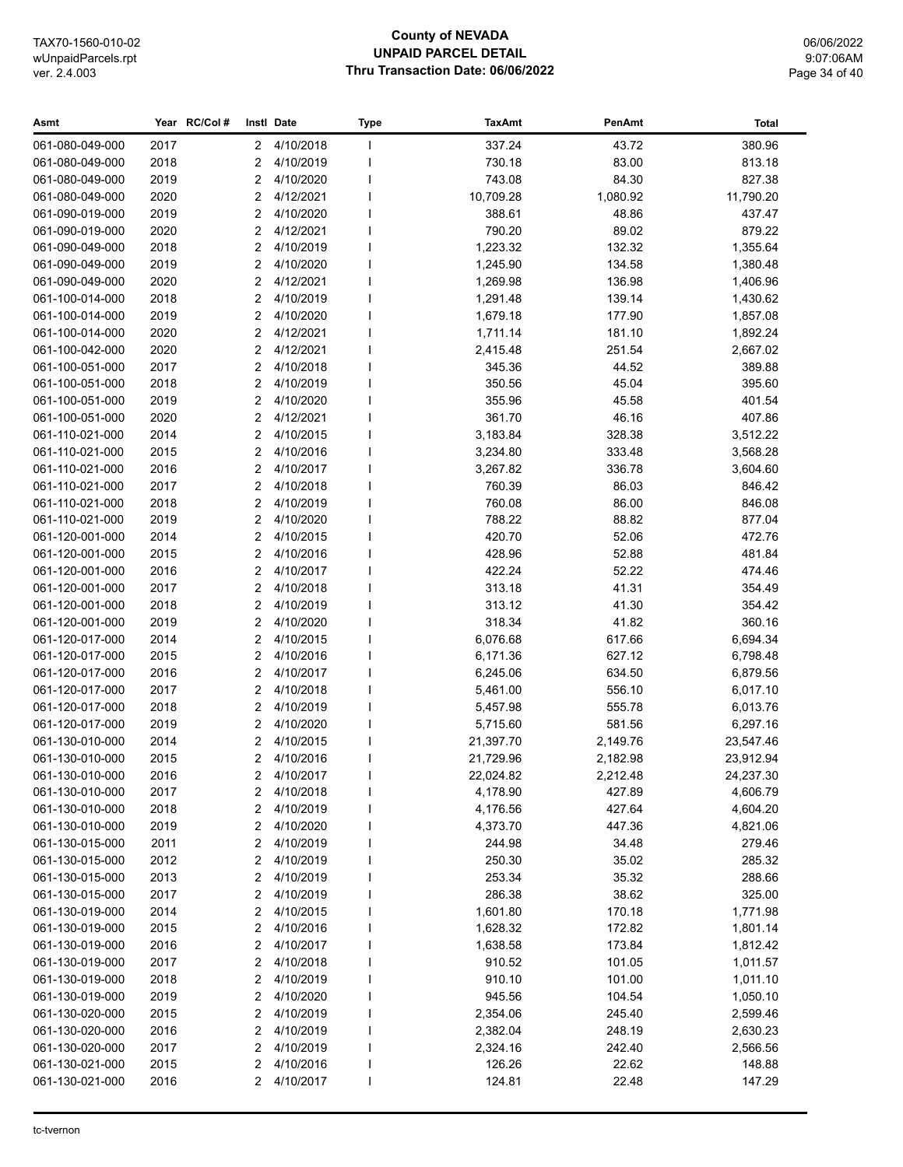## **County of NEVADA UNPAID PARCEL DETAIL Thru Transaction Date: 06/06/2022**

06/06/2022 9:07:06AM Page 34 of 40

| Asmt            |      | Year RC/Col# | Instl Date |             | <b>Type</b> | <b>TaxAmt</b> | PenAmt   | Total     |
|-----------------|------|--------------|------------|-------------|-------------|---------------|----------|-----------|
| 061-080-049-000 | 2017 |              | 2          | 4/10/2018   |             | 337.24        | 43.72    | 380.96    |
| 061-080-049-000 | 2018 |              | 2          | 4/10/2019   |             | 730.18        | 83.00    | 813.18    |
| 061-080-049-000 | 2019 |              | 2          | 4/10/2020   |             | 743.08        | 84.30    | 827.38    |
| 061-080-049-000 | 2020 |              | 2          | 4/12/2021   |             | 10,709.28     | 1,080.92 | 11,790.20 |
| 061-090-019-000 | 2019 |              | 2          | 4/10/2020   |             | 388.61        | 48.86    | 437.47    |
| 061-090-019-000 | 2020 |              | 2          | 4/12/2021   |             | 790.20        | 89.02    | 879.22    |
| 061-090-049-000 | 2018 |              | 2          | 4/10/2019   |             | 1,223.32      | 132.32   | 1,355.64  |
| 061-090-049-000 | 2019 |              | 2          | 4/10/2020   |             | 1,245.90      | 134.58   | 1,380.48  |
| 061-090-049-000 | 2020 |              | 2          | 4/12/2021   |             | 1,269.98      | 136.98   | 1,406.96  |
| 061-100-014-000 | 2018 |              | 2          | 4/10/2019   |             | 1,291.48      | 139.14   | 1,430.62  |
| 061-100-014-000 | 2019 |              | 2          | 4/10/2020   |             | 1,679.18      | 177.90   | 1,857.08  |
| 061-100-014-000 | 2020 |              | 2          | 4/12/2021   |             | 1,711.14      | 181.10   | 1,892.24  |
| 061-100-042-000 | 2020 |              | 2          | 4/12/2021   |             | 2,415.48      | 251.54   | 2,667.02  |
| 061-100-051-000 | 2017 |              | 2          | 4/10/2018   |             | 345.36        | 44.52    | 389.88    |
| 061-100-051-000 | 2018 |              | 2          | 4/10/2019   |             | 350.56        | 45.04    | 395.60    |
| 061-100-051-000 | 2019 |              | 2          | 4/10/2020   |             | 355.96        | 45.58    | 401.54    |
| 061-100-051-000 | 2020 |              | 2          | 4/12/2021   |             | 361.70        | 46.16    | 407.86    |
| 061-110-021-000 | 2014 |              | 2          | 4/10/2015   |             | 3,183.84      | 328.38   | 3,512.22  |
| 061-110-021-000 | 2015 |              | 2          | 4/10/2016   |             | 3,234.80      | 333.48   | 3,568.28  |
| 061-110-021-000 | 2016 |              | 2          | 4/10/2017   |             | 3,267.82      | 336.78   | 3,604.60  |
| 061-110-021-000 | 2017 |              | 2          | 4/10/2018   |             | 760.39        | 86.03    | 846.42    |
| 061-110-021-000 | 2018 |              | 2          | 4/10/2019   |             | 760.08        | 86.00    | 846.08    |
| 061-110-021-000 | 2019 |              | 2          | 4/10/2020   |             | 788.22        | 88.82    | 877.04    |
| 061-120-001-000 | 2014 |              | 2          | 4/10/2015   |             | 420.70        | 52.06    | 472.76    |
| 061-120-001-000 | 2015 |              | 2          | 4/10/2016   |             | 428.96        | 52.88    | 481.84    |
| 061-120-001-000 | 2016 |              | 2          | 4/10/2017   |             | 422.24        | 52.22    | 474.46    |
| 061-120-001-000 | 2017 |              | 2          | 4/10/2018   |             | 313.18        | 41.31    | 354.49    |
| 061-120-001-000 | 2018 |              | 2          | 4/10/2019   |             | 313.12        | 41.30    | 354.42    |
| 061-120-001-000 | 2019 |              | 2          | 4/10/2020   |             | 318.34        | 41.82    | 360.16    |
| 061-120-017-000 | 2014 |              | 2          | 4/10/2015   |             | 6,076.68      | 617.66   | 6,694.34  |
| 061-120-017-000 | 2015 |              | 2          | 4/10/2016   |             | 6,171.36      | 627.12   | 6,798.48  |
| 061-120-017-000 | 2016 |              | 2          | 4/10/2017   |             | 6,245.06      | 634.50   | 6,879.56  |
| 061-120-017-000 | 2017 |              | 2          | 4/10/2018   |             | 5,461.00      | 556.10   | 6,017.10  |
| 061-120-017-000 | 2018 |              | 2          | 4/10/2019   |             | 5,457.98      | 555.78   | 6,013.76  |
| 061-120-017-000 | 2019 |              | 2          | 4/10/2020   |             | 5,715.60      | 581.56   | 6,297.16  |
| 061-130-010-000 | 2014 |              | 2          | 4/10/2015   |             | 21,397.70     | 2,149.76 | 23,547.46 |
| 061-130-010-000 | 2015 |              | 2          | 4/10/2016   |             | 21,729.96     | 2,182.98 | 23,912.94 |
| 061-130-010-000 | 2016 |              |            | 2 4/10/2017 |             | 22,024.82     | 2,212.48 | 24,237.30 |
| 061-130-010-000 | 2017 |              | 2          | 4/10/2018   |             | 4,178.90      | 427.89   | 4,606.79  |
| 061-130-010-000 | 2018 |              | 2          | 4/10/2019   |             | 4,176.56      | 427.64   | 4,604.20  |
| 061-130-010-000 | 2019 |              | 2          | 4/10/2020   |             | 4,373.70      | 447.36   | 4,821.06  |
| 061-130-015-000 | 2011 |              | 2          | 4/10/2019   |             | 244.98        | 34.48    | 279.46    |
| 061-130-015-000 | 2012 |              | 2          | 4/10/2019   |             | 250.30        | 35.02    | 285.32    |
| 061-130-015-000 | 2013 |              | 2          | 4/10/2019   |             | 253.34        | 35.32    | 288.66    |
| 061-130-015-000 | 2017 |              | 2          | 4/10/2019   |             | 286.38        | 38.62    | 325.00    |
| 061-130-019-000 | 2014 |              | 2          | 4/10/2015   |             | 1,601.80      | 170.18   | 1,771.98  |
| 061-130-019-000 | 2015 |              | 2          | 4/10/2016   |             | 1,628.32      | 172.82   | 1,801.14  |
| 061-130-019-000 | 2016 |              | 2          | 4/10/2017   |             | 1,638.58      | 173.84   | 1,812.42  |
| 061-130-019-000 | 2017 |              | 2          | 4/10/2018   |             | 910.52        | 101.05   | 1,011.57  |
| 061-130-019-000 | 2018 |              | 2          | 4/10/2019   |             | 910.10        | 101.00   | 1,011.10  |
| 061-130-019-000 | 2019 |              | 2          | 4/10/2020   |             | 945.56        | 104.54   | 1,050.10  |
| 061-130-020-000 | 2015 |              | 2          | 4/10/2019   |             | 2,354.06      | 245.40   | 2,599.46  |
| 061-130-020-000 | 2016 |              | 2          | 4/10/2019   |             | 2,382.04      | 248.19   | 2,630.23  |
| 061-130-020-000 | 2017 |              | 2          | 4/10/2019   |             | 2,324.16      | 242.40   | 2,566.56  |
| 061-130-021-000 | 2015 |              | 2          | 4/10/2016   |             | 126.26        | 22.62    | 148.88    |
| 061-130-021-000 | 2016 |              | 2          | 4/10/2017   |             | 124.81        | 22.48    | 147.29    |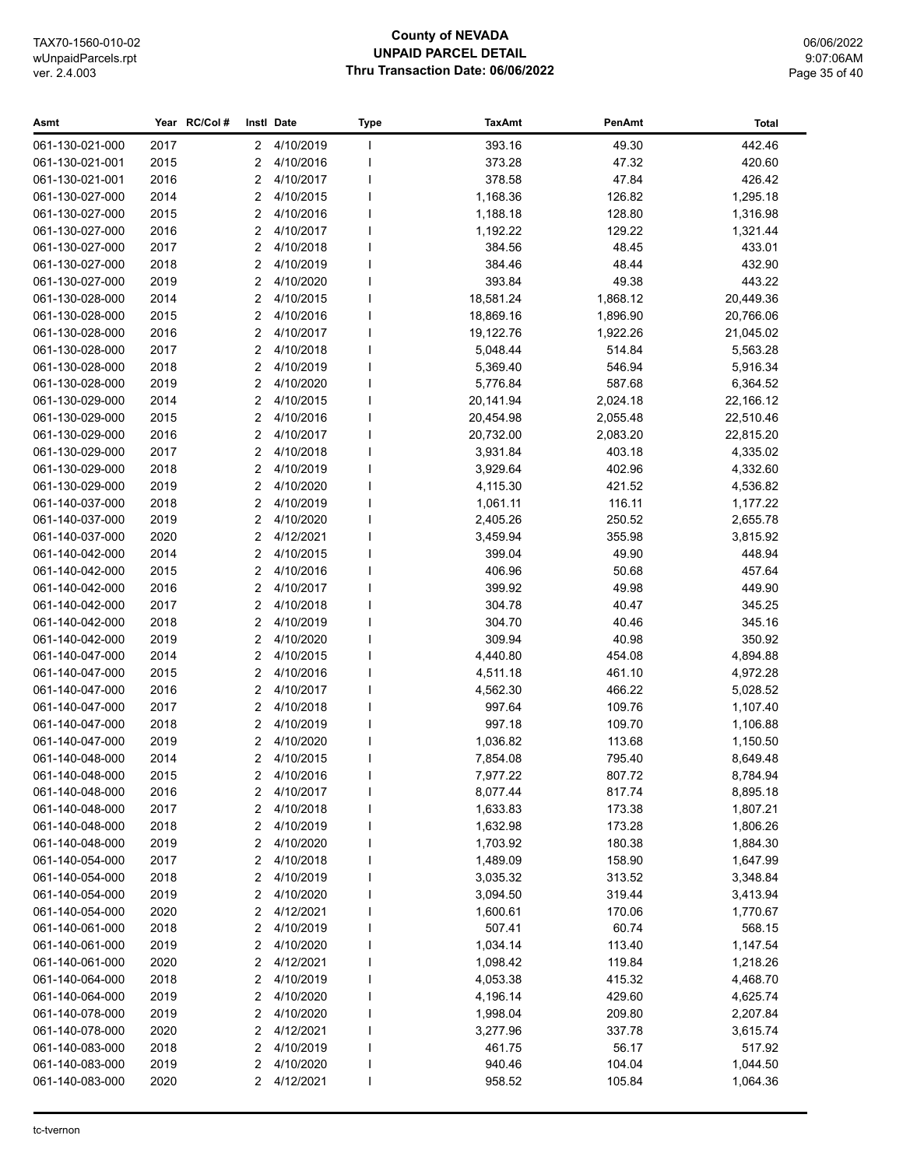## **County of NEVADA UNPAID PARCEL DETAIL Thru Transaction Date: 06/06/2022**

06/06/2022 9:07:06AM Page 35 of 40

| Asmt            |      | Year RC/Col# |   | Instl Date  | Type | <b>TaxAmt</b> | PenAmt   | <b>Total</b> |
|-----------------|------|--------------|---|-------------|------|---------------|----------|--------------|
| 061-130-021-000 | 2017 |              | 2 | 4/10/2019   |      | 393.16        | 49.30    | 442.46       |
| 061-130-021-001 | 2015 |              | 2 | 4/10/2016   |      | 373.28        | 47.32    | 420.60       |
| 061-130-021-001 | 2016 |              | 2 | 4/10/2017   |      | 378.58        | 47.84    | 426.42       |
| 061-130-027-000 | 2014 |              | 2 | 4/10/2015   |      | 1,168.36      | 126.82   | 1,295.18     |
| 061-130-027-000 | 2015 |              | 2 | 4/10/2016   |      | 1,188.18      | 128.80   | 1,316.98     |
| 061-130-027-000 | 2016 |              | 2 | 4/10/2017   |      | 1,192.22      | 129.22   | 1,321.44     |
| 061-130-027-000 | 2017 |              | 2 | 4/10/2018   |      | 384.56        | 48.45    | 433.01       |
| 061-130-027-000 | 2018 |              | 2 | 4/10/2019   |      | 384.46        | 48.44    | 432.90       |
| 061-130-027-000 | 2019 |              | 2 | 4/10/2020   |      | 393.84        | 49.38    | 443.22       |
| 061-130-028-000 | 2014 |              | 2 | 4/10/2015   |      | 18,581.24     | 1,868.12 | 20,449.36    |
| 061-130-028-000 | 2015 |              | 2 | 4/10/2016   |      | 18,869.16     | 1,896.90 | 20,766.06    |
| 061-130-028-000 | 2016 |              | 2 | 4/10/2017   |      | 19,122.76     | 1,922.26 | 21,045.02    |
| 061-130-028-000 | 2017 |              | 2 | 4/10/2018   |      | 5,048.44      | 514.84   | 5,563.28     |
| 061-130-028-000 | 2018 |              | 2 | 4/10/2019   |      | 5,369.40      | 546.94   | 5,916.34     |
| 061-130-028-000 | 2019 |              | 2 | 4/10/2020   |      | 5,776.84      | 587.68   | 6,364.52     |
| 061-130-029-000 | 2014 |              | 2 | 4/10/2015   |      | 20,141.94     | 2,024.18 | 22,166.12    |
| 061-130-029-000 | 2015 |              | 2 | 4/10/2016   |      | 20,454.98     | 2,055.48 | 22,510.46    |
| 061-130-029-000 | 2016 |              | 2 | 4/10/2017   |      | 20,732.00     | 2,083.20 | 22,815.20    |
| 061-130-029-000 | 2017 |              | 2 | 4/10/2018   |      | 3,931.84      | 403.18   | 4,335.02     |
| 061-130-029-000 | 2018 |              | 2 | 4/10/2019   |      | 3,929.64      | 402.96   | 4,332.60     |
| 061-130-029-000 | 2019 |              | 2 | 4/10/2020   |      | 4,115.30      | 421.52   | 4,536.82     |
| 061-140-037-000 | 2018 |              | 2 | 4/10/2019   |      | 1,061.11      | 116.11   | 1,177.22     |
| 061-140-037-000 | 2019 |              | 2 | 4/10/2020   |      | 2,405.26      | 250.52   | 2,655.78     |
| 061-140-037-000 | 2020 |              | 2 | 4/12/2021   |      | 3,459.94      | 355.98   | 3,815.92     |
| 061-140-042-000 | 2014 |              | 2 | 4/10/2015   |      | 399.04        | 49.90    | 448.94       |
| 061-140-042-000 | 2015 |              | 2 | 4/10/2016   |      | 406.96        | 50.68    | 457.64       |
| 061-140-042-000 | 2016 |              | 2 | 4/10/2017   |      | 399.92        | 49.98    | 449.90       |
| 061-140-042-000 | 2017 |              | 2 | 4/10/2018   |      | 304.78        | 40.47    | 345.25       |
| 061-140-042-000 | 2018 |              | 2 | 4/10/2019   |      | 304.70        | 40.46    | 345.16       |
| 061-140-042-000 | 2019 |              | 2 | 4/10/2020   |      | 309.94        | 40.98    | 350.92       |
| 061-140-047-000 | 2014 |              | 2 | 4/10/2015   |      | 4,440.80      | 454.08   | 4,894.88     |
| 061-140-047-000 | 2015 |              | 2 | 4/10/2016   |      | 4,511.18      | 461.10   | 4,972.28     |
| 061-140-047-000 | 2016 |              | 2 | 4/10/2017   |      | 4,562.30      | 466.22   | 5,028.52     |
| 061-140-047-000 | 2017 |              | 2 | 4/10/2018   |      | 997.64        | 109.76   | 1,107.40     |
| 061-140-047-000 | 2018 |              | 2 | 4/10/2019   |      | 997.18        | 109.70   | 1,106.88     |
| 061-140-047-000 | 2019 |              | 2 | 4/10/2020   |      | 1,036.82      | 113.68   | 1,150.50     |
| 061-140-048-000 | 2014 |              | 2 | 4/10/2015   |      | 7,854.08      | 795.40   | 8,649.48     |
| 061-140-048-000 | 2015 |              |   | 2 4/10/2016 |      | 7,977.22      | 807.72   | 8,784.94     |
| 061-140-048-000 | 2016 |              | 2 | 4/10/2017   |      | 8,077.44      | 817.74   | 8,895.18     |
| 061-140-048-000 | 2017 |              | 2 | 4/10/2018   |      | 1,633.83      | 173.38   | 1,807.21     |
| 061-140-048-000 | 2018 |              | 2 | 4/10/2019   |      | 1,632.98      | 173.28   | 1,806.26     |
| 061-140-048-000 | 2019 |              | 2 | 4/10/2020   |      | 1,703.92      | 180.38   | 1,884.30     |
| 061-140-054-000 | 2017 |              | 2 | 4/10/2018   |      | 1,489.09      | 158.90   | 1,647.99     |
| 061-140-054-000 | 2018 |              | 2 | 4/10/2019   |      | 3,035.32      | 313.52   | 3,348.84     |
| 061-140-054-000 | 2019 |              | 2 | 4/10/2020   |      | 3,094.50      | 319.44   | 3,413.94     |
| 061-140-054-000 | 2020 |              | 2 | 4/12/2021   |      | 1,600.61      | 170.06   | 1,770.67     |
| 061-140-061-000 | 2018 |              | 2 | 4/10/2019   |      | 507.41        | 60.74    | 568.15       |
| 061-140-061-000 | 2019 |              | 2 | 4/10/2020   |      | 1,034.14      | 113.40   | 1,147.54     |
| 061-140-061-000 | 2020 |              | 2 | 4/12/2021   |      | 1,098.42      | 119.84   | 1,218.26     |
| 061-140-064-000 | 2018 |              | 2 | 4/10/2019   |      | 4,053.38      | 415.32   | 4,468.70     |
| 061-140-064-000 | 2019 |              | 2 | 4/10/2020   |      | 4,196.14      | 429.60   | 4,625.74     |
| 061-140-078-000 | 2019 |              | 2 | 4/10/2020   |      | 1,998.04      | 209.80   | 2,207.84     |
| 061-140-078-000 | 2020 |              | 2 | 4/12/2021   |      | 3,277.96      | 337.78   | 3,615.74     |
| 061-140-083-000 | 2018 |              | 2 | 4/10/2019   |      | 461.75        | 56.17    | 517.92       |
| 061-140-083-000 | 2019 |              | 2 | 4/10/2020   |      | 940.46        | 104.04   | 1,044.50     |
| 061-140-083-000 | 2020 |              | 2 | 4/12/2021   |      | 958.52        | 105.84   | 1,064.36     |
|                 |      |              |   |             |      |               |          |              |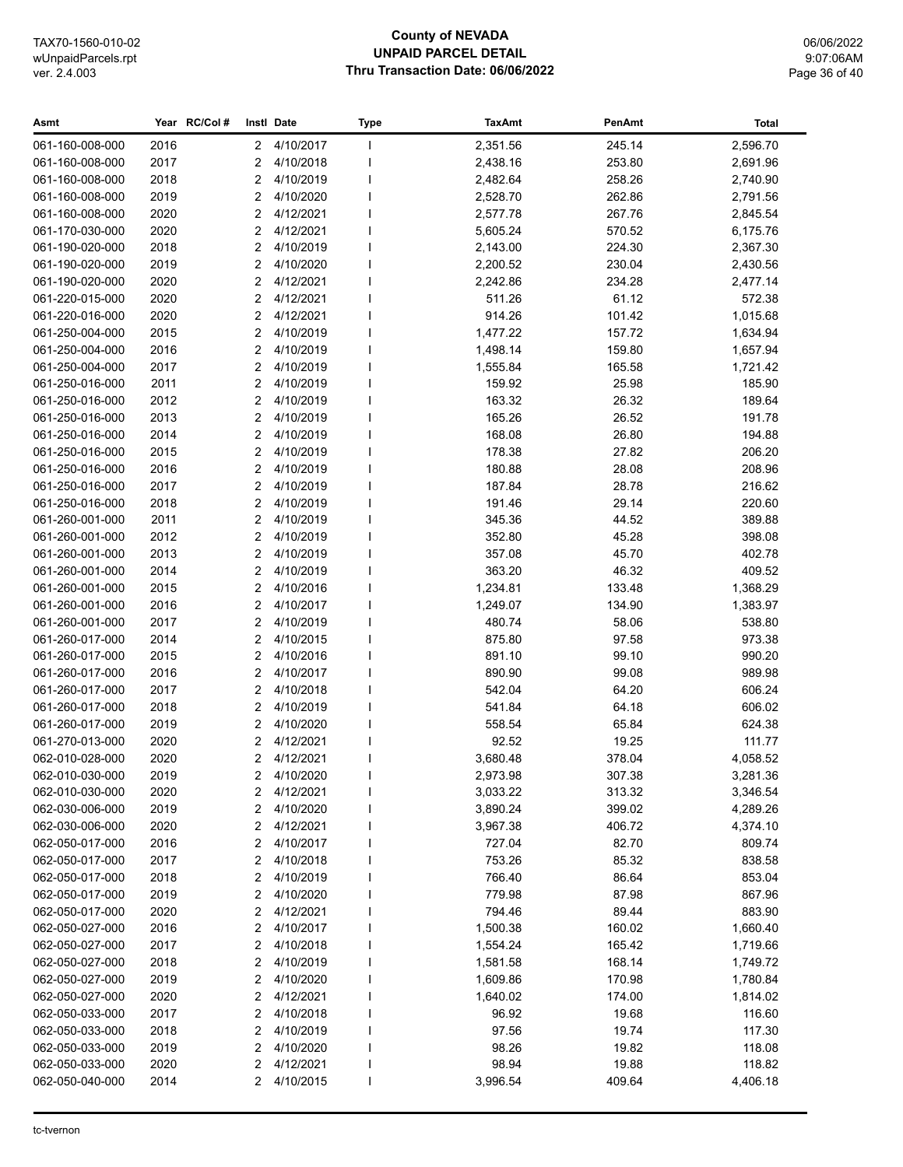## **County of NEVADA UNPAID PARCEL DETAIL Thru Transaction Date: 06/06/2022**

06/06/2022 9:07:06AM Page 36 of 40

| Asmt            |      | Year RC/Col# |   | Instl Date  | Type | <b>TaxAmt</b> | PenAmt | <b>Total</b> |
|-----------------|------|--------------|---|-------------|------|---------------|--------|--------------|
| 061-160-008-000 | 2016 |              | 2 | 4/10/2017   |      | 2,351.56      | 245.14 | 2,596.70     |
| 061-160-008-000 | 2017 |              | 2 | 4/10/2018   |      | 2,438.16      | 253.80 | 2,691.96     |
| 061-160-008-000 | 2018 |              | 2 | 4/10/2019   |      | 2,482.64      | 258.26 | 2,740.90     |
| 061-160-008-000 | 2019 |              | 2 | 4/10/2020   |      | 2,528.70      | 262.86 | 2,791.56     |
| 061-160-008-000 | 2020 |              | 2 | 4/12/2021   |      | 2,577.78      | 267.76 | 2,845.54     |
| 061-170-030-000 | 2020 |              | 2 | 4/12/2021   |      | 5,605.24      | 570.52 | 6,175.76     |
| 061-190-020-000 | 2018 |              | 2 | 4/10/2019   |      | 2,143.00      | 224.30 | 2,367.30     |
| 061-190-020-000 | 2019 |              | 2 | 4/10/2020   |      | 2,200.52      | 230.04 | 2,430.56     |
| 061-190-020-000 | 2020 |              | 2 | 4/12/2021   |      | 2,242.86      | 234.28 | 2,477.14     |
| 061-220-015-000 | 2020 |              | 2 | 4/12/2021   |      | 511.26        | 61.12  | 572.38       |
| 061-220-016-000 | 2020 |              | 2 | 4/12/2021   |      | 914.26        | 101.42 | 1,015.68     |
| 061-250-004-000 | 2015 |              | 2 | 4/10/2019   |      | 1,477.22      | 157.72 | 1,634.94     |
| 061-250-004-000 | 2016 |              | 2 | 4/10/2019   |      | 1,498.14      | 159.80 | 1,657.94     |
| 061-250-004-000 | 2017 |              | 2 | 4/10/2019   |      | 1,555.84      | 165.58 | 1,721.42     |
| 061-250-016-000 | 2011 |              | 2 | 4/10/2019   |      | 159.92        | 25.98  | 185.90       |
| 061-250-016-000 | 2012 |              | 2 | 4/10/2019   |      | 163.32        | 26.32  | 189.64       |
| 061-250-016-000 | 2013 |              | 2 | 4/10/2019   |      | 165.26        | 26.52  | 191.78       |
| 061-250-016-000 | 2014 |              | 2 | 4/10/2019   |      | 168.08        | 26.80  | 194.88       |
| 061-250-016-000 | 2015 |              | 2 | 4/10/2019   |      | 178.38        | 27.82  | 206.20       |
| 061-250-016-000 | 2016 |              | 2 | 4/10/2019   |      | 180.88        | 28.08  | 208.96       |
| 061-250-016-000 | 2017 |              | 2 | 4/10/2019   |      | 187.84        | 28.78  | 216.62       |
| 061-250-016-000 | 2018 |              | 2 | 4/10/2019   |      | 191.46        | 29.14  | 220.60       |
| 061-260-001-000 | 2011 |              | 2 | 4/10/2019   |      | 345.36        | 44.52  | 389.88       |
| 061-260-001-000 | 2012 |              | 2 | 4/10/2019   |      | 352.80        | 45.28  | 398.08       |
| 061-260-001-000 | 2013 |              | 2 | 4/10/2019   |      | 357.08        | 45.70  | 402.78       |
| 061-260-001-000 | 2014 |              | 2 | 4/10/2019   |      | 363.20        | 46.32  | 409.52       |
| 061-260-001-000 | 2015 |              | 2 | 4/10/2016   |      | 1,234.81      | 133.48 | 1,368.29     |
| 061-260-001-000 | 2016 |              | 2 | 4/10/2017   |      | 1,249.07      | 134.90 | 1,383.97     |
| 061-260-001-000 | 2017 |              | 2 | 4/10/2019   |      | 480.74        | 58.06  | 538.80       |
| 061-260-017-000 | 2014 |              | 2 | 4/10/2015   |      | 875.80        | 97.58  | 973.38       |
| 061-260-017-000 | 2015 |              | 2 | 4/10/2016   |      | 891.10        | 99.10  | 990.20       |
| 061-260-017-000 | 2016 |              | 2 | 4/10/2017   |      | 890.90        | 99.08  | 989.98       |
| 061-260-017-000 | 2017 |              | 2 | 4/10/2018   |      | 542.04        | 64.20  | 606.24       |
| 061-260-017-000 | 2018 |              | 2 | 4/10/2019   |      | 541.84        | 64.18  | 606.02       |
| 061-260-017-000 | 2019 |              | 2 | 4/10/2020   |      | 558.54        | 65.84  | 624.38       |
| 061-270-013-000 | 2020 |              | 2 | 4/12/2021   |      | 92.52         | 19.25  | 111.77       |
| 062-010-028-000 | 2020 |              | 2 | 4/12/2021   |      | 3,680.48      | 378.04 | 4,058.52     |
| 062-010-030-000 | 2019 |              |   | 2 4/10/2020 |      | 2,973.98      | 307.38 | 3,281.36     |
| 062-010-030-000 | 2020 |              | 2 | 4/12/2021   |      | 3,033.22      | 313.32 | 3,346.54     |
| 062-030-006-000 | 2019 |              | 2 | 4/10/2020   |      | 3,890.24      | 399.02 | 4,289.26     |
| 062-030-006-000 | 2020 |              | 2 | 4/12/2021   |      | 3,967.38      | 406.72 | 4,374.10     |
| 062-050-017-000 | 2016 |              | 2 | 4/10/2017   |      | 727.04        | 82.70  | 809.74       |
| 062-050-017-000 | 2017 |              | 2 | 4/10/2018   |      | 753.26        | 85.32  | 838.58       |
| 062-050-017-000 | 2018 |              | 2 | 4/10/2019   |      | 766.40        | 86.64  | 853.04       |
| 062-050-017-000 | 2019 |              | 2 | 4/10/2020   |      | 779.98        | 87.98  | 867.96       |
| 062-050-017-000 | 2020 |              | 2 | 4/12/2021   |      | 794.46        | 89.44  | 883.90       |
| 062-050-027-000 | 2016 |              | 2 | 4/10/2017   |      | 1,500.38      | 160.02 | 1,660.40     |
| 062-050-027-000 | 2017 |              | 2 | 4/10/2018   |      | 1,554.24      | 165.42 | 1,719.66     |
| 062-050-027-000 | 2018 |              | 2 | 4/10/2019   |      | 1,581.58      | 168.14 | 1,749.72     |
| 062-050-027-000 | 2019 |              | 2 | 4/10/2020   |      | 1,609.86      | 170.98 | 1,780.84     |
| 062-050-027-000 | 2020 |              | 2 | 4/12/2021   |      | 1,640.02      | 174.00 | 1,814.02     |
| 062-050-033-000 | 2017 |              | 2 | 4/10/2018   |      | 96.92         | 19.68  | 116.60       |
| 062-050-033-000 | 2018 |              | 2 | 4/10/2019   |      | 97.56         | 19.74  | 117.30       |
| 062-050-033-000 | 2019 |              | 2 | 4/10/2020   |      | 98.26         | 19.82  | 118.08       |
| 062-050-033-000 | 2020 |              | 2 | 4/12/2021   |      | 98.94         | 19.88  | 118.82       |
| 062-050-040-000 | 2014 |              | 2 | 4/10/2015   |      | 3,996.54      | 409.64 | 4,406.18     |
|                 |      |              |   |             |      |               |        |              |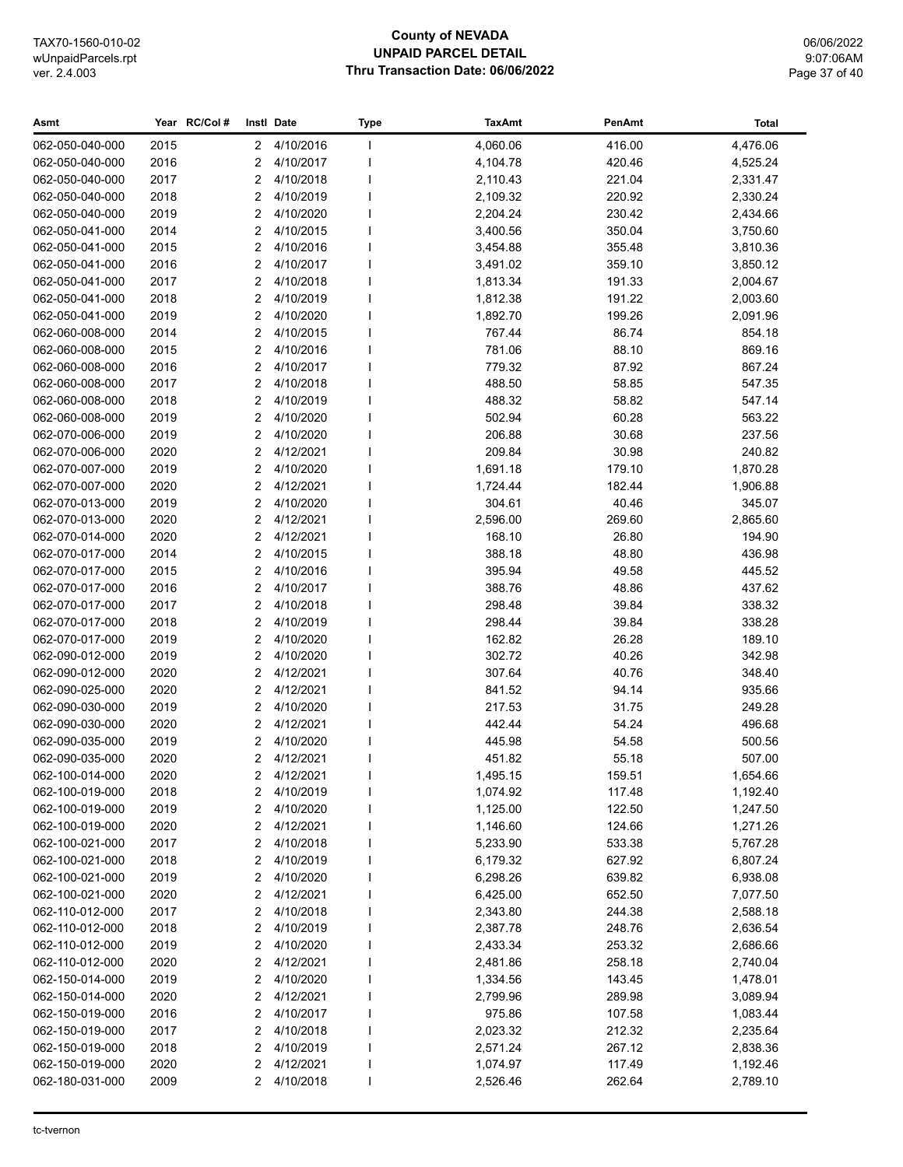## **County of NEVADA UNPAID PARCEL DETAIL Thru Transaction Date: 06/06/2022**

06/06/2022 9:07:06AM Page 37 of 40

| Asmt                               |              | Year RC/Col# |        | Instl Date             | <b>Type</b> | <b>TaxAmt</b>        | PenAmt           | <b>Total</b>         |
|------------------------------------|--------------|--------------|--------|------------------------|-------------|----------------------|------------------|----------------------|
| 062-050-040-000                    | 2015         |              | $^{2}$ | 4/10/2016              |             | 4,060.06             | 416.00           | 4,476.06             |
| 062-050-040-000                    | 2016         |              | 2      | 4/10/2017              |             | 4,104.78             | 420.46           | 4,525.24             |
| 062-050-040-000                    | 2017         |              | 2      | 4/10/2018              |             | 2,110.43             | 221.04           | 2,331.47             |
| 062-050-040-000                    | 2018         |              | 2      | 4/10/2019              |             | 2,109.32             | 220.92           | 2,330.24             |
| 062-050-040-000                    | 2019         |              | 2      | 4/10/2020              |             | 2,204.24             | 230.42           | 2,434.66             |
| 062-050-041-000                    | 2014         |              | 2      | 4/10/2015              |             | 3,400.56             | 350.04           | 3,750.60             |
| 062-050-041-000                    | 2015         |              | 2      | 4/10/2016              |             | 3,454.88             | 355.48           | 3,810.36             |
| 062-050-041-000                    | 2016         |              | 2      | 4/10/2017              |             | 3,491.02             | 359.10           | 3,850.12             |
| 062-050-041-000                    | 2017         |              | 2      | 4/10/2018              |             | 1,813.34             | 191.33           | 2,004.67             |
| 062-050-041-000                    | 2018         |              | 2      | 4/10/2019              |             | 1,812.38             | 191.22           | 2,003.60             |
| 062-050-041-000                    | 2019         |              | 2      | 4/10/2020              |             | 1,892.70             | 199.26           | 2,091.96             |
| 062-060-008-000                    | 2014         |              | 2      | 4/10/2015              |             | 767.44               | 86.74            | 854.18               |
| 062-060-008-000                    | 2015         |              | 2      | 4/10/2016              |             | 781.06               | 88.10            | 869.16               |
| 062-060-008-000                    | 2016         |              | 2      | 4/10/2017              |             | 779.32               | 87.92            | 867.24               |
| 062-060-008-000                    | 2017         |              | 2      | 4/10/2018              |             | 488.50               | 58.85            | 547.35               |
| 062-060-008-000                    | 2018         |              | 2      | 4/10/2019              |             | 488.32               | 58.82            | 547.14               |
| 062-060-008-000                    | 2019         |              | 2      | 4/10/2020              |             | 502.94               | 60.28            | 563.22               |
| 062-070-006-000                    | 2019         |              | 2      | 4/10/2020              |             | 206.88               | 30.68            | 237.56               |
| 062-070-006-000                    | 2020         |              | 2      | 4/12/2021              |             | 209.84               | 30.98            | 240.82               |
| 062-070-007-000                    | 2019         |              | 2      | 4/10/2020              |             | 1,691.18             | 179.10           | 1,870.28             |
| 062-070-007-000                    | 2020         |              | 2      | 4/12/2021              |             | 1,724.44             | 182.44           | 1,906.88             |
| 062-070-013-000                    | 2019         |              | 2      | 4/10/2020              |             | 304.61               | 40.46            | 345.07               |
| 062-070-013-000                    | 2020         |              | 2      | 4/12/2021              |             | 2,596.00             | 269.60           | 2,865.60             |
| 062-070-014-000                    | 2020         |              | 2      | 4/12/2021              |             | 168.10               | 26.80            | 194.90               |
| 062-070-017-000                    | 2014         |              | 2      | 4/10/2015              |             | 388.18               | 48.80            | 436.98               |
| 062-070-017-000                    | 2015         |              | 2      | 4/10/2016              |             | 395.94               | 49.58            | 445.52               |
| 062-070-017-000                    | 2016         |              | 2      | 4/10/2017              |             | 388.76               | 48.86            | 437.62               |
| 062-070-017-000                    | 2017         |              | 2      | 4/10/2018              |             | 298.48               | 39.84            | 338.32               |
| 062-070-017-000                    | 2018         |              | 2      | 4/10/2019              |             | 298.44               | 39.84            | 338.28               |
| 062-070-017-000                    | 2019         |              | 2      | 4/10/2020              |             | 162.82               | 26.28            | 189.10               |
| 062-090-012-000                    | 2019         |              | 2      | 4/10/2020              |             | 302.72               | 40.26            | 342.98               |
| 062-090-012-000                    | 2020         |              | 2      | 4/12/2021              |             | 307.64               | 40.76            | 348.40               |
| 062-090-025-000                    | 2020         |              | 2      | 4/12/2021              |             | 841.52               | 94.14            | 935.66               |
| 062-090-030-000                    | 2019         |              | 2      | 4/10/2020              |             | 217.53               | 31.75            | 249.28               |
| 062-090-030-000                    | 2020         |              | 2      | 4/12/2021              |             | 442.44               | 54.24            | 496.68               |
| 062-090-035-000                    | 2019         |              | 2      | 4/10/2020              |             | 445.98               | 54.58            | 500.56               |
| 062-090-035-000                    | 2020         |              | 2      | 4/12/2021              |             | 451.82               | 55.18            | 507.00               |
| 062-100-014-000                    | 2020         |              |        | 2 4/12/2021            |             | 1,495.15             | 159.51           | 1,654.66             |
| 062-100-019-000                    | 2018         |              | 2      | 4/10/2019              |             | 1,074.92             | 117.48           | 1,192.40             |
| 062-100-019-000                    | 2019         |              | 2      | 4/10/2020              |             | 1,125.00             | 122.50           | 1,247.50             |
| 062-100-019-000                    | 2020         |              | 2      | 4/12/2021              |             | 1,146.60             | 124.66           | 1,271.26             |
| 062-100-021-000<br>062-100-021-000 | 2017         |              | 2      | 4/10/2018<br>4/10/2019 |             | 5,233.90             | 533.38           | 5,767.28             |
|                                    | 2018         |              | 2      | 4/10/2020              |             | 6,179.32             | 627.92           | 6,807.24             |
| 062-100-021-000<br>062-100-021-000 | 2019<br>2020 |              | 2<br>2 | 4/12/2021              |             | 6,298.26<br>6,425.00 | 639.82<br>652.50 | 6,938.08<br>7,077.50 |
| 062-110-012-000                    | 2017         |              | 2      | 4/10/2018              |             | 2,343.80             | 244.38           | 2,588.18             |
| 062-110-012-000                    | 2018         |              | 2      | 4/10/2019              |             | 2,387.78             | 248.76           | 2,636.54             |
| 062-110-012-000                    | 2019         |              | 2      | 4/10/2020              |             | 2,433.34             | 253.32           | 2,686.66             |
| 062-110-012-000                    | 2020         |              | 2      | 4/12/2021              |             | 2,481.86             | 258.18           | 2,740.04             |
| 062-150-014-000                    | 2019         |              | 2      | 4/10/2020              |             | 1,334.56             | 143.45           | 1,478.01             |
| 062-150-014-000                    | 2020         |              | 2      | 4/12/2021              |             | 2,799.96             | 289.98           | 3,089.94             |
| 062-150-019-000                    | 2016         |              | 2      | 4/10/2017              |             | 975.86               | 107.58           | 1,083.44             |
| 062-150-019-000                    | 2017         |              | 2      | 4/10/2018              |             | 2,023.32             | 212.32           | 2,235.64             |
| 062-150-019-000                    | 2018         |              | 2      | 4/10/2019              |             | 2,571.24             | 267.12           | 2,838.36             |
| 062-150-019-000                    | 2020         |              | 2      | 4/12/2021              |             | 1,074.97             | 117.49           | 1,192.46             |
| 062-180-031-000                    | 2009         |              | 2      | 4/10/2018              |             | 2,526.46             | 262.64           | 2,789.10             |
|                                    |              |              |        |                        |             |                      |                  |                      |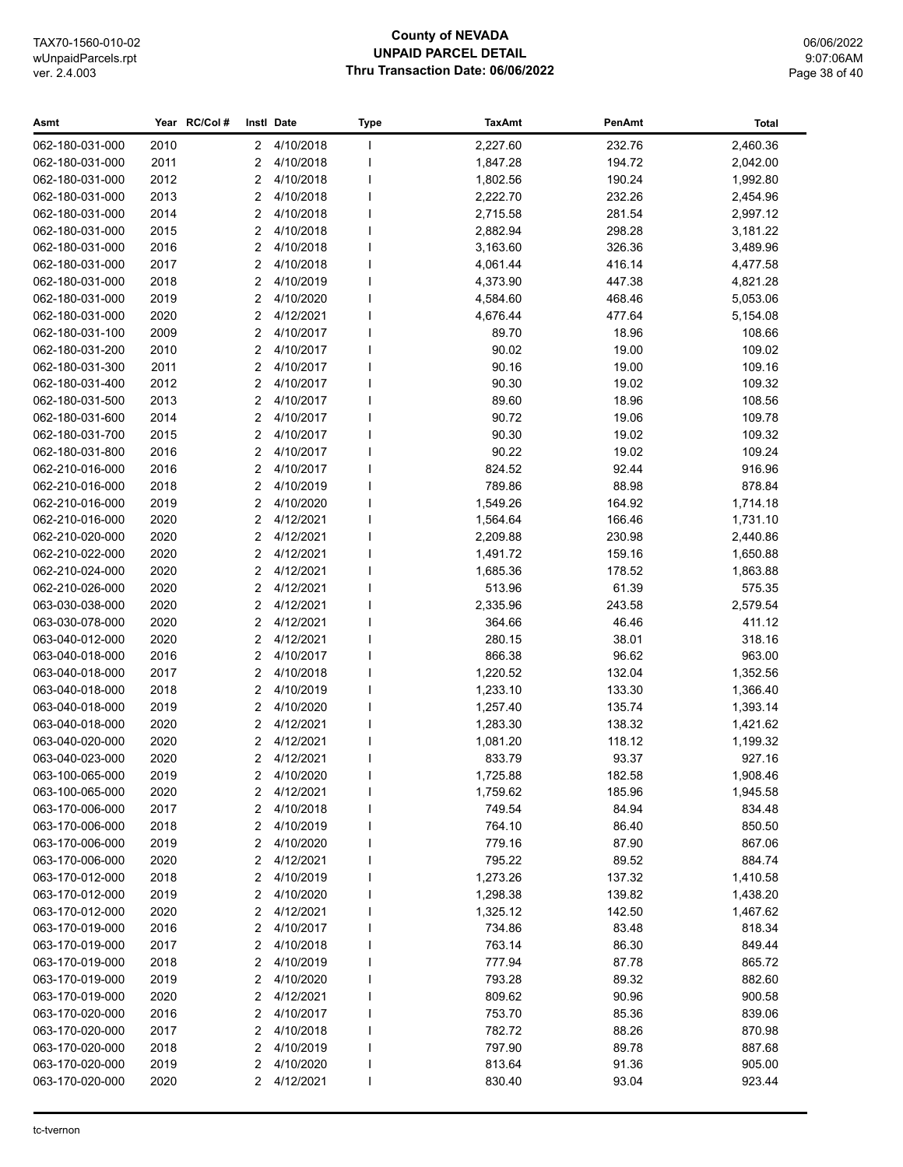## **County of NEVADA UNPAID PARCEL DETAIL Thru Transaction Date: 06/06/2022**

06/06/2022 9:07:06AM Page 38 of 40

| Asmt                               |              | Year RC/Col# |              | Instl Date             | <b>Type</b> | <b>TaxAmt</b>        | PenAmt          | Total              |
|------------------------------------|--------------|--------------|--------------|------------------------|-------------|----------------------|-----------------|--------------------|
| 062-180-031-000                    | 2010         |              | $\mathbf{2}$ | 4/10/2018              | I.          | 2,227.60             | 232.76          | 2,460.36           |
| 062-180-031-000                    | 2011         |              | 2            | 4/10/2018              |             | 1,847.28             | 194.72          | 2,042.00           |
| 062-180-031-000                    | 2012         |              | 2            | 4/10/2018              |             | 1,802.56             | 190.24          | 1,992.80           |
| 062-180-031-000                    | 2013         |              | 2            | 4/10/2018              |             | 2,222.70             | 232.26          | 2,454.96           |
| 062-180-031-000                    | 2014         |              | 2            | 4/10/2018              |             | 2,715.58             | 281.54          | 2,997.12           |
| 062-180-031-000                    | 2015         |              | 2            | 4/10/2018              |             | 2,882.94             | 298.28          | 3,181.22           |
| 062-180-031-000                    | 2016         |              | 2            | 4/10/2018              |             | 3,163.60             | 326.36          | 3,489.96           |
| 062-180-031-000                    | 2017         |              | 2            | 4/10/2018              |             | 4,061.44             | 416.14          | 4,477.58           |
| 062-180-031-000                    | 2018         |              | 2            | 4/10/2019              |             | 4,373.90             | 447.38          | 4,821.28           |
| 062-180-031-000                    | 2019         |              | 2            | 4/10/2020              |             | 4,584.60             | 468.46          | 5,053.06           |
| 062-180-031-000                    | 2020         |              | 2            | 4/12/2021              |             | 4,676.44             | 477.64          | 5,154.08           |
| 062-180-031-100                    | 2009         |              | 2            | 4/10/2017              |             | 89.70                | 18.96           | 108.66             |
| 062-180-031-200                    | 2010         |              | 2            | 4/10/2017              |             | 90.02                | 19.00           | 109.02             |
| 062-180-031-300                    | 2011         |              | 2            | 4/10/2017              |             | 90.16                | 19.00           | 109.16             |
| 062-180-031-400                    | 2012         |              | 2            | 4/10/2017              |             | 90.30                | 19.02           | 109.32             |
| 062-180-031-500                    | 2013         |              | 2            | 4/10/2017              |             | 89.60                | 18.96           | 108.56             |
| 062-180-031-600                    | 2014         |              | 2            | 4/10/2017              |             | 90.72                | 19.06           | 109.78             |
| 062-180-031-700                    | 2015         |              | 2            | 4/10/2017              |             | 90.30                | 19.02           | 109.32             |
| 062-180-031-800                    | 2016         |              | 2            | 4/10/2017              |             | 90.22                | 19.02           | 109.24             |
| 062-210-016-000                    | 2016         |              | 2            | 4/10/2017              |             | 824.52               | 92.44           | 916.96             |
| 062-210-016-000                    | 2018         |              | 2            | 4/10/2019              |             | 789.86               | 88.98           | 878.84             |
| 062-210-016-000                    | 2019         |              | 2            | 4/10/2020              |             | 1,549.26             | 164.92          | 1,714.18           |
| 062-210-016-000                    | 2020         |              | 2            | 4/12/2021              |             | 1,564.64             | 166.46          | 1,731.10           |
| 062-210-020-000                    | 2020         |              | 2            | 4/12/2021              |             | 2,209.88             | 230.98          | 2,440.86           |
| 062-210-022-000                    | 2020         |              | 2            | 4/12/2021              |             | 1,491.72             | 159.16          | 1,650.88           |
| 062-210-024-000                    | 2020         |              | 2            | 4/12/2021              |             | 1,685.36             | 178.52          | 1,863.88           |
| 062-210-026-000                    | 2020         |              | 2            | 4/12/2021              |             | 513.96               | 61.39           | 575.35             |
| 063-030-038-000                    | 2020         |              | 2            | 4/12/2021              |             | 2,335.96             | 243.58          | 2,579.54           |
| 063-030-078-000                    | 2020         |              | 2            | 4/12/2021              |             | 364.66               | 46.46           | 411.12             |
| 063-040-012-000                    | 2020         |              | 2            | 4/12/2021              |             | 280.15               | 38.01           | 318.16             |
| 063-040-018-000                    | 2016         |              | 2            | 4/10/2017              |             | 866.38               | 96.62           | 963.00             |
| 063-040-018-000                    | 2017         |              | 2            | 4/10/2018              |             | 1,220.52             | 132.04          | 1,352.56           |
| 063-040-018-000                    | 2018         |              | 2            | 4/10/2019              |             | 1,233.10             | 133.30          | 1,366.40           |
| 063-040-018-000                    | 2019         |              | 2            | 4/10/2020              |             | 1,257.40             | 135.74          | 1,393.14           |
| 063-040-018-000                    | 2020         |              | 2            | 4/12/2021              |             | 1,283.30             | 138.32          | 1,421.62           |
| 063-040-020-000                    | 2020         |              | 2            | 4/12/2021<br>4/12/2021 |             | 1,081.20             | 118.12          | 1,199.32           |
| 063-040-023-000                    | 2020         |              | 2            | 2 4/10/2020            |             | 833.79               | 93.37<br>182.58 | 927.16<br>1,908.46 |
| 063-100-065-000<br>063-100-065-000 | 2019         |              |              | 4/12/2021              |             | 1,725.88<br>1,759.62 |                 |                    |
| 063-170-006-000                    | 2020<br>2017 |              | 2<br>2       | 4/10/2018              |             | 749.54               | 185.96<br>84.94 | 1,945.58<br>834.48 |
| 063-170-006-000                    | 2018         |              | 2            | 4/10/2019              |             | 764.10               | 86.40           | 850.50             |
| 063-170-006-000                    | 2019         |              | 2            | 4/10/2020              |             | 779.16               | 87.90           | 867.06             |
| 063-170-006-000                    | 2020         |              | 2            | 4/12/2021              |             | 795.22               | 89.52           | 884.74             |
| 063-170-012-000                    | 2018         |              | 2            | 4/10/2019              |             | 1,273.26             | 137.32          | 1,410.58           |
| 063-170-012-000                    | 2019         |              | 2            | 4/10/2020              |             | 1,298.38             | 139.82          | 1,438.20           |
| 063-170-012-000                    | 2020         |              | 2            | 4/12/2021              |             | 1,325.12             | 142.50          | 1,467.62           |
| 063-170-019-000                    | 2016         |              | 2            | 4/10/2017              |             | 734.86               | 83.48           | 818.34             |
| 063-170-019-000                    | 2017         |              | 2            | 4/10/2018              |             | 763.14               | 86.30           | 849.44             |
| 063-170-019-000                    | 2018         |              | 2            | 4/10/2019              |             | 777.94               | 87.78           | 865.72             |
| 063-170-019-000                    | 2019         |              | 2            | 4/10/2020              |             | 793.28               | 89.32           | 882.60             |
| 063-170-019-000                    | 2020         |              | 2            | 4/12/2021              |             | 809.62               | 90.96           | 900.58             |
| 063-170-020-000                    | 2016         |              | 2            | 4/10/2017              |             | 753.70               | 85.36           | 839.06             |
| 063-170-020-000                    | 2017         |              | 2            | 4/10/2018              |             | 782.72               | 88.26           | 870.98             |
| 063-170-020-000                    | 2018         |              | 2            | 4/10/2019              |             | 797.90               | 89.78           | 887.68             |
| 063-170-020-000                    | 2019         |              | 2            | 4/10/2020              |             | 813.64               | 91.36           | 905.00             |
| 063-170-020-000                    | 2020         |              | 2            | 4/12/2021              |             | 830.40               | 93.04           | 923.44             |
|                                    |              |              |              |                        |             |                      |                 |                    |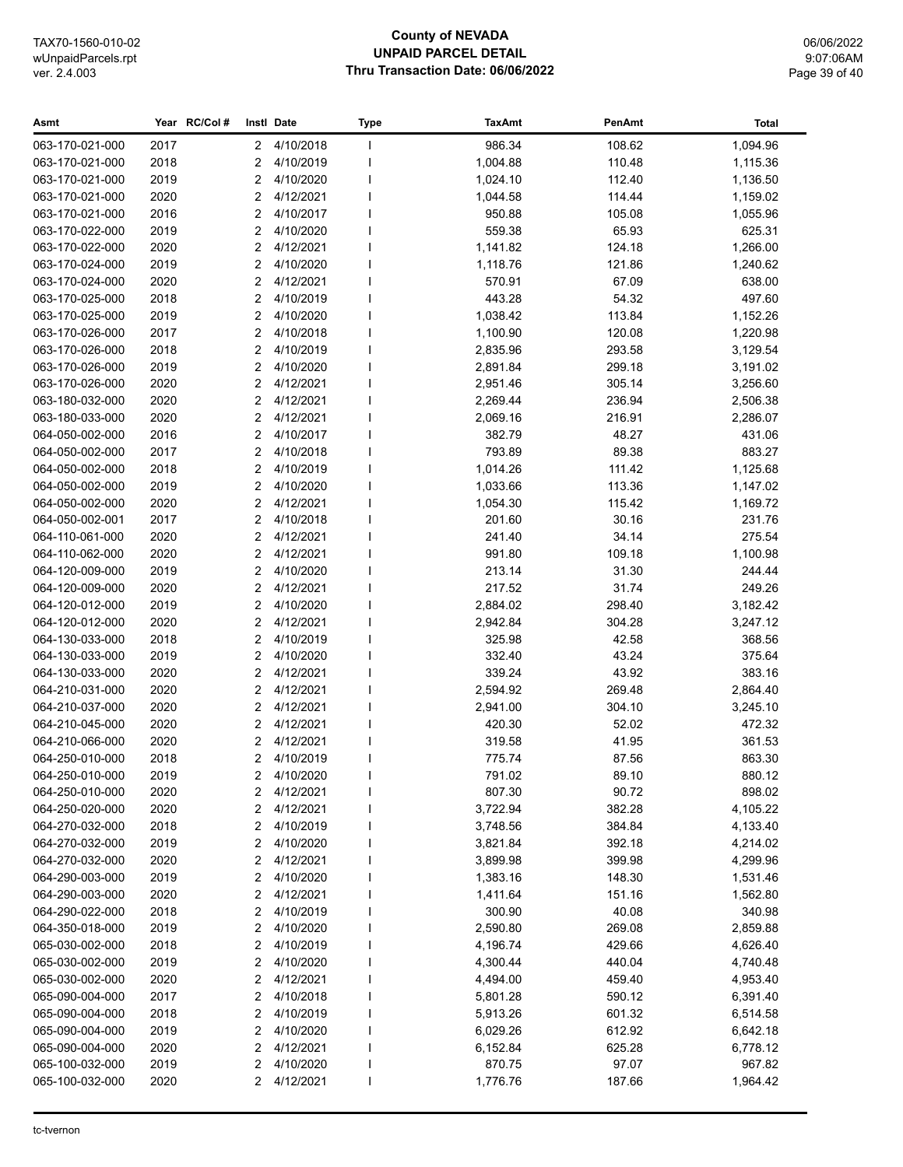#### **County of NEVADA UNPAID PARCEL DETAIL Thru Transaction Date: 06/06/2022**

06/06/2022 9:07:06AM Page 39 of 40

#### **Asmt Year Instl Type TaxAmt PenAmt RC/Col # Date Total** 063-170-021-000 2017 2 4/10/2018 I 986.34 108.62 1,094.96 063-170-021-000 2018 2 4/10/2019 I 1,004.88 110.48 1,115.36 063-170-021-000 2019 2 4/10/2020 I 1,024.10 112.40 1,136.50 063-170-021-000 2020 2 4/12/2021 1 1,044.58 114.44 1,159.02 063-170-021-000 2016 2 4/10/2017 I 950.88 105.08 1,055.96 063-170-022-000 2019 2 4/10/2020 I 559.38 65.93 625.31 063-170-022-000 2020 2 4/12/2021 I 1,141.82 124.18 1,266.00 063-170-024-000 2019 2 4/10/2020 I 1,118.76 121.86 1,240.62 063-170-024-000 2020 2 4/12/2021 I 570.91 67.09 638.00 063-170-025-000 2018 2 4/10/2019 I 443.28 54.32 497.60 063-170-025-000 2019 2 4/10/2020 I 1,038.42 113.84 1,152.26 063-170-026-000 2017 2 4/10/2018 I 1,100.90 120.08 1,220.98 063-170-026-000 2018 2 4/10/2019 I 2,835.96 293.58 3,129.54 063-170-026-000 2019 2 4/10/2020 I 2,891.84 299.18 3,191.02 063-170-026-000 2020 2 4/12/2021 I 2,951.46 305.14 3,256.60 063-180-032-000 2020 2 4/12/2021 I 2,269.44 236.94 2,506.38 063-180-033-000 2020 2 4/12/2021 I 2,069.16 216.91 2,286.07 064-050-002-000 2016 2 4/10/2017 I 382.79 48.27 431.06 064-050-002-000 2017 2 4/10/2018 I 793.89 89.38 883.27 064-050-002-000 2018 2 4/10/2019 I 1,014.26 111.42 1,125.68 064-050-002-000 2019 2 4/10/2020 I 1,033.66 113.36 1,147.02 064-050-002-000 2020 2 4/12/2021 I 1,054.30 115.42 1,169.72 064-050-002-001 2017 2 4/10/2018 I 201.60 30.16 231.76 064-110-061-000 2020 2 4/12/2021 I 241.40 34.14 275.54 064-110-062-000 2020 2 4/12/2021 I 991.80 109.18 1,100.98 064-120-009-000 2019 2 4/10/2020 I 213.14 31.30 244.44 064-120-009-000 2020 2 4/12/2021 I 217.52 31.74 249.26 064-120-012-000 2019 2 4/10/2020 I 2,884.02 298.40 3,182.42 064-120-012-000 2020 2 4/12/2021 I 2,942.84 304.28 3,247.12 064-130-033-000 2018 2 4/10/2019 I 325.98 42.58 368.56 064-130-033-000 2019 2 4/10/2020 I 332.40 43.24 375.64 064-130-033-000 2020 2 4/12/2021 I 339.24 43.92 383.16 064-210-031-000 2020 2 4/12/2021 I 2,594.92 269.48 2,864.40 064-210-037-000 2020 2 4/12/2021 I 2,941.00 304.10 3,245.10 064-210-045-000 2020 2 4/12/2021 I 420.30 52.02 472.32 064-210-066-000 2020 2 4/12/2021 I 319.58 41.95 361.53 064-250-010-000 2018 2 4/10/2019 I 775.74 87.56 863.30 064-250-010-000 2019 2 4/10/2020 I 791.02 89.10 880.12 064-250-010-000 2020 2 4/12/2021 I 807.30 90.72 898.02 064-250-020-000 2020 2 4/12/2021 I 3,722.94 382.28 4,105.22 064-270-032-000 2018 2 4/10/2019 I 3,748.56 384.84 4,133.40 064-270-032-000 2019 2 4/10/2020 I 3,821.84 392.18 4,214.02 064-270-032-000 2020 2 4/12/2021 I 3,899.98 399.98 4,299.96 064-290-003-000 2019 2 4/10/2020 I 1,383.16 148.30 1,531.46 064-290-003-000 2020 2 4/12/2021 1 1.411.64 1.51.16 1.562.80 064-290-022-000 2018 2 4/10/2019 I 300.90 40.08 340.98 064-350-018-000 2019 2 4/10/2020 I 2,590.80 269.08 2,859.88 065-030-002-000 2018 2 4/10/2019 I 4,196.74 429.66 4,626.40 065-030-002-000 2019 2 4/10/2020 I 4,300.44 440.04 4,740.48 065-030-002-000 2020 2 4/12/2021 I 4,494.00 459.40 4,953.40 065-090-004-000 2017 2 4/10/2018 I 5,801.28 590.12 6,391.40 065-090-004-000 2018 2 4/10/2019 l 5,913.26 601.32 6,514.58 065-090-004-000 2019 2 4/10/2020 I 6,029.26 612.92 6,642.18 065-090-004-000 2020 2 4/12/2021 I 6,152.84 625.28 6,778.12 065-100-032-000 2019 2 4/10/2020 I 870.75 97.07 967.82 065-100-032-000 2020 2 4/12/2021 I 1,776.76 187.66 1,964.42